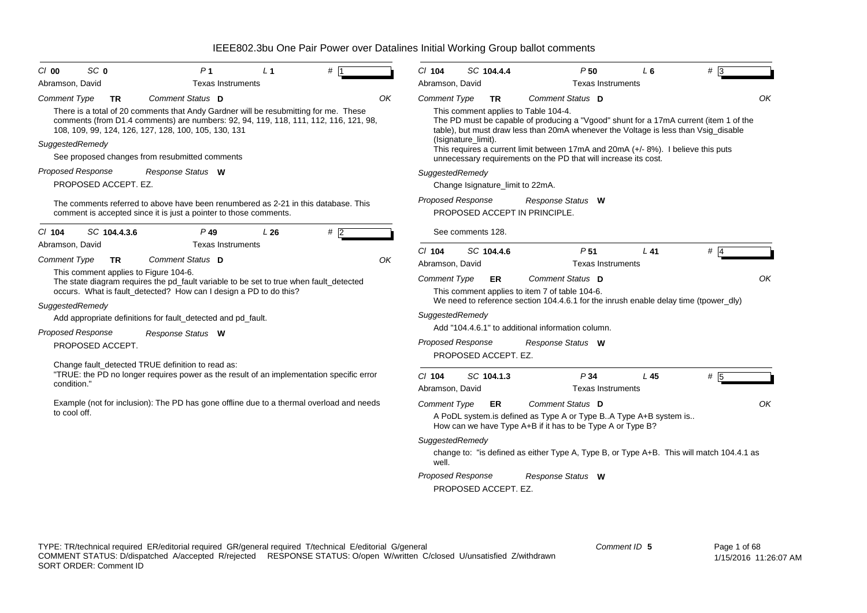| SC <sub>0</sub><br>C/O                              | P <sub>1</sub>                                                                                                                                                                                                                                                                                             | L <sub>1</sub> |    | $Cl$ 104                    | SC 104.4.4                                       | P50                                                                                                                                                                                                                                                                                                                                                                                             | L6  | #   |
|-----------------------------------------------------|------------------------------------------------------------------------------------------------------------------------------------------------------------------------------------------------------------------------------------------------------------------------------------------------------------|----------------|----|-----------------------------|--------------------------------------------------|-------------------------------------------------------------------------------------------------------------------------------------------------------------------------------------------------------------------------------------------------------------------------------------------------------------------------------------------------------------------------------------------------|-----|-----|
| Abramson, David                                     | <b>Texas Instruments</b>                                                                                                                                                                                                                                                                                   |                |    | Abramson, David             |                                                  | <b>Texas Instruments</b>                                                                                                                                                                                                                                                                                                                                                                        |     |     |
| <b>Comment Type</b><br><b>TR</b><br>SuggestedRemedy | Comment Status D<br>There is a total of 20 comments that Andy Gardner will be resubmitting for me. These<br>comments (from D1.4 comments) are numbers: 92, 94, 119, 118, 111, 112, 116, 121, 98,<br>108, 109, 99, 124, 126, 127, 128, 100, 105, 130, 131<br>See proposed changes from resubmitted comments |                | OK | Comment Type                | <b>TR</b><br>(Isignature limit).                 | Comment Status D<br>This comment applies to Table 104-4.<br>The PD must be capable of producing a "Vgood" shunt for a 17mA current (item 1 of the<br>table), but must draw less than 20mA whenever the Voltage is less than Vsig_disable<br>This requires a current limit between 17mA and 20mA (+/-8%). I believe this puts<br>unnecessary requirements on the PD that will increase its cost. |     | OK  |
| Proposed Response                                   | Response Status W                                                                                                                                                                                                                                                                                          |                |    |                             | SuggestedRemedy                                  |                                                                                                                                                                                                                                                                                                                                                                                                 |     |     |
| PROPOSED ACCEPT. EZ.                                |                                                                                                                                                                                                                                                                                                            |                |    |                             | Change Isignature_limit to 22mA.                 |                                                                                                                                                                                                                                                                                                                                                                                                 |     |     |
|                                                     | The comments referred to above have been renumbered as 2-21 in this database. This<br>comment is accepted since it is just a pointer to those comments.                                                                                                                                                    |                |    |                             | Proposed Response                                | Response Status W<br>PROPOSED ACCEPT IN PRINCIPLE.                                                                                                                                                                                                                                                                                                                                              |     |     |
| SC 104.4.3.6<br>C/ 104                              | $P$ 49                                                                                                                                                                                                                                                                                                     | L26            | #2 |                             | See comments 128.                                |                                                                                                                                                                                                                                                                                                                                                                                                 |     |     |
| Abramson, David                                     | <b>Texas Instruments</b>                                                                                                                                                                                                                                                                                   |                |    | $Cl$ 104                    | SC 104.4.6                                       | P <sub>51</sub>                                                                                                                                                                                                                                                                                                                                                                                 | L41 | # 4 |
| <b>Comment Type</b><br><b>TR</b>                    | Comment Status D                                                                                                                                                                                                                                                                                           |                | OK | Abramson, David             |                                                  | <b>Texas Instruments</b>                                                                                                                                                                                                                                                                                                                                                                        |     |     |
| This comment applies to Figure 104-6.               | The state diagram requires the pd_fault variable to be set to true when fault_detected<br>occurs. What is fault_detected? How can I design a PD to do this?                                                                                                                                                |                |    | <b>Comment Type</b>         | ER                                               | Comment Status D<br>This comment applies to item 7 of table 104-6.<br>We need to reference section 104.4.6.1 for the inrush enable delay time (tpower_dly)                                                                                                                                                                                                                                      |     | OK  |
| SuggestedRemedy                                     | Add appropriate definitions for fault_detected and pd_fault.                                                                                                                                                                                                                                               |                |    |                             | SuggestedRemedy                                  |                                                                                                                                                                                                                                                                                                                                                                                                 |     |     |
| Proposed Response                                   | Response Status W                                                                                                                                                                                                                                                                                          |                |    |                             |                                                  | Add "104.4.6.1" to additional information column.                                                                                                                                                                                                                                                                                                                                               |     |     |
| PROPOSED ACCEPT.                                    |                                                                                                                                                                                                                                                                                                            |                |    |                             | <b>Proposed Response</b><br>PROPOSED ACCEPT. EZ. | Response Status W                                                                                                                                                                                                                                                                                                                                                                               |     |     |
| condition."                                         | Change fault_detected TRUE definition to read as:<br>"TRUE: the PD no longer requires power as the result of an implementation specific error                                                                                                                                                              |                |    | $Cl$ 104<br>Abramson, David | SC 104.1.3                                       | P34<br><b>Texas Instruments</b>                                                                                                                                                                                                                                                                                                                                                                 | L45 | # 5 |
| to cool off.                                        | Example (not for inclusion): The PD has gone offline due to a thermal overload and needs                                                                                                                                                                                                                   |                |    | <b>Comment Type</b>         | ER<br>SuggestedRemedy                            | Comment Status D<br>A PoDL system.is defined as Type A or Type BA Type A+B system is<br>How can we have Type A+B if it has to be Type A or Type B?                                                                                                                                                                                                                                              |     | OK  |
|                                                     |                                                                                                                                                                                                                                                                                                            |                |    | well.                       |                                                  | change to: "is defined as either Type A, Type B, or Type A+B. This will match 104.4.1 as                                                                                                                                                                                                                                                                                                        |     |     |
|                                                     |                                                                                                                                                                                                                                                                                                            |                |    |                             | <b>Proposed Response</b><br>PROPOSED ACCEPT. EZ. | Response Status W                                                                                                                                                                                                                                                                                                                                                                               |     |     |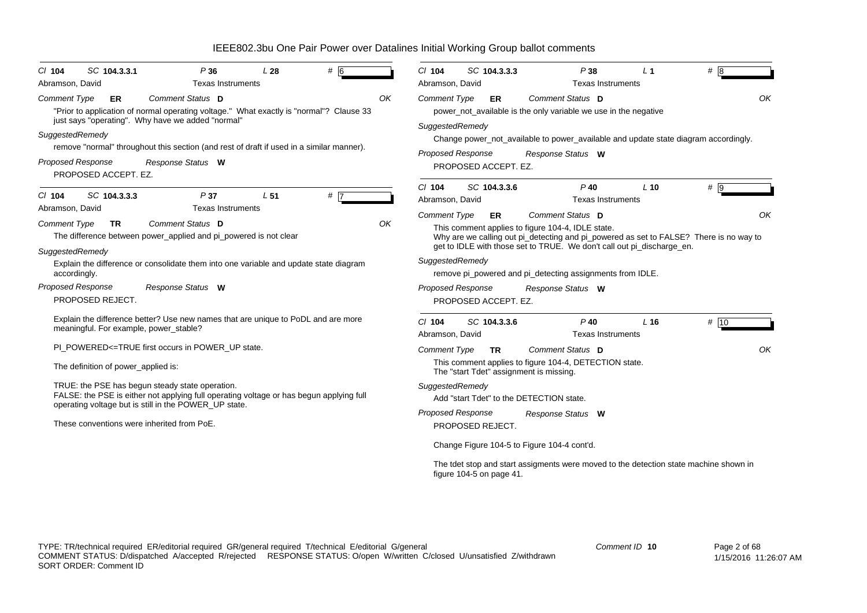| $CI$ 104                               | SC 104.3.3.1                                     | P36<br><b>Texas Instruments</b>                                                                                                                                                                     | L <sub>28</sub> | $#$ 6 |    | $Cl$ 104<br>Abramson, David | SC 104.3.3.3                                     | P38<br><b>Texas Instruments</b>                                                                                                                                                                                                           | L <sub>1</sub>  | #8   |    |
|----------------------------------------|--------------------------------------------------|-----------------------------------------------------------------------------------------------------------------------------------------------------------------------------------------------------|-----------------|-------|----|-----------------------------|--------------------------------------------------|-------------------------------------------------------------------------------------------------------------------------------------------------------------------------------------------------------------------------------------------|-----------------|------|----|
| Abramson, David<br><b>Comment Type</b> | ER                                               | Comment Status D<br>"Prior to application of normal operating voltage." What exactly is "normal"? Clause 33<br>just says "operating". Why have we added "normal"                                    |                 |       | OK | Comment Type                | ER                                               | Comment Status D<br>power_not_available is the only variable we use in the negative                                                                                                                                                       |                 |      | OK |
| SuggestedRemedy                        | <b>Proposed Response</b><br>PROPOSED ACCEPT. EZ. | remove "normal" throughout this section (and rest of draft if used in a similar manner).<br>Response Status W                                                                                       |                 |       |    | SuggestedRemedy             | <b>Proposed Response</b><br>PROPOSED ACCEPT. EZ. | Change power_not_available to power_available and update state diagram accordingly.<br>Response Status W                                                                                                                                  |                 |      |    |
| $CI$ 104<br>Abramson, David            | SC 104.3.3.3                                     | P37<br><b>Texas Instruments</b>                                                                                                                                                                     | L <sub>51</sub> | $#$ 7 |    | $Cl$ 104<br>Abramson, David | SC 104.3.3.6                                     | $P$ 40<br><b>Texas Instruments</b>                                                                                                                                                                                                        | $L$ 10          | # 9  |    |
| <b>Comment Type</b><br>SuggestedRemedy | <b>TR</b>                                        | Comment Status D<br>The difference between power_applied and pi_powered is not clear                                                                                                                |                 |       | OK | <b>Comment Type</b>         | ER                                               | Comment Status D<br>This comment applies to figure 104-4, IDLE state.<br>Why are we calling out pi_detecting and pi_powered as set to FALSE? There is no way to<br>get to IDLE with those set to TRUE. We don't call out pi_discharge_en. |                 |      | OK |
|                                        | accordingly.                                     | Explain the difference or consolidate them into one variable and update state diagram                                                                                                               |                 |       |    | SuggestedRemedy             |                                                  | remove pi_powered and pi_detecting assignments from IDLE.                                                                                                                                                                                 |                 |      |    |
|                                        | <b>Proposed Response</b><br>PROPOSED REJECT.     | Response Status W                                                                                                                                                                                   |                 |       |    |                             | <b>Proposed Response</b><br>PROPOSED ACCEPT. EZ. | Response Status W                                                                                                                                                                                                                         |                 |      |    |
|                                        | meaningful. For example, power_stable?           | Explain the difference better? Use new names that are unique to PoDL and are more                                                                                                                   |                 |       |    | $Cl$ 104<br>Abramson, David | SC 104.3.3.6                                     | $P$ 40<br><b>Texas Instruments</b>                                                                                                                                                                                                        | L <sub>16</sub> | # 10 |    |
|                                        |                                                  | PI_POWERED<=TRUE first occurs in POWER_UP state.                                                                                                                                                    |                 |       |    | <b>Comment Type</b>         | <b>TR</b>                                        | Comment Status D                                                                                                                                                                                                                          |                 |      | OK |
|                                        | The definition of power_applied is:              |                                                                                                                                                                                                     |                 |       |    |                             | The "start Tdet" assignment is missing.          | This comment applies to figure 104-4, DETECTION state.                                                                                                                                                                                    |                 |      |    |
|                                        |                                                  | TRUE: the PSE has begun steady state operation.<br>FALSE: the PSE is either not applying full operating voltage or has begun applying full<br>operating voltage but is still in the POWER_UP state. |                 |       |    | SuggestedRemedy             | Add "start Tdet" to the DETECTION state.         |                                                                                                                                                                                                                                           |                 |      |    |
|                                        |                                                  | These conventions were inherited from PoE.                                                                                                                                                          |                 |       |    |                             | Proposed Response<br>PROPOSED REJECT.            | Response Status W                                                                                                                                                                                                                         |                 |      |    |
|                                        |                                                  |                                                                                                                                                                                                     |                 |       |    |                             | Change Figure 104-5 to Figure 104-4 cont'd.      |                                                                                                                                                                                                                                           |                 |      |    |
|                                        |                                                  |                                                                                                                                                                                                     |                 |       |    |                             | figure 104-5 on page 41.                         | The tdet stop and start assigments were moved to the detection state machine shown in                                                                                                                                                     |                 |      |    |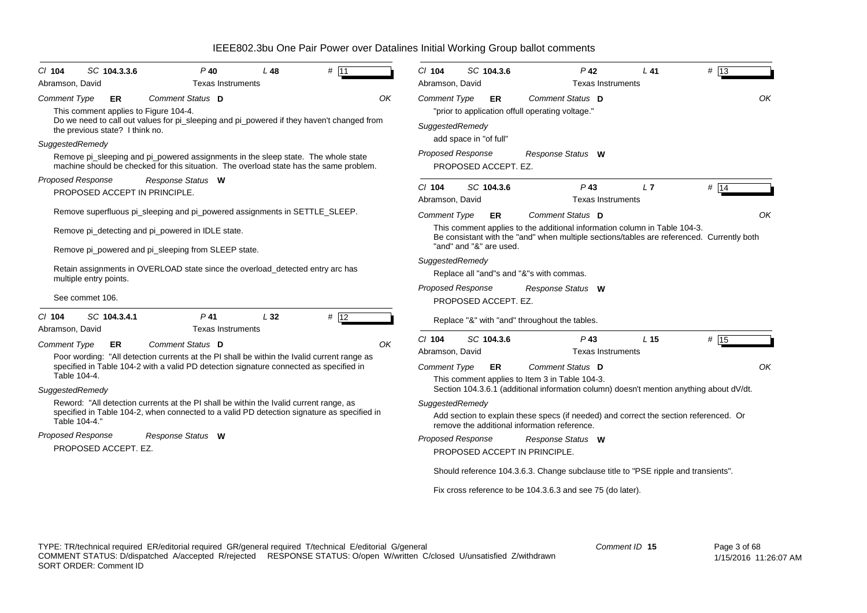| $P$ 40<br># 11<br>SC 104.3.3.6<br>L48<br>$CI$ 104<br>Abramson, David<br><b>Texas Instruments</b>                                                                                                                             | $Cl$ 104<br>$P$ 42<br># 13<br>SC 104.3.6<br>L41<br>Abramson, David<br><b>Texas Instruments</b>                                                                                                                                                      |
|------------------------------------------------------------------------------------------------------------------------------------------------------------------------------------------------------------------------------|-----------------------------------------------------------------------------------------------------------------------------------------------------------------------------------------------------------------------------------------------------|
| Comment Status D<br>OK<br><b>Comment Type</b><br>ER<br>This comment applies to Figure 104-4.<br>Do we need to call out values for pi sleeping and pi powered if they haven't changed from<br>the previous state? I think no. | OK<br>Comment Status D<br><b>Comment Type</b><br>ER<br>"prior to application offull operating voltage."<br>SuggestedRemedy<br>add space in "of full"                                                                                                |
| SuggestedRemedy<br>Remove pi_sleeping and pi_powered assignments in the sleep state. The whole state<br>machine should be checked for this situation. The overload state has the same problem.                               | <b>Proposed Response</b><br>Response Status W<br>PROPOSED ACCEPT. EZ.                                                                                                                                                                               |
| <b>Proposed Response</b><br>Response Status W<br>PROPOSED ACCEPT IN PRINCIPLE.                                                                                                                                               | # 14<br>$Cl$ 104<br>SC 104.3.6<br>$P$ 43<br>L <sub>7</sub><br>Abramson, David<br><b>Texas Instruments</b>                                                                                                                                           |
| Remove superfluous pi_sleeping and pi_powered assignments in SETTLE_SLEEP.                                                                                                                                                   | Comment Status D<br><b>Comment Type</b><br>OK<br>ER                                                                                                                                                                                                 |
| Remove pi_detecting and pi_powered in IDLE state.<br>Remove pi_powered and pi_sleeping from SLEEP state.                                                                                                                     | This comment applies to the additional information column in Table 104-3.<br>Be consistant with the "and" when multiple sections/tables are referenced. Currently both<br>"and" and "&" are used.                                                   |
| Retain assignments in OVERLOAD state since the overload detected entry arc has<br>multiple entry points.                                                                                                                     | SuggestedRemedy<br>Replace all "and"s and "&"s with commas.                                                                                                                                                                                         |
| See commet 106.                                                                                                                                                                                                              | <b>Proposed Response</b><br>Response Status W<br>PROPOSED ACCEPT. EZ.                                                                                                                                                                               |
| $P$ 41<br>SC 104.3.4.1<br>L32<br># 12<br>$CI$ 104<br>Abramson, David<br><b>Texas Instruments</b>                                                                                                                             | Replace "&" with "and" throughout the tables.                                                                                                                                                                                                       |
| <b>Comment Type</b><br>Comment Status D<br>OK<br><b>ER</b><br>Poor wording: "All detection currents at the PI shall be within the Ivalid current range as                                                                    | # 15<br>$Cl$ 104<br>SC 104.3.6<br>$P$ 43<br>L <sub>15</sub><br>Abramson, David<br><b>Texas Instruments</b>                                                                                                                                          |
| specified in Table 104-2 with a valid PD detection signature connected as specified in<br>Table 104-4.                                                                                                                       | OK<br>Comment Type<br>Comment Status D<br>ER<br>This comment applies to Item 3 in Table 104-3.                                                                                                                                                      |
| SuggestedRemedy<br>Reword: "All detection currents at the PI shall be within the Ivalid current range, as<br>specified in Table 104-2, when connected to a valid PD detection signature as specified in<br>Table 104-4."     | Section 104.3.6.1 (additional information column) doesn't mention anything about dV/dt.<br>SuggestedRemedy<br>Add section to explain these specs (if needed) and correct the section referenced. Or<br>remove the additional information reference. |
| <b>Proposed Response</b><br>Response Status W<br>PROPOSED ACCEPT. EZ.                                                                                                                                                        | <b>Proposed Response</b><br>Response Status W<br>PROPOSED ACCEPT IN PRINCIPLE.                                                                                                                                                                      |
|                                                                                                                                                                                                                              | Should reference 104.3.6.3. Change subclause title to "PSE ripple and transients".                                                                                                                                                                  |
|                                                                                                                                                                                                                              | Fix cross reference to be 104.3.6.3 and see 75 (do later).                                                                                                                                                                                          |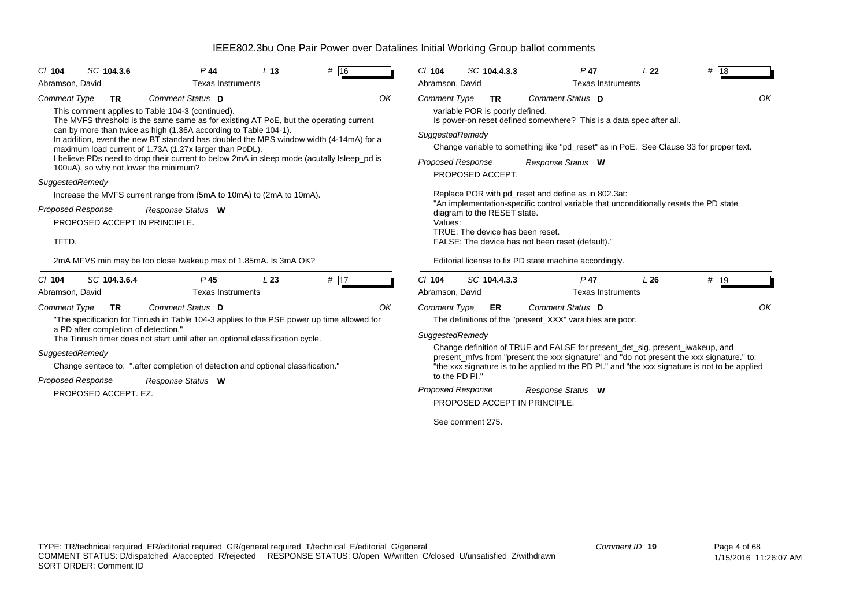| $CI$ 104            | SC 104.3.6                           | $P$ 44                                                                                                                                                                                                                | L <sub>13</sub> | # 16 |    | $Cl$ 104                 | SC 104.4.3.3                                 | $P$ 47                                                                                  | L <sub>22</sub> | # 18                                                                                           |
|---------------------|--------------------------------------|-----------------------------------------------------------------------------------------------------------------------------------------------------------------------------------------------------------------------|-----------------|------|----|--------------------------|----------------------------------------------|-----------------------------------------------------------------------------------------|-----------------|------------------------------------------------------------------------------------------------|
| Abramson, David     |                                      | <b>Texas Instruments</b>                                                                                                                                                                                              |                 |      |    | Abramson, David          |                                              | <b>Texas Instruments</b>                                                                |                 |                                                                                                |
| <b>Comment Type</b> | <b>TR</b>                            | Comment Status D<br>This comment applies to Table 104-3 (continued).<br>The MVFS threshold is the same same as for existing AT PoE, but the operating current                                                         |                 |      | OK | <b>Comment Type</b>      | <b>TR</b><br>variable POR is poorly defined. | Comment Status D<br>Is power-on reset defined somewhere? This is a data spec after all. |                 | OK                                                                                             |
|                     |                                      | can by more than twice as high (1.36A according to Table 104-1).<br>In addition, event the new BT standard has doubled the MPS window width (4-14mA) for a<br>maximum load current of 1.73A (1.27x larger than PoDL). |                 |      |    | SuggestedRemedy          |                                              |                                                                                         |                 | Change variable to something like "pd_reset" as in PoE. See Clause 33 for proper text.         |
|                     |                                      | I believe PDs need to drop their current to below 2mA in sleep mode (acutally Isleep pd is<br>100uA), so why not lower the minimum?                                                                                   |                 |      |    | <b>Proposed Response</b> | PROPOSED ACCEPT.                             | Response Status W                                                                       |                 |                                                                                                |
| SuggestedRemedy     |                                      |                                                                                                                                                                                                                       |                 |      |    |                          |                                              |                                                                                         |                 |                                                                                                |
|                     |                                      | Increase the MVFS current range from (5mA to 10mA) to (2mA to 10mA).                                                                                                                                                  |                 |      |    |                          |                                              | Replace POR with pd reset and define as in 802.3at:                                     |                 |                                                                                                |
|                     | <b>Proposed Response</b>             | Response Status W                                                                                                                                                                                                     |                 |      |    |                          | diagram to the RESET state.                  | "An implementation-specific control variable that unconditionally resets the PD state   |                 |                                                                                                |
|                     | PROPOSED ACCEPT IN PRINCIPLE.        |                                                                                                                                                                                                                       |                 |      |    | Values:                  |                                              |                                                                                         |                 |                                                                                                |
|                     |                                      |                                                                                                                                                                                                                       |                 |      |    |                          | TRUE: The device has been reset.             |                                                                                         |                 |                                                                                                |
| TFTD.               |                                      |                                                                                                                                                                                                                       |                 |      |    |                          |                                              | FALSE: The device has not been reset (default)."                                        |                 |                                                                                                |
|                     |                                      | 2mA MFVS min may be too close Iwakeup max of 1.85mA. Is 3mA OK?                                                                                                                                                       |                 |      |    |                          |                                              | Editorial license to fix PD state machine accordingly.                                  |                 |                                                                                                |
| C/104               | SC 104.3.6.4                         | P <sub>45</sub>                                                                                                                                                                                                       | L23             | # 17 |    | $Cl$ 104                 | SC 104.4.3.3                                 | $P$ 47                                                                                  | L26             | # 19                                                                                           |
| Abramson, David     |                                      | <b>Texas Instruments</b>                                                                                                                                                                                              |                 |      |    | Abramson, David          |                                              | <b>Texas Instruments</b>                                                                |                 |                                                                                                |
| <b>Comment Type</b> | <b>TR</b>                            | Comment Status D                                                                                                                                                                                                      |                 |      | OK | <b>Comment Type</b>      | <b>ER</b>                                    | Comment Status D                                                                        |                 | OK                                                                                             |
|                     |                                      | "The specification for Tinrush in Table 104-3 applies to the PSE power up time allowed for                                                                                                                            |                 |      |    |                          |                                              | The definitions of the "present_XXX" varaibles are poor.                                |                 |                                                                                                |
|                     | a PD after completion of detection." | The Tinrush timer does not start until after an optional classification cycle.                                                                                                                                        |                 |      |    | SuggestedRemedy          |                                              |                                                                                         |                 |                                                                                                |
| SuggestedRemedy     |                                      |                                                                                                                                                                                                                       |                 |      |    |                          |                                              | Change definition of TRUE and FALSE for present_det_sig, present_iwakeup, and           |                 |                                                                                                |
|                     |                                      | Change sentece to: ".after completion of detection and optional classification."                                                                                                                                      |                 |      |    |                          |                                              |                                                                                         |                 | present_mfvs from "present the xxx signature" and "do not present the xxx signature." to:      |
|                     |                                      |                                                                                                                                                                                                                       |                 |      |    |                          | to the PD PI."                               |                                                                                         |                 | "the xxx signature is to be applied to the PD PI." and "the xxx signature is not to be applied |
|                     | <b>Proposed Response</b>             | Response Status W                                                                                                                                                                                                     |                 |      |    | <b>Proposed Response</b> |                                              | Response Status W                                                                       |                 |                                                                                                |
|                     | PROPOSED ACCEPT. EZ.                 |                                                                                                                                                                                                                       |                 |      |    |                          | PROPOSED ACCEPT IN PRINCIPLE.                |                                                                                         |                 |                                                                                                |
|                     |                                      |                                                                                                                                                                                                                       |                 |      |    |                          | See comment 275.                             |                                                                                         |                 |                                                                                                |
|                     |                                      |                                                                                                                                                                                                                       |                 |      |    |                          |                                              |                                                                                         |                 |                                                                                                |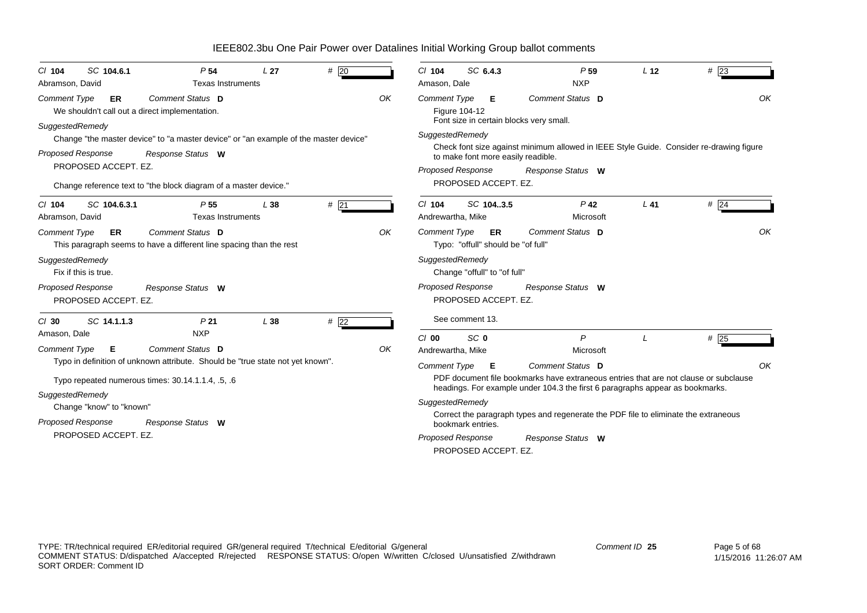*Proposed Response Cl* **104** *SC* **104.6.1** *P* **54** *L* **27** *#* 20*Comment Type* **ER** We shouldn't call out a direct implementation. *SuggestedRemedy* Change "the master device" to "a master device" or "an example of the master device" PROPOSED ACCEPT. EZ. Change reference text to "the block diagram of a master device." **Comment Status D** *Response Status* **W***OK*Abramson, David **Texas Instruments** *Proposed Response Cl* **104** *SC* **104.6.3.1** *P* **55** *L* **38** *#* 21*Comment Type* **ER** This paragraph seems to have a different line spacing than the rest *SuggestedRemedy* Fix if this is true.PROPOSED ACCEPT. EZ.**Comment Status D** *Response Status* **W***OK*Abramson, David Texas Instruments *Proposed Response Cl* **30** *SC* **14.1.1.3** *P* **21** *L* **38** *#* 22*Comment Type* **E** Typo in definition of unknown attribute. Should be "true state not yet known". Typo repeated numerous times: 30.14.1.1.4, .5, .6 *SuggestedRemedy* Change "know" to "known" PROPOSED ACCEPT. EZ.**Comment Status D** *Response Status* **W***OK*Amason, Dale NXP *Proposed Response Cl* **104** *SC* **6.4.3** *P* $\frac{1}{23}$   $\frac{1}{23}$ *Comment Type* **E** Figure 104-12 Font size in certain blocks very small. *SuggestedRemedy* Check font size against minimum allowed in IEEE Style Guide. Consider re-drawing figure to make font more easily readible. PROPOSED ACCEPT. EZ.*Comment Status***D***Response Status* **W***OK*Amason, Dale NXP *Proposed Response Cl* **104** *SC* **104..3.5** *P* **42** *L* **41** *#* 24*Comment Type* **ER** Typo: "offull" should be "of full" *SuggestedRemedy* Change "offull" to "of full" PROPOSED ACCEPT. EZ. See comment 13.*Comment Status* **D***Response Status* **W***OK*Andrewartha, Mike Microsoft *Proposed Response Cl* **00** *SC* **0** *P L #* 25*Comment Type* **E** PDF document file bookmarks have extraneous entries that are not clause or subclause headings. For example under 104.3 the first 6 paragraphs appear as bookmarks. *SuggestedRemedy* Correct the paragraph types and regenerate the PDF file to eliminate the extraneous bookmark entries.PROPOSED ACCEPT. EZ. *Comment Status***D***Response Status* **W** *OK*Andrewartha, Mike Microsoft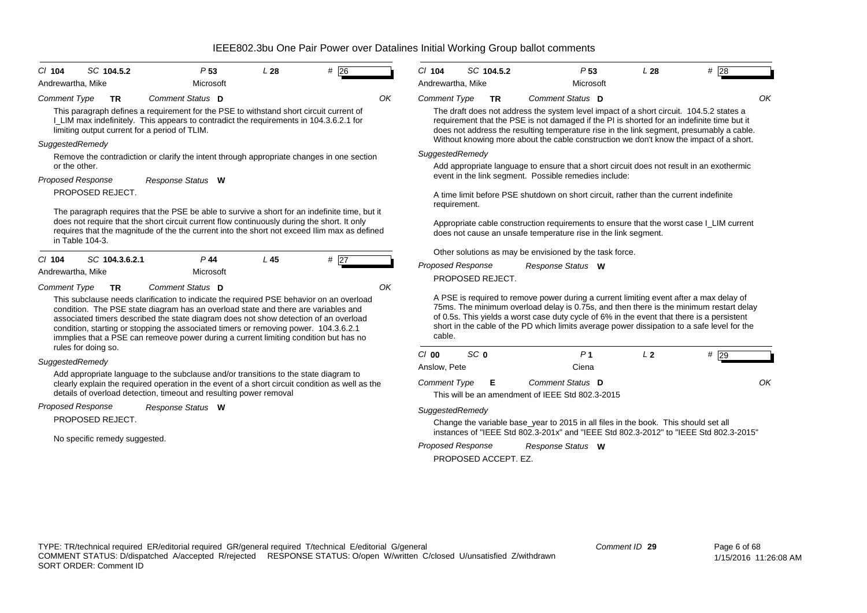| SC 104.5.2<br>$Cl$ 104                                                                                                                                                                                                                                                                                                                                                                                                                                                                    | P <sub>53</sub>   | L28 | $#$ 26 |    | $Cl$ 104                 | SC 104.5.2           |                                                                | P <sub>53</sub>   | L28                                                                                   | $#$ 28                                                                                                                                                                                                                                                                                                                                                                        |
|-------------------------------------------------------------------------------------------------------------------------------------------------------------------------------------------------------------------------------------------------------------------------------------------------------------------------------------------------------------------------------------------------------------------------------------------------------------------------------------------|-------------------|-----|--------|----|--------------------------|----------------------|----------------------------------------------------------------|-------------------|---------------------------------------------------------------------------------------|-------------------------------------------------------------------------------------------------------------------------------------------------------------------------------------------------------------------------------------------------------------------------------------------------------------------------------------------------------------------------------|
| Andrewartha, Mike                                                                                                                                                                                                                                                                                                                                                                                                                                                                         | Microsoft         |     |        |    | Andrewartha, Mike        |                      |                                                                | Microsoft         |                                                                                       |                                                                                                                                                                                                                                                                                                                                                                               |
| <b>Comment Type</b><br><b>TR</b><br>This paragraph defines a requirement for the PSE to withstand short circuit current of<br>I_LIM max indefinitely. This appears to contradict the requirements in 104.3.6.2.1 for<br>limiting output current for a period of TLIM.                                                                                                                                                                                                                     | Comment Status D  |     |        | OK | <b>Comment Type</b>      | <b>TR</b>            |                                                                | Comment Status D  |                                                                                       | The draft does not address the system level impact of a short circuit. 104.5.2 states a<br>requirement that the PSE is not damaged if the PI is shorted for an indefinite time but it<br>does not address the resulting temperature rise in the link segment, presumably a cable.                                                                                             |
| SuggestedRemedy                                                                                                                                                                                                                                                                                                                                                                                                                                                                           |                   |     |        |    |                          |                      |                                                                |                   |                                                                                       | Without knowing more about the cable construction we don't know the impact of a short.                                                                                                                                                                                                                                                                                        |
| Remove the contradiction or clarify the intent through appropriate changes in one section<br>or the other.                                                                                                                                                                                                                                                                                                                                                                                |                   |     |        |    | SuggestedRemedy          |                      |                                                                |                   |                                                                                       | Add appropriate language to ensure that a short circuit does not result in an exothermic                                                                                                                                                                                                                                                                                      |
| <b>Proposed Response</b>                                                                                                                                                                                                                                                                                                                                                                                                                                                                  | Response Status W |     |        |    |                          |                      | event in the link segment. Possible remedies include:          |                   |                                                                                       |                                                                                                                                                                                                                                                                                                                                                                               |
| PROPOSED REJECT.                                                                                                                                                                                                                                                                                                                                                                                                                                                                          |                   |     |        |    | requirement.             |                      |                                                                |                   | A time limit before PSE shutdown on short circuit, rather than the current indefinite |                                                                                                                                                                                                                                                                                                                                                                               |
| The paragraph requires that the PSE be able to survive a short for an indefinite time, but it<br>does not require that the short circuit current flow continuously during the short. It only<br>requires that the magnitude of the the current into the short not exceed Ilim max as defined<br>in Table 104-3.                                                                                                                                                                           |                   |     |        |    |                          |                      | does not cause an unsafe temperature rise in the link segment. |                   |                                                                                       | Appropriate cable construction requirements to ensure that the worst case I_LIM current                                                                                                                                                                                                                                                                                       |
| $Cl$ 104<br>SC 104.3.6.2.1                                                                                                                                                                                                                                                                                                                                                                                                                                                                | $P$ 44            | L45 |        |    |                          |                      | Other solutions as may be envisioned by the task force.        |                   |                                                                                       |                                                                                                                                                                                                                                                                                                                                                                               |
| Andrewartha, Mike                                                                                                                                                                                                                                                                                                                                                                                                                                                                         | Microsoft         |     | $#$ 27 |    | <b>Proposed Response</b> | PROPOSED REJECT.     |                                                                | Response Status W |                                                                                       |                                                                                                                                                                                                                                                                                                                                                                               |
| <b>Comment Type</b><br><b>TR</b><br>This subclause needs clarification to indicate the required PSE behavior on an overload<br>condition. The PSE state diagram has an overload state and there are variables and<br>associated timers described the state diagram does not show detection of an overload<br>condition, starting or stopping the associated timers or removing power. 104.3.6.2.1<br>immplies that a PSE can remeove power during a current limiting condition but has no | Comment Status D  |     |        | OK | cable.                   |                      |                                                                |                   |                                                                                       | A PSE is required to remove power during a current limiting event after a max delay of<br>75ms. The minimum overload delay is 0.75s, and then there is the minimum restart delay<br>of 0.5s. This yields a worst case duty cycle of 6% in the event that there is a persistent<br>short in the cable of the PD which limits average power dissipation to a safe level for the |
| rules for doing so.                                                                                                                                                                                                                                                                                                                                                                                                                                                                       |                   |     |        |    | C/00                     | SC <sub>0</sub>      |                                                                | P <sub>1</sub>    | L <sub>2</sub>                                                                        |                                                                                                                                                                                                                                                                                                                                                                               |
| SuggestedRemedy                                                                                                                                                                                                                                                                                                                                                                                                                                                                           |                   |     |        |    | Anslow, Pete             |                      |                                                                | Ciena             |                                                                                       | $#$ 29                                                                                                                                                                                                                                                                                                                                                                        |
| Add appropriate language to the subclause and/or transitions to the state diagram to<br>clearly explain the required operation in the event of a short circuit condition as well as the<br>details of overload detection, timeout and resulting power removal                                                                                                                                                                                                                             |                   |     |        |    | <b>Comment Type</b>      | Е                    | This will be an amendment of IEEE Std 802.3-2015               | Comment Status D  |                                                                                       |                                                                                                                                                                                                                                                                                                                                                                               |
| <b>Proposed Response</b>                                                                                                                                                                                                                                                                                                                                                                                                                                                                  | Response Status W |     |        |    | SuggestedRemedy          |                      |                                                                |                   |                                                                                       |                                                                                                                                                                                                                                                                                                                                                                               |
| PROPOSED REJECT.                                                                                                                                                                                                                                                                                                                                                                                                                                                                          |                   |     |        |    |                          |                      |                                                                |                   | Change the variable base_year to 2015 in all files in the book. This should set all   |                                                                                                                                                                                                                                                                                                                                                                               |
| No specific remedy suggested.                                                                                                                                                                                                                                                                                                                                                                                                                                                             |                   |     |        |    | <b>Proposed Response</b> | PROPOSED ACCEPT. EZ. |                                                                | Response Status W |                                                                                       | instances of "IEEE Std 802.3-201x" and "IEEE Std 802.3-2012" to "IEEE Std 802.3-2015"                                                                                                                                                                                                                                                                                         |

*Comment ID* **29**

*OK*

*OK*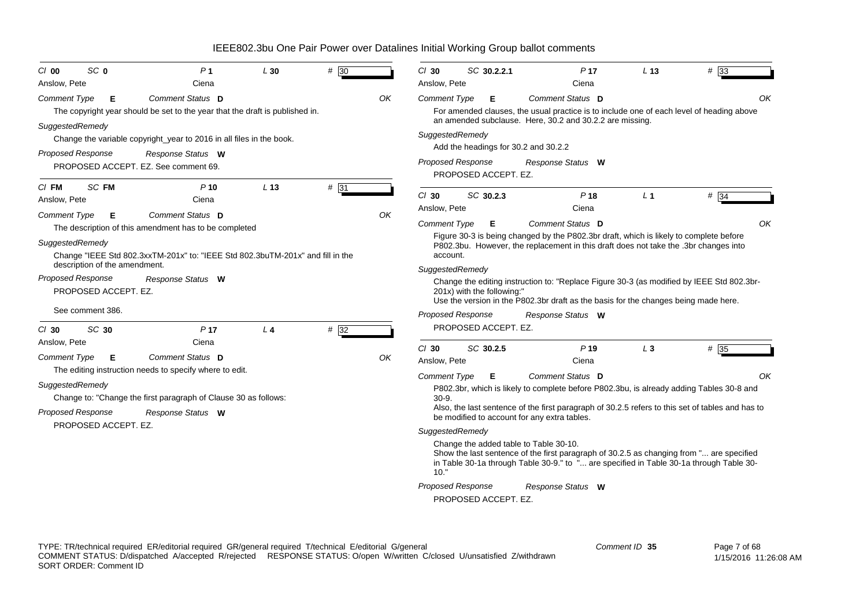| SC <sub>0</sub><br>$Cl$ 00                       | P <sub>1</sub>                                                                                                                                              | L30             | # 30 |    | $Cl$ 30                         | SC 30.2.2.1                                      | P <sub>17</sub>                                                                                                                                                                                                                                                         | L <sub>13</sub> | $#$ 33  |
|--------------------------------------------------|-------------------------------------------------------------------------------------------------------------------------------------------------------------|-----------------|------|----|---------------------------------|--------------------------------------------------|-------------------------------------------------------------------------------------------------------------------------------------------------------------------------------------------------------------------------------------------------------------------------|-----------------|---------|
| Anslow, Pete                                     | Ciena                                                                                                                                                       |                 |      |    | Anslow, Pete                    |                                                  | Ciena                                                                                                                                                                                                                                                                   |                 |         |
| <b>Comment Type</b><br>Е                         | Comment Status D<br>The copyright year should be set to the year that the draft is published in.                                                            |                 |      | OK | <b>Comment Type</b>             | Е                                                | Comment Status D<br>For amended clauses, the usual practice is to include one of each level of heading above<br>an amended subclause. Here, 30.2 and 30.2.2 are missing.                                                                                                |                 | OK      |
| SuggestedRemedy<br><b>Proposed Response</b>      | Change the variable copyright_year to 2016 in all files in the book.<br>Response Status W                                                                   |                 |      |    | SuggestedRemedy                 | Add the headings for 30.2 and 30.2.2             |                                                                                                                                                                                                                                                                         |                 |         |
|                                                  | PROPOSED ACCEPT. EZ. See comment 69.                                                                                                                        |                 |      |    |                                 | <b>Proposed Response</b><br>PROPOSED ACCEPT. EZ. | Response Status W                                                                                                                                                                                                                                                       |                 |         |
| SC FM<br>$CI$ FM<br>Anslow, Pete                 | $P$ 10<br>Ciena                                                                                                                                             | L <sub>13</sub> | # 31 |    | $Cl$ 30<br>Anslow, Pete         | SC 30.2.3                                        | P <sub>18</sub><br>Ciena                                                                                                                                                                                                                                                | L <sub>1</sub>  | $\#$ 34 |
| Comment Type<br>Е<br>SuggestedRemedy             | Comment Status D<br>The description of this amendment has to be completed<br>Change "IEEE Std 802.3xxTM-201x" to: "IEEE Std 802.3buTM-201x" and fill in the |                 |      | OΚ | <b>Comment Type</b><br>account. | Е                                                | Comment Status D<br>Figure 30-3 is being changed by the P802.3br draft, which is likely to complete before<br>P802.3bu. However, the replacement in this draft does not take the .3br changes into                                                                      |                 | OK      |
| description of the amendment.                    |                                                                                                                                                             |                 |      |    | SuggestedRemedy                 |                                                  |                                                                                                                                                                                                                                                                         |                 |         |
| <b>Proposed Response</b><br>PROPOSED ACCEPT. EZ. | Response Status W                                                                                                                                           |                 |      |    |                                 | 201x) with the following:"                       | Change the editing instruction to: "Replace Figure 30-3 (as modified by IEEE Std 802.3br-<br>Use the version in the P802.3br draft as the basis for the changes being made here.                                                                                        |                 |         |
| See comment 386.<br>SC 30<br>$CI$ 30             | P <sub>17</sub>                                                                                                                                             | L <sub>4</sub>  | #32  |    |                                 | <b>Proposed Response</b><br>PROPOSED ACCEPT. EZ. | Response Status W                                                                                                                                                                                                                                                       |                 |         |
| Anslow, Pete                                     | Ciena                                                                                                                                                       |                 |      |    | $Cl$ 30                         | SC 30.2.5                                        | P <sub>19</sub>                                                                                                                                                                                                                                                         | $L_3$           | # 35    |
| <b>Comment Type</b><br>Е                         | Comment Status D                                                                                                                                            |                 |      | ΟK | Anslow, Pete                    |                                                  | Ciena                                                                                                                                                                                                                                                                   |                 |         |
| SuggestedRemedy<br><b>Proposed Response</b>      | The editing instruction needs to specify where to edit.<br>Change to: "Change the first paragraph of Clause 30 as follows:<br>Response Status W             |                 |      |    | Comment Type<br>$30-9.$         | Е                                                | <b>Comment Status D</b><br>P802.3br, which is likely to complete before P802.3bu, is already adding Tables 30-8 and<br>Also, the last sentence of the first paragraph of 30.2.5 refers to this set of tables and has to<br>be modified to account for any extra tables. |                 | OK      |
| PROPOSED ACCEPT. EZ.                             |                                                                                                                                                             |                 |      |    | SuggestedRemedy<br>10."         | <b>Proposed Response</b><br>PROPOSED ACCEPT. EZ. | Change the added table to Table 30-10.<br>Show the last sentence of the first paragraph of 30.2.5 as changing from " are specified<br>in Table 30-1a through Table 30-9." to " are specified in Table 30-1a through Table 30-<br>Response Status W                      |                 |         |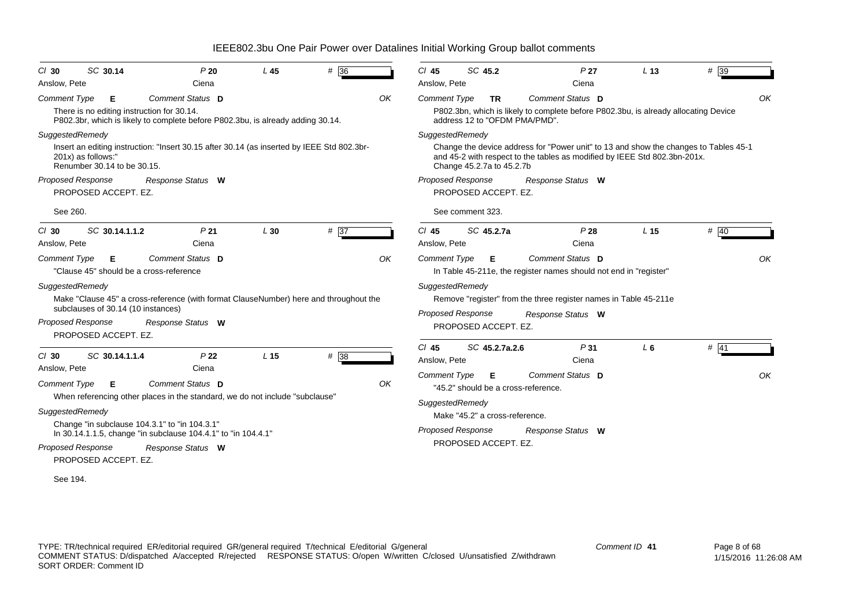| SC 30.14<br>$CI$ 30                               | P20                                                                                        | L45             | # 36 |    | $Cl$ 45             | SC 45.2                        |                                     | P <sub>27</sub>                                                   | L <sub>13</sub>                                                                                                                                                   | $#$ 39 |    |
|---------------------------------------------------|--------------------------------------------------------------------------------------------|-----------------|------|----|---------------------|--------------------------------|-------------------------------------|-------------------------------------------------------------------|-------------------------------------------------------------------------------------------------------------------------------------------------------------------|--------|----|
| Anslow, Pete                                      | Ciena                                                                                      |                 |      |    | Anslow, Pete        |                                |                                     | Ciena                                                             |                                                                                                                                                                   |        |    |
| <b>Comment Type</b><br>Е                          | Comment Status D                                                                           |                 |      | OK | <b>Comment Type</b> | <b>TR</b>                      |                                     | Comment Status D                                                  |                                                                                                                                                                   |        | OK |
| There is no editing instruction for 30.14.        | P802.3br, which is likely to complete before P802.3bu, is already adding 30.14.            |                 |      |    |                     |                                | address 12 to "OFDM PMA/PMD".       |                                                                   | P802.3bn, which is likely to complete before P802.3bu, is already allocating Device                                                                               |        |    |
| SuggestedRemedy                                   |                                                                                            |                 |      |    | SuggestedRemedy     |                                |                                     |                                                                   |                                                                                                                                                                   |        |    |
| 201x) as follows:"<br>Renumber 30.14 to be 30.15. | Insert an editing instruction: "Insert 30.15 after 30.14 (as inserted by IEEE Std 802.3br- |                 |      |    |                     | Change 45.2.7a to 45.2.7b      |                                     |                                                                   | Change the device address for "Power unit" to 13 and show the changes to Tables 45-1<br>and 45-2 with respect to the tables as modified by IEEE Std 802.3bn-201x. |        |    |
| Proposed Response                                 | Response Status W                                                                          |                 |      |    |                     | Proposed Response              |                                     | Response Status W                                                 |                                                                                                                                                                   |        |    |
| PROPOSED ACCEPT. EZ.                              |                                                                                            |                 |      |    |                     | PROPOSED ACCEPT. EZ.           |                                     |                                                                   |                                                                                                                                                                   |        |    |
| See 260.                                          |                                                                                            |                 |      |    |                     | See comment 323.               |                                     |                                                                   |                                                                                                                                                                   |        |    |
| SC 30.14.1.1.2<br>$Cl$ 30                         | P <sub>21</sub>                                                                            | L30             | # 37 |    | $Cl$ 45             | SC 45.2.7a                     |                                     | P28                                                               | L <sub>15</sub>                                                                                                                                                   | # 40   |    |
| Anslow, Pete                                      | Ciena                                                                                      |                 |      |    | Anslow, Pete        |                                |                                     | Ciena                                                             |                                                                                                                                                                   |        |    |
| <b>Comment Type</b><br>Е                          | Comment Status D                                                                           |                 |      | OK | <b>Comment Type</b> | Е                              |                                     | Comment Status D                                                  |                                                                                                                                                                   |        | OK |
| "Clause 45" should be a cross-reference           |                                                                                            |                 |      |    |                     |                                |                                     | In Table 45-211e, the register names should not end in "register" |                                                                                                                                                                   |        |    |
| SuggestedRemedy                                   |                                                                                            |                 |      |    | SuggestedRemedy     |                                |                                     |                                                                   |                                                                                                                                                                   |        |    |
| subclauses of 30.14 (10 instances)                | Make "Clause 45" a cross-reference (with format ClauseNumber) here and throughout the      |                 |      |    |                     |                                |                                     | Remove "register" from the three register names in Table 45-211e  |                                                                                                                                                                   |        |    |
| Proposed Response                                 | Response Status W                                                                          |                 |      |    |                     | Proposed Response              |                                     | Response Status W                                                 |                                                                                                                                                                   |        |    |
| PROPOSED ACCEPT. EZ.                              |                                                                                            |                 |      |    |                     | PROPOSED ACCEPT. EZ.           |                                     |                                                                   |                                                                                                                                                                   |        |    |
|                                                   |                                                                                            |                 |      |    | $Cl$ 45             | SC 45.2.7a.2.6                 |                                     | P <sub>31</sub>                                                   | $L_6$                                                                                                                                                             | $#$ 41 |    |
| SC 30.14.1.1.4<br>$Cl$ 30                         | P <sub>22</sub>                                                                            | L <sub>15</sub> | # 38 |    | Anslow, Pete        |                                |                                     | Ciena                                                             |                                                                                                                                                                   |        |    |
| Anslow, Pete                                      | Ciena                                                                                      |                 |      |    | Comment Type        | Е                              |                                     | Comment Status D                                                  |                                                                                                                                                                   |        | OK |
| <b>Comment Type</b><br>Е                          | Comment Status D                                                                           |                 |      | OK |                     |                                | "45.2" should be a cross-reference. |                                                                   |                                                                                                                                                                   |        |    |
|                                                   | When referencing other places in the standard, we do not include "subclause"               |                 |      |    | SuggestedRemedy     |                                |                                     |                                                                   |                                                                                                                                                                   |        |    |
| SuggestedRemedy                                   |                                                                                            |                 |      |    |                     | Make "45.2" a cross-reference. |                                     |                                                                   |                                                                                                                                                                   |        |    |
| Change "in subclause 104.3.1" to "in 104.3.1"     | In 30.14.1.1.5, change "in subclause 104.4.1" to "in 104.4.1"                              |                 |      |    |                     | <b>Proposed Response</b>       |                                     | Response Status W                                                 |                                                                                                                                                                   |        |    |
| Proposed Response                                 | Response Status W                                                                          |                 |      |    |                     | PROPOSED ACCEPT. EZ.           |                                     |                                                                   |                                                                                                                                                                   |        |    |
| PROPOSED ACCEPT. EZ.                              |                                                                                            |                 |      |    |                     |                                |                                     |                                                                   |                                                                                                                                                                   |        |    |
| See 194.                                          |                                                                                            |                 |      |    |                     |                                |                                     |                                                                   |                                                                                                                                                                   |        |    |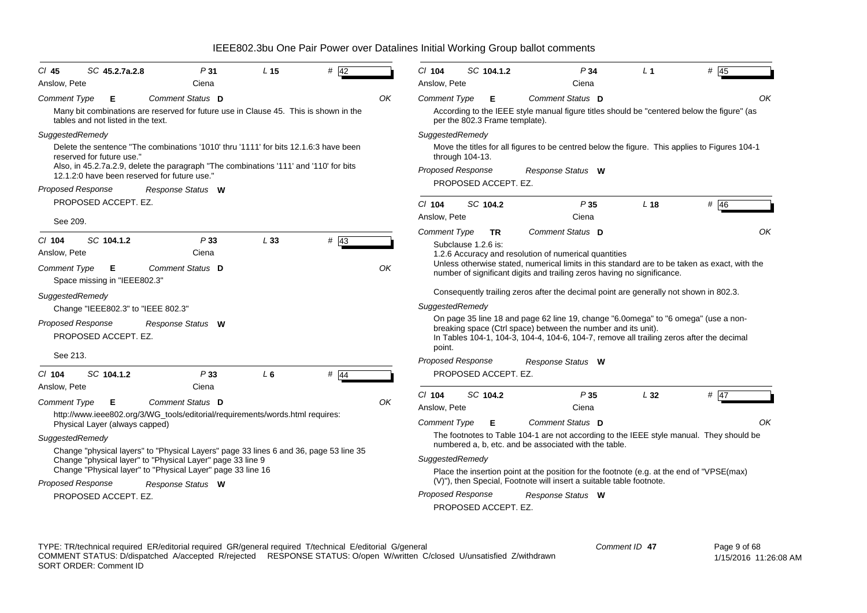| $CI$ 45                  | SC 45.2.7a.2.8                     | P31                                                                                                                                   | L <sub>15</sub> | $#$ 42                                                                                |    | CI 104                   | SC 104.1.2                     | P34                                                                                                                                                                                                                                             | L <sub>1</sub>  | $#$ 45 |
|--------------------------|------------------------------------|---------------------------------------------------------------------------------------------------------------------------------------|-----------------|---------------------------------------------------------------------------------------|----|--------------------------|--------------------------------|-------------------------------------------------------------------------------------------------------------------------------------------------------------------------------------------------------------------------------------------------|-----------------|--------|
| Anslow, Pete             |                                    | Ciena                                                                                                                                 |                 |                                                                                       |    | Anslow, Pete             |                                | Ciena                                                                                                                                                                                                                                           |                 |        |
| <b>Comment Type</b>      | E                                  | Comment Status D                                                                                                                      |                 |                                                                                       | OK | <b>Comment Type</b>      | Е                              | <b>Comment Status</b> D                                                                                                                                                                                                                         |                 | OK.    |
|                          | tables and not listed in the text. | Many bit combinations are reserved for future use in Clause 45. This is shown in the                                                  |                 |                                                                                       |    |                          | per the 802.3 Frame template). | According to the IEEE style manual figure titles should be "centered below the figure" (as                                                                                                                                                      |                 |        |
| SuggestedRemedy          |                                    |                                                                                                                                       |                 |                                                                                       |    | SuggestedRemedy          |                                |                                                                                                                                                                                                                                                 |                 |        |
|                          | reserved for future use."          | Delete the sentence "The combinations '1010' thru '1111' for bits 12.1.6:3 have been                                                  |                 |                                                                                       |    | through $104-13$ .       |                                | Move the titles for all figures to be centred below the figure. This applies to Figures 104-1                                                                                                                                                   |                 |        |
|                          |                                    | Also, in 45.2.7a.2.9, delete the paragraph "The combinations '111' and '110' for bits<br>12.1.2:0 have been reserved for future use." |                 |                                                                                       |    | Proposed Response        |                                | Response Status W                                                                                                                                                                                                                               |                 |        |
| Proposed Response        |                                    | Response Status W                                                                                                                     |                 |                                                                                       |    |                          | PROPOSED ACCEPT. EZ.           |                                                                                                                                                                                                                                                 |                 |        |
|                          | PROPOSED ACCEPT. EZ.               |                                                                                                                                       |                 |                                                                                       |    | $CI$ 104                 | SC 104.2                       | P35                                                                                                                                                                                                                                             | L <sub>18</sub> | # 46   |
| See 209.                 |                                    |                                                                                                                                       |                 |                                                                                       |    | Anslow, Pete             |                                | Ciena                                                                                                                                                                                                                                           |                 |        |
|                          |                                    |                                                                                                                                       |                 |                                                                                       |    | <b>Comment Type</b>      | <b>TR</b>                      | Comment Status D                                                                                                                                                                                                                                |                 | OK     |
| $CI$ 104<br>Anslow, Pete | SC 104.1.2                         | P33<br>Ciena                                                                                                                          | L33             | $#$ 43                                                                                |    | Subclause 1.2.6 is:      |                                | 1.2.6 Accuracy and resolution of numerical quantities                                                                                                                                                                                           |                 |        |
| Comment Type             | E<br>Space missing in "IEEE802.3"  | Comment Status D                                                                                                                      |                 |                                                                                       | OK |                          |                                | Unless otherwise stated, numerical limits in this standard are to be taken as exact, with the<br>number of significant digits and trailing zeros having no significance.                                                                        |                 |        |
| SuggestedRemedy          |                                    |                                                                                                                                       |                 |                                                                                       |    |                          |                                | Consequently trailing zeros after the decimal point are generally not shown in 802.3.                                                                                                                                                           |                 |        |
|                          | Change "IEEE802.3" to "IEEE 802.3" |                                                                                                                                       |                 |                                                                                       |    | SuggestedRemedy          |                                |                                                                                                                                                                                                                                                 |                 |        |
| Proposed Response        | PROPOSED ACCEPT. EZ.               | Response Status W                                                                                                                     |                 |                                                                                       |    | point.                   |                                | On page 35 line 18 and page 62 line 19, change "6.0omega" to "6 omega" (use a non-<br>breaking space (Ctrl space) between the number and its unit).<br>In Tables 104-1, 104-3, 104-4, 104-6, 104-7, remove all trailing zeros after the decimal |                 |        |
| See 213.                 |                                    |                                                                                                                                       |                 |                                                                                       |    | <b>Proposed Response</b> |                                | Response Status W                                                                                                                                                                                                                               |                 |        |
| $Cl$ 104                 | SC 104.1.2                         | P33                                                                                                                                   | $L_6$           | # $\overline{44}$                                                                     |    |                          | PROPOSED ACCEPT. EZ.           |                                                                                                                                                                                                                                                 |                 |        |
| Anslow, Pete             |                                    | Ciena                                                                                                                                 |                 |                                                                                       |    |                          |                                |                                                                                                                                                                                                                                                 |                 |        |
| <b>Comment Type</b>      | Е                                  | Comment Status D                                                                                                                      |                 |                                                                                       | OK | $Cl$ 104                 | SC 104.2                       | P35                                                                                                                                                                                                                                             | L32             | $#$ 47 |
|                          |                                    | http://www.ieee802.org/3/WG_tools/editorial/requirements/words.html requires:                                                         |                 |                                                                                       |    | Anslow, Pete             |                                | Ciena                                                                                                                                                                                                                                           |                 |        |
|                          | Physical Layer (always capped)     |                                                                                                                                       |                 |                                                                                       |    | Comment Type             | Е                              | Comment Status D                                                                                                                                                                                                                                |                 | OK     |
| SuggestedRemedy          |                                    |                                                                                                                                       |                 | Change "physical layers" to "Physical Layers" page 33 lines 6 and 36, page 53 line 35 |    |                          |                                | The footnotes to Table 104-1 are not according to the IEEE style manual. They should be<br>numbered a, b, etc. and be associated with the table.                                                                                                |                 |        |
|                          |                                    | Change "physical layer" to "Physical Layer" page 33 line 9                                                                            |                 |                                                                                       |    | SuggestedRemedy          |                                |                                                                                                                                                                                                                                                 |                 |        |
|                          |                                    | Change "Physical layer" to "Physical Layer" page 33 line 16                                                                           |                 |                                                                                       |    |                          |                                | Place the insertion point at the position for the footnote (e.g. at the end of "VPSE(max)                                                                                                                                                       |                 |        |
| <b>Proposed Response</b> |                                    | Response Status W                                                                                                                     |                 |                                                                                       |    |                          |                                | (V)"), then Special, Footnote will insert a suitable table footnote.                                                                                                                                                                            |                 |        |
|                          | PROPOSED ACCEPT. EZ.               |                                                                                                                                       |                 |                                                                                       |    | <b>Proposed Response</b> | PROPOSED ACCEPT. EZ.           | Response Status W                                                                                                                                                                                                                               |                 |        |
|                          |                                    |                                                                                                                                       |                 |                                                                                       |    |                          |                                |                                                                                                                                                                                                                                                 |                 |        |

TYPE: TR/technical required ER/editorial required GR/general required T/technical E/editorial G/general COMMENT STATUS: D/dispatched A/accepted R/rejected RESPONSE STATUS: O/open W/written C/closed U/unsatisfied Z/withdrawn SORT ORDER: Comment ID *Comment ID* **47**

 Page 9 of 68 1/15/2016 11:26:08 AM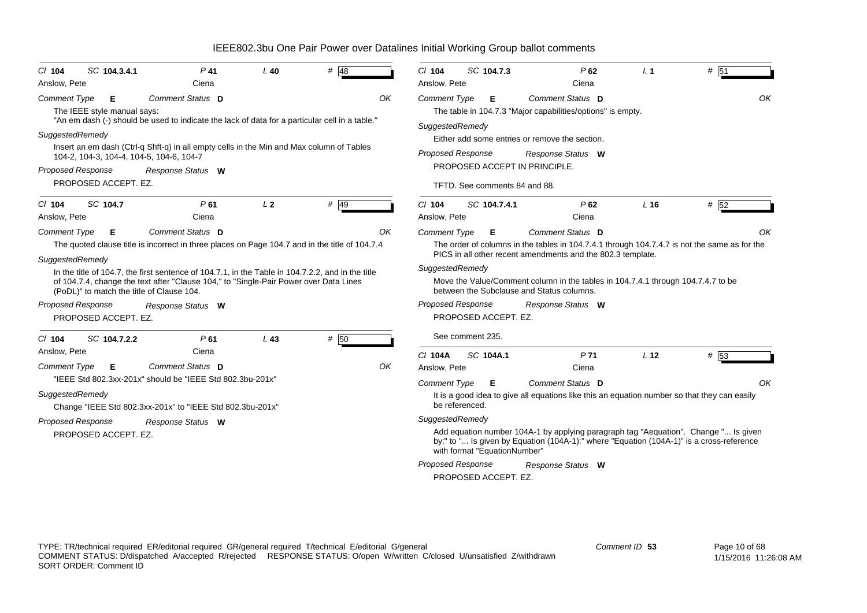| $CI$ 104<br>Anslow, Pete               | SC 104.3.4.1                     | $P$ 41<br>Ciena                                                                                                                                                                                                                         | $L$ 40         | # 48 |    | $Cl$ 104<br>Anslow, Pete | SC 104.7.3                    | $P$ 62<br>Ciena                                                                                                                                                                 | L <sub>1</sub>  | # 51 |    |
|----------------------------------------|----------------------------------|-----------------------------------------------------------------------------------------------------------------------------------------------------------------------------------------------------------------------------------------|----------------|------|----|--------------------------|-------------------------------|---------------------------------------------------------------------------------------------------------------------------------------------------------------------------------|-----------------|------|----|
| <b>Comment Type</b>                    | Е<br>The IEEE style manual says: | Comment Status D<br>"An em dash (-) should be used to indicate the lack of data for a particular cell in a table."                                                                                                                      |                |      | ΟK | <b>Comment Type</b>      | Е                             | Comment Status D<br>The table in 104.7.3 "Major capabilities/options" is empty.                                                                                                 |                 |      | OK |
| SuggestedRemedy                        |                                  |                                                                                                                                                                                                                                         |                |      |    | SuggestedRemedy          |                               | Either add some entries or remove the section.                                                                                                                                  |                 |      |    |
|                                        |                                  | Insert an em dash (Ctrl-q Shft-q) in all empty cells in the Min and Max column of Tables<br>104-2, 104-3, 104-4, 104-5, 104-6, 104-7                                                                                                    |                |      |    | Proposed Response        |                               | Response Status W                                                                                                                                                               |                 |      |    |
| Proposed Response                      |                                  | Response Status W                                                                                                                                                                                                                       |                |      |    |                          |                               | PROPOSED ACCEPT IN PRINCIPLE.                                                                                                                                                   |                 |      |    |
|                                        | PROPOSED ACCEPT. EZ.             |                                                                                                                                                                                                                                         |                |      |    |                          | TFTD. See comments 84 and 88. |                                                                                                                                                                                 |                 |      |    |
| $CI$ 104<br>Anslow, Pete               | SC 104.7                         | P <sub>61</sub><br>Ciena                                                                                                                                                                                                                | L <sub>2</sub> | # 49 |    | $Cl$ 104<br>Anslow, Pete | SC 104.7.4.1                  | P62<br>Ciena                                                                                                                                                                    | L <sub>16</sub> | # 52 |    |
| <b>Comment Type</b><br>SuggestedRemedy | Е                                | Comment Status D<br>The quoted clause title is incorrect in three places on Page 104.7 and in the title of 104.7.4                                                                                                                      |                |      | OK | <b>Comment Type</b>      | Е                             | Comment Status D<br>The order of columns in the tables in 104.7.4.1 through 104.7.4.7 is not the same as for the<br>PICS in all other recent amendments and the 802.3 template. |                 |      | ΩK |
|                                        |                                  | In the title of 104.7, the first sentence of 104.7.1, in the Table in 104.7.2.2, and in the title<br>of 104.7.4, change the text after "Clause 104," to "Single-Pair Power over Data Lines<br>(PoDL)" to match the title of Clause 104. |                |      |    | SuggestedRemedy          |                               | Move the Value/Comment column in the tables in 104.7.4.1 through 104.7.4.7 to be<br>between the Subclause and Status columns.                                                   |                 |      |    |
| <b>Proposed Response</b>               | PROPOSED ACCEPT. EZ.             | Response Status W                                                                                                                                                                                                                       |                |      |    | <b>Proposed Response</b> | PROPOSED ACCEPT. EZ.          | Response Status W                                                                                                                                                               |                 |      |    |
| $Cl$ 104                               | SC 104.7.2.2                     | P61                                                                                                                                                                                                                                     | $L$ 43         | # 50 |    |                          | See comment 235.              |                                                                                                                                                                                 |                 |      |    |
| Anslow, Pete                           |                                  | Ciena                                                                                                                                                                                                                                   |                |      |    | C/ 104A                  | SC 104A.1                     | P <sub>71</sub>                                                                                                                                                                 | L <sub>12</sub> | # 53 |    |
| <b>Comment Type</b>                    | E                                | Comment Status D                                                                                                                                                                                                                        |                |      | ΟK | Anslow, Pete             |                               | Ciena                                                                                                                                                                           |                 |      |    |
|                                        |                                  | "IEEE Std 802.3xx-201x" should be "IEEE Std 802.3bu-201x"                                                                                                                                                                               |                |      |    | <b>Comment Type</b>      | E                             | Comment Status D                                                                                                                                                                |                 |      | OK |
| SuggestedRemedy                        |                                  | Change "IEEE Std 802.3xx-201x" to "IEEE Std 802.3bu-201x"                                                                                                                                                                               |                |      |    | be referenced.           |                               | It is a good idea to give all equations like this an equation number so that they can easily                                                                                    |                 |      |    |
| <b>Proposed Response</b>               |                                  | Response Status W                                                                                                                                                                                                                       |                |      |    | SuggestedRemedy          |                               |                                                                                                                                                                                 |                 |      |    |
|                                        | PROPOSED ACCEPT. EZ.             |                                                                                                                                                                                                                                         |                |      |    |                          | with format "EquationNumber"  | Add equation number 104A-1 by applying paragraph tag "Aequation". Change " Is given<br>by:" to " Is given by Equation (104A-1):" where "Equation (104A-1)" is a cross-reference |                 |      |    |
|                                        |                                  |                                                                                                                                                                                                                                         |                |      |    | <b>Proposed Response</b> |                               | Response Status W                                                                                                                                                               |                 |      |    |
|                                        |                                  |                                                                                                                                                                                                                                         |                |      |    |                          | PROPOSED ACCEPT. EZ.          |                                                                                                                                                                                 |                 |      |    |
|                                        |                                  |                                                                                                                                                                                                                                         |                |      |    |                          |                               |                                                                                                                                                                                 |                 |      |    |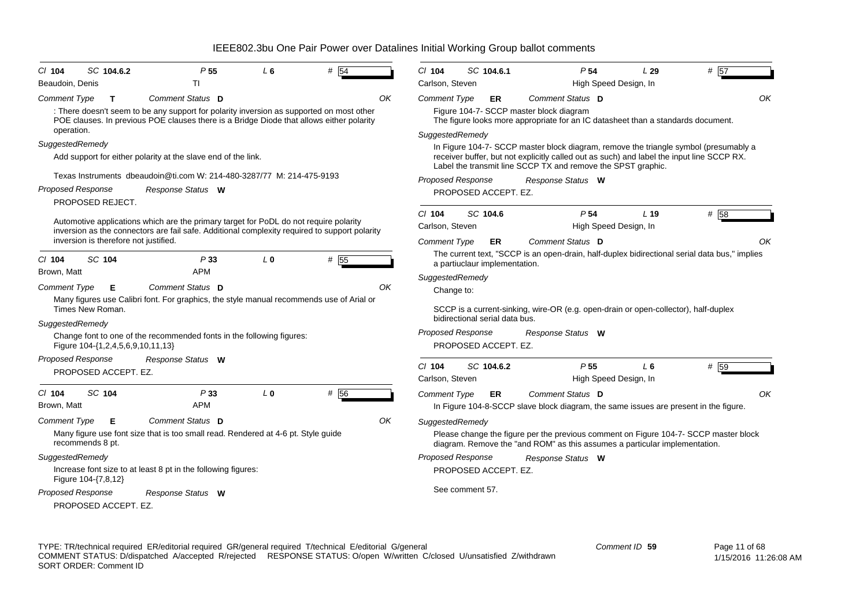| CI 104              | SC 104.6.2                            | P <sub>55</sub>                                                                                                                                                                      | L 6            | #<br>54 |    | CI 104                   | SC 104.6.1                     | P <sub>54</sub>                                                                                                                                                    |                       | L29             | # 57 |
|---------------------|---------------------------------------|--------------------------------------------------------------------------------------------------------------------------------------------------------------------------------------|----------------|---------|----|--------------------------|--------------------------------|--------------------------------------------------------------------------------------------------------------------------------------------------------------------|-----------------------|-----------------|------|
| Beaudoin, Denis     |                                       | ΠI                                                                                                                                                                                   |                |         |    | Carlson, Steven          |                                |                                                                                                                                                                    | High Speed Design, In |                 |      |
| <b>Comment Type</b> | T                                     | Comment Status D                                                                                                                                                                     |                |         | OK | <b>Comment Type</b>      | ER                             | Comment Status D                                                                                                                                                   |                       |                 |      |
|                     |                                       | : There doesn't seem to be any support for polarity inversion as supported on most other<br>POE clauses. In previous POE clauses there is a Bridge Diode that allows either polarity |                |         |    |                          |                                | Figure 104-7- SCCP master block diagram<br>The figure looks more appropriate for an IC datasheet than a standards document.                                        |                       |                 |      |
| operation.          |                                       |                                                                                                                                                                                      |                |         |    | SuggestedRemedy          |                                |                                                                                                                                                                    |                       |                 |      |
| SuggestedRemedy     |                                       |                                                                                                                                                                                      |                |         |    |                          |                                | In Figure 104-7- SCCP master block diagram, remove the triangle symbol (presumably a                                                                               |                       |                 |      |
|                     |                                       | Add support for either polarity at the slave end of the link.                                                                                                                        |                |         |    |                          |                                | receiver buffer, but not explicitly called out as such) and label the input line SCCP RX.<br>Label the transmit line SCCP TX and remove the SPST graphic.          |                       |                 |      |
|                     |                                       | Texas Instruments dbeaudoin@ti.com W: 214-480-3287/77 M: 214-475-9193                                                                                                                |                |         |    | <b>Proposed Response</b> |                                | Response Status W                                                                                                                                                  |                       |                 |      |
|                     | <b>Proposed Response</b>              | Response Status W                                                                                                                                                                    |                |         |    |                          | PROPOSED ACCEPT. EZ.           |                                                                                                                                                                    |                       |                 |      |
|                     | PROPOSED REJECT.                      |                                                                                                                                                                                      |                |         |    |                          |                                |                                                                                                                                                                    |                       |                 |      |
|                     |                                       | Automotive applications which are the primary target for PoDL do not require polarity                                                                                                |                |         |    | $Cl$ 104                 | SC 104.6                       | P <sub>54</sub>                                                                                                                                                    |                       | L <sub>19</sub> | # 58 |
|                     |                                       | inversion as the connectors are fail safe. Additional complexity required to support polarity                                                                                        |                |         |    | Carlson, Steven          |                                |                                                                                                                                                                    | High Speed Design, In |                 |      |
|                     | inversion is therefore not justified. |                                                                                                                                                                                      |                |         |    | <b>Comment Type</b>      | ER.                            | Comment Status D                                                                                                                                                   |                       |                 |      |
| $Cl$ 104            | SC 104                                | P33                                                                                                                                                                                  | L <sub>0</sub> | # 55    |    |                          | a partiuclaur implementation.  | The current text, "SCCP is an open-drain, half-duplex bidirectional serial data bus," implies                                                                      |                       |                 |      |
| Brown, Matt         |                                       | <b>APM</b>                                                                                                                                                                           |                |         |    | SuggestedRemedy          |                                |                                                                                                                                                                    |                       |                 |      |
| <b>Comment Type</b> | Е                                     | Comment Status D                                                                                                                                                                     |                |         | OK | Change to:               |                                |                                                                                                                                                                    |                       |                 |      |
|                     | Times New Roman.                      | Many figures use Calibri font. For graphics, the style manual recommends use of Arial or                                                                                             |                |         |    |                          | bidirectional serial data bus. | SCCP is a current-sinking, wire-OR (e.g. open-drain or open-collector), half-duplex                                                                                |                       |                 |      |
| SuggestedRemedy     |                                       |                                                                                                                                                                                      |                |         |    | <b>Proposed Response</b> |                                | Response Status W                                                                                                                                                  |                       |                 |      |
|                     | Figure 104-{1,2,4,5,6,9,10,11,13}     | Change font to one of the recommended fonts in the following figures:                                                                                                                |                |         |    |                          | PROPOSED ACCEPT. EZ.           |                                                                                                                                                                    |                       |                 |      |
|                     | <b>Proposed Response</b>              | Response Status W                                                                                                                                                                    |                |         |    | $Cl$ 104                 | SC 104.6.2                     | P <sub>55</sub>                                                                                                                                                    |                       | L <sub>6</sub>  | # 59 |
|                     | PROPOSED ACCEPT. EZ.                  |                                                                                                                                                                                      |                |         |    | Carlson, Steven          |                                |                                                                                                                                                                    | High Speed Design, In |                 |      |
| $Cl$ 104            | SC 104                                | P33                                                                                                                                                                                  | L <sub>0</sub> |         |    |                          |                                |                                                                                                                                                                    |                       |                 |      |
| Brown, Matt         |                                       | <b>APM</b>                                                                                                                                                                           |                | # 56    |    | Comment Type             | ER.                            | Comment Status D                                                                                                                                                   |                       |                 |      |
|                     |                                       | Comment Status D                                                                                                                                                                     |                |         |    |                          |                                | In Figure 104-8-SCCP slave block diagram, the same issues are present in the figure.                                                                               |                       |                 |      |
| <b>Comment Type</b> | Е                                     | Many figure use font size that is too small read. Rendered at 4-6 pt. Style guide                                                                                                    |                |         | OK | SuggestedRemedy          |                                |                                                                                                                                                                    |                       |                 |      |
|                     | recommends 8 pt.                      |                                                                                                                                                                                      |                |         |    |                          |                                | Please change the figure per the previous comment on Figure 104-7- SCCP master block<br>diagram. Remove the "and ROM" as this assumes a particular implementation. |                       |                 |      |
| SuggestedRemedy     |                                       |                                                                                                                                                                                      |                |         |    | Proposed Response        |                                | Response Status W                                                                                                                                                  |                       |                 |      |
|                     | Figure 104-{7,8,12}                   | Increase font size to at least 8 pt in the following figures:                                                                                                                        |                |         |    |                          | PROPOSED ACCEPT. EZ.           |                                                                                                                                                                    |                       |                 |      |
|                     | <b>Proposed Response</b>              | Response Status W                                                                                                                                                                    |                |         |    |                          | See comment 57.                |                                                                                                                                                                    |                       |                 |      |
|                     | PROPOSED ACCEPT. EZ.                  |                                                                                                                                                                                      |                |         |    |                          |                                |                                                                                                                                                                    |                       |                 |      |
|                     |                                       |                                                                                                                                                                                      |                |         |    |                          |                                |                                                                                                                                                                    |                       |                 |      |

TYPE: TR/technical required ER/editorial required GR/general required T/technical E/editorial G/general COMMENT STATUS: D/dispatched A/accepted R/rejected RESPONSE STATUS: O/open W/written C/closed U/unsatisfied Z/withdrawn SORT ORDER: Comment ID *Comment ID* **59**

*OK*

*OK*

*OK*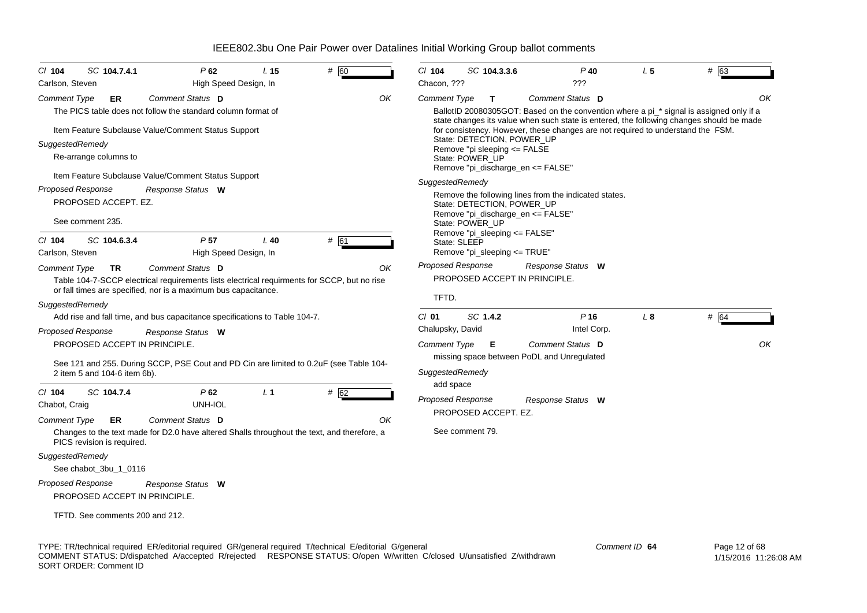| $CI$ 104<br>SC 104.7.4.1<br>Carlson, Steven                                                                                                                                                                                      | P62<br>High Speed Design, In                                                                                                                                                                                        | L <sub>15</sub> | # 60       | $CI$ 104<br>SC 104.3.3.6<br>Chacon, ???                                                                                                                                                                                                                            | $P$ 40<br>???                                                                                                                                                                                                                                                                                                                                       | L <sub>5</sub> | # 63       |
|----------------------------------------------------------------------------------------------------------------------------------------------------------------------------------------------------------------------------------|---------------------------------------------------------------------------------------------------------------------------------------------------------------------------------------------------------------------|-----------------|------------|--------------------------------------------------------------------------------------------------------------------------------------------------------------------------------------------------------------------------------------------------------------------|-----------------------------------------------------------------------------------------------------------------------------------------------------------------------------------------------------------------------------------------------------------------------------------------------------------------------------------------------------|----------------|------------|
| <b>Comment Type</b><br>ER<br>SuggestedRemedy<br>Re-arrange columns to<br><b>Proposed Response</b><br>PROPOSED ACCEPT. EZ.<br>See comment 235.                                                                                    | Comment Status D<br>The PICS table does not follow the standard column format of<br>Item Feature Subclause Value/Comment Status Support<br>Item Feature Subclause Value/Comment Status Support<br>Response Status W |                 | OK         | <b>Comment Type</b><br>$\mathbf{T}$<br>State: DETECTION, POWER_UP<br>Remove "pi sleeping <= FALSE<br>State: POWER_UP<br>Remove "pi_discharge_en <= FALSE"<br>SuggestedRemedy<br>State: DETECTION, POWER UP<br>Remove "pi_discharge_en <= FALSE"<br>State: POWER UP | Comment Status D<br>BallotID 20080305GOT: Based on the convention where a pi_* signal is assigned only if a<br>state changes its value when such state is entered, the following changes should be made<br>for consistency. However, these changes are not required to understand the FSM.<br>Remove the following lines from the indicated states. |                | ΟK         |
| $Cl$ 104<br>SC 104.6.3.4<br>Carlson, Steven                                                                                                                                                                                      | P <sub>57</sub><br>High Speed Design, In                                                                                                                                                                            | $L$ 40          | # 61       | Remove "pi_sleeping <= FALSE"<br>State: SLEEP<br>Remove "pi_sleeping <= TRUE"                                                                                                                                                                                      |                                                                                                                                                                                                                                                                                                                                                     |                |            |
| Comment Type<br>TR<br>SuggestedRemedy                                                                                                                                                                                            | Comment Status D<br>Table 104-7-SCCP electrical requirements lists electrical requirments for SCCP, but no rise<br>or fall times are specified, nor is a maximum bus capacitance.                                   |                 | ΟK         | <b>Proposed Response</b><br><b>PROPOSED ACCEPT IN PRINCIPLE.</b><br>TFTD.                                                                                                                                                                                          | Response Status W                                                                                                                                                                                                                                                                                                                                   |                |            |
| <b>Proposed Response</b><br>PROPOSED ACCEPT IN PRINCIPLE.<br>2 item 5 and 104-6 item 6b).                                                                                                                                        | Add rise and fall time, and bus capacitance specifications to Table 104-7.<br>Response Status W<br>See 121 and 255. During SCCP, PSE Cout and PD Cin are limited to 0.2uF (see Table 104-                           |                 |            | SC 1.4.2<br>$CI$ 01<br>Chalupsky, David<br><b>Comment Type</b><br>Е<br>SuggestedRemedy                                                                                                                                                                             | $P$ 16<br>Intel Corp.<br>Comment Status D<br>missing space between PoDL and Unregulated                                                                                                                                                                                                                                                             | L8             | # 64<br>OK |
| $CI$ 104<br>SC 104.7.4<br>Chabot, Craig<br>Comment Type<br>ER<br>PICS revision is required.<br>SuggestedRemedy<br>See chabot 3bu 1 0116<br>Proposed Response<br>PROPOSED ACCEPT IN PRINCIPLE.<br>TFTD. See comments 200 and 212. | P62<br>UNH-IOL<br>Comment Status D<br>Changes to the text made for D2.0 have altered Shalls throughout the text, and therefore, a<br>Response Status W                                                              | L <sub>1</sub>  | # 62<br>OK | add space<br><b>Proposed Response</b><br>PROPOSED ACCEPT. EZ.<br>See comment 79.                                                                                                                                                                                   | Response Status W                                                                                                                                                                                                                                                                                                                                   |                |            |

TYPE: TR/technical required ER/editorial required GR/general required T/technical E/editorial G/general COMMENT STATUS: D/dispatched A/accepted R/rejected RESPONSE STATUS: O/open W/written C/closed U/unsatisfied Z/withdrawn SORT ORDER: Comment ID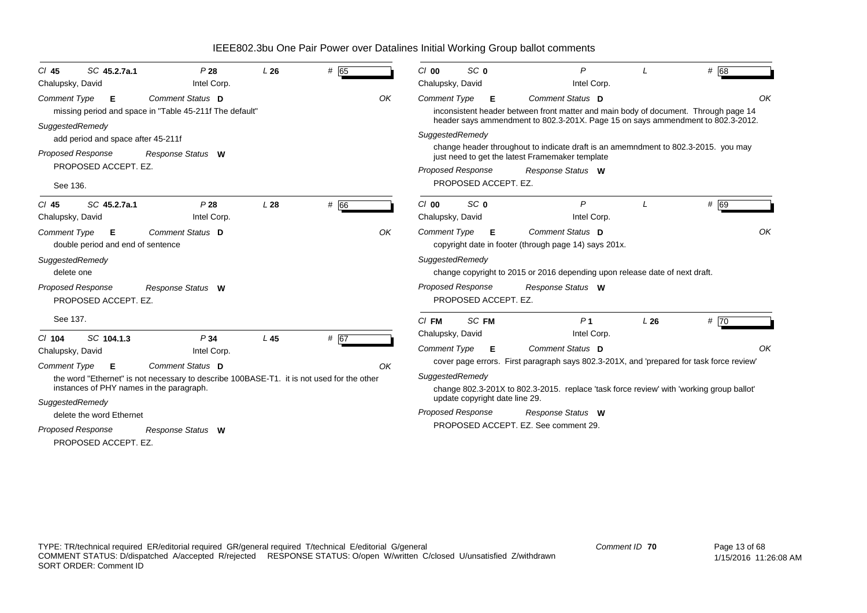| SC 45.2.7a.1<br>CI 45                                         | P28                                                                                       | L26 | # 65 |    | $Cl$ 00                  | SC <sub>0</sub>                |   | P                                                                                                                                     |     | # 68 |    |
|---------------------------------------------------------------|-------------------------------------------------------------------------------------------|-----|------|----|--------------------------|--------------------------------|---|---------------------------------------------------------------------------------------------------------------------------------------|-----|------|----|
| Chalupsky, David                                              | Intel Corp.                                                                               |     |      |    | Chalupsky, David         |                                |   | Intel Corp.                                                                                                                           |     |      |    |
| Comment Type<br>Е                                             | Comment Status D                                                                          |     |      | OK | <b>Comment Type</b>      |                                | Е | Comment Status D                                                                                                                      |     |      | OK |
|                                                               | missing period and space in "Table 45-211f The default"                                   |     |      |    |                          |                                |   | inconsistent header between front matter and main body of document. Through page 14                                                   |     |      |    |
| SuggestedRemedy                                               |                                                                                           |     |      |    |                          |                                |   | header says ammendment to 802.3-201X. Page 15 on says ammendment to 802.3-2012.                                                       |     |      |    |
| add period and space after 45-211f                            |                                                                                           |     |      |    | SuggestedRemedy          |                                |   |                                                                                                                                       |     |      |    |
| <b>Proposed Response</b>                                      | Response Status W                                                                         |     |      |    |                          |                                |   | change header throughout to indicate draft is an amemndment to 802.3-2015. you may<br>just need to get the latest Framemaker template |     |      |    |
| PROPOSED ACCEPT. EZ.                                          |                                                                                           |     |      |    | Proposed Response        |                                |   | Response Status W                                                                                                                     |     |      |    |
| See 136.                                                      |                                                                                           |     |      |    |                          | PROPOSED ACCEPT. EZ.           |   |                                                                                                                                       |     |      |    |
| SC 45.2.7a.1<br>$CI$ 45                                       | P28                                                                                       | L28 | # 66 |    | $Cl$ 00                  | SC <sub>0</sub>                |   | $\mathsf{P}$                                                                                                                          |     | # 69 |    |
| Chalupsky, David                                              | Intel Corp.                                                                               |     |      |    | Chalupsky, David         |                                |   | Intel Corp.                                                                                                                           |     |      |    |
| <b>Comment Type</b><br>E<br>double period and end of sentence | Comment Status D                                                                          |     |      | OK | <b>Comment Type</b>      |                                | Е | Comment Status D<br>copyright date in footer (through page 14) says 201x.                                                             |     |      | OK |
| SuggestedRemedy<br>delete one                                 |                                                                                           |     |      |    | SuggestedRemedy          |                                |   | change copyright to 2015 or 2016 depending upon release date of next draft.                                                           |     |      |    |
| Proposed Response<br>PROPOSED ACCEPT. EZ.                     | Response Status W                                                                         |     |      |    | <b>Proposed Response</b> | PROPOSED ACCEPT. EZ.           |   | Response Status W                                                                                                                     |     |      |    |
| See 137.                                                      |                                                                                           |     |      |    | $CI$ FM                  | SC FM                          |   | P <sub>1</sub>                                                                                                                        | L26 | #70  |    |
| $Cl$ 104<br>SC 104.1.3                                        | P34                                                                                       | L45 | # 67 |    | Chalupsky, David         |                                |   | Intel Corp.                                                                                                                           |     |      |    |
| Chalupsky, David                                              | Intel Corp.                                                                               |     |      |    | <b>Comment Type</b>      |                                | Е | <b>Comment Status D</b>                                                                                                               |     |      | OK |
|                                                               |                                                                                           |     |      |    |                          |                                |   | cover page errors. First paragraph says 802.3-201X, and 'prepared for task force review'                                              |     |      |    |
| <b>Comment Type</b><br>Е                                      | Comment Status D                                                                          |     |      | OK |                          |                                |   |                                                                                                                                       |     |      |    |
| instances of PHY names in the paragraph.                      | the word "Ethernet" is not necessary to describe 100BASE-T1. it is not used for the other |     |      |    | SuggestedRemedy          |                                |   | change 802.3-201X to 802.3-2015. replace 'task force review' with 'working group ballot'                                              |     |      |    |
|                                                               |                                                                                           |     |      |    |                          | update copyright date line 29. |   |                                                                                                                                       |     |      |    |
| SuggestedRemedy                                               |                                                                                           |     |      |    | <b>Proposed Response</b> |                                |   | Response Status W                                                                                                                     |     |      |    |
| delete the word Ethernet                                      |                                                                                           |     |      |    |                          |                                |   | PROPOSED ACCEPT. EZ. See comment 29.                                                                                                  |     |      |    |
| Proposed Response                                             | Response Status W                                                                         |     |      |    |                          |                                |   |                                                                                                                                       |     |      |    |
| PROPOSED ACCEPT. EZ.                                          |                                                                                           |     |      |    |                          |                                |   |                                                                                                                                       |     |      |    |
|                                                               |                                                                                           |     |      |    |                          |                                |   |                                                                                                                                       |     |      |    |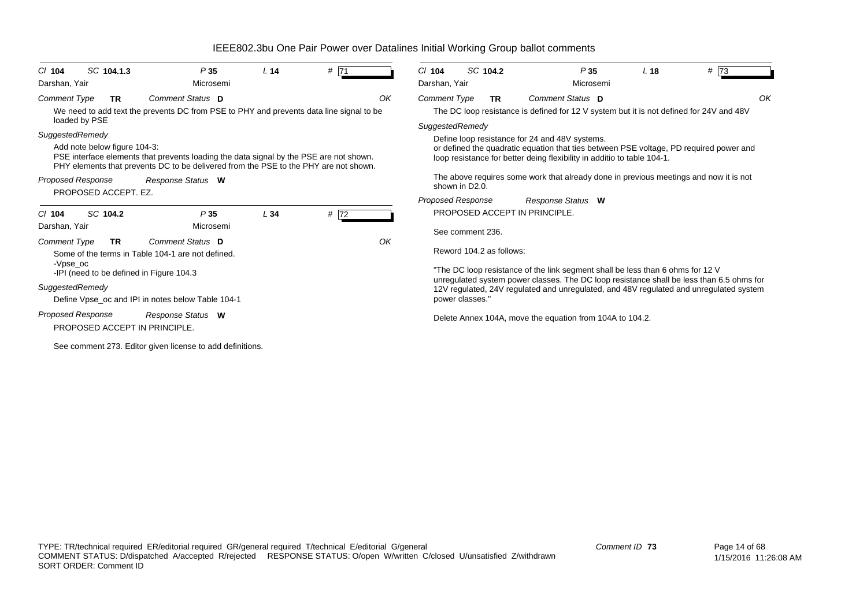| $CI$ 104<br>Darshan, Yair            | SC 104.1.3                   | P35<br>Microsemi                                                                                                                                                               | L <sub>14</sub> | # 71 |    | $Cl$ 104<br>Darshan, Yair              | SC 104.2  | P35<br>Microsemi                                                                                                                                                                                                    | L <sub>18</sub> | # 73 |
|--------------------------------------|------------------------------|--------------------------------------------------------------------------------------------------------------------------------------------------------------------------------|-----------------|------|----|----------------------------------------|-----------|---------------------------------------------------------------------------------------------------------------------------------------------------------------------------------------------------------------------|-----------------|------|
| <b>Comment Type</b><br>loaded by PSE | TR                           | Comment Status D<br>We need to add text the prevents DC from PSE to PHY and prevents data line signal to be                                                                    |                 |      | OK | <b>Comment Type</b><br>SuggestedRemedy | <b>TR</b> | Comment Status D<br>The DC loop resistance is defined for 12 V system but it is not defined for 24V and 48V                                                                                                         |                 | OK   |
| SuggestedRemedy                      | Add note below figure 104-3: | PSE interface elements that prevents loading the data signal by the PSE are not shown.<br>PHY elements that prevents DC to be delivered from the PSE to the PHY are not shown. |                 |      |    |                                        |           | Define loop resistance for 24 and 48V systems.<br>or defined the quadratic equation that ties between PSE voltage, PD required power and<br>loop resistance for better deing flexibility in additio to table 104-1. |                 |      |
| <b>Proposed Response</b>             | PROPOSED ACCEPT. EZ.         | Response Status W                                                                                                                                                              |                 |      |    | shown in D2.0.                         |           | The above requires some work that already done in previous meetings and now it is not                                                                                                                               |                 |      |
|                                      |                              |                                                                                                                                                                                |                 |      |    | Proposed Response                      |           | Response Status W                                                                                                                                                                                                   |                 |      |
| $Cl$ 104<br>Darshan, Yair            | SC 104.2                     | P35<br>Microsemi                                                                                                                                                               | L34             | # 72 |    |                                        |           | PROPOSED ACCEPT IN PRINCIPLE.                                                                                                                                                                                       |                 |      |
| <b>Comment Type</b>                  | TR.                          | Comment Status D                                                                                                                                                               |                 |      | OK | See comment 236.                       |           |                                                                                                                                                                                                                     |                 |      |
| -Vpse oc                             |                              | Some of the terms in Table 104-1 are not defined.                                                                                                                              |                 |      |    | Reword 104.2 as follows:               |           |                                                                                                                                                                                                                     |                 |      |
|                                      |                              | -IPI (need to be defined in Figure 104.3                                                                                                                                       |                 |      |    |                                        |           | "The DC loop resistance of the link segment shall be less than 6 ohms for 12 V                                                                                                                                      |                 |      |
| SuggestedRemedy                      |                              |                                                                                                                                                                                |                 |      |    |                                        |           | unregulated system power classes. The DC loop resistance shall be less than 6.5 ohms for<br>12V regulated, 24V regulated and unregulated, and 48V regulated and unregulated system                                  |                 |      |
|                                      |                              | Define Vpse_oc and IPI in notes below Table 104-1                                                                                                                              |                 |      |    | power classes."                        |           |                                                                                                                                                                                                                     |                 |      |
| <b>Proposed Response</b>             |                              | Response Status W<br>PROPOSED ACCEPT IN PRINCIPLE.                                                                                                                             |                 |      |    |                                        |           | Delete Annex 104A, move the equation from 104A to 104.2.                                                                                                                                                            |                 |      |
|                                      |                              | See comment 273. Editor given license to add definitions.                                                                                                                      |                 |      |    |                                        |           |                                                                                                                                                                                                                     |                 |      |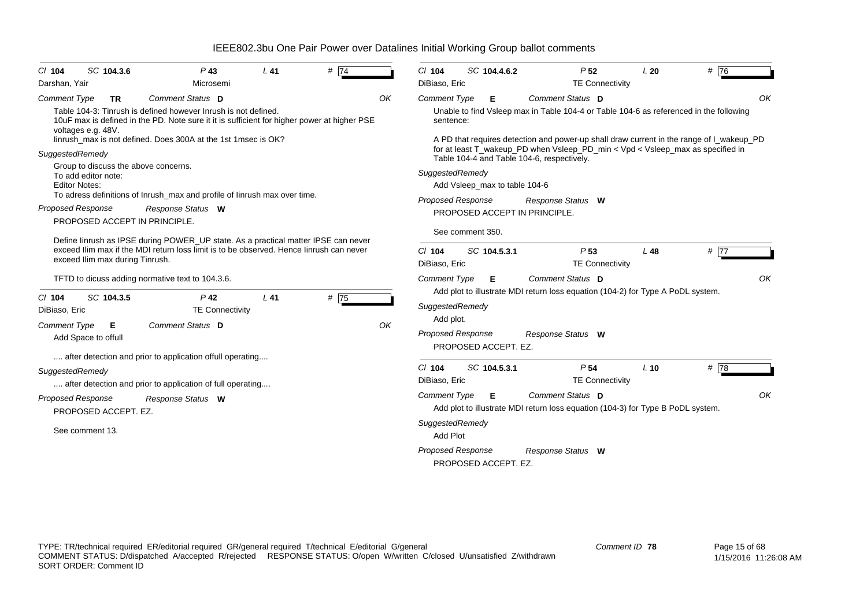| SC 104.3.6<br>$CI$ 104<br>Darshan, Yair                                                                                                                             | $P$ 43<br>Microsemi                                                                                                                                                                                                                                                   | $L$ 41 | # $\overline{74}$ |    | $Cl$ 104<br>DiBiaso, Eric                                                             | SC 104.4.6.2                                      | P <sub>52</sub><br><b>TE Connectivity</b>                                                                                                                                                              | L20    | # 76              |
|---------------------------------------------------------------------------------------------------------------------------------------------------------------------|-----------------------------------------------------------------------------------------------------------------------------------------------------------------------------------------------------------------------------------------------------------------------|--------|-------------------|----|---------------------------------------------------------------------------------------|---------------------------------------------------|--------------------------------------------------------------------------------------------------------------------------------------------------------------------------------------------------------|--------|-------------------|
| <b>Comment Type</b><br><b>TR</b><br>voltages e.g. 48V.                                                                                                              | Comment Status D<br>Table 104-3: Tinrush is defined however Inrush is not defined.<br>10uF max is defined in the PD. Note sure it it is sufficient for higher power at higher PSE<br>linrush_max is not defined. Does 300A at the 1st 1msec is OK?                    |        |                   | OK | <b>Comment Type</b><br>sentence:                                                      | Е                                                 | Comment Status D<br>Unable to find Vsleep max in Table 104-4 or Table 104-6 as referenced in the following<br>A PD that requires detection and power-up shall draw current in the range of L wakeup_PD |        | OK                |
| SuggestedRemedy<br>Group to discuss the above concerns.<br>To add editor note:<br><b>Editor Notes:</b><br><b>Proposed Response</b><br>PROPOSED ACCEPT IN PRINCIPLE. | To adress definitions of Inrush_max and profile of Iinrush max over time.<br>Response Status W                                                                                                                                                                        |        |                   |    | SuggestedRemedy<br><b>Proposed Response</b>                                           | Add Vsleep_max to table 104-6<br>See comment 350. | for at least T_wakeup_PD when Vsleep_PD_min < Vpd < Vsleep_max as specified in<br>Table 104-4 and Table 104-6, respectively.<br>Response Status W<br>PROPOSED ACCEPT IN PRINCIPLE.                     |        |                   |
| exceed Ilim max during Tinrush.<br>SC 104.3.5<br>$CI$ 104<br>DiBiaso, Eric                                                                                          | Define linrush as IPSE during POWER_UP state. As a practical matter IPSE can never<br>exceed Ilim max if the MDI return loss limit is to be observed. Hence linrush can never<br>TFTD to dicuss adding normative text to 104.3.6.<br>$P$ 42<br><b>TE Connectivity</b> | $L$ 41 | #75               |    | $Cl$ 104<br>DiBiaso, Eric<br><b>Comment Type</b><br>SuggestedRemedy                   | SC 104.5.3.1<br>Е                                 | P <sub>53</sub><br><b>TE Connectivity</b><br>Comment Status D<br>Add plot to illustrate MDI return loss equation (104-2) for Type A PoDL system.                                                       | L48    | # 77<br>OK        |
| <b>Comment Type</b><br>Е<br>Add Space to offull                                                                                                                     | Comment Status D<br>after detection and prior to application offull operating                                                                                                                                                                                         |        |                   | OK | Add plot.<br><b>Proposed Response</b>                                                 | PROPOSED ACCEPT. EZ.                              | Response Status W                                                                                                                                                                                      |        |                   |
| SuggestedRemedy                                                                                                                                                     | after detection and prior to application of full operating                                                                                                                                                                                                            |        |                   |    | $Cl$ 104<br>DiBiaso, Eric                                                             | SC 104.5.3.1                                      | P <sub>54</sub><br><b>TE Connectivity</b>                                                                                                                                                              | $L$ 10 | # $\overline{78}$ |
| <b>Proposed Response</b><br>PROPOSED ACCEPT. EZ.<br>See comment 13.                                                                                                 | Response Status W                                                                                                                                                                                                                                                     |        |                   |    | <b>Comment Type</b><br>SuggestedRemedy<br><b>Add Plot</b><br><b>Proposed Response</b> | Е                                                 | Comment Status D<br>Add plot to illustrate MDI return loss equation (104-3) for Type B PoDL system.<br>Response Status W                                                                               |        | OK                |
|                                                                                                                                                                     |                                                                                                                                                                                                                                                                       |        |                   |    |                                                                                       | PROPOSED ACCEPT. EZ.                              |                                                                                                                                                                                                        |        |                   |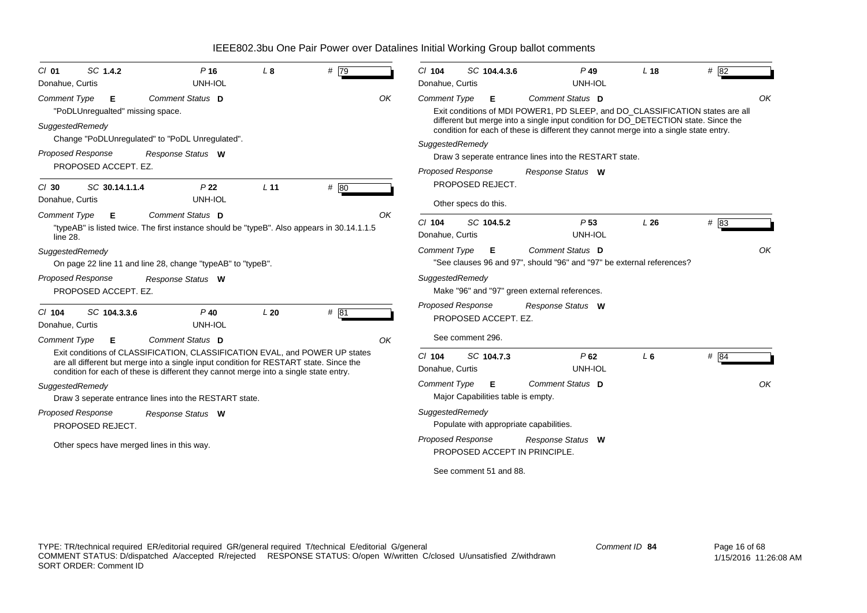| $Cl$ 01<br>Donahue, Curtis             | SC 1.4.2                              | $P$ 16<br>UNH-IOL                                                                                                                                                                                                                                                                  | L8              | # $\overline{79}$ |    | $Cl$ 104<br>Donahue, Curtis                 | SC 104.4.3.6                                                             | $P$ 49<br>UNH-IOL                                                                                                                                                                                                                                                                 | L <sub>18</sub> | # 82 |    |
|----------------------------------------|---------------------------------------|------------------------------------------------------------------------------------------------------------------------------------------------------------------------------------------------------------------------------------------------------------------------------------|-----------------|-------------------|----|---------------------------------------------|--------------------------------------------------------------------------|-----------------------------------------------------------------------------------------------------------------------------------------------------------------------------------------------------------------------------------------------------------------------------------|-----------------|------|----|
| <b>Comment Type</b><br>SuggestedRemedy | Е<br>"PoDLUnregualted" missing space. | Comment Status D                                                                                                                                                                                                                                                                   |                 |                   | OK | <b>Comment Type</b>                         | Е                                                                        | Comment Status D<br>Exit conditions of MDI POWER1, PD SLEEP, and DO CLASSIFICATION states are all<br>different but merge into a single input condition for DO_DETECTION state. Since the<br>condition for each of these is different they cannot merge into a single state entry. |                 |      | ΟK |
| <b>Proposed Response</b>               | PROPOSED ACCEPT. EZ.                  | Change "PoDLUnregulated" to "PoDL Unregulated".<br>Response Status W                                                                                                                                                                                                               |                 |                   |    | SuggestedRemedy<br><b>Proposed Response</b> |                                                                          | Draw 3 seperate entrance lines into the RESTART state.<br>Response Status W                                                                                                                                                                                                       |                 |      |    |
| $CI$ 30<br>Donahue, Curtis             | SC 30.14.1.1.4                        | P <sub>22</sub><br>UNH-IOL                                                                                                                                                                                                                                                         | L <sub>11</sub> | # 80              |    |                                             | PROPOSED REJECT.<br>Other specs do this.                                 |                                                                                                                                                                                                                                                                                   |                 |      |    |
| <b>Comment Type</b><br>line 28.        | Е                                     | Comment Status D<br>"typeAB" is listed twice. The first instance should be "typeB". Also appears in 30.14.1.1.5                                                                                                                                                                    |                 |                   | OK | $Cl$ 104<br>Donahue, Curtis                 | SC 104.5.2                                                               | P <sub>53</sub><br>UNH-IOL                                                                                                                                                                                                                                                        | L26             | # 83 |    |
| SuggestedRemedy                        |                                       | On page 22 line 11 and line 28, change "typeAB" to "typeB".                                                                                                                                                                                                                        |                 |                   |    | <b>Comment Type</b>                         | Е                                                                        | Comment Status D<br>"See clauses 96 and 97", should "96" and "97" be external references?                                                                                                                                                                                         |                 |      | OK |
| <b>Proposed Response</b>               | PROPOSED ACCEPT. EZ.                  | Response Status W                                                                                                                                                                                                                                                                  |                 |                   |    | SuggestedRemedy                             |                                                                          | Make "96" and "97" green external references.                                                                                                                                                                                                                                     |                 |      |    |
| $CI$ 104<br>Donahue, Curtis            | SC 104.3.3.6                          | $P$ 40<br>UNH-IOL                                                                                                                                                                                                                                                                  | L20             | # 81              |    | Proposed Response                           | PROPOSED ACCEPT. EZ.                                                     | Response Status W                                                                                                                                                                                                                                                                 |                 |      |    |
| <b>Comment Type</b>                    | Е                                     | Comment Status D<br>Exit conditions of CLASSIFICATION, CLASSIFICATION EVAL, and POWER UP states<br>are all different but merge into a single input condition for RESTART state. Since the<br>condition for each of these is different they cannot merge into a single state entry. |                 |                   | OK | $Cl$ 104<br>Donahue, Curtis                 | See comment 296.<br>SC 104.7.3                                           | P62<br>UNH-IOL                                                                                                                                                                                                                                                                    | $L_6$           | # 84 |    |
| SuggestedRemedy                        |                                       | Draw 3 seperate entrance lines into the RESTART state.                                                                                                                                                                                                                             |                 |                   |    | <b>Comment Type</b>                         | E<br>Major Capabilities table is empty.                                  | Comment Status D                                                                                                                                                                                                                                                                  |                 |      | OK |
| Proposed Response                      | PROPOSED REJECT.                      | Response Status W<br>Other specs have merged lines in this way.                                                                                                                                                                                                                    |                 |                   |    | SuggestedRemedy<br><b>Proposed Response</b> | Populate with appropriate capabilities.<br>PROPOSED ACCEPT IN PRINCIPLE. | Response Status W                                                                                                                                                                                                                                                                 |                 |      |    |
|                                        |                                       |                                                                                                                                                                                                                                                                                    |                 |                   |    |                                             | See comment 51 and 88.                                                   |                                                                                                                                                                                                                                                                                   |                 |      |    |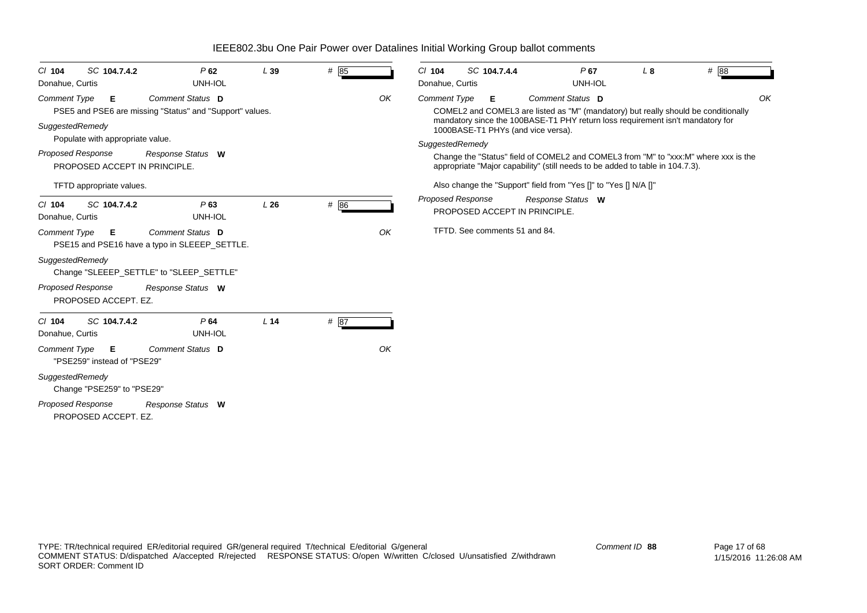| SC 104.7.4.2<br>$Cl$ 104<br>Donahue, Curtis                                                   | P62<br>UNH-IOL                                                                      | L39             | # 85 |                                                                                                                                                                                         | $CI$ 104<br>Donahue, Curtis | SC 104.7.4.4                  |  | $P$ 67<br>UNH-IOL                                                                                                                                                                                                              | L8 |  | # 88 |
|-----------------------------------------------------------------------------------------------|-------------------------------------------------------------------------------------|-----------------|------|-----------------------------------------------------------------------------------------------------------------------------------------------------------------------------------------|-----------------------------|-------------------------------|--|--------------------------------------------------------------------------------------------------------------------------------------------------------------------------------------------------------------------------------|----|--|------|
| <b>Comment Type</b><br>E<br>SuggestedRemedy                                                   | <b>Comment Status D</b><br>PSE5 and PSE6 are missing "Status" and "Support" values. |                 |      | OK                                                                                                                                                                                      | <b>Comment Type</b>         | Е                             |  | Comment Status D<br>COMEL2 and COMEL3 are listed as "M" (mandatory) but really should be conditionally<br>mandatory since the 100BASE-T1 PHY return loss requirement isn't mandatory for<br>1000BASE-T1 PHYs (and vice versa). |    |  | OK   |
| Populate with appropriate value.<br><b>Proposed Response</b><br>PROPOSED ACCEPT IN PRINCIPLE. | Response Status W                                                                   |                 |      | SuggestedRemedy<br>Change the "Status" field of COMEL2 and COMEL3 from "M" to "xxx:M" where xxx is the<br>appropriate "Major capability" (still needs to be added to table in 104.7.3). |                             |                               |  |                                                                                                                                                                                                                                |    |  |      |
| TFTD appropriate values.                                                                      |                                                                                     |                 |      |                                                                                                                                                                                         |                             |                               |  | Also change the "Support" field from "Yes []" to "Yes [] N/A []"                                                                                                                                                               |    |  |      |
| SC 104.7.4.2<br>$Cl$ 104<br>Donahue, Curtis                                                   | P63<br>UNH-IOL                                                                      | L26             | # 86 |                                                                                                                                                                                         | <b>Proposed Response</b>    |                               |  | Response Status W<br>PROPOSED ACCEPT IN PRINCIPLE.                                                                                                                                                                             |    |  |      |
| <b>Comment Type</b><br>Е                                                                      | <b>Comment Status D</b><br>PSE15 and PSE16 have a typo in SLEEEP_SETTLE.            |                 |      | OK                                                                                                                                                                                      |                             | TFTD. See comments 51 and 84. |  |                                                                                                                                                                                                                                |    |  |      |
| SuggestedRemedy                                                                               | Change "SLEEEP_SETTLE" to "SLEEP_SETTLE"                                            |                 |      |                                                                                                                                                                                         |                             |                               |  |                                                                                                                                                                                                                                |    |  |      |
| <b>Proposed Response</b><br>PROPOSED ACCEPT. EZ.                                              | Response Status W                                                                   |                 |      |                                                                                                                                                                                         |                             |                               |  |                                                                                                                                                                                                                                |    |  |      |
| SC 104.7.4.2<br>$Cl$ 104<br>Donahue, Curtis                                                   | P64<br>UNH-IOL                                                                      | L <sub>14</sub> | # 87 |                                                                                                                                                                                         |                             |                               |  |                                                                                                                                                                                                                                |    |  |      |
| <b>Comment Type</b><br>Е<br>"PSE259" instead of "PSE29"                                       | Comment Status D                                                                    |                 |      | OK                                                                                                                                                                                      |                             |                               |  |                                                                                                                                                                                                                                |    |  |      |
| SuggestedRemedy<br>Change "PSE259" to "PSE29"                                                 |                                                                                     |                 |      |                                                                                                                                                                                         |                             |                               |  |                                                                                                                                                                                                                                |    |  |      |
| <b>Proposed Response</b><br>PROPOSED ACCEPT. EZ.                                              | Response Status W                                                                   |                 |      |                                                                                                                                                                                         |                             |                               |  |                                                                                                                                                                                                                                |    |  |      |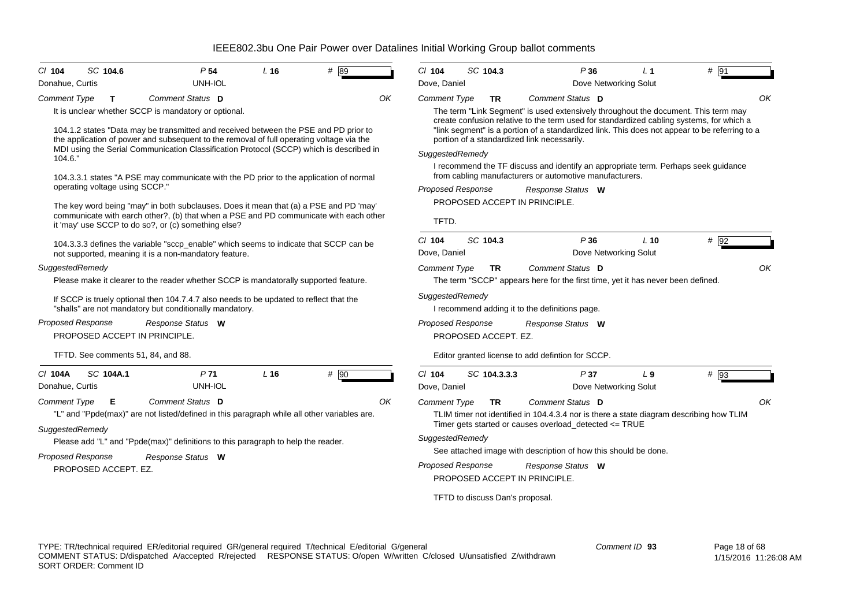| SC 104.6                                                                                                                                                                                                                                                                                                                                                                                                                                                                                                                                                                                                                                                                                                                                                                                                                                                                                                                                                                                                                                                                                                                                                        | SC 104.3                                                                                                                                                                                                                                                                                                                                                                                                                                                                                                                                                                                                                                                                                                                                                                                                                                                                                    |
|-----------------------------------------------------------------------------------------------------------------------------------------------------------------------------------------------------------------------------------------------------------------------------------------------------------------------------------------------------------------------------------------------------------------------------------------------------------------------------------------------------------------------------------------------------------------------------------------------------------------------------------------------------------------------------------------------------------------------------------------------------------------------------------------------------------------------------------------------------------------------------------------------------------------------------------------------------------------------------------------------------------------------------------------------------------------------------------------------------------------------------------------------------------------|---------------------------------------------------------------------------------------------------------------------------------------------------------------------------------------------------------------------------------------------------------------------------------------------------------------------------------------------------------------------------------------------------------------------------------------------------------------------------------------------------------------------------------------------------------------------------------------------------------------------------------------------------------------------------------------------------------------------------------------------------------------------------------------------------------------------------------------------------------------------------------------------|
| # 89                                                                                                                                                                                                                                                                                                                                                                                                                                                                                                                                                                                                                                                                                                                                                                                                                                                                                                                                                                                                                                                                                                                                                            | $#$ 91                                                                                                                                                                                                                                                                                                                                                                                                                                                                                                                                                                                                                                                                                                                                                                                                                                                                                      |
| P <sub>54</sub>                                                                                                                                                                                                                                                                                                                                                                                                                                                                                                                                                                                                                                                                                                                                                                                                                                                                                                                                                                                                                                                                                                                                                 | $CI$ 104                                                                                                                                                                                                                                                                                                                                                                                                                                                                                                                                                                                                                                                                                                                                                                                                                                                                                    |
| L <sub>16</sub>                                                                                                                                                                                                                                                                                                                                                                                                                                                                                                                                                                                                                                                                                                                                                                                                                                                                                                                                                                                                                                                                                                                                                 | P36                                                                                                                                                                                                                                                                                                                                                                                                                                                                                                                                                                                                                                                                                                                                                                                                                                                                                         |
| $CI$ 104                                                                                                                                                                                                                                                                                                                                                                                                                                                                                                                                                                                                                                                                                                                                                                                                                                                                                                                                                                                                                                                                                                                                                        | L <sub>1</sub>                                                                                                                                                                                                                                                                                                                                                                                                                                                                                                                                                                                                                                                                                                                                                                                                                                                                              |
| Donahue, Curtis                                                                                                                                                                                                                                                                                                                                                                                                                                                                                                                                                                                                                                                                                                                                                                                                                                                                                                                                                                                                                                                                                                                                                 | Dove Networking Solut                                                                                                                                                                                                                                                                                                                                                                                                                                                                                                                                                                                                                                                                                                                                                                                                                                                                       |
| UNH-IOL                                                                                                                                                                                                                                                                                                                                                                                                                                                                                                                                                                                                                                                                                                                                                                                                                                                                                                                                                                                                                                                                                                                                                         | Dove, Daniel                                                                                                                                                                                                                                                                                                                                                                                                                                                                                                                                                                                                                                                                                                                                                                                                                                                                                |
| Comment Status D                                                                                                                                                                                                                                                                                                                                                                                                                                                                                                                                                                                                                                                                                                                                                                                                                                                                                                                                                                                                                                                                                                                                                | OK                                                                                                                                                                                                                                                                                                                                                                                                                                                                                                                                                                                                                                                                                                                                                                                                                                                                                          |
| <b>Comment Type</b>                                                                                                                                                                                                                                                                                                                                                                                                                                                                                                                                                                                                                                                                                                                                                                                                                                                                                                                                                                                                                                                                                                                                             | <b>Comment Type</b>                                                                                                                                                                                                                                                                                                                                                                                                                                                                                                                                                                                                                                                                                                                                                                                                                                                                         |
| OK                                                                                                                                                                                                                                                                                                                                                                                                                                                                                                                                                                                                                                                                                                                                                                                                                                                                                                                                                                                                                                                                                                                                                              | Comment Status D                                                                                                                                                                                                                                                                                                                                                                                                                                                                                                                                                                                                                                                                                                                                                                                                                                                                            |
| т                                                                                                                                                                                                                                                                                                                                                                                                                                                                                                                                                                                                                                                                                                                                                                                                                                                                                                                                                                                                                                                                                                                                                               | TR.                                                                                                                                                                                                                                                                                                                                                                                                                                                                                                                                                                                                                                                                                                                                                                                                                                                                                         |
| It is unclear whether SCCP is mandatory or optional.                                                                                                                                                                                                                                                                                                                                                                                                                                                                                                                                                                                                                                                                                                                                                                                                                                                                                                                                                                                                                                                                                                            | The term "Link Segment" is used extensively throughout the document. This term may                                                                                                                                                                                                                                                                                                                                                                                                                                                                                                                                                                                                                                                                                                                                                                                                          |
| 104.1.2 states "Data may be transmitted and received between the PSE and PD prior to<br>the application of power and subsequent to the removal of full operating voltage via the<br>MDI using the Serial Communication Classification Protocol (SCCP) which is described in<br>104.6."<br>104.3.3.1 states "A PSE may communicate with the PD prior to the application of normal<br>operating voltage using SCCP."<br>The key word being "may" in both subclauses. Does it mean that (a) a PSE and PD 'may'<br>communicate with earch other?, (b) that when a PSE and PD communicate with each other<br>it 'may' use SCCP to do so?, or (c) something else?<br>104.3.3.3 defines the variable "sccp_enable" which seems to indicate that SCCP can be<br>not supported, meaning it is a non-mandatory feature.<br>SuggestedRemedy<br>Please make it clearer to the reader whether SCCP is mandatorally supported feature.<br>If SCCP is truely optional then 104.7.4.7 also needs to be updated to reflect that the<br>"shalls" are not mandatory but conditionally mandatory.<br><b>Proposed Response</b><br>Response Status W<br>PROPOSED ACCEPT IN PRINCIPLE. | create confusion relative to the term used for standardized cabling systems, for which a<br>"link segment" is a portion of a standardized link. This does not appear to be referring to a<br>portion of a standardized link necessarily.<br>SuggestedRemedy<br>I recommend the TF discuss and identify an appropriate term. Perhaps seek guidance<br>from cabling manufacturers or automotive manufacturers.<br><b>Proposed Response</b><br>Response Status W<br>PROPOSED ACCEPT IN PRINCIPLE.<br>TFTD.<br>$Cl$ 104<br>SC 104.3<br>P36<br>$L$ 10<br>$#$ 92<br>Dove Networking Solut<br>Dove, Daniel<br>OK<br><b>Comment Type</b><br>Comment Status D<br><b>TR</b><br>The term "SCCP" appears here for the first time, yet it has never been defined.<br>SuggestedRemedy<br>I recommend adding it to the definitions page.<br>Proposed Response<br>Response Status W<br>PROPOSED ACCEPT. EZ. |
| TFTD. See comments 51, 84, and 88.                                                                                                                                                                                                                                                                                                                                                                                                                                                                                                                                                                                                                                                                                                                                                                                                                                                                                                                                                                                                                                                                                                                              | Editor granted license to add defintion for SCCP.                                                                                                                                                                                                                                                                                                                                                                                                                                                                                                                                                                                                                                                                                                                                                                                                                                           |
| SC 104A.1                                                                                                                                                                                                                                                                                                                                                                                                                                                                                                                                                                                                                                                                                                                                                                                                                                                                                                                                                                                                                                                                                                                                                       | $Cl$ 104                                                                                                                                                                                                                                                                                                                                                                                                                                                                                                                                                                                                                                                                                                                                                                                                                                                                                    |
| $L$ 16                                                                                                                                                                                                                                                                                                                                                                                                                                                                                                                                                                                                                                                                                                                                                                                                                                                                                                                                                                                                                                                                                                                                                          | $#$ 93                                                                                                                                                                                                                                                                                                                                                                                                                                                                                                                                                                                                                                                                                                                                                                                                                                                                                      |
| # 90                                                                                                                                                                                                                                                                                                                                                                                                                                                                                                                                                                                                                                                                                                                                                                                                                                                                                                                                                                                                                                                                                                                                                            | SC 104.3.3.3                                                                                                                                                                                                                                                                                                                                                                                                                                                                                                                                                                                                                                                                                                                                                                                                                                                                                |
| C/ 104A                                                                                                                                                                                                                                                                                                                                                                                                                                                                                                                                                                                                                                                                                                                                                                                                                                                                                                                                                                                                                                                                                                                                                         | P37                                                                                                                                                                                                                                                                                                                                                                                                                                                                                                                                                                                                                                                                                                                                                                                                                                                                                         |
| P <sub>71</sub>                                                                                                                                                                                                                                                                                                                                                                                                                                                                                                                                                                                                                                                                                                                                                                                                                                                                                                                                                                                                                                                                                                                                                 | L <sub>9</sub>                                                                                                                                                                                                                                                                                                                                                                                                                                                                                                                                                                                                                                                                                                                                                                                                                                                                              |
| UNH-IOL                                                                                                                                                                                                                                                                                                                                                                                                                                                                                                                                                                                                                                                                                                                                                                                                                                                                                                                                                                                                                                                                                                                                                         | Dove, Daniel                                                                                                                                                                                                                                                                                                                                                                                                                                                                                                                                                                                                                                                                                                                                                                                                                                                                                |
| Donahue, Curtis                                                                                                                                                                                                                                                                                                                                                                                                                                                                                                                                                                                                                                                                                                                                                                                                                                                                                                                                                                                                                                                                                                                                                 | Dove Networking Solut                                                                                                                                                                                                                                                                                                                                                                                                                                                                                                                                                                                                                                                                                                                                                                                                                                                                       |
| Comment Status D                                                                                                                                                                                                                                                                                                                                                                                                                                                                                                                                                                                                                                                                                                                                                                                                                                                                                                                                                                                                                                                                                                                                                | Comment Status D                                                                                                                                                                                                                                                                                                                                                                                                                                                                                                                                                                                                                                                                                                                                                                                                                                                                            |
| <b>Comment Type</b>                                                                                                                                                                                                                                                                                                                                                                                                                                                                                                                                                                                                                                                                                                                                                                                                                                                                                                                                                                                                                                                                                                                                             | OK                                                                                                                                                                                                                                                                                                                                                                                                                                                                                                                                                                                                                                                                                                                                                                                                                                                                                          |
| OK                                                                                                                                                                                                                                                                                                                                                                                                                                                                                                                                                                                                                                                                                                                                                                                                                                                                                                                                                                                                                                                                                                                                                              | <b>Comment Type</b>                                                                                                                                                                                                                                                                                                                                                                                                                                                                                                                                                                                                                                                                                                                                                                                                                                                                         |
| Е                                                                                                                                                                                                                                                                                                                                                                                                                                                                                                                                                                                                                                                                                                                                                                                                                                                                                                                                                                                                                                                                                                                                                               | <b>TR</b>                                                                                                                                                                                                                                                                                                                                                                                                                                                                                                                                                                                                                                                                                                                                                                                                                                                                                   |
| "L" and "Ppde(max)" are not listed/defined in this paragraph while all other variables are.                                                                                                                                                                                                                                                                                                                                                                                                                                                                                                                                                                                                                                                                                                                                                                                                                                                                                                                                                                                                                                                                     | TLIM timer not identified in 104.4.3.4 nor is there a state diagram describing how TLIM                                                                                                                                                                                                                                                                                                                                                                                                                                                                                                                                                                                                                                                                                                                                                                                                     |
| SuggestedRemedy                                                                                                                                                                                                                                                                                                                                                                                                                                                                                                                                                                                                                                                                                                                                                                                                                                                                                                                                                                                                                                                                                                                                                 | Timer gets started or causes overload_detected <= TRUE                                                                                                                                                                                                                                                                                                                                                                                                                                                                                                                                                                                                                                                                                                                                                                                                                                      |
| Please add "L" and "Ppde(max)" definitions to this paragraph to help the reader.                                                                                                                                                                                                                                                                                                                                                                                                                                                                                                                                                                                                                                                                                                                                                                                                                                                                                                                                                                                                                                                                                | SuggestedRemedy<br>See attached image with description of how this should be done.                                                                                                                                                                                                                                                                                                                                                                                                                                                                                                                                                                                                                                                                                                                                                                                                          |
| <b>Proposed Response</b>                                                                                                                                                                                                                                                                                                                                                                                                                                                                                                                                                                                                                                                                                                                                                                                                                                                                                                                                                                                                                                                                                                                                        | Proposed Response                                                                                                                                                                                                                                                                                                                                                                                                                                                                                                                                                                                                                                                                                                                                                                                                                                                                           |
| Response Status W                                                                                                                                                                                                                                                                                                                                                                                                                                                                                                                                                                                                                                                                                                                                                                                                                                                                                                                                                                                                                                                                                                                                               | Response Status W                                                                                                                                                                                                                                                                                                                                                                                                                                                                                                                                                                                                                                                                                                                                                                                                                                                                           |
| PROPOSED ACCEPT. EZ.                                                                                                                                                                                                                                                                                                                                                                                                                                                                                                                                                                                                                                                                                                                                                                                                                                                                                                                                                                                                                                                                                                                                            | PROPOSED ACCEPT IN PRINCIPLE.                                                                                                                                                                                                                                                                                                                                                                                                                                                                                                                                                                                                                                                                                                                                                                                                                                                               |
|                                                                                                                                                                                                                                                                                                                                                                                                                                                                                                                                                                                                                                                                                                                                                                                                                                                                                                                                                                                                                                                                                                                                                                 | TFTD to discuss Dan's proposal.                                                                                                                                                                                                                                                                                                                                                                                                                                                                                                                                                                                                                                                                                                                                                                                                                                                             |
|                                                                                                                                                                                                                                                                                                                                                                                                                                                                                                                                                                                                                                                                                                                                                                                                                                                                                                                                                                                                                                                                                                                                                                 |                                                                                                                                                                                                                                                                                                                                                                                                                                                                                                                                                                                                                                                                                                                                                                                                                                                                                             |

TYPE: TR/technical required ER/editorial required GR/general required T/technical E/editorial G/general COMMENT STATUS: D/dispatched A/accepted R/rejected RESPONSE STATUS: O/open W/written C/closed U/unsatisfied Z/withdrawn SORT ORDER: Comment ID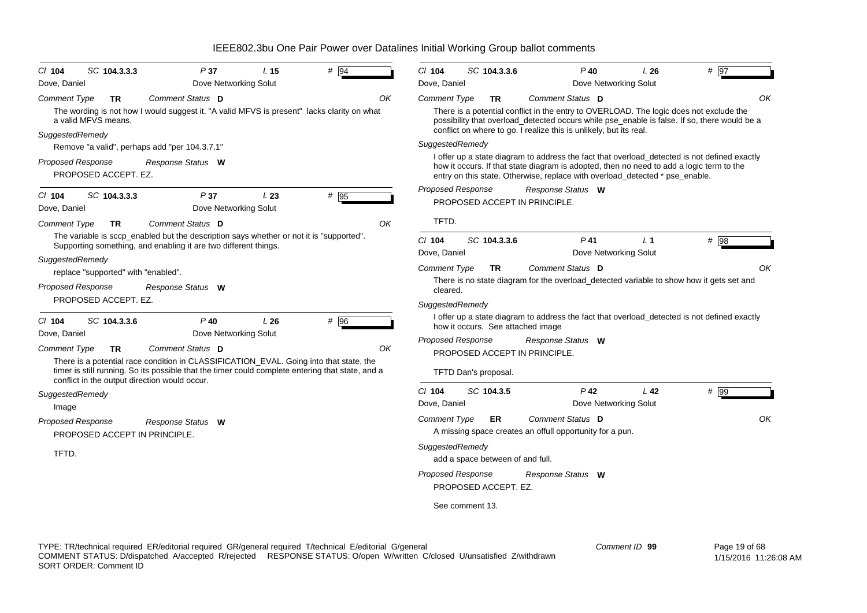| $Cl$ 104                               | SC 104.3.3.3                        | P37                                                                                                                                                        | L <sub>15</sub> | $#$ 94 |    | $Cl$ 104                 | SC 104.3.3.6                     |                                   | $P$ 40                                                                                 | L26             | # 97                                                                                                                                                                                         |
|----------------------------------------|-------------------------------------|------------------------------------------------------------------------------------------------------------------------------------------------------------|-----------------|--------|----|--------------------------|----------------------------------|-----------------------------------|----------------------------------------------------------------------------------------|-----------------|----------------------------------------------------------------------------------------------------------------------------------------------------------------------------------------------|
| Dove, Daniel                           |                                     | Dove Networking Solut                                                                                                                                      |                 |        |    | Dove, Daniel             |                                  |                                   | Dove Networking Solut                                                                  |                 |                                                                                                                                                                                              |
| <b>Comment Type</b><br>SuggestedRemedy | TR<br>a valid MFVS means.           | Comment Status D<br>The wording is not how I would suggest it. "A valid MFVS is present" lacks clarity on what                                             |                 |        | OK | <b>Comment Type</b>      | <b>TR</b>                        |                                   | Comment Status D<br>conflict on where to go. I realize this is unlikely, but its real. |                 | OK<br>There is a potential conflict in the entry to OVERLOAD. The logic does not exclude the<br>possibility that overload_detected occurs while pse_enable is false. If so, there would be a |
|                                        |                                     | Remove "a valid", perhaps add "per 104.3.7.1"                                                                                                              |                 |        |    | SuggestedRemedy          |                                  |                                   |                                                                                        |                 |                                                                                                                                                                                              |
| <b>Proposed Response</b>               | PROPOSED ACCEPT. EZ.                | Response Status W                                                                                                                                          |                 |        |    |                          |                                  |                                   | entry on this state. Otherwise, replace with overload_detected * pse_enable.           |                 | I offer up a state diagram to address the fact that overload_detected is not defined exactly<br>how it occurs. If that state diagram is adopted, then no need to add a logic term to the     |
| $Cl$ 104<br>Dove, Daniel               | SC 104.3.3.3                        | P37<br>Dove Networking Solut                                                                                                                               | L23             | $#$ 95 |    | Proposed Response        |                                  | PROPOSED ACCEPT IN PRINCIPLE.     | Response Status W                                                                      |                 |                                                                                                                                                                                              |
| <b>Comment Type</b>                    | TR.                                 | Comment Status D                                                                                                                                           |                 |        | OK | TFTD.                    |                                  |                                   |                                                                                        |                 |                                                                                                                                                                                              |
|                                        |                                     | The variable is sccp_enabled but the description says whether or not it is "supported".<br>Supporting something, and enabling it are two different things. |                 |        |    | $Cl$ 104<br>Dove, Daniel | SC 104.3.3.6                     |                                   | $P$ 41<br>Dove Networking Solut                                                        | L <sub>1</sub>  | # 98                                                                                                                                                                                         |
| SuggestedRemedy                        | replace "supported" with "enabled". |                                                                                                                                                            |                 |        |    | <b>Comment Type</b>      | TR                               |                                   | Comment Status D                                                                       |                 | OK                                                                                                                                                                                           |
| Proposed Response                      |                                     | Response Status W                                                                                                                                          |                 |        |    | cleared.                 |                                  |                                   |                                                                                        |                 | There is no state diagram for the overload_detected variable to show how it gets set and                                                                                                     |
|                                        | PROPOSED ACCEPT. EZ.                |                                                                                                                                                            |                 |        |    | SuggestedRemedy          |                                  |                                   |                                                                                        |                 |                                                                                                                                                                                              |
| $CI$ 104<br>Dove, Daniel               | SC 104.3.3.6                        | $P$ 40<br>Dove Networking Solut                                                                                                                            | L26             | # 96   |    |                          |                                  | how it occurs. See attached image |                                                                                        |                 | I offer up a state diagram to address the fact that overload_detected is not defined exactly                                                                                                 |
| Comment Type                           | TR                                  | Comment Status D                                                                                                                                           |                 |        | OK | <b>Proposed Response</b> |                                  |                                   | Response Status W                                                                      |                 |                                                                                                                                                                                              |
|                                        |                                     | There is a potential race condition in CLASSIFICATION_EVAL. Going into that state, the                                                                     |                 |        |    |                          |                                  | PROPOSED ACCEPT IN PRINCIPLE.     |                                                                                        |                 |                                                                                                                                                                                              |
|                                        |                                     | timer is still running. So its possible that the timer could complete entering that state, and a<br>conflict in the output direction would occur.          |                 |        |    |                          | TFTD Dan's proposal.             |                                   |                                                                                        |                 |                                                                                                                                                                                              |
| SuggestedRemedy<br>Image               |                                     |                                                                                                                                                            |                 |        |    | $Cl$ 104<br>Dove, Daniel | SC 104.3.5                       |                                   | $P$ 42<br>Dove Networking Solut                                                        | L <sub>42</sub> | $#$ 99                                                                                                                                                                                       |
| Proposed Response                      | PROPOSED ACCEPT IN PRINCIPLE.       | Response Status W                                                                                                                                          |                 |        |    | <b>Comment Type</b>      | ER.                              |                                   | Comment Status D<br>A missing space creates an offull opportunity for a pun.           |                 | OK                                                                                                                                                                                           |
| TFTD.                                  |                                     |                                                                                                                                                            |                 |        |    | SuggestedRemedy          | add a space between of and full. |                                   |                                                                                        |                 |                                                                                                                                                                                              |
|                                        |                                     |                                                                                                                                                            |                 |        |    | <b>Proposed Response</b> | PROPOSED ACCEPT. EZ.             |                                   | Response Status W                                                                      |                 |                                                                                                                                                                                              |
|                                        |                                     |                                                                                                                                                            |                 |        |    |                          | See comment 13.                  |                                   |                                                                                        |                 |                                                                                                                                                                                              |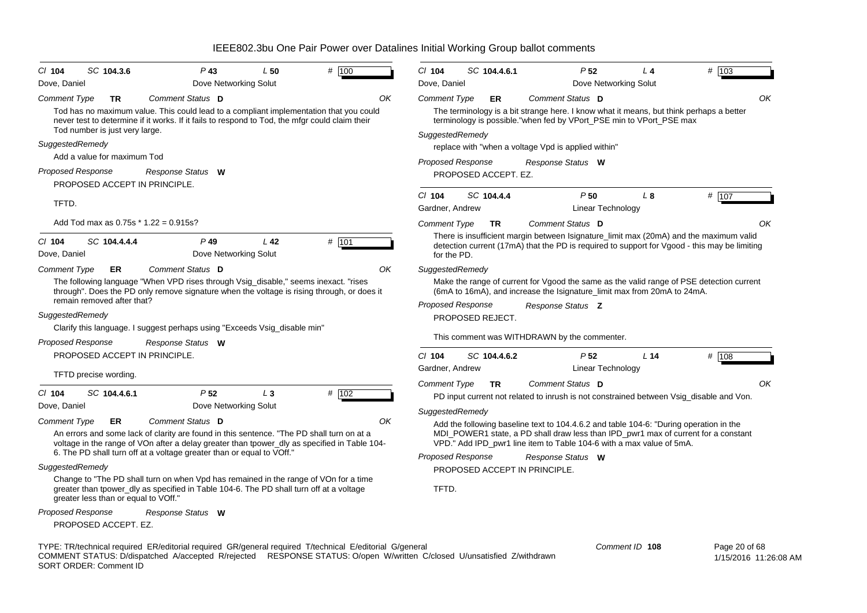| $CI$ 104                 | SC 104.3.6                           | $P$ 43                                                                                                                                                                                    | L50             | # 100 | $Cl$ 104                 | SC 104.4.6.1         | P <sub>52</sub>                                     | $L_4$                                                                                                                                                          | # 103                                                                                                                                                                                  |
|--------------------------|--------------------------------------|-------------------------------------------------------------------------------------------------------------------------------------------------------------------------------------------|-----------------|-------|--------------------------|----------------------|-----------------------------------------------------|----------------------------------------------------------------------------------------------------------------------------------------------------------------|----------------------------------------------------------------------------------------------------------------------------------------------------------------------------------------|
| Dove, Daniel             |                                      | Dove Networking Solut                                                                                                                                                                     |                 |       | Dove, Daniel             |                      |                                                     | Dove Networking Solut                                                                                                                                          |                                                                                                                                                                                        |
| Comment Type             | TR                                   | Comment Status D                                                                                                                                                                          |                 | OK    | <b>Comment Type</b>      | ER                   | Comment Status D                                    |                                                                                                                                                                | OK                                                                                                                                                                                     |
|                          |                                      | Tod has no maximum value. This could lead to a compliant implementation that you could<br>never test to determine if it works. If it fails to respond to Tod, the mfgr could claim their  |                 |       |                          |                      |                                                     | The terminology is a bit strange here. I know what it means, but think perhaps a better<br>terminology is possible."when fed by VPort_PSE min to VPort_PSE max |                                                                                                                                                                                        |
|                          | Tod number is just very large.       |                                                                                                                                                                                           |                 |       | SuggestedRemedy          |                      |                                                     |                                                                                                                                                                |                                                                                                                                                                                        |
| SuggestedRemedy          |                                      |                                                                                                                                                                                           |                 |       |                          |                      | replace with "when a voltage Vpd is applied within" |                                                                                                                                                                |                                                                                                                                                                                        |
|                          | Add a value for maximum Tod          |                                                                                                                                                                                           |                 |       | <b>Proposed Response</b> |                      | Response Status W                                   |                                                                                                                                                                |                                                                                                                                                                                        |
| <b>Proposed Response</b> | PROPOSED ACCEPT IN PRINCIPLE.        | Response Status W                                                                                                                                                                         |                 |       |                          | PROPOSED ACCEPT. EZ. |                                                     |                                                                                                                                                                |                                                                                                                                                                                        |
|                          |                                      |                                                                                                                                                                                           |                 |       | $Cl$ 104                 | SC 104.4.4           | P <sub>50</sub>                                     | $L_{\rm 8}$                                                                                                                                                    | # 107                                                                                                                                                                                  |
| TFTD.                    |                                      |                                                                                                                                                                                           |                 |       | Gardner, Andrew          |                      |                                                     | Linear Technology                                                                                                                                              |                                                                                                                                                                                        |
|                          |                                      | Add Tod max as $0.75s * 1.22 = 0.915s$ ?                                                                                                                                                  |                 |       | <b>Comment Type</b>      | <b>TR</b>            | Comment Status D                                    |                                                                                                                                                                | ΟK                                                                                                                                                                                     |
| $CI$ 104<br>Dove, Daniel | SC 104.4.4.4                         | $P$ 49<br>Dove Networking Solut                                                                                                                                                           | L <sub>42</sub> | # 101 | for the PD.              |                      |                                                     |                                                                                                                                                                | There is insufficient margin between Isignature_limit max (20mA) and the maximum valid<br>detection current (17mA) that the PD is required to support for Vgood - this may be limiting |
| <b>Comment Type</b>      | <b>ER</b>                            | Comment Status D                                                                                                                                                                          |                 | OK    | SuggestedRemedy          |                      |                                                     |                                                                                                                                                                |                                                                                                                                                                                        |
|                          |                                      | The following language "When VPD rises through Vsig_disable," seems inexact. "rises<br>through". Does the PD only remove signature when the voltage is rising through, or does it         |                 |       |                          |                      |                                                     | (6mA to 16mA), and increase the Isignature_limit max from 20mA to 24mA.                                                                                        | Make the range of current for Vgood the same as the valid range of PSE detection current                                                                                               |
|                          | remain removed after that?           |                                                                                                                                                                                           |                 |       | Proposed Response        |                      | Response Status Z                                   |                                                                                                                                                                |                                                                                                                                                                                        |
| SuggestedRemedy          |                                      |                                                                                                                                                                                           |                 |       |                          | PROPOSED REJECT.     |                                                     |                                                                                                                                                                |                                                                                                                                                                                        |
|                          |                                      | Clarify this language. I suggest perhaps using "Exceeds Vsig_disable min"                                                                                                                 |                 |       |                          |                      | This comment was WITHDRAWN by the commenter.        |                                                                                                                                                                |                                                                                                                                                                                        |
| Proposed Response        |                                      | Response Status W                                                                                                                                                                         |                 |       |                          |                      |                                                     |                                                                                                                                                                |                                                                                                                                                                                        |
|                          | PROPOSED ACCEPT IN PRINCIPLE.        |                                                                                                                                                                                           |                 |       | $Cl$ 104                 | SC 104.4.6.2         | P <sub>52</sub>                                     | L <sub>14</sub>                                                                                                                                                | # 108                                                                                                                                                                                  |
|                          | TFTD precise wording.                |                                                                                                                                                                                           |                 |       | Gardner, Andrew          |                      |                                                     | Linear Technology                                                                                                                                              |                                                                                                                                                                                        |
|                          |                                      |                                                                                                                                                                                           |                 |       | <b>Comment Type</b>      | <b>TR</b>            | Comment Status D                                    |                                                                                                                                                                | OK                                                                                                                                                                                     |
| $Cl$ 104                 | SC 104.4.6.1                         | P <sub>52</sub>                                                                                                                                                                           | $L_3$           | # 102 |                          |                      |                                                     | PD input current not related to inrush is not constrained between Vsig_disable and Von.                                                                        |                                                                                                                                                                                        |
| Dove, Daniel             |                                      | Dove Networking Solut                                                                                                                                                                     |                 |       | SuggestedRemedy          |                      |                                                     |                                                                                                                                                                |                                                                                                                                                                                        |
| Comment Type             | ER                                   | Comment Status D                                                                                                                                                                          |                 | OK    |                          |                      |                                                     | Add the following baseline text to 104.4.6.2 and table 104-6: "During operation in the                                                                         |                                                                                                                                                                                        |
|                          |                                      | An errors and some lack of clarity are found in this sentence. "The PD shall turn on at a<br>voltage in the range of VOn after a delay greater than tpower_dly as specified in Table 104- |                 |       |                          |                      |                                                     | MDI_POWER1 state, a PD shall draw less than IPD_pwr1 max of current for a constant<br>VPD." Add IPD_pwr1 line item to Table 104-6 with a max value of 5mA.     |                                                                                                                                                                                        |
|                          |                                      | 6. The PD shall turn off at a voltage greater than or equal to VOff."                                                                                                                     |                 |       | Proposed Response        |                      |                                                     |                                                                                                                                                                |                                                                                                                                                                                        |
| SuggestedRemedy          |                                      |                                                                                                                                                                                           |                 |       |                          |                      | Response Status W<br>PROPOSED ACCEPT IN PRINCIPLE.  |                                                                                                                                                                |                                                                                                                                                                                        |
|                          | greater less than or equal to VOff." | Change to "The PD shall turn on when Vpd has remained in the range of VOn for a time<br>greater than tpower_dly as specified in Table 104-6. The PD shall turn off at a voltage           |                 |       | TFTD.                    |                      |                                                     |                                                                                                                                                                |                                                                                                                                                                                        |
| Proposed Response        |                                      | Response Status W                                                                                                                                                                         |                 |       |                          |                      |                                                     |                                                                                                                                                                |                                                                                                                                                                                        |
|                          | PROPOSED ACCEPT. EZ.                 |                                                                                                                                                                                           |                 |       |                          |                      |                                                     |                                                                                                                                                                |                                                                                                                                                                                        |
|                          |                                      | TYPE: TR/technical required ER/editorial required GR/general required T/technical E/editorial G/general                                                                                   |                 |       |                          |                      |                                                     | Comment ID 108                                                                                                                                                 | Page 20 of 68                                                                                                                                                                          |

COMMENT STATUS: D/dispatched A/accepted R/rejected RESPONSE STATUS: O/open W/written C/closed U/unsatisfied Z/withdrawn SORT ORDER: Comment ID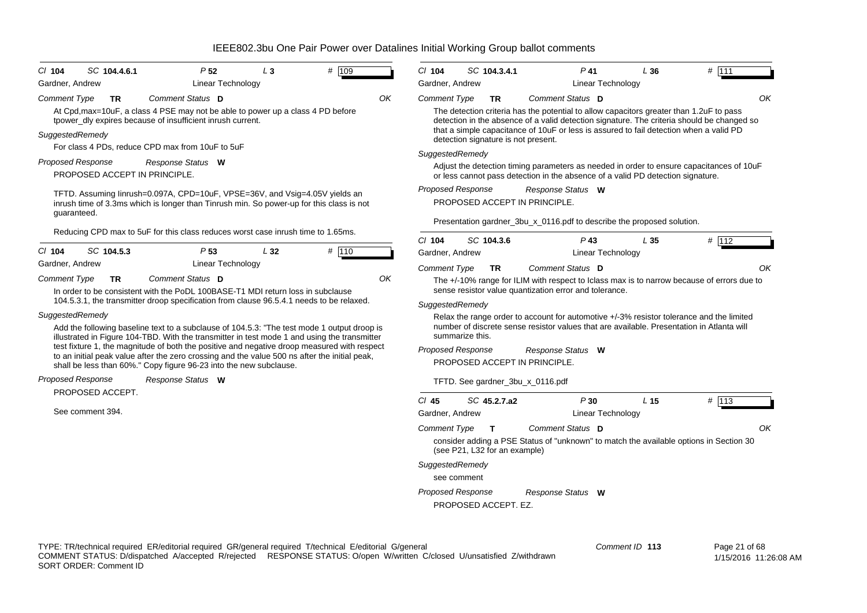|                     | SC 104.4.6.1                                       | P <sub>52</sub>                                                                                                                                                                              | $L_3$ | # 109 |    | $CI$ 104                 | SC 104.3.4.1                                                                  |   |
|---------------------|----------------------------------------------------|----------------------------------------------------------------------------------------------------------------------------------------------------------------------------------------------|-------|-------|----|--------------------------|-------------------------------------------------------------------------------|---|
| Gardner, Andrew     |                                                    | Linear Technology                                                                                                                                                                            |       |       |    | Gardner, Andrew          |                                                                               |   |
| <b>Comment Type</b> | ΤR                                                 | Comment Status D<br>At Cpd, max=10uF, a class 4 PSE may not be able to power up a class 4 PD before<br>tpower_dly expires because of insufficient inrush current.                            |       |       | ΟK | <b>Comment Type</b>      | TR<br>The detection criteria has tl<br>detection in the absence of            |   |
| SuggestedRemedy     |                                                    | For class 4 PDs, reduce CPD max from 10uF to 5uF                                                                                                                                             |       |       |    |                          | that a simple capacitance of<br>detection signature is not p                  |   |
|                     |                                                    |                                                                                                                                                                                              |       |       |    | SuggestedRemedy          |                                                                               |   |
|                     | Proposed Response<br>PROPOSED ACCEPT IN PRINCIPLE. | Response Status W                                                                                                                                                                            |       |       |    |                          | Adjust the detection timing<br>or less cannot pass detection                  |   |
| guaranteed.         |                                                    | TFTD. Assuming linrush=0.097A, CPD=10uF, VPSE=36V, and Vsig=4.05V yields an<br>inrush time of 3.3ms which is longer than Tinrush min. So power-up for this class is not                      |       |       |    | Proposed Response        | PROPOSED ACCEPT IN F                                                          |   |
|                     |                                                    | Reducing CPD max to 5uF for this class reduces worst case inrush time to 1.65ms.                                                                                                             |       |       |    |                          | Presentation gardner_3bu_                                                     |   |
| $Cl$ 104            | SC 104.5.3                                         | P <sub>53</sub>                                                                                                                                                                              | L32   |       |    | $Cl$ 104                 | SC 104.3.6                                                                    |   |
| Gardner, Andrew     |                                                    | Linear Technology                                                                                                                                                                            |       | # 110 |    | Gardner, Andrew          |                                                                               |   |
|                     |                                                    |                                                                                                                                                                                              |       |       |    | <b>Comment Type</b>      | ΤR                                                                            |   |
| Comment Type        | ΤR                                                 | Comment Status D<br>In order to be consistent with the PoDL 100BASE-T1 MDI return loss in subclause                                                                                          |       |       | OK |                          | The +/-10% range for ILIM<br>sense resistor value quanti.                     |   |
|                     |                                                    | 104.5.3.1, the transmitter droop specification from clause 96.5.4.1 needs to be relaxed.                                                                                                     |       |       |    | SuggestedRemedy          |                                                                               |   |
|                     |                                                    |                                                                                                                                                                                              |       |       |    |                          |                                                                               |   |
|                     | SuggestedRemedy                                    |                                                                                                                                                                                              |       |       |    |                          |                                                                               |   |
|                     |                                                    | Add the following baseline text to a subclause of 104.5.3: "The test mode 1 output droop is<br>illustrated in Figure 104-TBD. With the transmitter in test mode 1 and using the transmitter  |       |       |    |                          | Relax the range order to ad<br>number of discrete sense re<br>summarize this. |   |
|                     |                                                    | test fixture 1, the magnitude of both the positive and negative droop measured with respect<br>to an initial peak value after the zero crossing and the value 500 ns after the initial peak, |       |       |    | <b>Proposed Response</b> | PROPOSED ACCEPT IN F                                                          | R |
|                     | Proposed Response                                  | shall be less than 60%." Copy figure 96-23 into the new subclause.<br>Response Status W                                                                                                      |       |       |    |                          | TFTD. See gardner_3bu_x                                                       |   |
|                     | PROPOSED ACCEPT.                                   |                                                                                                                                                                                              |       |       |    |                          |                                                                               |   |
|                     | See comment 394.                                   |                                                                                                                                                                                              |       |       |    | $CI$ 45                  | SC 45.2.7.a2                                                                  |   |
|                     |                                                    |                                                                                                                                                                                              |       |       |    | Gardner, Andrew          |                                                                               |   |
|                     |                                                    |                                                                                                                                                                                              |       |       |    | <b>Comment Type</b>      | Т<br>consider adding a PSE Sta<br>(see P21, L32 for an examp                  |   |
|                     |                                                    |                                                                                                                                                                                              |       |       |    | SuggestedRemedy          |                                                                               |   |
|                     |                                                    |                                                                                                                                                                                              |       |       |    |                          | see comment                                                                   |   |
|                     |                                                    |                                                                                                                                                                                              |       |       |    | <b>Proposed Response</b> |                                                                               | R |

s the potential to allow capacitors greater than 1.2uF to pass detection signature. The criteria should be changed so e of 10uF or less is assured to fail detection when a valid  $\breve{\text{PD}}$ present. Adjust parameters as needed in order to ensure capacitances of 10uF ection in the absence of a valid PD detection signature. N PRINCIPLE. bu x 0116.pdf to describe the proposed solution. *Comment Status***D***Response Status* **W***OK*Linear Technology *P* **43** *L* **35** *#* 112IM with respect to Iclass max is to narrow because of errors due to ntization error and tolerance  $\alpha$  account for automotive +/-3% resistor tolerance and the limited number of discrete sense resistor values that are available. Presentation in Atlanta will N PRINCIPLE.  $x_0$ 116.pdf *Comment Status* **D***Response Status* **W** *OK*Linear Technology *P* **30** *L* **15** *#* 113 *OK*Linear Technology

*P*

**41** *L* **36** *#* 111

Status of "unknown" to match the available options in Section 30 (mple *Comment Status* **D** *Response Status* **W**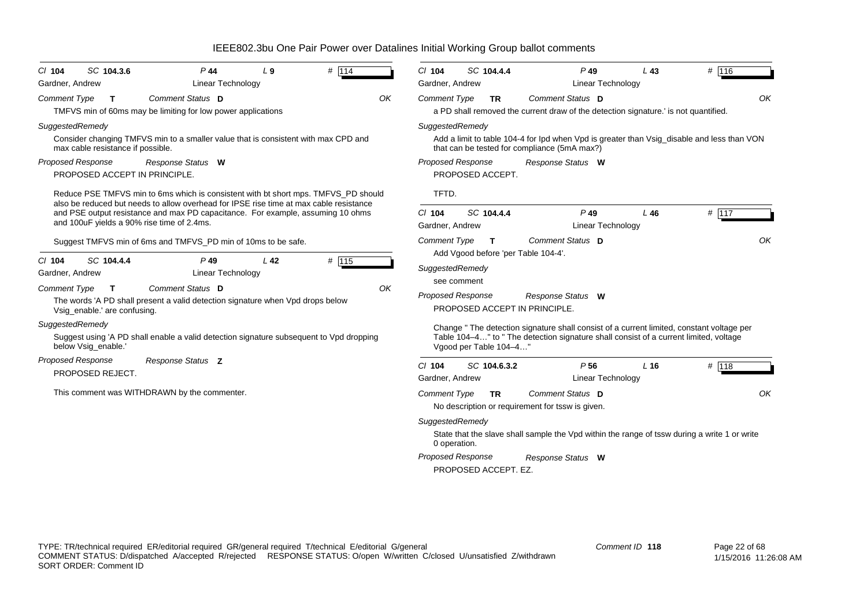| # 114<br>SC 104.3.6<br>$P$ 44<br>L <sub>9</sub><br>$CI$ 104<br><b>Linear Technology</b><br>Gardner, Andrew                                                                                                                                                                                                                                                                                                                                                           | # 116<br>$CI$ 104<br>SC 104.4.4<br>$P$ 49<br>L43<br>Gardner, Andrew<br>Linear Technology                                                                                                                                                                                                                                                                                                                                                                                       |
|----------------------------------------------------------------------------------------------------------------------------------------------------------------------------------------------------------------------------------------------------------------------------------------------------------------------------------------------------------------------------------------------------------------------------------------------------------------------|--------------------------------------------------------------------------------------------------------------------------------------------------------------------------------------------------------------------------------------------------------------------------------------------------------------------------------------------------------------------------------------------------------------------------------------------------------------------------------|
| Comment Status D<br>OK<br><b>Comment Type</b><br>T.<br>TMFVS min of 60ms may be limiting for low power applications                                                                                                                                                                                                                                                                                                                                                  | OK<br>Comment Status D<br><b>Comment Type</b><br><b>TR</b><br>a PD shall removed the current draw of the detection signature. is not quantified.                                                                                                                                                                                                                                                                                                                               |
| SuggestedRemedy<br>Consider changing TMFVS min to a smaller value that is consistent with max CPD and<br>max cable resistance if possible.<br>Proposed Response<br>Response Status W<br>PROPOSED ACCEPT IN PRINCIPLE.                                                                                                                                                                                                                                                | SuggestedRemedy<br>Add a limit to table 104-4 for Ipd when Vpd is greater than Vsig_disable and less than VON<br>that can be tested for compliance (5mA max?)<br>Proposed Response<br>Response Status W<br>PROPOSED ACCEPT.                                                                                                                                                                                                                                                    |
| Reduce PSE TMFVS min to 6ms which is consistent with bt short mps. TMFVS_PD should<br>also be reduced but needs to allow overhead for IPSE rise time at max cable resistance<br>and PSE output resistance and max PD capacitance. For example, assuming 10 ohms<br>and 100uF yields a 90% rise time of 2.4ms.                                                                                                                                                        | TFTD.<br>$P$ 49<br># 117<br>$CI$ 104<br>SC 104.4.4<br>L46<br>Linear Technology<br>Gardner, Andrew<br>OK<br>Comment Status D<br><b>Comment Type</b><br>т                                                                                                                                                                                                                                                                                                                        |
| Suggest TMFVS min of 6ms and TMFVS_PD min of 10ms to be safe.<br>SC 104.4.4<br>$P$ 49<br>L <sub>42</sub><br># $115$<br>$CI$ 104<br><b>Linear Technology</b><br>Gardner, Andrew<br>Comment Status D<br>OK<br><b>Comment Type</b><br>T<br>The words 'A PD shall present a valid detection signature when Vpd drops below<br>Vsig_enable.' are confusing.<br>SuggestedRemedy<br>Suggest using 'A PD shall enable a valid detection signature subsequent to Vpd dropping | Add Vgood before 'per Table 104-4'.<br>SuggestedRemedy<br>see comment<br><b>Proposed Response</b><br>Response Status W<br>PROPOSED ACCEPT IN PRINCIPLE.<br>Change "The detection signature shall consist of a current limited, constant voltage per<br>Table 104–4" to " The detection signature shall consist of a current limited, voltage                                                                                                                                   |
| below Vsig_enable.'<br><b>Proposed Response</b><br>Response Status Z<br>PROPOSED REJECT.<br>This comment was WITHDRAWN by the commenter.                                                                                                                                                                                                                                                                                                                             | Vgood per Table 104-4"<br># 118<br>$CI$ 104<br>SC 104.6.3.2<br>P <sub>56</sub><br>L <sub>16</sub><br>Gardner, Andrew<br><b>Linear Technology</b><br>OK<br>Comment Status D<br><b>Comment Type</b><br><b>TR</b><br>No description or requirement for tssw is given.<br>SuggestedRemedy<br>State that the slave shall sample the Vpd within the range of tssw during a write 1 or write<br>0 operation.<br><b>Proposed Response</b><br>Response Status W<br>PROPOSED ACCEPT. EZ. |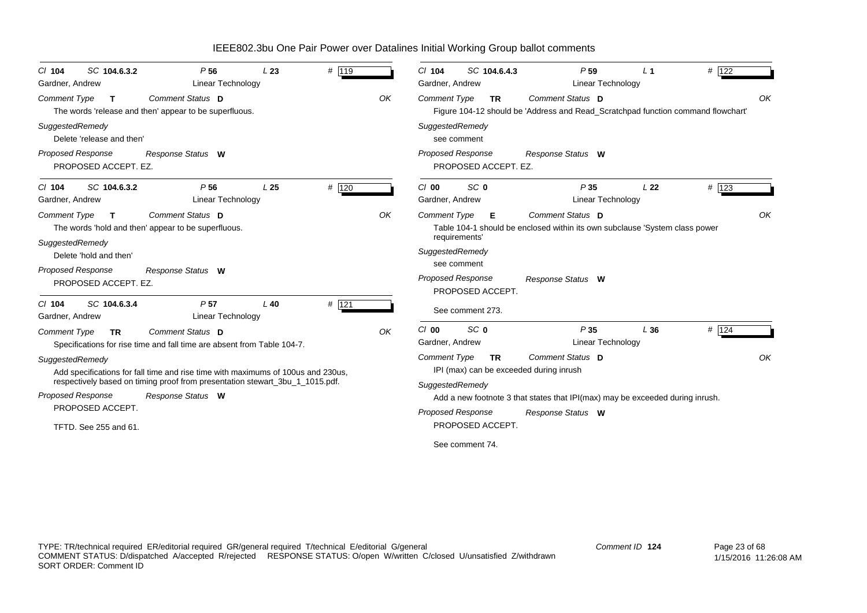| SC 104.6.3.2<br>$Cl$ 104<br>Gardner, Andrew                                     | P <sub>56</sub><br><b>Linear Technology</b>                                                                                                                                           | L23             | # 119   |    | $Cl$ 104<br>Gardner, Andrew            | SC 104.6.4.3                      | P <sub>59</sub><br><b>Linear Technology</b>                                                                                                  | L <sub>1</sub>  | # 122   |
|---------------------------------------------------------------------------------|---------------------------------------------------------------------------------------------------------------------------------------------------------------------------------------|-----------------|---------|----|----------------------------------------|-----------------------------------|----------------------------------------------------------------------------------------------------------------------------------------------|-----------------|---------|
| <b>Comment Type</b><br>$\mathbf{T}$                                             | Comment Status D<br>The words 'release and then' appear to be superfluous.                                                                                                            |                 |         | OK | <b>Comment Type</b>                    | <b>TR</b>                         | Comment Status D<br>Figure 104-12 should be 'Address and Read_Scratchpad function command flowchart'                                         |                 | OK      |
| SuggestedRemedy<br>Delete 'release and then'                                    |                                                                                                                                                                                       |                 |         |    | SuggestedRemedy                        | see comment                       |                                                                                                                                              |                 |         |
| <b>Proposed Response</b><br>PROPOSED ACCEPT. EZ.                                | Response Status W                                                                                                                                                                     |                 |         |    | <b>Proposed Response</b>               | PROPOSED ACCEPT. EZ.              | Response Status W                                                                                                                            |                 |         |
| SC 104.6.3.2<br>$Cl$ 104<br>Gardner, Andrew                                     | P <sub>56</sub><br>Linear Technology                                                                                                                                                  | L <sub>25</sub> | # 120   |    | C/00<br>Gardner, Andrew                | SC <sub>0</sub>                   | P35<br>Linear Technology                                                                                                                     | L <sub>22</sub> | $#$ 123 |
| <b>Comment Type</b><br>$\mathbf T$<br>SuggestedRemedy<br>Delete 'hold and then' | Comment Status D<br>The words 'hold and then' appear to be superfluous.                                                                                                               |                 |         | OK | Comment Type<br>SuggestedRemedy        | Е<br>requirements'<br>see comment | Comment Status D<br>Table 104-1 should be enclosed within its own subclause 'System class power                                              |                 | OK      |
| Proposed Response<br>PROPOSED ACCEPT. EZ.                                       | Response Status W                                                                                                                                                                     |                 |         |    | <b>Proposed Response</b>               | PROPOSED ACCEPT.                  | Response Status W                                                                                                                            |                 |         |
| SC 104.6.3.4<br>$Cl$ 104<br>Gardner, Andrew                                     | P <sub>57</sub><br><b>Linear Technology</b>                                                                                                                                           | $L$ 40          | $#$ 121 |    |                                        | See comment 273.                  |                                                                                                                                              |                 |         |
| <b>Comment Type</b><br><b>TR</b>                                                | Comment Status D<br>Specifications for rise time and fall time are absent from Table 104-7.                                                                                           |                 |         | OK | $Cl$ 00<br>Gardner, Andrew             | SC <sub>0</sub>                   | P35<br><b>Linear Technology</b>                                                                                                              | L36             | $#$ 124 |
| SuggestedRemedy<br><b>Proposed Response</b>                                     | Add specifications for fall time and rise time with maximums of 100us and 230us,<br>respectively based on timing proof from presentation stewart_3bu_1_1015.pdf.<br>Response Status W |                 |         |    | <b>Comment Type</b><br>SuggestedRemedy | <b>TR</b>                         | Comment Status D<br>IPI (max) can be exceeded during inrush<br>Add a new footnote 3 that states that IPI(max) may be exceeded during inrush. |                 | OK      |
| PROPOSED ACCEPT.<br>TFTD. See 255 and 61.                                       |                                                                                                                                                                                       |                 |         |    | <b>Proposed Response</b>               | PROPOSED ACCEPT.                  | Response Status W                                                                                                                            |                 |         |
|                                                                                 |                                                                                                                                                                                       |                 |         |    |                                        | See comment 74.                   |                                                                                                                                              |                 |         |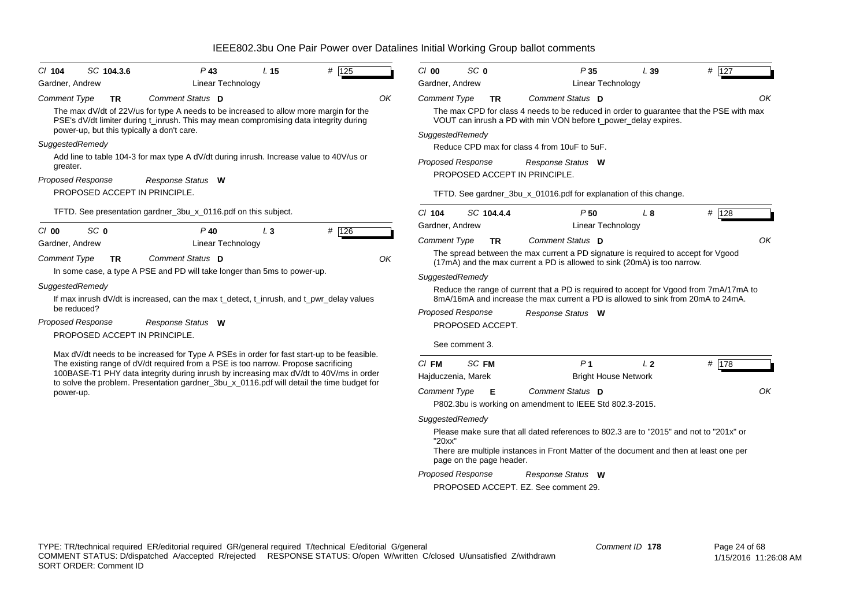| SC 104.3.6<br>$CI$ 104           | $P$ 43                                                                                                                                                                                                                                                                     | L <sub>15</sub> | # 125 |    | $Cl$ 00             | SC 0                     | P <sub>35</sub>                                                                                                                                                            | L39            | # 127 |    |
|----------------------------------|----------------------------------------------------------------------------------------------------------------------------------------------------------------------------------------------------------------------------------------------------------------------------|-----------------|-------|----|---------------------|--------------------------|----------------------------------------------------------------------------------------------------------------------------------------------------------------------------|----------------|-------|----|
| Gardner, Andrew                  | <b>Linear Technology</b>                                                                                                                                                                                                                                                   |                 |       |    | Gardner, Andrew     |                          | <b>Linear Technology</b>                                                                                                                                                   |                |       |    |
| <b>Comment Type</b><br>TR.       | Comment Status D                                                                                                                                                                                                                                                           |                 |       | OK | <b>Comment Type</b> | TR.                      | <b>Comment Status</b> D                                                                                                                                                    |                |       | OK |
|                                  | The max dV/dt of 22V/us for type A needs to be increased to allow more margin for the<br>PSE's dV/dt limiter during t_inrush. This may mean compromising data integrity during<br>power-up, but this typically a don't care.                                               |                 |       |    | SuggestedRemedy     |                          | The max CPD for class 4 needs to be reduced in order to guarantee that the PSE with max<br>VOUT can inrush a PD with min VON before t_power_delay expires.                 |                |       |    |
| SuggestedRemedy                  |                                                                                                                                                                                                                                                                            |                 |       |    |                     |                          | Reduce CPD max for class 4 from 10uF to 5uF.                                                                                                                               |                |       |    |
| greater.                         | Add line to table 104-3 for max type A dV/dt during inrush. Increase value to 40V/us or                                                                                                                                                                                    |                 |       |    |                     | <b>Proposed Response</b> | Response Status W                                                                                                                                                          |                |       |    |
| <b>Proposed Response</b>         | Response Status W                                                                                                                                                                                                                                                          |                 |       |    |                     |                          | PROPOSED ACCEPT IN PRINCIPLE.                                                                                                                                              |                |       |    |
|                                  | PROPOSED ACCEPT IN PRINCIPLE.                                                                                                                                                                                                                                              |                 |       |    |                     |                          | TFTD. See gardner_3bu_x_01016.pdf for explanation of this change.                                                                                                          |                |       |    |
|                                  | TFTD. See presentation gardner_3bu_x_0116.pdf on this subject.                                                                                                                                                                                                             |                 |       |    | $Cl$ 104            | SC 104.4.4               | P <sub>50</sub>                                                                                                                                                            | $L_{\alpha}$   | # 128 |    |
| SC <sub>0</sub><br>$Cl$ 00       | $P$ 40                                                                                                                                                                                                                                                                     | $L_3$           | # 126 |    | Gardner, Andrew     |                          | Linear Technology                                                                                                                                                          |                |       |    |
| Gardner, Andrew                  | <b>Linear Technology</b>                                                                                                                                                                                                                                                   |                 |       |    | <b>Comment Type</b> | <b>TR</b>                | Comment Status D                                                                                                                                                           |                |       | OK |
| <b>Comment Type</b><br><b>TR</b> | Comment Status D                                                                                                                                                                                                                                                           |                 |       | OK |                     |                          | The spread between the max current a PD signature is required to accept for Vgood<br>(17mA) and the max current a PD is allowed to sink (20mA) is too narrow.              |                |       |    |
|                                  | In some case, a type A PSE and PD will take longer than 5ms to power-up.                                                                                                                                                                                                   |                 |       |    | SuggestedRemedy     |                          |                                                                                                                                                                            |                |       |    |
| SuggestedRemedy<br>be reduced?   | If max inrush dV/dt is increased, can the max t_detect, t_inrush, and t_pwr_delay values                                                                                                                                                                                   |                 |       |    |                     |                          | Reduce the range of current that a PD is required to accept for Vgood from 7mA/17mA to<br>8mA/16mA and increase the max current a PD is allowed to sink from 20mA to 24mA. |                |       |    |
| <b>Proposed Response</b>         |                                                                                                                                                                                                                                                                            |                 |       |    |                     | <b>Proposed Response</b> | Response Status W                                                                                                                                                          |                |       |    |
|                                  | Response Status W<br>PROPOSED ACCEPT IN PRINCIPLE.                                                                                                                                                                                                                         |                 |       |    |                     | PROPOSED ACCEPT.         |                                                                                                                                                                            |                |       |    |
|                                  |                                                                                                                                                                                                                                                                            |                 |       |    |                     | See comment 3.           |                                                                                                                                                                            |                |       |    |
|                                  | Max dV/dt needs to be increased for Type A PSEs in order for fast start-up to be feasible.<br>The existing range of dV/dt required from a PSE is too narrow. Propose sacrificing<br>100BASE-T1 PHY data integrity during inrush by increasing max dV/dt to 40V/ms in order |                 |       |    | $CI$ FM             | SC FM                    | P <sub>1</sub>                                                                                                                                                             | L <sub>2</sub> | # 178 |    |
|                                  | to solve the problem. Presentation gardner_3bu_x_0116.pdf will detail the time budget for                                                                                                                                                                                  |                 |       |    | Hajduczenia, Marek  |                          | <b>Bright House Network</b>                                                                                                                                                |                |       |    |
| power-up.                        |                                                                                                                                                                                                                                                                            |                 |       |    | <b>Comment Type</b> | Е                        | Comment Status D<br>P802.3bu is working on amendment to IEEE Std 802.3-2015.                                                                                               |                |       | OK |
|                                  |                                                                                                                                                                                                                                                                            |                 |       |    | SuggestedRemedy     |                          |                                                                                                                                                                            |                |       |    |
|                                  |                                                                                                                                                                                                                                                                            |                 |       |    |                     |                          | Please make sure that all dated references to 802.3 are to "2015" and not to "201x" or                                                                                     |                |       |    |
|                                  |                                                                                                                                                                                                                                                                            |                 |       |    | "20xx"              |                          | There are multiple instances in Front Matter of the document and then at least one per                                                                                     |                |       |    |
|                                  |                                                                                                                                                                                                                                                                            |                 |       |    |                     | page on the page header. |                                                                                                                                                                            |                |       |    |

*Proposed Response Response Status* **W**

PROPOSED ACCEPT. EZ. See comment 29.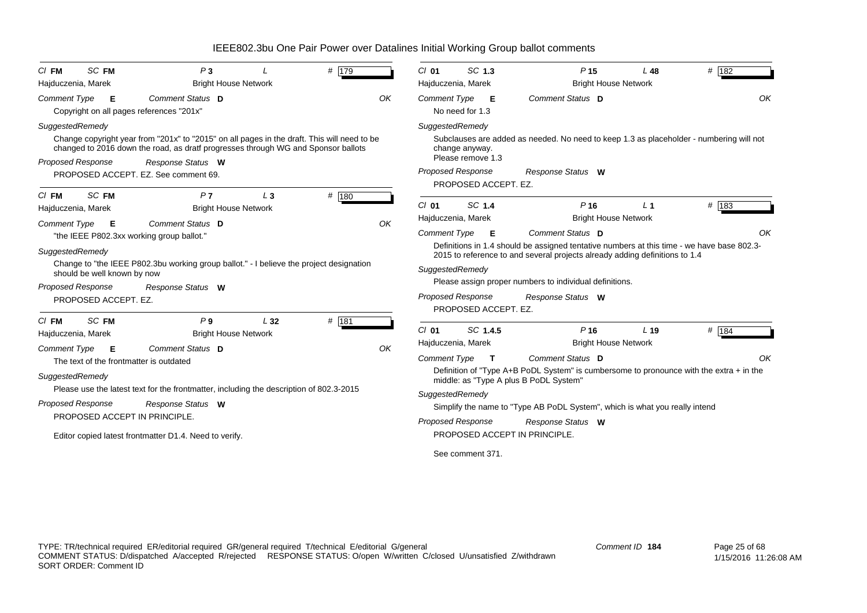| SC FM<br>$Cl$ FM                                                                | P <sub>3</sub>                                                                                                                                                                   |       | # 179 |    | $Cl$ 01             | SC 1.3                                                              | P <sub>15</sub>                                                                                                                                             | L 48            | # 182   |
|---------------------------------------------------------------------------------|----------------------------------------------------------------------------------------------------------------------------------------------------------------------------------|-------|-------|----|---------------------|---------------------------------------------------------------------|-------------------------------------------------------------------------------------------------------------------------------------------------------------|-----------------|---------|
| Hajduczenia, Marek                                                              | <b>Bright House Network</b>                                                                                                                                                      |       |       |    |                     | Hajduczenia, Marek                                                  | <b>Bright House Network</b>                                                                                                                                 |                 |         |
| <b>Comment Type</b><br>Е<br>Copyright on all pages references "201x"            | Comment Status D                                                                                                                                                                 |       |       | OK | <b>Comment Type</b> | Е<br>No need for 1.3                                                | Comment Status D                                                                                                                                            |                 | OK      |
| SuggestedRemedy                                                                 |                                                                                                                                                                                  |       |       |    |                     | SuggestedRemedy                                                     |                                                                                                                                                             |                 |         |
|                                                                                 | Change copyright year from "201x" to "2015" on all pages in the draft. This will need to be<br>changed to 2016 down the road, as dratf progresses through WG and Sponsor ballots |       |       |    |                     | change anyway.<br>Please remove 1.3                                 | Subclauses are added as needed. No need to keep 1.3 as placeholder - numbering will not                                                                     |                 |         |
| Proposed Response                                                               | Response Status W                                                                                                                                                                |       |       |    |                     | <b>Proposed Response</b>                                            | Response Status W                                                                                                                                           |                 |         |
|                                                                                 | PROPOSED ACCEPT. EZ. See comment 69.                                                                                                                                             |       |       |    |                     | PROPOSED ACCEPT. EZ.                                                |                                                                                                                                                             |                 |         |
| SC FM<br>$Cl$ FM<br>Hajduczenia, Marek                                          | P <sub>7</sub><br><b>Bright House Network</b>                                                                                                                                    | $L_3$ | # 180 |    | $Cl$ 01             | SC 1.4                                                              | P <sub>16</sub>                                                                                                                                             | L <sub>1</sub>  | $#$ 183 |
|                                                                                 |                                                                                                                                                                                  |       |       |    |                     | Hajduczenia, Marek                                                  | <b>Bright House Network</b>                                                                                                                                 |                 |         |
| Comment Type<br>E                                                               | Comment Status D<br>"the IEEE P802.3xx working group ballot."                                                                                                                    |       |       | OK | <b>Comment Type</b> | Е                                                                   | Comment Status D                                                                                                                                            |                 | OΚ      |
| should be well known by now<br><b>Proposed Response</b><br>PROPOSED ACCEPT. EZ. | Change to "the IEEE P802.3bu working group ballot." - I believe the project designation<br>Response Status W                                                                     |       |       |    |                     | SuggestedRemedy<br><b>Proposed Response</b><br>PROPOSED ACCEPT. EZ. | 2015 to reference to and several projects already adding definitions to 1.4<br>Please assign proper numbers to individual definitions.<br>Response Status W |                 |         |
| <b>SC FM</b><br>$CI$ FM<br>Hajduczenia, Marek                                   | P <sub>9</sub><br><b>Bright House Network</b>                                                                                                                                    | L32   | # 181 |    | $Cl$ 01             | SC 1.4.5                                                            | P <sub>16</sub>                                                                                                                                             | L <sub>19</sub> | # $184$ |
|                                                                                 |                                                                                                                                                                                  |       |       |    |                     | Hajduczenia, Marek                                                  | <b>Bright House Network</b>                                                                                                                                 |                 |         |
| Comment Type<br>Е<br>The text of the frontmatter is outdated                    | Comment Status D                                                                                                                                                                 |       |       | OK | <b>Comment Type</b> | $\mathbf{T}$                                                        | Comment Status D                                                                                                                                            |                 | OK      |
| SuggestedRemedy                                                                 |                                                                                                                                                                                  |       |       |    |                     |                                                                     | Definition of "Type A+B PoDL System" is cumbersome to pronounce with the extra $+$ in the<br>middle: as "Type A plus B PoDL System"                         |                 |         |
|                                                                                 | Please use the latest text for the frontmatter, including the description of 802.3-2015                                                                                          |       |       |    |                     | SuggestedRemedy                                                     |                                                                                                                                                             |                 |         |
| <b>Proposed Response</b>                                                        | Response Status W                                                                                                                                                                |       |       |    |                     |                                                                     | Simplify the name to "Type AB PoDL System", which is what you really intend                                                                                 |                 |         |
| PROPOSED ACCEPT IN PRINCIPLE.                                                   |                                                                                                                                                                                  |       |       |    |                     | <b>Proposed Response</b>                                            | Response Status W                                                                                                                                           |                 |         |
|                                                                                 | Editor copied latest frontmatter D1.4. Need to verify.                                                                                                                           |       |       |    |                     |                                                                     | PROPOSED ACCEPT IN PRINCIPLE.                                                                                                                               |                 |         |
|                                                                                 |                                                                                                                                                                                  |       |       |    |                     | See comment 371.                                                    |                                                                                                                                                             |                 |         |
|                                                                                 |                                                                                                                                                                                  |       |       |    |                     |                                                                     |                                                                                                                                                             |                 |         |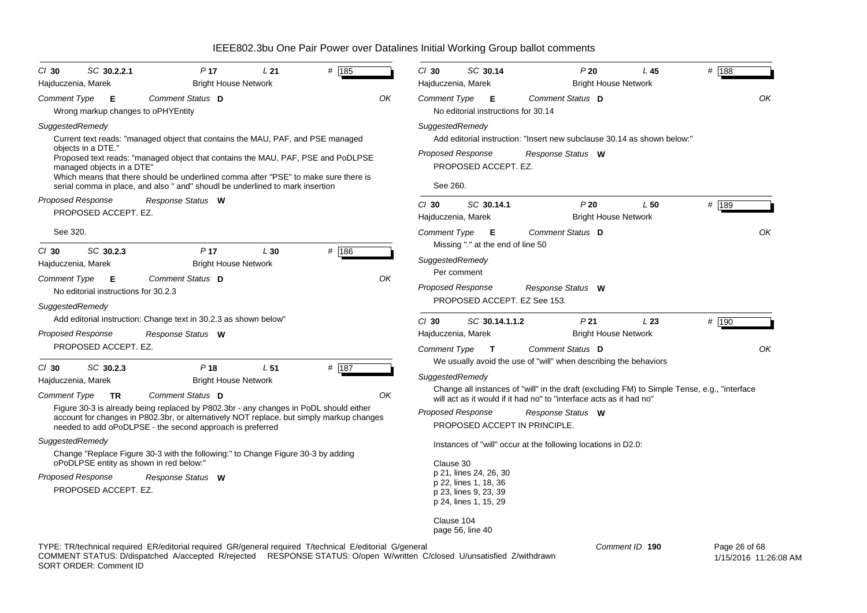| $CI$ 30<br>Hajduczenia, Marek                                                                       | SC 30.2.2.1                                                                               | P <sub>17</sub><br><b>Bright House Network</b>                                                                                                                                                                                                                                                                                    | L21             | # 185                                                                                                   | $Cl$ 30<br>Hajduczenia, Marek                                                                                                                                 | SC 30.14                                                          | P20                                                                                                                                                                                                                                                                                                                                                            | L45<br><b>Bright House Network</b> | # 188       |
|-----------------------------------------------------------------------------------------------------|-------------------------------------------------------------------------------------------|-----------------------------------------------------------------------------------------------------------------------------------------------------------------------------------------------------------------------------------------------------------------------------------------------------------------------------------|-----------------|---------------------------------------------------------------------------------------------------------|---------------------------------------------------------------------------------------------------------------------------------------------------------------|-------------------------------------------------------------------|----------------------------------------------------------------------------------------------------------------------------------------------------------------------------------------------------------------------------------------------------------------------------------------------------------------------------------------------------------------|------------------------------------|-------------|
| Comment Type                                                                                        | - E<br>Wrong markup changes to oPHYEntity                                                 | Comment Status D                                                                                                                                                                                                                                                                                                                  |                 | OK                                                                                                      | Comment Type                                                                                                                                                  | - E<br>No editorial instructions for 30.14                        | Comment Status D                                                                                                                                                                                                                                                                                                                                               |                                    | OK          |
| SuggestedRemedy<br>objects in a DTE."                                                               | managed objects in a DTE"                                                                 | Current text reads: "managed object that contains the MAU, PAF, and PSE managed<br>Which means that there should be underlined comma after "PSE" to make sure there is<br>serial comma in place, and also " and" shoudl be underlined to mark insertion                                                                           |                 | Proposed text reads: "managed object that contains the MAU, PAF, PSE and PoDLPSE                        | SuggestedRemedy<br>Proposed Response<br>See 260.                                                                                                              | PROPOSED ACCEPT. EZ.                                              | Add editorial instruction: "Insert new subclause 30.14 as shown below:"<br>Response Status W                                                                                                                                                                                                                                                                   |                                    |             |
| <b>Proposed Response</b>                                                                            | PROPOSED ACCEPT. EZ.                                                                      | Response Status W                                                                                                                                                                                                                                                                                                                 |                 |                                                                                                         | $Cl$ 30<br>Hajduczenia, Marek                                                                                                                                 | SC 30.14.1                                                        | P20                                                                                                                                                                                                                                                                                                                                                            | L50<br><b>Bright House Network</b> | # 189       |
| See 320.<br>$CI$ 30<br>Hajduczenia, Marek<br><b>Comment Type</b><br>SuggestedRemedy                 | SC 30.2.3<br>Е<br>No editorial instructions for 30.2.3                                    | P <sub>17</sub><br><b>Bright House Network</b><br>Comment Status D                                                                                                                                                                                                                                                                | L30             | # 186<br>OK                                                                                             | Comment Type E<br>SuggestedRemedy<br>Per comment<br>Proposed Response                                                                                         | Missing "." at the end of line 50<br>PROPOSED ACCEPT. EZ See 153. | Comment Status D<br>Response Status W                                                                                                                                                                                                                                                                                                                          |                                    | OK          |
| <b>Proposed Response</b>                                                                            | PROPOSED ACCEPT. EZ.                                                                      | Add editorial instruction: Change text in 30.2.3 as shown below"<br>Response Status W                                                                                                                                                                                                                                             |                 |                                                                                                         | $Cl$ 30<br>Hajduczenia, Marek<br>Comment Type T                                                                                                               | SC 30.14.1.1.2                                                    | P <sub>21</sub><br>Comment Status D                                                                                                                                                                                                                                                                                                                            | L23<br><b>Bright House Network</b> | # 190<br>OK |
| $Cl$ 30<br>Hajduczenia, Marek<br><b>Comment Type</b><br>SuggestedRemedy<br><b>Proposed Response</b> | SC 30.2.3<br><b>TR</b><br>oPoDLPSE entity as shown in red below:"<br>PROPOSED ACCEPT. EZ. | P <sub>18</sub><br><b>Bright House Network</b><br>Comment Status D<br>Figure 30-3 is already being replaced by P802.3br - any changes in PoDL should either<br>needed to add oPoDLPSE - the second approach is preferred<br>Change "Replace Figure 30-3 with the following:" to Change Figure 30-3 by adding<br>Response Status W | L <sub>51</sub> | # 187<br>OK<br>account for changes in P802.3br, or alternatively NOT replace, but simply markup changes | SuggestedRemedy<br><b>Proposed Response</b><br>Clause 30<br>p 21, lines 24, 26, 30<br>p 22, lines 1, 18, 36<br>p 23, lines 9, 23, 39<br>p 24, lines 1, 15, 29 |                                                                   | We usually avoid the use of "will" when describing the behaviors<br>Change all instances of "will" in the draft (excluding FM) to Simple Tense, e.g., "interface<br>will act as it would if it had no" to "interface acts as it had no"<br>Response Status W<br>PROPOSED ACCEPT IN PRINCIPLE.<br>Instances of "will" occur at the following locations in D2.0: |                                    |             |
|                                                                                                     |                                                                                           |                                                                                                                                                                                                                                                                                                                                   |                 |                                                                                                         | Clause 104<br>page 56, line 40                                                                                                                                |                                                                   |                                                                                                                                                                                                                                                                                                                                                                |                                    |             |

TYPE: TR/technical required ER/editorial required GR/general required T/technical E/editorial G/general

COMMENT STATUS: D/dispatched A/accepted R/rejected RESPONSE STATUS: O/open W/written C/closed U/unsatisfied Z/withdrawn SORT ORDER: Comment ID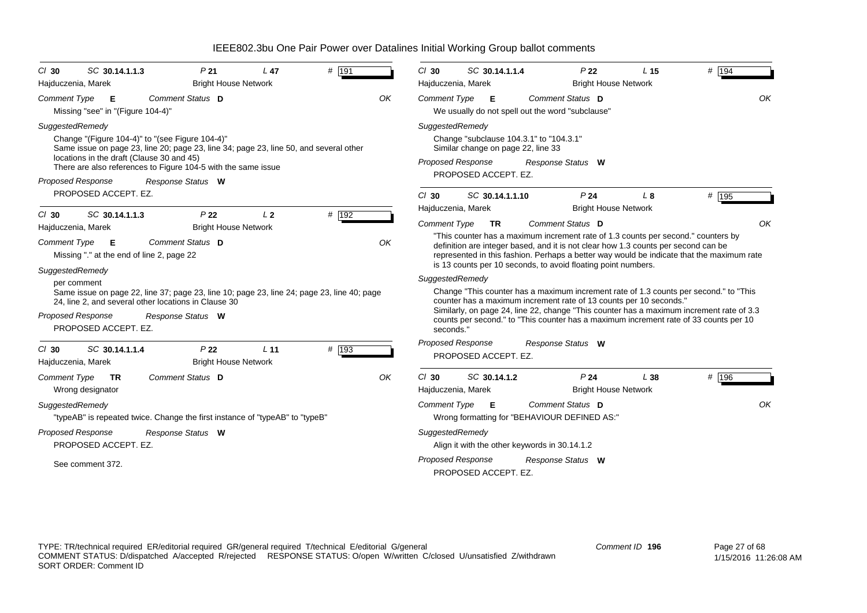| $CI$ 30<br>Hajduczenia, Marek                       | SC 30.14.1.1.3                                   | P <sub>21</sub><br><b>Bright House Network</b>                                                                                                                                                                                 | L <sub>47</sub> | # 191 |    | $Cl$ 30             | SC 30.14.1.1.4<br>Hajduczenia, Marek                                                                                                                 | P <sub>22</sub><br><b>Bright House Network</b>                                                                                                                                                                                                               | L <sub>15</sub> | # 194                                                                                                                                                                                                                                                                      |
|-----------------------------------------------------|--------------------------------------------------|--------------------------------------------------------------------------------------------------------------------------------------------------------------------------------------------------------------------------------|-----------------|-------|----|---------------------|------------------------------------------------------------------------------------------------------------------------------------------------------|--------------------------------------------------------------------------------------------------------------------------------------------------------------------------------------------------------------------------------------------------------------|-----------------|----------------------------------------------------------------------------------------------------------------------------------------------------------------------------------------------------------------------------------------------------------------------------|
| <b>Comment Type</b>                                 | Е<br>Missing "see" in "(Figure 104-4)"           | Comment Status D                                                                                                                                                                                                               |                 |       | OK | <b>Comment Type</b> | E<br>We usually do not spell out the word "subclause"                                                                                                | Comment Status D                                                                                                                                                                                                                                             |                 | OK                                                                                                                                                                                                                                                                         |
| SuggestedRemedy<br>Proposed Response                | locations in the draft (Clause 30 and 45)        | Change "(Figure 104-4)" to "(see Figure 104-4)"<br>Same issue on page 23, line 20; page 23, line 34; page 23, line 50, and several other<br>There are also references to Figure 104-5 with the same issue<br>Response Status W |                 |       |    |                     | SuggestedRemedy<br>Change "subclause 104.3.1" to "104.3.1"<br>Similar change on page 22, line 33<br><b>Proposed Response</b><br>PROPOSED ACCEPT. EZ. | Response Status W                                                                                                                                                                                                                                            |                 |                                                                                                                                                                                                                                                                            |
| $Cl$ 30                                             | PROPOSED ACCEPT. EZ.<br>SC 30.14.1.1.3           | P <sub>22</sub>                                                                                                                                                                                                                | L <sub>2</sub>  | # 192 |    | $Cl$ 30             | SC 30.14.1.1.10<br>Hajduczenia, Marek                                                                                                                | P <sub>24</sub><br><b>Bright House Network</b>                                                                                                                                                                                                               | L8              | # 195                                                                                                                                                                                                                                                                      |
| Hajduczenia, Marek<br>Comment Type                  | - E<br>Missing "." at the end of line 2, page 22 | <b>Bright House Network</b><br>Comment Status D                                                                                                                                                                                |                 |       | OK | <b>Comment Type</b> | <b>TR</b>                                                                                                                                            | Comment Status D<br>"This counter has a maximum increment rate of 1.3 counts per second." counters by<br>definition are integer based, and it is not clear how 1.3 counts per second can be<br>is 13 counts per 10 seconds, to avoid floating point numbers. |                 | OK<br>represented in this fashion. Perhaps a better way would be indicate that the maximum rate                                                                                                                                                                            |
| SuggestedRemedy<br>per comment<br>Proposed Response | PROPOSED ACCEPT. EZ.                             | Same issue on page 22, line 37; page 23, line 10; page 23, line 24; page 23, line 40; page<br>24, line 2, and several other locations in Clause 30<br>Response Status W                                                        |                 |       |    | seconds."           | SuggestedRemedy                                                                                                                                      | counter has a maximum increment rate of 13 counts per 10 seconds."                                                                                                                                                                                           |                 | Change "This counter has a maximum increment rate of 1.3 counts per second." to "This<br>Similarly, on page 24, line 22, change "This counter has a maximum increment rate of 3.3<br>counts per second." to "This counter has a maximum increment rate of 33 counts per 10 |
| $Cl$ 30<br>Hajduczenia, Marek                       | SC 30.14.1.1.4                                   | P <sub>22</sub><br><b>Bright House Network</b>                                                                                                                                                                                 | L <sub>11</sub> | # 193 |    |                     | Proposed Response<br>PROPOSED ACCEPT. EZ.                                                                                                            | Response Status W                                                                                                                                                                                                                                            |                 |                                                                                                                                                                                                                                                                            |
| <b>Comment Type</b>                                 | TR.<br>Wrong designator                          | Comment Status D                                                                                                                                                                                                               |                 |       | OK | $Cl$ 30             | SC 30.14.1.2<br>Hajduczenia, Marek                                                                                                                   | P <sub>24</sub><br><b>Bright House Network</b>                                                                                                                                                                                                               | L38             | # 196                                                                                                                                                                                                                                                                      |
| SuggestedRemedy                                     |                                                  | "typeAB" is repeated twice. Change the first instance of "typeAB" to "typeB"                                                                                                                                                   |                 |       |    |                     | Comment Type <b>E</b>                                                                                                                                | Comment Status D<br>Wrong formatting for "BEHAVIOUR DEFINED AS:"                                                                                                                                                                                             |                 | OK                                                                                                                                                                                                                                                                         |
| <b>Proposed Response</b>                            | PROPOSED ACCEPT. EZ.                             | Response Status W                                                                                                                                                                                                              |                 |       |    |                     | SuggestedRemedy<br>Align it with the other keywords in 30.14.1.2                                                                                     |                                                                                                                                                                                                                                                              |                 |                                                                                                                                                                                                                                                                            |
|                                                     | See comment 372.                                 |                                                                                                                                                                                                                                |                 |       |    |                     | <b>Proposed Response</b><br>PROPOSED ACCEPT. EZ.                                                                                                     | Response Status W                                                                                                                                                                                                                                            |                 |                                                                                                                                                                                                                                                                            |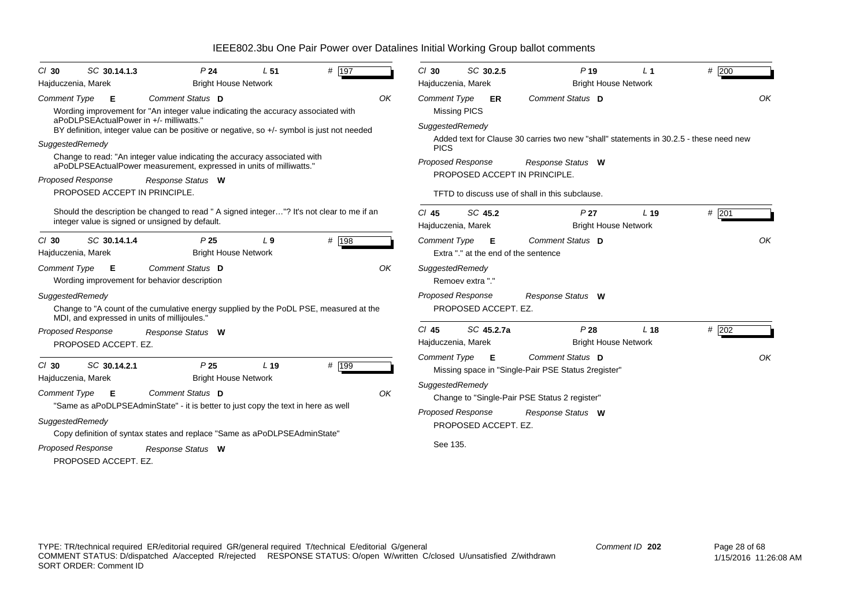| P <sub>24</sub>                                                                  | L <sub>51</sub>                                                                                                                                                                                                                                                                     | # $\overline{197}$                                                                        |                                                                                                                                                                                                                                                                                                                                                                                                         | $Cl$ 30                                                                                                                                                                                                                                                                          |                                                                               | $P$ 19                                                                                                                                                                                                                                                                                                     | $L_1$                                                                                                                                                                                                                                                                            | # 200                                                                                     |                                                                                        |
|----------------------------------------------------------------------------------|-------------------------------------------------------------------------------------------------------------------------------------------------------------------------------------------------------------------------------------------------------------------------------------|-------------------------------------------------------------------------------------------|---------------------------------------------------------------------------------------------------------------------------------------------------------------------------------------------------------------------------------------------------------------------------------------------------------------------------------------------------------------------------------------------------------|----------------------------------------------------------------------------------------------------------------------------------------------------------------------------------------------------------------------------------------------------------------------------------|-------------------------------------------------------------------------------|------------------------------------------------------------------------------------------------------------------------------------------------------------------------------------------------------------------------------------------------------------------------------------------------------------|----------------------------------------------------------------------------------------------------------------------------------------------------------------------------------------------------------------------------------------------------------------------------------|-------------------------------------------------------------------------------------------|----------------------------------------------------------------------------------------|
|                                                                                  |                                                                                                                                                                                                                                                                                     |                                                                                           |                                                                                                                                                                                                                                                                                                                                                                                                         |                                                                                                                                                                                                                                                                                  |                                                                               |                                                                                                                                                                                                                                                                                                            |                                                                                                                                                                                                                                                                                  |                                                                                           |                                                                                        |
| Comment Status D                                                                 |                                                                                                                                                                                                                                                                                     |                                                                                           | OK                                                                                                                                                                                                                                                                                                                                                                                                      |                                                                                                                                                                                                                                                                                  | <b>ER</b>                                                                     | Comment Status D                                                                                                                                                                                                                                                                                           |                                                                                                                                                                                                                                                                                  |                                                                                           | OK                                                                                     |
| Response Status W                                                                |                                                                                                                                                                                                                                                                                     |                                                                                           |                                                                                                                                                                                                                                                                                                                                                                                                         | <b>PICS</b>                                                                                                                                                                                                                                                                      |                                                                               | Response Status W                                                                                                                                                                                                                                                                                          |                                                                                                                                                                                                                                                                                  |                                                                                           |                                                                                        |
|                                                                                  |                                                                                                                                                                                                                                                                                     |                                                                                           |                                                                                                                                                                                                                                                                                                                                                                                                         | $Cl$ 45                                                                                                                                                                                                                                                                          |                                                                               | P <sub>27</sub>                                                                                                                                                                                                                                                                                            | L <sub>19</sub>                                                                                                                                                                                                                                                                  | # 201                                                                                     |                                                                                        |
| P <sub>25</sub>                                                                  | L <sub>9</sub>                                                                                                                                                                                                                                                                      | # 198                                                                                     |                                                                                                                                                                                                                                                                                                                                                                                                         |                                                                                                                                                                                                                                                                                  |                                                                               | Comment Status D                                                                                                                                                                                                                                                                                           |                                                                                                                                                                                                                                                                                  |                                                                                           | OK                                                                                     |
| Comment Status D                                                                 |                                                                                                                                                                                                                                                                                     |                                                                                           | OK                                                                                                                                                                                                                                                                                                                                                                                                      |                                                                                                                                                                                                                                                                                  |                                                                               |                                                                                                                                                                                                                                                                                                            |                                                                                                                                                                                                                                                                                  |                                                                                           |                                                                                        |
|                                                                                  |                                                                                                                                                                                                                                                                                     |                                                                                           |                                                                                                                                                                                                                                                                                                                                                                                                         |                                                                                                                                                                                                                                                                                  |                                                                               | Response Status W                                                                                                                                                                                                                                                                                          |                                                                                                                                                                                                                                                                                  |                                                                                           |                                                                                        |
| Response Status W                                                                |                                                                                                                                                                                                                                                                                     |                                                                                           |                                                                                                                                                                                                                                                                                                                                                                                                         | $Cl$ 45                                                                                                                                                                                                                                                                          |                                                                               | P28                                                                                                                                                                                                                                                                                                        | L <sub>18</sub>                                                                                                                                                                                                                                                                  | $#$ 202                                                                                   |                                                                                        |
| P <sub>25</sub><br>Comment Status D<br>Response Status W<br>PROPOSED ACCEPT. EZ. | L <sub>19</sub>                                                                                                                                                                                                                                                                     | # 199                                                                                     | OK                                                                                                                                                                                                                                                                                                                                                                                                      |                                                                                                                                                                                                                                                                                  |                                                                               | Comment Status D<br>Response Status W                                                                                                                                                                                                                                                                      |                                                                                                                                                                                                                                                                                  |                                                                                           | OK                                                                                     |
|                                                                                  | SC 30.14.1.3<br>aPoDLPSEActualPower in +/- milliwatts."<br>PROPOSED ACCEPT IN PRINCIPLE.<br>integer value is signed or unsigned by default.<br>SC 30.14.1.4<br>Wording improvement for behavior description<br>MDI, and expressed in units of millijoules."<br>PROPOSED ACCEPT. EZ. | <b>Bright House Network</b><br><b>Bright House Network</b><br><b>Bright House Network</b> | Wording improvement for "An integer value indicating the accuracy associated with<br>Change to read: "An integer value indicating the accuracy associated with<br>aPoDLPSEActualPower measurement, expressed in units of milliwatts."<br>"Same as aPoDLPSEAdminState" - it is better to just copy the text in here as well<br>Copy definition of syntax states and replace "Same as aPoDLPSEAdminState" | BY definition, integer value can be positive or negative, so +/- symbol is just not needed<br>Should the description be changed to read " A signed integer"? It's not clear to me if an<br>Change to "A count of the cumulative energy supplied by the PoDL PSE, measured at the | <b>Comment Type</b><br><b>Missing PICS</b><br><b>Comment Type</b><br>See 135. | SC 30.2.5<br>Hajduczenia, Marek<br>SuggestedRemedy<br><b>Proposed Response</b><br>SC 45.2<br>Hajduczenia, Marek<br><b>E</b><br>SuggestedRemedy<br>Remoev extra "."<br><b>Proposed Response</b><br>SC 45.2.7a<br>Hajduczenia, Marek<br>Comment Type <b>E</b><br>SuggestedRemedy<br><b>Proposed Response</b> | PROPOSED ACCEPT IN PRINCIPLE.<br>TFTD to discuss use of shall in this subclause.<br>Extra "." at the end of the sentence<br>PROPOSED ACCEPT. EZ.<br>Missing space in "Single-Pair PSE Status 2register"<br>Change to "Single-Pair PSE Status 2 register"<br>PROPOSED ACCEPT. EZ. | <b>Bright House Network</b><br><b>Bright House Network</b><br><b>Bright House Network</b> | Added text for Clause 30 carries two new "shall" statements in 30.2.5 - these need new |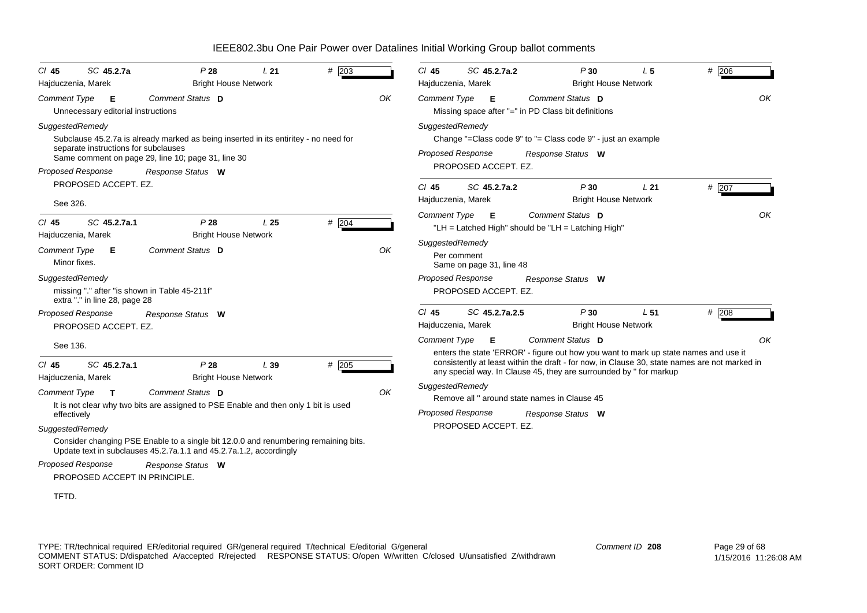| SC 45.2.7a<br>$CI$ 45<br>Hajduczenia, Marek                                                       | P28<br><b>Bright House Network</b>                                                                                                                              | L21             | $#$ 203 |    | $CI$ 45         | SC 45.2.7a.2<br>Hajduczenia, Marek               | P30                                                                                   | L <sub>5</sub><br><b>Bright House Network</b>  | # 206                                                                                                                                                                                 |
|---------------------------------------------------------------------------------------------------|-----------------------------------------------------------------------------------------------------------------------------------------------------------------|-----------------|---------|----|-----------------|--------------------------------------------------|---------------------------------------------------------------------------------------|------------------------------------------------|---------------------------------------------------------------------------------------------------------------------------------------------------------------------------------------|
| <b>Comment Type</b><br>Е<br>Unnecessary editorial instructions                                    | Comment Status D                                                                                                                                                |                 |         | OK |                 | Comment Type <b>E</b>                            | Comment Status D<br>Missing space after "=" in PD Class bit definitions               |                                                | OK                                                                                                                                                                                    |
| SuggestedRemedy<br>separate instructions for subclauses<br><b>Proposed Response</b>               | Subclause 45.2.7a is already marked as being inserted in its entiritey - no need for<br>Same comment on page 29, line 10; page 31, line 30<br>Response Status W |                 |         |    | SuggestedRemedy | <b>Proposed Response</b><br>PROPOSED ACCEPT. EZ. | Change "=Class code $9"$ to "= Class code $9"$ - just an example<br>Response Status W |                                                |                                                                                                                                                                                       |
| PROPOSED ACCEPT. EZ.                                                                              |                                                                                                                                                                 |                 |         |    | CI 45           | SC 45.2.7a.2                                     | P30                                                                                   | L21                                            | # 207                                                                                                                                                                                 |
| See 326.                                                                                          |                                                                                                                                                                 |                 |         |    |                 | Hajduczenia, Marek                               |                                                                                       | <b>Bright House Network</b>                    |                                                                                                                                                                                       |
| SC 45.2.7a.1<br>$CI$ 45                                                                           | P28                                                                                                                                                             | L <sub>25</sub> | # 204   |    |                 | Comment Type <b>E</b>                            | Comment Status D<br>"LH = Latched High" should be "LH = Latching High"                |                                                | OK                                                                                                                                                                                    |
| Hajduczenia, Marek<br><b>Comment Type</b><br>- E<br>Minor fixes.                                  | <b>Bright House Network</b><br>Comment Status D                                                                                                                 |                 |         | OK | SuggestedRemedy | Per comment<br>Same on page 31, line 48          |                                                                                       |                                                |                                                                                                                                                                                       |
| SuggestedRemedy<br>missing "." after "is shown in Table 45-211f"<br>extra "." in line 28, page 28 |                                                                                                                                                                 |                 |         |    |                 | <b>Proposed Response</b><br>PROPOSED ACCEPT. EZ. | Response Status W                                                                     |                                                |                                                                                                                                                                                       |
| <b>Proposed Response</b><br>PROPOSED ACCEPT. EZ.                                                  | Response Status W                                                                                                                                               |                 |         |    | $CI$ 45         | SC 45.2.7a.2.5<br>Hajduczenia, Marek             | P30                                                                                   | L <sub>51</sub><br><b>Bright House Network</b> | $#$ 208                                                                                                                                                                               |
| See 136.                                                                                          |                                                                                                                                                                 |                 |         |    |                 | Comment Type E                                   | Comment Status D                                                                      |                                                | OK                                                                                                                                                                                    |
| SC 45.2.7a.1<br>$Cl$ 45<br>Hajduczenia, Marek                                                     | P28<br><b>Bright House Network</b>                                                                                                                              | L39             | $#$ 205 |    |                 |                                                  | any special way. In Clause 45, they are surrounded by " for markup                    |                                                | enters the state 'ERROR' - figure out how you want to mark up state names and use it<br>consistently at least within the draft - for now, in Clause 30, state names are not marked in |
| <b>Comment Type</b><br>$\mathbf{T}$                                                               | Comment Status D                                                                                                                                                |                 |         | OK | SuggestedRemedy |                                                  | Remove all " around state names in Clause 45                                          |                                                |                                                                                                                                                                                       |
| effectively                                                                                       | It is not clear why two bits are assigned to PSE Enable and then only 1 bit is used                                                                             |                 |         |    |                 | <b>Proposed Response</b>                         | Response Status W                                                                     |                                                |                                                                                                                                                                                       |
| SuggestedRemedy                                                                                   |                                                                                                                                                                 |                 |         |    |                 | PROPOSED ACCEPT. EZ.                             |                                                                                       |                                                |                                                                                                                                                                                       |
|                                                                                                   | Consider changing PSE Enable to a single bit 12.0.0 and renumbering remaining bits.<br>Update text in subclauses 45.2.7a.1.1 and 45.2.7a.1.2, accordingly       |                 |         |    |                 |                                                  |                                                                                       |                                                |                                                                                                                                                                                       |
| <b>Proposed Response</b><br>PROPOSED ACCEPT IN PRINCIPLE.                                         | Response Status W                                                                                                                                               |                 |         |    |                 |                                                  |                                                                                       |                                                |                                                                                                                                                                                       |
| TFTD.                                                                                             |                                                                                                                                                                 |                 |         |    |                 |                                                  |                                                                                       |                                                |                                                                                                                                                                                       |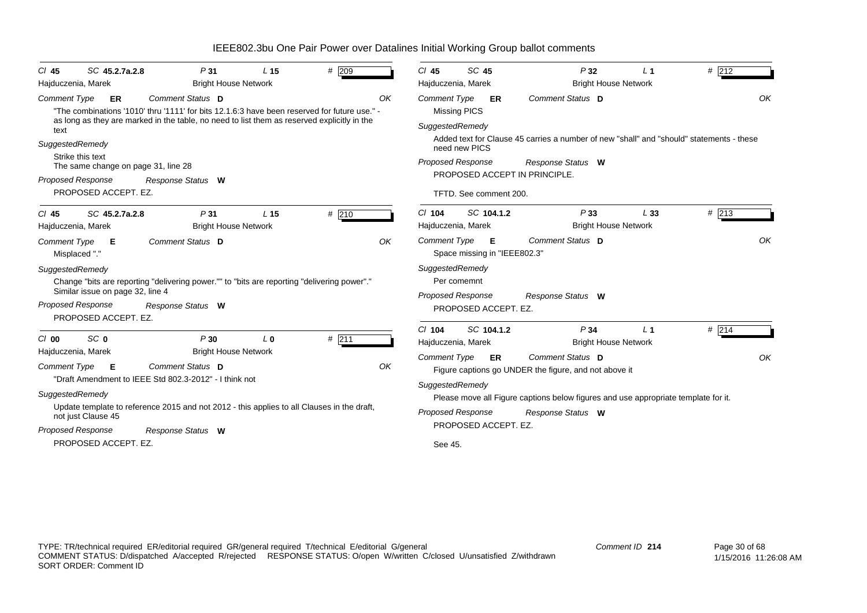| # 209<br>SC 45<br>SC 45.2.7a.2.8<br>P <sub>31</sub><br>$CI$ 45<br>P32<br># 212<br>$CI$ 45<br>L <sub>15</sub><br>L <sub>1</sub><br><b>Bright House Network</b><br><b>Bright House Network</b><br>Hajduczenia, Marek<br>Hajduczenia, Marek<br>Comment Status D<br>OK<br><b>Comment Status D</b><br><b>Comment Type</b><br><b>Comment Type</b><br>ER<br>ER<br>"The combinations '1010' thru '1111' for bits 12.1.6:3 have been reserved for future use." -<br><b>Missing PICS</b><br>as long as they are marked in the table, no need to list them as reserved explicitly in the<br>SuggestedRemedy<br>text<br>Added text for Clause 45 carries a number of new "shall" and "should" statements - these<br>SuggestedRemedy<br>need new PICS<br>Strike this text<br><b>Proposed Response</b><br>Response Status W<br>The same change on page 31, line 28<br>PROPOSED ACCEPT IN PRINCIPLE.<br>Proposed Response<br>Response Status W<br>PROPOSED ACCEPT. EZ.<br>TFTD. See comment 200.<br>#213<br>$Cl$ 104<br>SC 104.1.2<br>P33<br>L33<br># 210<br>SC 45.2.7a.2.8<br>P <sub>31</sub><br>$CI$ 45<br>L <sub>15</sub><br>Hajduczenia, Marek<br><b>Bright House Network</b><br><b>Bright House Network</b><br>Hajduczenia, Marek<br>OK<br>Comment Type <b>E</b><br>Comment Status D<br>Comment Status D<br>OK<br><b>Comment Type</b><br>Е<br>Space missing in "IEEE802.3"<br>Misplaced "."<br>SuggestedRemedy<br>SuggestedRemedy<br>Per comemnt<br>Change "bits are reporting "delivering power."" to "bits are reporting "delivering power"."<br>Similar issue on page 32, line 4<br>Proposed Response<br>Response Status W<br><b>Proposed Response</b><br>Response Status W<br>PROPOSED ACCEPT. EZ.<br>PROPOSED ACCEPT. EZ.<br>$Cl$ 104<br>SC 104.1.2<br>P34<br># 214<br>L <sub>1</sub><br>$#$ 211<br>SC <sub>0</sub><br>P30<br>$Cl$ 00<br>$L_0$<br>Hajduczenia, Marek<br><b>Bright House Network</b><br><b>Bright House Network</b><br>Hajduczenia, Marek<br><b>Comment Type</b><br>Comment Status D<br>ER<br>OK<br><b>Comment Type</b><br>Comment Status D<br>Е<br>Figure captions go UNDER the figure, and not above it<br>"Draft Amendment to IEEE Std 802.3-2012" - I think not<br>SuggestedRemedy<br>SuggestedRemedy<br>Please move all Figure captions below figures and use appropriate template for it.<br>Update template to reference 2015 and not 2012 - this applies to all Clauses in the draft,<br><b>Proposed Response</b><br>Response Status W<br>not just Clause 45<br>PROPOSED ACCEPT. EZ.<br>Proposed Response<br>Response Status W<br>PROPOSED ACCEPT. EZ. |  |  |  |         |  |  |    |
|--------------------------------------------------------------------------------------------------------------------------------------------------------------------------------------------------------------------------------------------------------------------------------------------------------------------------------------------------------------------------------------------------------------------------------------------------------------------------------------------------------------------------------------------------------------------------------------------------------------------------------------------------------------------------------------------------------------------------------------------------------------------------------------------------------------------------------------------------------------------------------------------------------------------------------------------------------------------------------------------------------------------------------------------------------------------------------------------------------------------------------------------------------------------------------------------------------------------------------------------------------------------------------------------------------------------------------------------------------------------------------------------------------------------------------------------------------------------------------------------------------------------------------------------------------------------------------------------------------------------------------------------------------------------------------------------------------------------------------------------------------------------------------------------------------------------------------------------------------------------------------------------------------------------------------------------------------------------------------------------------------------------------------------------------------------------------------------------------------------------------------------------------------------------------------------------------------------------------------------------------------------------------------------------------------------------------------------------------------------------------------------------------------------------------------------------------------------------------------------------------------------------------------------------------------------------------|--|--|--|---------|--|--|----|
|                                                                                                                                                                                                                                                                                                                                                                                                                                                                                                                                                                                                                                                                                                                                                                                                                                                                                                                                                                                                                                                                                                                                                                                                                                                                                                                                                                                                                                                                                                                                                                                                                                                                                                                                                                                                                                                                                                                                                                                                                                                                                                                                                                                                                                                                                                                                                                                                                                                                                                                                                                          |  |  |  |         |  |  |    |
|                                                                                                                                                                                                                                                                                                                                                                                                                                                                                                                                                                                                                                                                                                                                                                                                                                                                                                                                                                                                                                                                                                                                                                                                                                                                                                                                                                                                                                                                                                                                                                                                                                                                                                                                                                                                                                                                                                                                                                                                                                                                                                                                                                                                                                                                                                                                                                                                                                                                                                                                                                          |  |  |  |         |  |  |    |
|                                                                                                                                                                                                                                                                                                                                                                                                                                                                                                                                                                                                                                                                                                                                                                                                                                                                                                                                                                                                                                                                                                                                                                                                                                                                                                                                                                                                                                                                                                                                                                                                                                                                                                                                                                                                                                                                                                                                                                                                                                                                                                                                                                                                                                                                                                                                                                                                                                                                                                                                                                          |  |  |  |         |  |  | OK |
|                                                                                                                                                                                                                                                                                                                                                                                                                                                                                                                                                                                                                                                                                                                                                                                                                                                                                                                                                                                                                                                                                                                                                                                                                                                                                                                                                                                                                                                                                                                                                                                                                                                                                                                                                                                                                                                                                                                                                                                                                                                                                                                                                                                                                                                                                                                                                                                                                                                                                                                                                                          |  |  |  |         |  |  |    |
|                                                                                                                                                                                                                                                                                                                                                                                                                                                                                                                                                                                                                                                                                                                                                                                                                                                                                                                                                                                                                                                                                                                                                                                                                                                                                                                                                                                                                                                                                                                                                                                                                                                                                                                                                                                                                                                                                                                                                                                                                                                                                                                                                                                                                                                                                                                                                                                                                                                                                                                                                                          |  |  |  |         |  |  |    |
|                                                                                                                                                                                                                                                                                                                                                                                                                                                                                                                                                                                                                                                                                                                                                                                                                                                                                                                                                                                                                                                                                                                                                                                                                                                                                                                                                                                                                                                                                                                                                                                                                                                                                                                                                                                                                                                                                                                                                                                                                                                                                                                                                                                                                                                                                                                                                                                                                                                                                                                                                                          |  |  |  |         |  |  |    |
|                                                                                                                                                                                                                                                                                                                                                                                                                                                                                                                                                                                                                                                                                                                                                                                                                                                                                                                                                                                                                                                                                                                                                                                                                                                                                                                                                                                                                                                                                                                                                                                                                                                                                                                                                                                                                                                                                                                                                                                                                                                                                                                                                                                                                                                                                                                                                                                                                                                                                                                                                                          |  |  |  |         |  |  |    |
|                                                                                                                                                                                                                                                                                                                                                                                                                                                                                                                                                                                                                                                                                                                                                                                                                                                                                                                                                                                                                                                                                                                                                                                                                                                                                                                                                                                                                                                                                                                                                                                                                                                                                                                                                                                                                                                                                                                                                                                                                                                                                                                                                                                                                                                                                                                                                                                                                                                                                                                                                                          |  |  |  |         |  |  |    |
|                                                                                                                                                                                                                                                                                                                                                                                                                                                                                                                                                                                                                                                                                                                                                                                                                                                                                                                                                                                                                                                                                                                                                                                                                                                                                                                                                                                                                                                                                                                                                                                                                                                                                                                                                                                                                                                                                                                                                                                                                                                                                                                                                                                                                                                                                                                                                                                                                                                                                                                                                                          |  |  |  |         |  |  |    |
|                                                                                                                                                                                                                                                                                                                                                                                                                                                                                                                                                                                                                                                                                                                                                                                                                                                                                                                                                                                                                                                                                                                                                                                                                                                                                                                                                                                                                                                                                                                                                                                                                                                                                                                                                                                                                                                                                                                                                                                                                                                                                                                                                                                                                                                                                                                                                                                                                                                                                                                                                                          |  |  |  |         |  |  |    |
|                                                                                                                                                                                                                                                                                                                                                                                                                                                                                                                                                                                                                                                                                                                                                                                                                                                                                                                                                                                                                                                                                                                                                                                                                                                                                                                                                                                                                                                                                                                                                                                                                                                                                                                                                                                                                                                                                                                                                                                                                                                                                                                                                                                                                                                                                                                                                                                                                                                                                                                                                                          |  |  |  |         |  |  |    |
|                                                                                                                                                                                                                                                                                                                                                                                                                                                                                                                                                                                                                                                                                                                                                                                                                                                                                                                                                                                                                                                                                                                                                                                                                                                                                                                                                                                                                                                                                                                                                                                                                                                                                                                                                                                                                                                                                                                                                                                                                                                                                                                                                                                                                                                                                                                                                                                                                                                                                                                                                                          |  |  |  |         |  |  |    |
|                                                                                                                                                                                                                                                                                                                                                                                                                                                                                                                                                                                                                                                                                                                                                                                                                                                                                                                                                                                                                                                                                                                                                                                                                                                                                                                                                                                                                                                                                                                                                                                                                                                                                                                                                                                                                                                                                                                                                                                                                                                                                                                                                                                                                                                                                                                                                                                                                                                                                                                                                                          |  |  |  |         |  |  |    |
|                                                                                                                                                                                                                                                                                                                                                                                                                                                                                                                                                                                                                                                                                                                                                                                                                                                                                                                                                                                                                                                                                                                                                                                                                                                                                                                                                                                                                                                                                                                                                                                                                                                                                                                                                                                                                                                                                                                                                                                                                                                                                                                                                                                                                                                                                                                                                                                                                                                                                                                                                                          |  |  |  |         |  |  |    |
|                                                                                                                                                                                                                                                                                                                                                                                                                                                                                                                                                                                                                                                                                                                                                                                                                                                                                                                                                                                                                                                                                                                                                                                                                                                                                                                                                                                                                                                                                                                                                                                                                                                                                                                                                                                                                                                                                                                                                                                                                                                                                                                                                                                                                                                                                                                                                                                                                                                                                                                                                                          |  |  |  |         |  |  |    |
|                                                                                                                                                                                                                                                                                                                                                                                                                                                                                                                                                                                                                                                                                                                                                                                                                                                                                                                                                                                                                                                                                                                                                                                                                                                                                                                                                                                                                                                                                                                                                                                                                                                                                                                                                                                                                                                                                                                                                                                                                                                                                                                                                                                                                                                                                                                                                                                                                                                                                                                                                                          |  |  |  |         |  |  |    |
|                                                                                                                                                                                                                                                                                                                                                                                                                                                                                                                                                                                                                                                                                                                                                                                                                                                                                                                                                                                                                                                                                                                                                                                                                                                                                                                                                                                                                                                                                                                                                                                                                                                                                                                                                                                                                                                                                                                                                                                                                                                                                                                                                                                                                                                                                                                                                                                                                                                                                                                                                                          |  |  |  |         |  |  |    |
|                                                                                                                                                                                                                                                                                                                                                                                                                                                                                                                                                                                                                                                                                                                                                                                                                                                                                                                                                                                                                                                                                                                                                                                                                                                                                                                                                                                                                                                                                                                                                                                                                                                                                                                                                                                                                                                                                                                                                                                                                                                                                                                                                                                                                                                                                                                                                                                                                                                                                                                                                                          |  |  |  |         |  |  | OK |
|                                                                                                                                                                                                                                                                                                                                                                                                                                                                                                                                                                                                                                                                                                                                                                                                                                                                                                                                                                                                                                                                                                                                                                                                                                                                                                                                                                                                                                                                                                                                                                                                                                                                                                                                                                                                                                                                                                                                                                                                                                                                                                                                                                                                                                                                                                                                                                                                                                                                                                                                                                          |  |  |  |         |  |  |    |
|                                                                                                                                                                                                                                                                                                                                                                                                                                                                                                                                                                                                                                                                                                                                                                                                                                                                                                                                                                                                                                                                                                                                                                                                                                                                                                                                                                                                                                                                                                                                                                                                                                                                                                                                                                                                                                                                                                                                                                                                                                                                                                                                                                                                                                                                                                                                                                                                                                                                                                                                                                          |  |  |  |         |  |  |    |
|                                                                                                                                                                                                                                                                                                                                                                                                                                                                                                                                                                                                                                                                                                                                                                                                                                                                                                                                                                                                                                                                                                                                                                                                                                                                                                                                                                                                                                                                                                                                                                                                                                                                                                                                                                                                                                                                                                                                                                                                                                                                                                                                                                                                                                                                                                                                                                                                                                                                                                                                                                          |  |  |  |         |  |  |    |
|                                                                                                                                                                                                                                                                                                                                                                                                                                                                                                                                                                                                                                                                                                                                                                                                                                                                                                                                                                                                                                                                                                                                                                                                                                                                                                                                                                                                                                                                                                                                                                                                                                                                                                                                                                                                                                                                                                                                                                                                                                                                                                                                                                                                                                                                                                                                                                                                                                                                                                                                                                          |  |  |  |         |  |  |    |
|                                                                                                                                                                                                                                                                                                                                                                                                                                                                                                                                                                                                                                                                                                                                                                                                                                                                                                                                                                                                                                                                                                                                                                                                                                                                                                                                                                                                                                                                                                                                                                                                                                                                                                                                                                                                                                                                                                                                                                                                                                                                                                                                                                                                                                                                                                                                                                                                                                                                                                                                                                          |  |  |  |         |  |  |    |
|                                                                                                                                                                                                                                                                                                                                                                                                                                                                                                                                                                                                                                                                                                                                                                                                                                                                                                                                                                                                                                                                                                                                                                                                                                                                                                                                                                                                                                                                                                                                                                                                                                                                                                                                                                                                                                                                                                                                                                                                                                                                                                                                                                                                                                                                                                                                                                                                                                                                                                                                                                          |  |  |  | See 45. |  |  |    |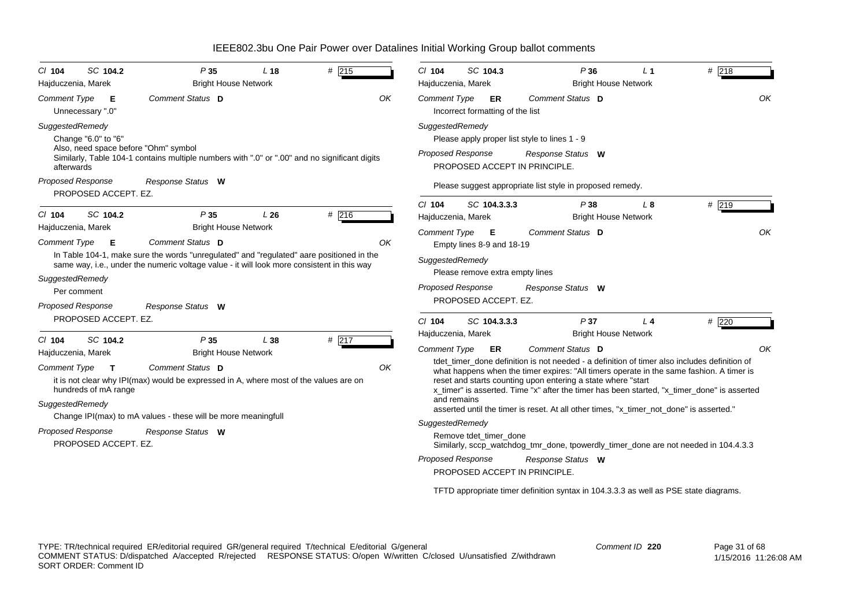| $Cl$ 104                                                                                             | SC 104.2                                                                 | P35                                                                                                                                                                                                                                   | L <sub>18</sub> | # 215       | $Cl$ 104                                                                                                | SC 104.3                                          |                                                                                       | P36                                                                                                                                                                                                                              | L <sub>1</sub> | $#$ 218                                                                                                                                                                                                                                                                                                                                                                              |
|------------------------------------------------------------------------------------------------------|--------------------------------------------------------------------------|---------------------------------------------------------------------------------------------------------------------------------------------------------------------------------------------------------------------------------------|-----------------|-------------|---------------------------------------------------------------------------------------------------------|---------------------------------------------------|---------------------------------------------------------------------------------------|----------------------------------------------------------------------------------------------------------------------------------------------------------------------------------------------------------------------------------|----------------|--------------------------------------------------------------------------------------------------------------------------------------------------------------------------------------------------------------------------------------------------------------------------------------------------------------------------------------------------------------------------------------|
| Hajduczenia, Marek<br><b>Comment Type</b>                                                            | E<br>Unnecessary ".0"                                                    | <b>Bright House Network</b><br>Comment Status D                                                                                                                                                                                       |                 | OK          | Hajduczenia, Marek<br>Comment Type                                                                      | ER<br>Incorrect formatting of the list            |                                                                                       | <b>Bright House Network</b><br>Comment Status D                                                                                                                                                                                  |                | OK                                                                                                                                                                                                                                                                                                                                                                                   |
| SuggestedRemedy<br>afterwards<br><b>Proposed Response</b>                                            | Change "6.0" to "6"<br>PROPOSED ACCEPT. EZ.                              | Also, need space before "Ohm" symbol<br>Similarly, Table 104-1 contains multiple numbers with ".0" or ".00" and no significant digits<br>Response Status W                                                                            |                 |             | SuggestedRemedy<br><b>Proposed Response</b>                                                             |                                                   | Please apply proper list style to lines 1 - 9<br><b>PROPOSED ACCEPT IN PRINCIPLE.</b> | Response Status W<br>Please suggest appropriate list style in proposed remedy.                                                                                                                                                   |                |                                                                                                                                                                                                                                                                                                                                                                                      |
| $Cl$ 104<br>Hajduczenia, Marek                                                                       | SC 104.2                                                                 | P35<br><b>Bright House Network</b>                                                                                                                                                                                                    | L26             | # 216       | $Cl$ 104<br>Hajduczenia, Marek                                                                          | SC 104.3.3.3                                      |                                                                                       | P38<br><b>Bright House Network</b>                                                                                                                                                                                               | L8             | #219                                                                                                                                                                                                                                                                                                                                                                                 |
| <b>Comment Type</b><br>SuggestedRemedy<br><b>Proposed Response</b>                                   | E<br>Per comment                                                         | Comment Status D<br>In Table 104-1, make sure the words "unregulated" and "regulated" aare positioned in the<br>same way, i.e., under the numeric voltage value - it will look more consistent in this way<br>Response Status W       |                 | OK          | Comment Type <b>E</b><br>SuggestedRemedy<br><b>Proposed Response</b>                                    | Empty lines 8-9 and 18-19<br>PROPOSED ACCEPT. EZ. | Please remove extra empty lines                                                       | Comment Status D<br>Response Status W                                                                                                                                                                                            |                | OK                                                                                                                                                                                                                                                                                                                                                                                   |
|                                                                                                      | PROPOSED ACCEPT. EZ.                                                     |                                                                                                                                                                                                                                       |                 |             | $Cl$ 104                                                                                                | SC 104.3.3.3                                      |                                                                                       | P37                                                                                                                                                                                                                              | L <sub>4</sub> | # $220$                                                                                                                                                                                                                                                                                                                                                                              |
| $Cl$ 104<br>Hajduczenia, Marek<br><b>Comment Type</b><br>SuggestedRemedy<br><b>Proposed Response</b> | SC 104.2<br>$\mathbf{T}$<br>hundreds of mA range<br>PROPOSED ACCEPT. EZ. | P35<br><b>Bright House Network</b><br>Comment Status D<br>it is not clear why IPI(max) would be expressed in A, where most of the values are on<br>Change IPI(max) to mA values - these will be more meaningfull<br>Response Status W | L38             | # 217<br>OK | Hajduczenia, Marek<br><b>Comment Type</b><br>and remains<br>SuggestedRemedy<br><b>Proposed Response</b> | ER<br>Remove tdet timer done                      | PROPOSED ACCEPT IN PRINCIPLE.                                                         | <b>Bright House Network</b><br>Comment Status D<br>reset and starts counting upon entering a state where "start"<br>asserted until the timer is reset. At all other times, "x_timer_not_done" is asserted."<br>Response Status W |                | OK<br>tdet timer done definition is not needed - a definition of timer also includes definition of<br>what happens when the timer expires: "All timers operate in the same fashion. A timer is<br>x timer" is asserted. Time "x" after the timer has been started, "x timer done" is asserted<br>Similarly, sccp_watchdog_tmr_done, tpowerdly_timer_done are not needed in 104.4.3.3 |
|                                                                                                      |                                                                          |                                                                                                                                                                                                                                       |                 |             |                                                                                                         |                                                   |                                                                                       |                                                                                                                                                                                                                                  |                | TFTD appropriate timer definition syntax in 104.3.3.3 as well as PSE state diagrams.                                                                                                                                                                                                                                                                                                 |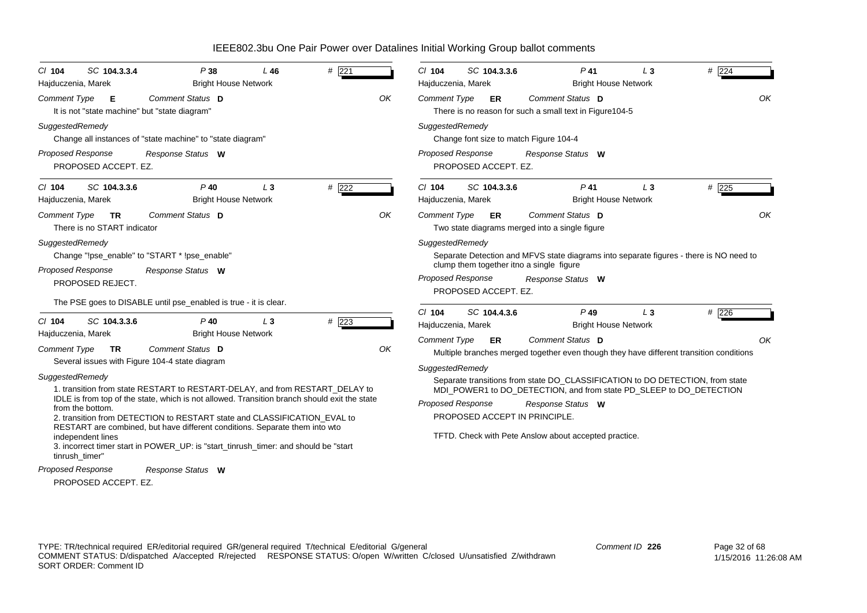| $CI$ 104<br>Hajduczenia, Marek                                             | SC 104.3.3.4                                       | P38<br><b>Bright House Network</b>                                                                                                                                                                                                                                                                                                                                                                                                                                               | L 46  | # $221$ |    | $Cl$ 104<br>Hajduczenia, Marek         | SC 104.3.3.6         | $P$ 41                                                                                                      | LЗ<br><b>Bright House Network</b>             | # 224                                                                                                                                                |    |
|----------------------------------------------------------------------------|----------------------------------------------------|----------------------------------------------------------------------------------------------------------------------------------------------------------------------------------------------------------------------------------------------------------------------------------------------------------------------------------------------------------------------------------------------------------------------------------------------------------------------------------|-------|---------|----|----------------------------------------|----------------------|-------------------------------------------------------------------------------------------------------------|-----------------------------------------------|------------------------------------------------------------------------------------------------------------------------------------------------------|----|
| <b>Comment Type</b>                                                        | Е<br>It is not "state machine" but "state diagram" | Comment Status D                                                                                                                                                                                                                                                                                                                                                                                                                                                                 |       |         | OK | <b>Comment Type</b>                    | ER                   | Comment Status D<br>There is no reason for such a small text in Figure 104-5                                |                                               |                                                                                                                                                      | OK |
| SuggestedRemedy                                                            |                                                    | Change all instances of "state machine" to "state diagram"                                                                                                                                                                                                                                                                                                                                                                                                                       |       |         |    | SuggestedRemedy                        |                      | Change font size to match Figure 104-4                                                                      |                                               |                                                                                                                                                      |    |
| Proposed Response<br>PROPOSED ACCEPT. EZ.                                  |                                                    | Response Status W                                                                                                                                                                                                                                                                                                                                                                                                                                                                |       |         |    | <b>Proposed Response</b>               | PROPOSED ACCEPT. EZ. | Response Status W                                                                                           |                                               |                                                                                                                                                      |    |
| $CI$ 104<br>Hajduczenia, Marek                                             | SC 104.3.3.6                                       | $P$ 40<br><b>Bright House Network</b>                                                                                                                                                                                                                                                                                                                                                                                                                                            | $L_3$ | $#$ 222 |    | C/ 104<br>Hajduczenia, Marek           | SC 104.3.3.6         | $P$ 41                                                                                                      | L <sub>3</sub><br><b>Bright House Network</b> | $#$ 225                                                                                                                                              |    |
| <b>Comment Type</b><br>SuggestedRemedy                                     | <b>TR</b><br>There is no START indicator           | Comment Status D                                                                                                                                                                                                                                                                                                                                                                                                                                                                 |       |         | OK | <b>Comment Type</b><br>SuggestedRemedy | ER                   | Comment Status D<br>Two state diagrams merged into a single figure                                          |                                               |                                                                                                                                                      | OK |
| Proposed Response<br>PROPOSED REJECT.                                      |                                                    | Change "!pse_enable" to "START * !pse_enable"<br>Response Status W                                                                                                                                                                                                                                                                                                                                                                                                               |       |         |    | <b>Proposed Response</b>               | PROPOSED ACCEPT. EZ. | clump them together itno a single figure<br>Response Status W                                               |                                               | Separate Detection and MFVS state diagrams into separate figures - there is NO need to                                                               |    |
|                                                                            |                                                    | The PSE goes to DISABLE until pse_enabled is true - it is clear.                                                                                                                                                                                                                                                                                                                                                                                                                 |       |         |    | $Cl$ 104                               | SC 104.4.3.6         | $P$ 49                                                                                                      | $L_3$                                         | # 226                                                                                                                                                |    |
| $Cl$ 104                                                                   | SC 104.3.3.6                                       | $P$ 40                                                                                                                                                                                                                                                                                                                                                                                                                                                                           | $L_3$ | # 223   |    | Hajduczenia, Marek                     |                      |                                                                                                             | <b>Bright House Network</b>                   |                                                                                                                                                      |    |
| Hajduczenia, Marek<br><b>Comment Type</b>                                  | <b>TR</b>                                          | <b>Bright House Network</b><br>Comment Status D                                                                                                                                                                                                                                                                                                                                                                                                                                  |       |         | OK | <b>Comment Type</b>                    | ER                   | Comment Status D                                                                                            |                                               | Multiple branches merged together even though they have different transition conditions                                                              | OK |
| SuggestedRemedy<br>from the bottom.<br>independent lines<br>tinrush_timer" |                                                    | Several issues with Figure 104-4 state diagram<br>1. transition from state RESTART to RESTART-DELAY, and from RESTART_DELAY to<br>IDLE is from top of the state, which is not allowed. Transition branch should exit the state<br>2. transition from DETECTION to RESTART state and CLASSIFICATION_EVAL to<br>RESTART are combined, but have different conditions. Separate them into wto<br>3. incorrect timer start in POWER_UP: is "start_tinrush_timer: and should be "start |       |         |    | SuggestedRemedy<br>Proposed Response   |                      | Response Status W<br>PROPOSED ACCEPT IN PRINCIPLE.<br>TFTD. Check with Pete Anslow about accepted practice. |                                               | Separate transitions from state DO_CLASSIFICATION to DO DETECTION, from state<br>MDI_POWER1 to DO_DETECTION, and from state PD_SLEEP to DO_DETECTION |    |
| Proposed Response                                                          |                                                    | Response Status W                                                                                                                                                                                                                                                                                                                                                                                                                                                                |       |         |    |                                        |                      |                                                                                                             |                                               |                                                                                                                                                      |    |
| PROPOSED ACCEPT. EZ.                                                       |                                                    |                                                                                                                                                                                                                                                                                                                                                                                                                                                                                  |       |         |    |                                        |                      |                                                                                                             |                                               |                                                                                                                                                      |    |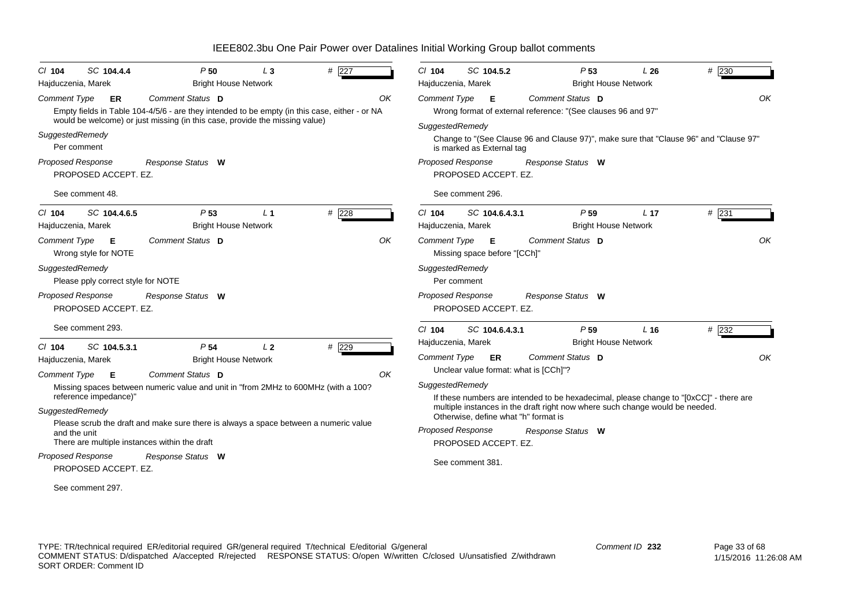| SC 104.4.4<br>$CI$ 104                           | P50<br>$L_3$                                                                                                                                                                 | # $227$ | $CI$ 104<br>SC 104.5.2<br>P <sub>53</sub><br>L26<br># 230                                                          |
|--------------------------------------------------|------------------------------------------------------------------------------------------------------------------------------------------------------------------------------|---------|--------------------------------------------------------------------------------------------------------------------|
| Hajduczenia, Marek                               | <b>Bright House Network</b>                                                                                                                                                  |         | <b>Bright House Network</b><br>Hajduczenia, Marek                                                                  |
| <b>Comment Type</b><br>ER                        | Comment Status D                                                                                                                                                             | OK      | Comment Status D<br>OK<br><b>Comment Type</b><br>Е                                                                 |
|                                                  | Empty fields in Table 104-4/5/6 - are they intended to be empty (in this case, either - or NA<br>would be welcome) or just missing (in this case, provide the missing value) |         | Wrong format of external reference: "(See clauses 96 and 97"                                                       |
| SuggestedRemedy                                  |                                                                                                                                                                              |         | SuggestedRemedy                                                                                                    |
| Per comment                                      |                                                                                                                                                                              |         | Change to "(See Clause 96 and Clause 97)", make sure that "Clause 96" and "Clause 97"<br>is marked as External tag |
| <b>Proposed Response</b>                         |                                                                                                                                                                              |         | Proposed Response                                                                                                  |
| PROPOSED ACCEPT. EZ.                             | Response Status W                                                                                                                                                            |         | Response Status W<br>PROPOSED ACCEPT. EZ.                                                                          |
| See comment 48.                                  |                                                                                                                                                                              |         | See comment 296.                                                                                                   |
| $Cl$ 104<br>SC 104.4.6.5                         | P <sub>53</sub><br>L <sub>1</sub>                                                                                                                                            | $#$ 228 | P <sub>59</sub><br>$#$ 231<br>$Cl$ 104<br>SC 104.6.4.3.1<br>L <sub>17</sub>                                        |
| Hajduczenia, Marek                               | <b>Bright House Network</b>                                                                                                                                                  |         | <b>Bright House Network</b><br>Hajduczenia, Marek                                                                  |
| <b>Comment Type</b><br>E<br>Wrong style for NOTE | Comment Status D                                                                                                                                                             | OK      | OK<br><b>Comment Type</b><br>Comment Status D<br>Е<br>Missing space before "[CCh]"                                 |
| SuggestedRemedy                                  |                                                                                                                                                                              |         | SuggestedRemedy                                                                                                    |
| Please pply correct style for NOTE               |                                                                                                                                                                              |         | Per comment                                                                                                        |
| <b>Proposed Response</b>                         | Response Status W                                                                                                                                                            |         | <b>Proposed Response</b><br>Response Status W                                                                      |
| PROPOSED ACCEPT. EZ.                             |                                                                                                                                                                              |         | PROPOSED ACCEPT. EZ.                                                                                               |
| See comment 293.                                 |                                                                                                                                                                              |         | $Cl$ 104<br>SC 104.6.4.3.1<br>P <sub>59</sub><br>L <sub>16</sub><br># 232                                          |
| SC 104.5.3.1<br>$CI$ 104                         | L <sub>2</sub><br>P <sub>54</sub>                                                                                                                                            | $#$ 229 | Hajduczenia, Marek<br><b>Bright House Network</b>                                                                  |
| Hajduczenia, Marek                               | <b>Bright House Network</b>                                                                                                                                                  |         | <b>Comment Type</b><br>Comment Status D<br>OK<br>ER.                                                               |
| <b>Comment Type</b><br>E                         | <b>Comment Status</b> D                                                                                                                                                      | OK      | Unclear value format: what is [CCh]"?                                                                              |
|                                                  | Missing spaces between numeric value and unit in "from 2MHz to 600MHz (with a 100?                                                                                           |         | SuggestedRemedy                                                                                                    |
| reference impedance)"                            |                                                                                                                                                                              |         | If these numbers are intended to be hexadecimal, please change to "[0xCC]" - there are                             |
| SuggestedRemedy                                  |                                                                                                                                                                              |         | multiple instances in the draft right now where such change would be needed.                                       |
|                                                  | Please scrub the draft and make sure there is always a space between a numeric value                                                                                         |         | Otherwise, define what "h" format is                                                                               |
| and the unit                                     | There are multiple instances within the draft                                                                                                                                |         | <b>Proposed Response</b><br>Response Status W                                                                      |
|                                                  |                                                                                                                                                                              |         | PROPOSED ACCEPT. EZ.                                                                                               |
| <b>Proposed Response</b><br>PROPOSED ACCEPT. EZ. | Response Status W                                                                                                                                                            |         | See comment 381.                                                                                                   |
|                                                  |                                                                                                                                                                              |         |                                                                                                                    |
| See comment 297                                  |                                                                                                                                                                              |         |                                                                                                                    |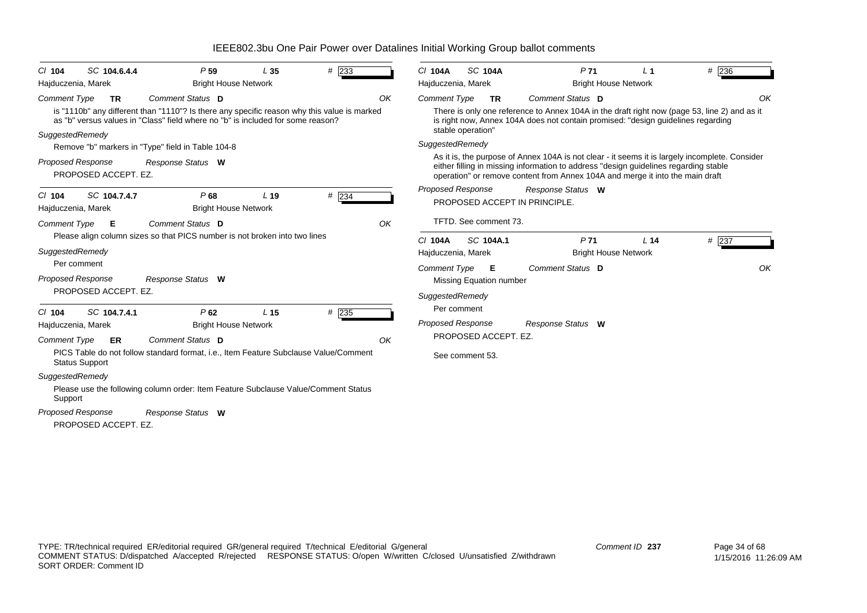| SC 104.6.4.4<br>$Cl$ 104                         | P <sub>59</sub>                                                                                                                                                                                    | L <sub>35</sub> | # 233 |    | C/ 104A                              | <b>SC 104A</b> | P <sub>71</sub>                                                               | L <sub>1</sub>              | $#$ 236                                                                                                                                                                                |    |
|--------------------------------------------------|----------------------------------------------------------------------------------------------------------------------------------------------------------------------------------------------------|-----------------|-------|----|--------------------------------------|----------------|-------------------------------------------------------------------------------|-----------------------------|----------------------------------------------------------------------------------------------------------------------------------------------------------------------------------------|----|
| Hajduczenia, Marek                               | <b>Bright House Network</b>                                                                                                                                                                        |                 |       |    | Hajduczenia, Marek                   |                |                                                                               | <b>Bright House Network</b> |                                                                                                                                                                                        |    |
| <b>Comment Type</b><br><b>TR</b>                 | Comment Status D<br>is "1110b" any different than "1110"? Is there any specific reason why this value is marked<br>as "b" versus values in "Class" field where no "b" is included for some reason? |                 |       | OK | <b>Comment Type</b>                  | <b>TR</b>      | Comment Status D                                                              |                             | There is only one reference to Annex 104A in the draft right now (page 53, line 2) and as it<br>is right now, Annex 104A does not contain promised: "design guidelines regarding       | OK |
| SuggestedRemedy                                  | Remove "b" markers in "Type" field in Table 104-8                                                                                                                                                  |                 |       |    | stable operation"<br>SuggestedRemedy |                |                                                                               |                             |                                                                                                                                                                                        |    |
| <b>Proposed Response</b><br>PROPOSED ACCEPT. EZ. | Response Status W                                                                                                                                                                                  |                 |       |    |                                      |                | operation" or remove content from Annex 104A and merge it into the main draft |                             | As it is, the purpose of Annex 104A is not clear - it seems it is largely incomplete. Consider<br>either filling in missing information to address "design guidelines regarding stable |    |
| SC 104.7.4.7<br>$Cl$ 104<br>Hajduczenia, Marek   | P68<br><b>Bright House Network</b>                                                                                                                                                                 | L <sub>19</sub> | # 234 |    | <b>Proposed Response</b>             |                | Response Status W<br>PROPOSED ACCEPT IN PRINCIPLE.                            |                             |                                                                                                                                                                                        |    |
| <b>Comment Type</b><br>E                         | Comment Status D                                                                                                                                                                                   |                 |       | OK | TFTD. See comment 73.                |                |                                                                               |                             |                                                                                                                                                                                        |    |
|                                                  | Please align column sizes so that PICS number is not broken into two lines                                                                                                                         |                 |       |    | C/ 104A                              | SC 104A.1      | P <sub>71</sub>                                                               |                             | # 237<br>L <sub>14</sub>                                                                                                                                                               |    |
| SuggestedRemedy                                  |                                                                                                                                                                                                    |                 |       |    | Hajduczenia, Marek                   |                |                                                                               | <b>Bright House Network</b> |                                                                                                                                                                                        |    |
| Per comment                                      |                                                                                                                                                                                                    |                 |       |    | <b>Comment Type</b>                  | Е              | Comment Status D                                                              |                             |                                                                                                                                                                                        | OK |
| <b>Proposed Response</b>                         | Response Status W                                                                                                                                                                                  |                 |       |    | Missing Equation number              |                |                                                                               |                             |                                                                                                                                                                                        |    |
| PROPOSED ACCEPT. EZ.                             |                                                                                                                                                                                                    |                 |       |    | SuggestedRemedy                      |                |                                                                               |                             |                                                                                                                                                                                        |    |
| SC 104.7.4.1<br>C/104                            | P62                                                                                                                                                                                                | L <sub>15</sub> | # 235 |    | Per comment                          |                |                                                                               |                             |                                                                                                                                                                                        |    |
| Hajduczenia, Marek                               | <b>Bright House Network</b>                                                                                                                                                                        |                 |       |    | <b>Proposed Response</b>             |                | Response Status W                                                             |                             |                                                                                                                                                                                        |    |
| <b>Comment Type</b><br>ER                        | Comment Status D                                                                                                                                                                                   |                 |       | OK | PROPOSED ACCEPT. EZ.                 |                |                                                                               |                             |                                                                                                                                                                                        |    |
| <b>Status Support</b>                            | PICS Table do not follow standard format, i.e., Item Feature Subclause Value/Comment                                                                                                               |                 |       |    | See comment 53.                      |                |                                                                               |                             |                                                                                                                                                                                        |    |
| SuggestedRemedy                                  |                                                                                                                                                                                                    |                 |       |    |                                      |                |                                                                               |                             |                                                                                                                                                                                        |    |
| Support                                          | Please use the following column order: Item Feature Subclause Value/Comment Status                                                                                                                 |                 |       |    |                                      |                |                                                                               |                             |                                                                                                                                                                                        |    |
| <b>Proposed Response</b>                         | Response Status W                                                                                                                                                                                  |                 |       |    |                                      |                |                                                                               |                             |                                                                                                                                                                                        |    |
| PROPOSED ACCEPT. EZ.                             |                                                                                                                                                                                                    |                 |       |    |                                      |                |                                                                               |                             |                                                                                                                                                                                        |    |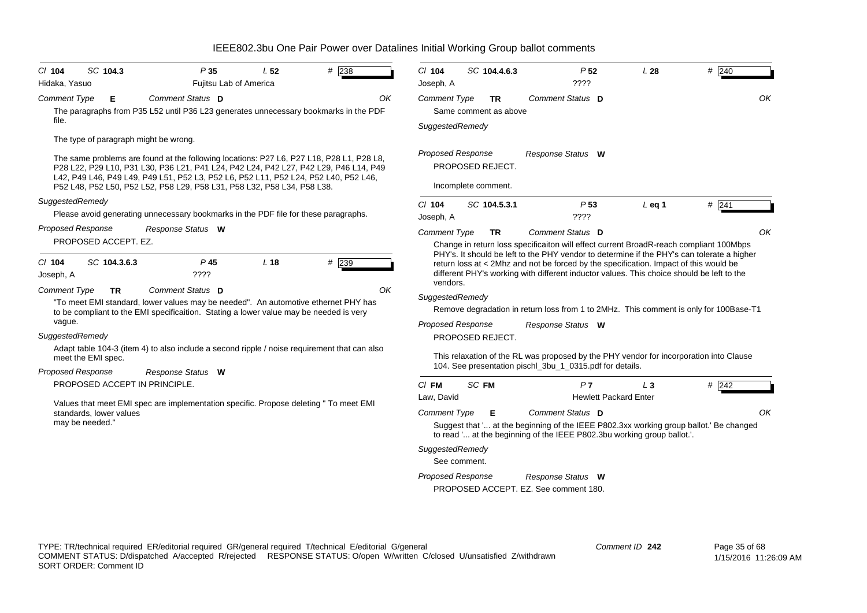| # 240<br>$Cl$ 104<br>P <sub>52</sub><br>L28<br>SC 104.4.6.3<br>$??\mathsf{??}$<br>Joseph, A                                                                                                                                                                                                                                                                                                                                                         |                                                                                                                                                         |
|-----------------------------------------------------------------------------------------------------------------------------------------------------------------------------------------------------------------------------------------------------------------------------------------------------------------------------------------------------------------------------------------------------------------------------------------------------|---------------------------------------------------------------------------------------------------------------------------------------------------------|
| Comment Type<br>Comment Status D<br><b>TR</b><br>Same comment as above<br>SuggestedRemedy                                                                                                                                                                                                                                                                                                                                                           | OK                                                                                                                                                      |
| <b>Proposed Response</b><br>Response Status W<br>PROPOSED REJECT.<br>Incomplete comment.                                                                                                                                                                                                                                                                                                                                                            |                                                                                                                                                         |
| P <sub>53</sub><br># 241<br>$CI$ 104<br>SC 104.5.3.1<br>$L$ eq 1<br>????<br>Joseph, A                                                                                                                                                                                                                                                                                                                                                               |                                                                                                                                                         |
| Comment Status D<br><b>Comment Type</b><br><b>TR</b><br>Change in return loss specificaiton will effect current BroadR-reach compliant 100Mbps                                                                                                                                                                                                                                                                                                      | OK                                                                                                                                                      |
| return loss at < 2Mhz and not be forced by the specification. Impact of this would be<br>different PHY's working with different inductor values. This choice should be left to the                                                                                                                                                                                                                                                                  |                                                                                                                                                         |
| SuggestedRemedy<br>Remove degradation in return loss from 1 to 2MHz. This comment is only for 100Base-T1                                                                                                                                                                                                                                                                                                                                            |                                                                                                                                                         |
| PROPOSED REJECT.<br>This relaxation of the RL was proposed by the PHY vendor for incorporation into Clause<br>104. See presentation pischl 3bu 1 0315.pdf for details.                                                                                                                                                                                                                                                                              |                                                                                                                                                         |
| $CI$ FM<br>SC FM<br>#242<br>P <sub>7</sub><br>$L_3$<br>Law, David<br><b>Hewlett Packard Enter</b><br><b>Comment Type</b><br>Comment Status D<br>Е<br>Suggest that ' at the beginning of the IEEE P802.3xx working group ballot.' Be changed<br>to read ' at the beginning of the IEEE P802.3bu working group ballot.'.<br>SuggestedRemedy<br>See comment.<br><b>Proposed Response</b><br>Response Status W<br>PROPOSED ACCEPT. EZ. See comment 180. | OK                                                                                                                                                      |
|                                                                                                                                                                                                                                                                                                                                                                                                                                                     | PHY's. It should be left to the PHY vendor to determine if the PHY's can tolerate a higher<br>vendors.<br><b>Proposed Response</b><br>Response Status W |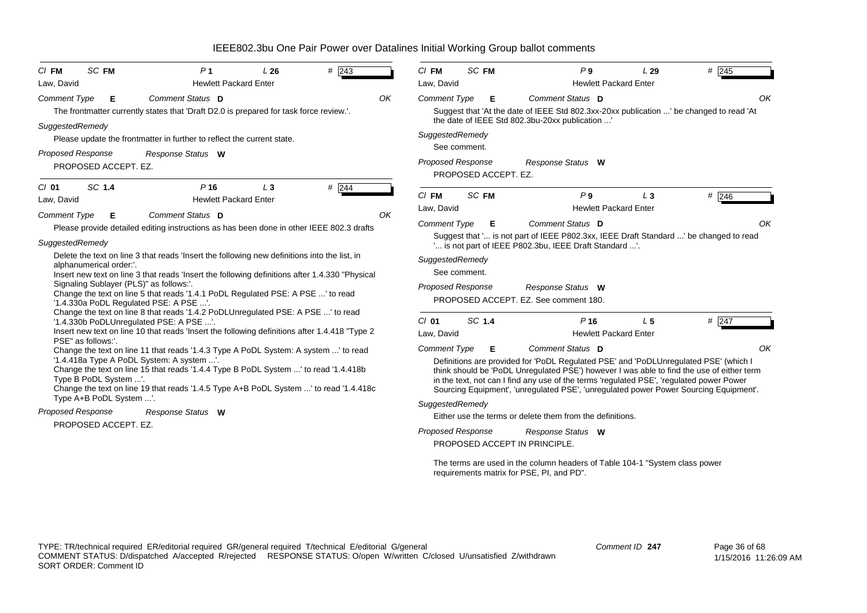| <b>SC FM</b><br># $\overline{243}$<br>P <sub>1</sub><br>$CI$ FM<br>L26<br>Law, David<br><b>Hewlett Packard Enter</b>                                                                                                                                                                                                                                                                                                                                                                                                                                                                                                                                                                                |    | SC FM<br>$CI$ FM<br>P <sub>9</sub><br># $\overline{245}$<br>L29<br>Law, David<br><b>Hewlett Packard Enter</b>                                                                                                                                                                                                                                                                                                                                                                                                                                                                                                                                                                                                     |
|-----------------------------------------------------------------------------------------------------------------------------------------------------------------------------------------------------------------------------------------------------------------------------------------------------------------------------------------------------------------------------------------------------------------------------------------------------------------------------------------------------------------------------------------------------------------------------------------------------------------------------------------------------------------------------------------------------|----|-------------------------------------------------------------------------------------------------------------------------------------------------------------------------------------------------------------------------------------------------------------------------------------------------------------------------------------------------------------------------------------------------------------------------------------------------------------------------------------------------------------------------------------------------------------------------------------------------------------------------------------------------------------------------------------------------------------------|
| Comment Status D<br><b>Comment Type</b><br>Е<br>The frontmatter currently states that 'Draft D2.0 is prepared for task force review.'.<br>SuggestedRemedy<br>Please update the frontmatter in further to reflect the current state.<br><b>Proposed Response</b><br>Response Status W<br>PROPOSED ACCEPT. EZ.                                                                                                                                                                                                                                                                                                                                                                                        | OK | Comment Type<br>Comment Status D<br>OK<br>Е<br>Suggest that 'At the date of IEEE Std 802.3xx-20xx publication ' be changed to read 'At<br>the date of IEEE Std 802.3bu-20xx publication '<br>SuggestedRemedy<br>See comment.<br><b>Proposed Response</b><br>Response Status W<br>PROPOSED ACCEPT. EZ.                                                                                                                                                                                                                                                                                                                                                                                                             |
| SC 1.4<br># $ 244$<br>$Cl$ 01<br>P <sub>16</sub><br>$L_3$<br>Law, David<br><b>Hewlett Packard Enter</b><br>Comment Status D<br><b>Comment Type</b><br>Е<br>Please provide detailed editing instructions as has been done in other IEEE 802.3 drafts<br>SuggestedRemedy<br>Delete the text on line 3 that reads 'Insert the following new definitions into the list, in<br>alphanumerical order:'.<br>Insert new text on line 3 that reads 'Insert the following definitions after 1.4.330 "Physical<br>Signaling Sublayer (PLS)" as follows:'.<br>Change the text on line 5 that reads '1.4.1 PoDL Regulated PSE: A PSE ' to read<br>'1.4.330a PoDL Regulated PSE: A PSE '.                         | OK | $Cl$ FM<br>SC FM<br>P9<br>$#$ 246<br>$L_3$<br>Law, David<br><b>Hewlett Packard Enter</b><br>Comment Status D<br>OK<br><b>Comment Type</b><br>Е<br>Suggest that ' is not part of IEEE P802.3xx, IEEE Draft Standard ' be changed to read<br>' is not part of IEEE P802.3bu, IEEE Draft Standard '.<br>SuggestedRemedy<br>See comment.<br>Proposed Response<br>Response Status W<br>PROPOSED ACCEPT. EZ. See comment 180.                                                                                                                                                                                                                                                                                           |
| Change the text on line 8 that reads '1.4.2 PoDLUnregulated PSE: A PSE ' to read<br>'1.4.330b PoDLUnregulated PSE: A PSE '.<br>Insert new text on line 10 that reads 'Insert the following definitions after 1.4.418 "Type 2<br>PSE" as follows:'.<br>Change the text on line 11 that reads '1.4.3 Type A PoDL System: A system ' to read<br>'1.4.418a Type A PoDL System: A system '.<br>Change the text on line 15 that reads '1.4.4 Type B PoDL System ' to read '1.4.418b<br>Type B PoDL System '.<br>Change the text on line 19 that reads '1.4.5 Type A+B PoDL System ' to read '1.4.418c<br>Type A+B PoDL System '.<br><b>Proposed Response</b><br>Response Status W<br>PROPOSED ACCEPT. EZ. |    | SC 1.4<br>$Cl$ 01<br>P <sub>16</sub><br>L <sub>5</sub><br>$#$ 247<br><b>Hewlett Packard Enter</b><br>Law, David<br>Comment Status D<br>OK<br><b>Comment Type</b><br>Е<br>Definitions are provided for 'PoDL Regulated PSE' and 'PoDLUnregulated PSE' (which I<br>think should be 'PoDL Unregulated PSE') however I was able to find the use of either term<br>in the text, not can I find any use of the terms 'regulated PSE', 'regulated power Power<br>Sourcing Equipment', 'unregulated PSE', 'unregulated power Power Sourcing Equipment'.<br>SuggestedRemedy<br>Either use the terms or delete them from the definitions.<br><b>Proposed Response</b><br>Response Status W<br>PROPOSED ACCEPT IN PRINCIPLE. |

The terms are used in the column headers of Table 104-1 "System class power requirements matrix for PSE, PI, and PD".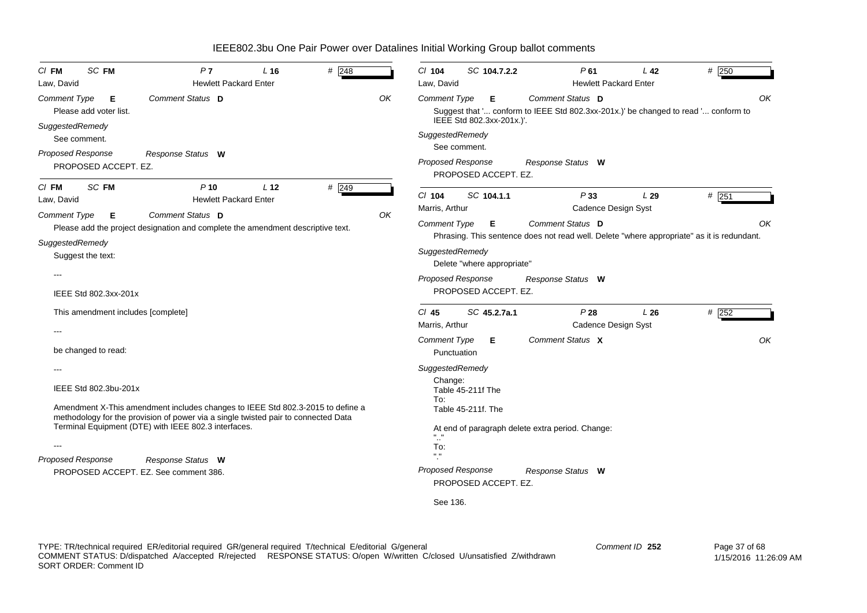| SC FM<br>$Cl$ FM<br>Law, David                                                            | P7<br><b>Hewlett Packard Enter</b>                                                                                                                                                                                           | L <sub>16</sub> | $\#$ 248 |    | $Cl$ 104<br>Law, David                                                       | SC 104.7.2.2                                            | P61                                                                                                                                 | L <sub>42</sub><br><b>Hewlett Packard Enter</b> | $#$ 250 |
|-------------------------------------------------------------------------------------------|------------------------------------------------------------------------------------------------------------------------------------------------------------------------------------------------------------------------------|-----------------|----------|----|------------------------------------------------------------------------------|---------------------------------------------------------|-------------------------------------------------------------------------------------------------------------------------------------|-------------------------------------------------|---------|
| Comment Type<br>Е<br>Please add voter list.<br>SuggestedRemedy                            | Comment Status D                                                                                                                                                                                                             |                 |          | OK | <b>Comment Type</b><br>SuggestedRemedy                                       | Е<br>IEEE Std 802.3xx-201x.)'.                          | Comment Status D<br>Suggest that ' conform to IEEE Std 802.3xx-201x.)' be changed to read ' conform to                              |                                                 | OK      |
| See comment.<br>Proposed Response<br>PROPOSED ACCEPT. EZ.                                 | Response Status W                                                                                                                                                                                                            |                 |          |    | <b>Proposed Response</b>                                                     | See comment.<br>PROPOSED ACCEPT. EZ.                    | Response Status W                                                                                                                   |                                                 |         |
| SC FM<br>CI FM<br>Law, David                                                              | $P$ 10<br><b>Hewlett Packard Enter</b>                                                                                                                                                                                       | L <sub>12</sub> | $#$ 249  |    | $Cl$ 104<br>Marris, Arthur                                                   | SC 104.1.1                                              | P33                                                                                                                                 | L29<br>Cadence Design Syst                      | $#$ 251 |
| <b>Comment Type</b><br>Е<br>SuggestedRemedy<br>Suggest the text:<br>IEEE Std 802.3xx-201x | Comment Status D<br>Please add the project designation and complete the amendment descriptive text.                                                                                                                          |                 |          | ΟK | <b>Comment Type</b><br>SuggestedRemedy<br><b>Proposed Response</b>           | Е<br>Delete "where appropriate"<br>PROPOSED ACCEPT. EZ. | Comment Status D<br>Phrasing. This sentence does not read well. Delete "where appropriate" as it is redundant.<br>Response Status W |                                                 | ΟK      |
| This amendment includes [complete]                                                        |                                                                                                                                                                                                                              |                 |          |    | $CI$ 45<br>Marris, Arthur                                                    | SC 45.2.7a.1                                            | P28                                                                                                                                 | L26<br>Cadence Design Syst                      | $#$ 252 |
| be changed to read:<br>IEEE Std 802.3bu-201x                                              | Amendment X-This amendment includes changes to IEEE Std 802.3-2015 to define a<br>methodology for the provision of power via a single twisted pair to connected Data<br>Terminal Equipment (DTE) with IEEE 802.3 interfaces. |                 |          |    | <b>Comment Type</b><br>Punctuation<br>SuggestedRemedy<br>Change:<br>To:      | Е<br>Table 45-211f The<br>Table 45-211f. The            | Comment Status X<br>At end of paragraph delete extra period. Change:                                                                |                                                 | OK      |
| <b>Proposed Response</b>                                                                  | Response Status W<br>PROPOSED ACCEPT. EZ. See comment 386.                                                                                                                                                                   |                 |          |    | To:<br>$\mathbf{H} \cdot \mathbf{H}$<br><b>Proposed Response</b><br>See 136. | PROPOSED ACCEPT. EZ.                                    | Response Status W                                                                                                                   |                                                 |         |

TYPE: TR/technical required ER/editorial required GR/general required T/technical E/editorial G/general COMMENT STATUS: D/dispatched A/accepted R/rejected RESPONSE STATUS: O/open W/written C/closed U/unsatisfied Z/withdrawn SORT ORDER: Comment ID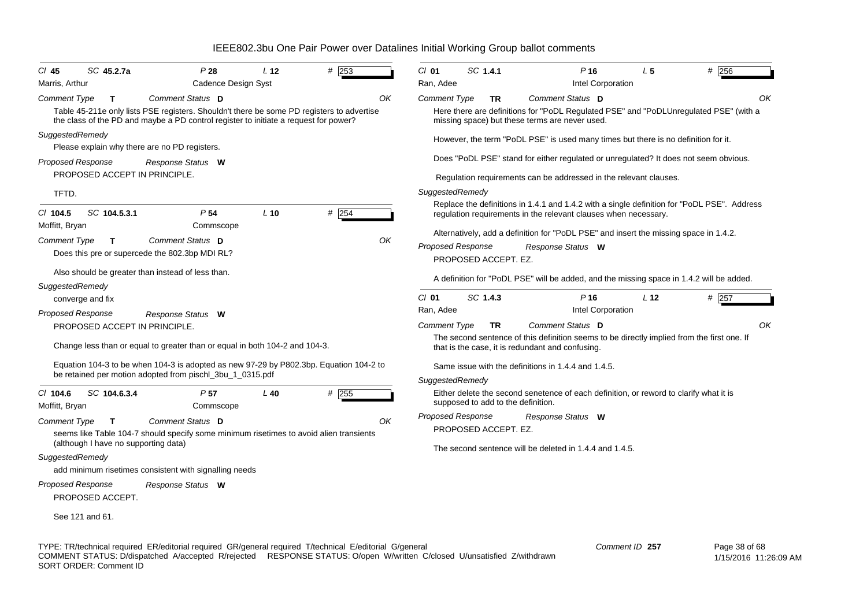| SC 45.2.7a<br>$CI$ 45<br>Marris, Arthur                                     | P28<br><b>Cadence Design Syst</b>                                                                                                                                                                     | L <sub>12</sub> | # 253       | SC 1.4.1<br>$CI$ 01<br>Ran, Adee                                 |     | $P$ 16<br>Intel Corporation                                                                                                                                                   | L <sub>5</sub>  | $#$ 256                                                                                           |
|-----------------------------------------------------------------------------|-------------------------------------------------------------------------------------------------------------------------------------------------------------------------------------------------------|-----------------|-------------|------------------------------------------------------------------|-----|-------------------------------------------------------------------------------------------------------------------------------------------------------------------------------|-----------------|---------------------------------------------------------------------------------------------------|
| Comment Type<br>T                                                           | Comment Status D<br>Table 45-211e only lists PSE registers. Shouldn't there be some PD registers to advertise<br>the class of the PD and maybe a PD control register to initiate a request for power? |                 | OK          | <b>Comment Type</b>                                              | TR  | Comment Status D<br>missing space) but these terms are never used.                                                                                                            |                 | OK<br>Here there are definitions for "PoDL Regulated PSE" and "PoDLUnregulated PSE" (with a       |
| SuggestedRemedy<br>Proposed Response                                        | Please explain why there are no PD registers.<br>Response Status W                                                                                                                                    |                 |             |                                                                  |     | However, the term "PoDL PSE" is used many times but there is no definition for it.                                                                                            |                 | Does "PoDL PSE" stand for either regulated or unregulated? It does not seem obvious.              |
| PROPOSED ACCEPT IN PRINCIPLE.<br>TFTD.                                      |                                                                                                                                                                                                       |                 |             | SuggestedRemedy                                                  |     | Regulation requirements can be addressed in the relevant clauses.                                                                                                             |                 |                                                                                                   |
| SC 104.5.3.1<br>$CI$ 104.5<br>Moffitt, Bryan<br>Comment Type<br>T.          | P <sub>54</sub><br>Commscope<br>Comment Status D<br>Does this pre or supercede the 802.3bp MDI RL?                                                                                                    | $L$ 10          | # 254<br>OK | <b>Proposed Response</b><br>PROPOSED ACCEPT. EZ.                 |     | regulation requirements in the relevant clauses when necessary.<br>Alternatively, add a definition for "PoDL PSE" and insert the missing space in 1.4.2.<br>Response Status W |                 | Replace the definitions in 1.4.1 and 1.4.2 with a single definition for "PoDL PSE". Address       |
| SuggestedRemedy<br>converge and fix                                         | Also should be greater than instead of less than.                                                                                                                                                     |                 |             | $Cl$ 01<br>SC 1.4.3<br>Ran, Adee                                 |     | P <sub>16</sub><br>Intel Corporation                                                                                                                                          | L <sub>12</sub> | A definition for "PoDL PSE" will be added, and the missing space in 1.4.2 will be added.<br># 257 |
| <b>Proposed Response</b><br>PROPOSED ACCEPT IN PRINCIPLE.                   | Response Status W<br>Change less than or equal to greater than or equal in both 104-2 and 104-3.                                                                                                      |                 |             | Comment Type<br>that is the case, it is redundant and confusing. | TR. | Comment Status D                                                                                                                                                              |                 | OK<br>The second sentence of this definition seems to be directly implied from the first one. If  |
|                                                                             | Equation 104-3 to be when 104-3 is adopted as new 97-29 by P802.3bp. Equation 104-2 to<br>be retained per motion adopted from pischl_3bu_1_0315.pdf                                                   |                 |             | SuggestedRemedy                                                  |     | Same issue with the definitions in 1.4.4 and 1.4.5.                                                                                                                           |                 |                                                                                                   |
| $CI$ 104.6<br>SC 104.6.3.4<br>Moffitt, Bryan                                | P <sub>57</sub><br>Commscope                                                                                                                                                                          | $L$ 40          | $#$ 255     | supposed to add to the definition.                               |     | Either delete the second senetence of each definition, or reword to clarify what it is                                                                                        |                 |                                                                                                   |
| <b>Comment Type</b><br>$\mathbf{T}$<br>(although I have no supporting data) | Comment Status D<br>seems like Table 104-7 should specify some minimum risetimes to avoid alien transients                                                                                            |                 | OK          | <b>Proposed Response</b><br>PROPOSED ACCEPT. EZ.                 |     | Response Status W                                                                                                                                                             |                 |                                                                                                   |
| SuggestedRemedy<br><b>Proposed Response</b><br>PROPOSED ACCEPT.             | add minimum risetimes consistent with signalling needs<br>Response Status W                                                                                                                           |                 |             |                                                                  |     | The second sentence will be deleted in 1.4.4 and 1.4.5.                                                                                                                       |                 |                                                                                                   |
| See 121 and 61.                                                             |                                                                                                                                                                                                       |                 |             |                                                                  |     |                                                                                                                                                                               |                 |                                                                                                   |

TYPE: TR/technical required ER/editorial required GR/general required T/technical E/editorial G/general COMMENT STATUS: D/dispatched A/accepted R/rejected RESPONSE STATUS: O/open W/written C/closed U/unsatisfied Z/withdrawn SORT ORDER: Comment ID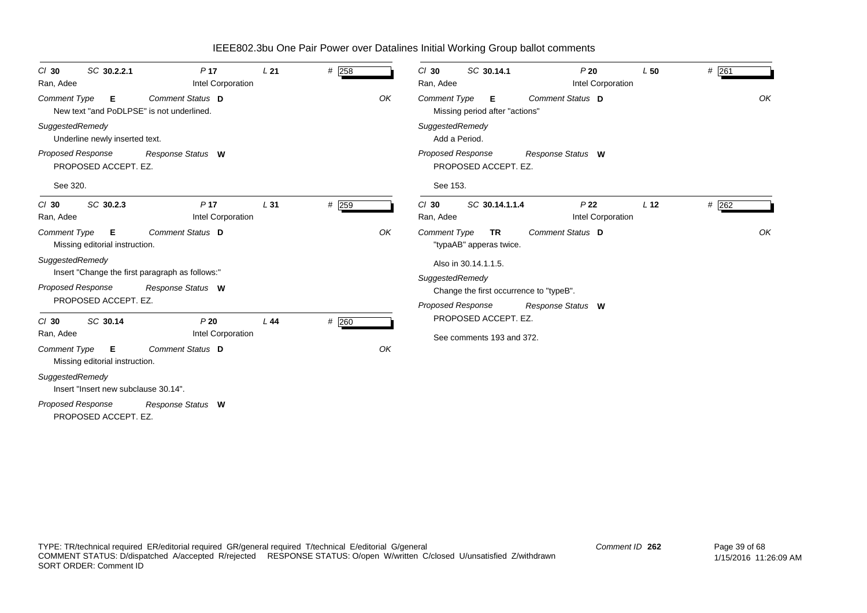| SC 30.2.2.1<br>$Cl$ 30<br>Ran, Adee                            | P <sub>17</sub><br>Intel Corporation            | L21             | # 258   |    | $Cl$ 30<br>SC 30.14.1<br>Ran, Adee                          | P20<br>Intel Corporation             | L50             | # 261   |
|----------------------------------------------------------------|-------------------------------------------------|-----------------|---------|----|-------------------------------------------------------------|--------------------------------------|-----------------|---------|
| Comment Type<br>Е<br>New text "and PoDLPSE" is not underlined. | Comment Status D                                |                 |         | OK | <b>Comment Type</b><br>Е<br>Missing period after "actions"  | Comment Status D                     |                 | OK      |
| SuggestedRemedy<br>Underline newly inserted text.              |                                                 |                 |         |    | SuggestedRemedy<br>Add a Period.                            |                                      |                 |         |
| Proposed Response<br>PROPOSED ACCEPT. EZ.                      | Response Status W                               |                 |         |    | <b>Proposed Response</b><br>PROPOSED ACCEPT. EZ.            | Response Status W                    |                 |         |
| See 320.                                                       |                                                 |                 |         |    | See 153.                                                    |                                      |                 |         |
| SC 30.2.3<br>$Cl$ 30<br>Ran, Adee                              | P <sub>17</sub><br>Intel Corporation            | L <sub>31</sub> | $#$ 259 |    | $Cl$ 30<br>SC 30.14.1.1.4<br>Ran, Adee                      | P <sub>22</sub><br>Intel Corporation | L <sub>12</sub> | $#$ 262 |
| <b>Comment Type</b><br>Е<br>Missing editorial instruction.     | Comment Status D                                |                 |         | OK | <b>Comment Type</b><br><b>TR</b><br>"typaAB" apperas twice. | <b>Comment Status D</b>              |                 | OK      |
| SuggestedRemedy                                                | Insert "Change the first paragraph as follows:" |                 |         |    | Also in 30.14.1.1.5.<br>SuggestedRemedy                     |                                      |                 |         |
| <b>Proposed Response</b><br>PROPOSED ACCEPT. EZ.               | Response Status W                               |                 |         |    | Change the first occurrence to "typeB".                     |                                      |                 |         |
| SC 30.14<br>$Cl$ 30                                            | P20                                             | L44             | # 260   |    | <b>Proposed Response</b><br>PROPOSED ACCEPT. EZ.            | Response Status W                    |                 |         |
| Ran, Adee                                                      | Intel Corporation                               |                 |         |    | See comments 193 and 372.                                   |                                      |                 |         |
| <b>Comment Type</b><br>Е<br>Missing editorial instruction.     | Comment Status D                                |                 |         | OK |                                                             |                                      |                 |         |
| SuggestedRemedy<br>Insert "Insert new subclause 30.14".        |                                                 |                 |         |    |                                                             |                                      |                 |         |
| <b>Proposed Response</b>                                       | Response Status W                               |                 |         |    |                                                             |                                      |                 |         |

PROPOSED ACCEPT. EZ.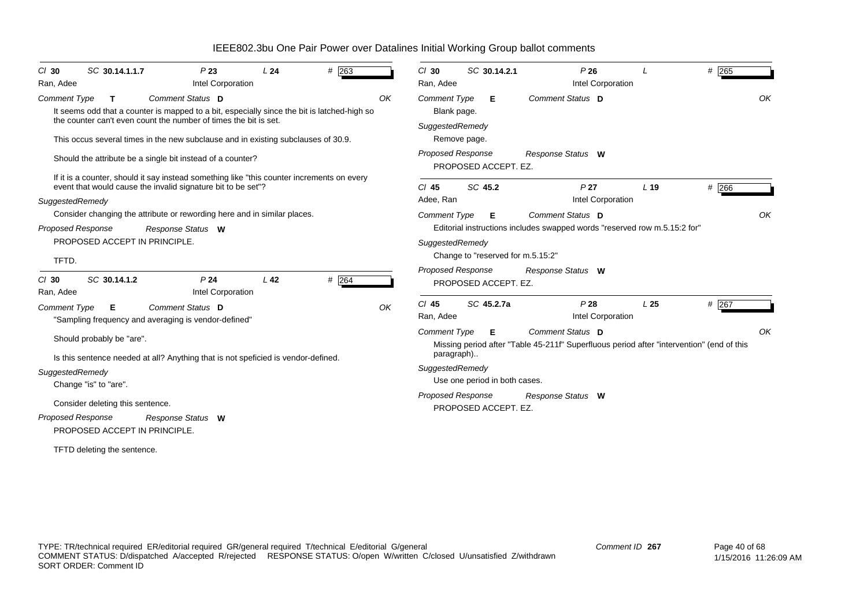| $#$ 263<br>SC 30.14.1.1.7<br>P23<br>L24<br>$CI$ 30<br>Intel Corporation<br>Ran, Adee                                                                                                                                                                                                                            | # 265<br>P26<br>$Cl$ 30<br>SC 30.14.2.1<br>Intel Corporation<br>Ran, Adee                                                                                                                                                              |
|-----------------------------------------------------------------------------------------------------------------------------------------------------------------------------------------------------------------------------------------------------------------------------------------------------------------|----------------------------------------------------------------------------------------------------------------------------------------------------------------------------------------------------------------------------------------|
| Comment Status D<br><b>Comment Type</b><br>$\mathbf{T}$<br>It seems odd that a counter is mapped to a bit, especially since the bit is latched-high so<br>the counter can't even count the number of times the bit is set.<br>This occus several times in the new subclause and in existing subclauses of 30.9. | Comment Status D<br>OK<br>OK<br><b>Comment Type</b><br>Е<br>Blank page.<br>SuggestedRemedy<br>Remove page.                                                                                                                             |
| Should the attribute be a single bit instead of a counter?                                                                                                                                                                                                                                                      | Proposed Response<br>Response Status W<br>PROPOSED ACCEPT. EZ.                                                                                                                                                                         |
| If it is a counter, should it say instead something like "this counter increments on every<br>event that would cause the invalid signature bit to be set"?<br>SuggestedRemedy<br>Consider changing the attribute or rewording here and in similar places.<br><b>Proposed Response</b><br>Response Status W      | SC 45.2<br>P <sub>27</sub><br># 266<br>$Cl$ 45<br>L <sub>19</sub><br>Adee, Ran<br>Intel Corporation<br>Comment Status D<br><b>Comment Type</b><br>OK<br>Е<br>Editorial instructions includes swapped words "reserved row m.5.15:2 for" |
| PROPOSED ACCEPT IN PRINCIPLE.<br>TFTD.<br>SC 30.14.1.2<br>P <sub>24</sub><br>L <sub>42</sub><br>$#$ 264<br>$Cl$ 30                                                                                                                                                                                              | SuggestedRemedy<br>Change to "reserved for m.5.15:2"<br><b>Proposed Response</b><br>Response Status W<br>PROPOSED ACCEPT. EZ.                                                                                                          |
| Intel Corporation<br>Ran, Adee<br>Comment Status D<br><b>Comment Type</b><br>Е<br>"Sampling frequency and averaging is vendor-defined"                                                                                                                                                                          | P28<br># 267<br>$Cl$ 45<br>SC 45.2.7a<br>L25<br>OK<br>Intel Corporation<br>Ran, Adee                                                                                                                                                   |
| Should probably be "are".<br>Is this sentence needed at all? Anything that is not speficied is vendor-defined.<br>SuggestedRemedy<br>Change "is" to "are".                                                                                                                                                      | Comment Status D<br>OK<br><b>Comment Type</b><br>Е<br>Missing period after "Table 45-211f" Superfluous period after "intervention" (end of this<br>paragraph)<br>SuggestedRemedy<br>Use one period in both cases.                      |
| Consider deleting this sentence.<br><b>Proposed Response</b><br>Response Status W<br>PROPOSED ACCEPT IN PRINCIPLE.<br>TFTD deleting the sentence.                                                                                                                                                               | <b>Proposed Response</b><br>Response Status W<br>PROPOSED ACCEPT. EZ.                                                                                                                                                                  |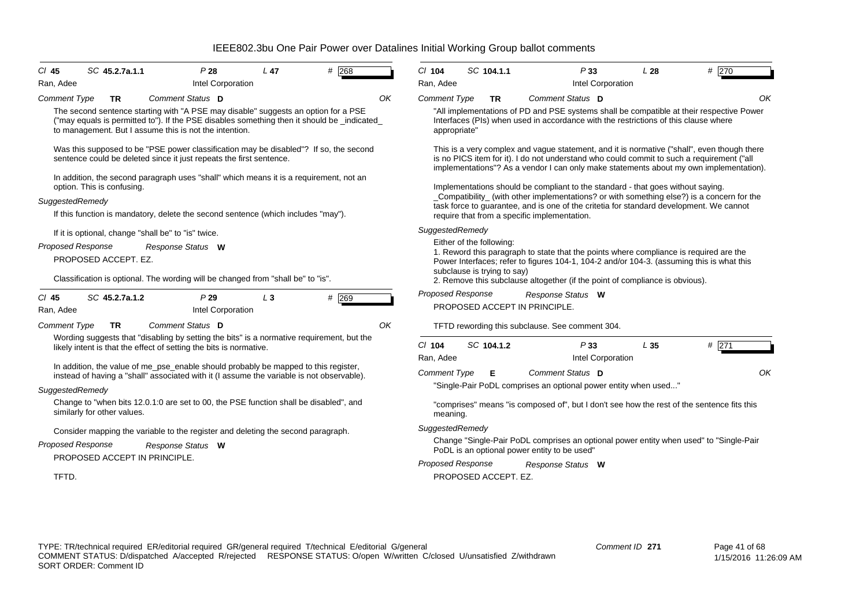| $Cl$ 45<br>Ran, Adee     | SC 45.2.7a.1.1                                                                                                                                                                                                                                         | P28<br>Intel Corporation | L <sub>47</sub> | 268   |    | $Cl$ 104<br>Ran, Adee    | SC 104.1.1                                              |                                                                                     | P33<br>Intel Corporation | L28 | # 270                                                                                                                                                                                                                                                                              |
|--------------------------|--------------------------------------------------------------------------------------------------------------------------------------------------------------------------------------------------------------------------------------------------------|--------------------------|-----------------|-------|----|--------------------------|---------------------------------------------------------|-------------------------------------------------------------------------------------|--------------------------|-----|------------------------------------------------------------------------------------------------------------------------------------------------------------------------------------------------------------------------------------------------------------------------------------|
| <b>Comment Type</b>      | TR                                                                                                                                                                                                                                                     | Comment Status D         |                 |       | OK | <b>Comment Type</b>      | TR                                                      | Comment Status D                                                                    |                          |     | OK                                                                                                                                                                                                                                                                                 |
|                          | The second sentence starting with "A PSE may disable" suggests an option for a PSE<br>("may equals is permitted to"). If the PSE disables something then it should be _indicated_<br>to management. But I assume this is not the intention.            |                          |                 |       |    | appropriate"             |                                                         | Interfaces (PIs) when used in accordance with the restrictions of this clause where |                          |     | "All implementations of PD and PSE systems shall be compatible at their respective Power                                                                                                                                                                                           |
|                          | Was this supposed to be "PSE power classification may be disabled"? If so, the second<br>sentence could be deleted since it just repeats the first sentence.<br>In addition, the second paragraph uses "shall" which means it is a requirement, not an |                          |                 |       |    |                          |                                                         |                                                                                     |                          |     | This is a very complex and vague statement, and it is normative ("shall", even though there<br>is no PICS item for it). I do not understand who could commit to such a requirement ("all<br>implementations"? As a vendor I can only make statements about my own implementation). |
|                          | option. This is confusing.                                                                                                                                                                                                                             |                          |                 |       |    |                          |                                                         | Implementations should be compliant to the standard - that goes without saying.     |                          |     |                                                                                                                                                                                                                                                                                    |
| SuggestedRemedy          | If this function is mandatory, delete the second sentence (which includes "may").                                                                                                                                                                      |                          |                 |       |    |                          |                                                         | require that from a specific implementation.                                        |                          |     | _Compatibility_ (with other implementations? or with something else?) is a concern for the<br>task force to guarantee, and is one of the critetia for standard development. We cannot                                                                                              |
|                          | If it is optional, change "shall be" to "is" twice.                                                                                                                                                                                                    |                          |                 |       |    | SuggestedRemedy          |                                                         |                                                                                     |                          |     |                                                                                                                                                                                                                                                                                    |
| Proposed Response        | PROPOSED ACCEPT. EZ.                                                                                                                                                                                                                                   | Response Status W        |                 |       |    |                          | Either of the following:<br>subclause is trying to say) |                                                                                     |                          |     | 1. Reword this paragraph to state that the points where compliance is required are the<br>Power Interfaces; refer to figures 104-1, 104-2 and/or 104-3. (assuming this is what this                                                                                                |
|                          | Classification is optional. The wording will be changed from "shall be" to "is".                                                                                                                                                                       |                          |                 |       |    |                          |                                                         | 2. Remove this subclause altogether (if the point of compliance is obvious).        |                          |     |                                                                                                                                                                                                                                                                                    |
| $CI$ 45<br>Ran, Adee     | SC 45.2.7a.1.2                                                                                                                                                                                                                                         | P29<br>Intel Corporation | $L_3$           | # 269 |    | <b>Proposed Response</b> |                                                         | Response Status W<br>PROPOSED ACCEPT IN PRINCIPLE.                                  |                          |     |                                                                                                                                                                                                                                                                                    |
| <b>Comment Type</b>      | <b>TR</b>                                                                                                                                                                                                                                              | Comment Status D         |                 |       | OK |                          |                                                         | TFTD rewording this subclause. See comment 304.                                     |                          |     |                                                                                                                                                                                                                                                                                    |
|                          | Wording suggests that "disabling by setting the bits" is a normative requirement, but the<br>likely intent is that the effect of setting the bits is normative.                                                                                        |                          |                 |       |    | $Cl$ 104<br>Ran, Adee    | SC 104.1.2                                              |                                                                                     | P33<br>Intel Corporation | L35 | # 271                                                                                                                                                                                                                                                                              |
|                          | In addition, the value of me_pse_enable should probably be mapped to this register,                                                                                                                                                                    |                          |                 |       |    |                          |                                                         | Comment Status D                                                                    |                          |     | OK                                                                                                                                                                                                                                                                                 |
|                          | instead of having a "shall" associated with it (I assume the variable is not observable).                                                                                                                                                              |                          |                 |       |    | <b>Comment Type</b>      | Е                                                       | "Single-Pair PoDL comprises an optional power entity when used"                     |                          |     |                                                                                                                                                                                                                                                                                    |
| SuggestedRemedy          |                                                                                                                                                                                                                                                        |                          |                 |       |    |                          |                                                         |                                                                                     |                          |     |                                                                                                                                                                                                                                                                                    |
|                          | Change to "when bits 12.0.1:0 are set to 00, the PSE function shall be disabled", and<br>similarly for other values.                                                                                                                                   |                          |                 |       |    | meaning.                 |                                                         |                                                                                     |                          |     | "comprises" means "is composed of", but I don't see how the rest of the sentence fits this                                                                                                                                                                                         |
|                          | Consider mapping the variable to the register and deleting the second paragraph.                                                                                                                                                                       |                          |                 |       |    | SuggestedRemedy          |                                                         |                                                                                     |                          |     |                                                                                                                                                                                                                                                                                    |
| <b>Proposed Response</b> |                                                                                                                                                                                                                                                        | Response Status W        |                 |       |    |                          |                                                         | PoDL is an optional power entity to be used"                                        |                          |     | Change "Single-Pair PoDL comprises an optional power entity when used" to "Single-Pair                                                                                                                                                                                             |
|                          | PROPOSED ACCEPT IN PRINCIPLE.                                                                                                                                                                                                                          |                          |                 |       |    | Proposed Response        |                                                         | Response Status W                                                                   |                          |     |                                                                                                                                                                                                                                                                                    |
| TFTD.                    |                                                                                                                                                                                                                                                        |                          |                 |       |    |                          | PROPOSED ACCEPT. EZ.                                    |                                                                                     |                          |     |                                                                                                                                                                                                                                                                                    |
|                          |                                                                                                                                                                                                                                                        |                          |                 |       |    |                          |                                                         |                                                                                     |                          |     |                                                                                                                                                                                                                                                                                    |
|                          |                                                                                                                                                                                                                                                        |                          |                 |       |    |                          |                                                         |                                                                                     |                          |     |                                                                                                                                                                                                                                                                                    |
|                          |                                                                                                                                                                                                                                                        |                          |                 |       |    |                          |                                                         |                                                                                     |                          |     |                                                                                                                                                                                                                                                                                    |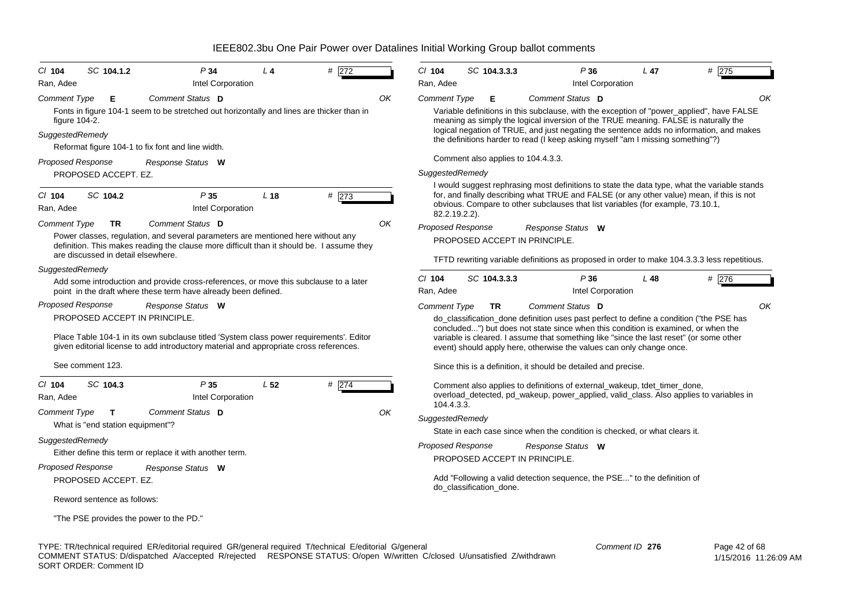| $Cl$ 104                         | SC 104.1.2                         | P34                                                                                                                                                                                                                | $L_4$           | # 272    |    | $Cl$ 104                                                                                                                                                                                                                                                                                                                                                       |  | SC 104.3.3.3                       | P36                                                                                                                                                                                                                                                                                                                                             | $L$ 47          | #275          |  |
|----------------------------------|------------------------------------|--------------------------------------------------------------------------------------------------------------------------------------------------------------------------------------------------------------------|-----------------|----------|----|----------------------------------------------------------------------------------------------------------------------------------------------------------------------------------------------------------------------------------------------------------------------------------------------------------------------------------------------------------------|--|------------------------------------|-------------------------------------------------------------------------------------------------------------------------------------------------------------------------------------------------------------------------------------------------------------------------------------------------------------------------------------------------|-----------------|---------------|--|
| Ran, Adee                        |                                    | Intel Corporation                                                                                                                                                                                                  |                 |          |    | Ran, Adee                                                                                                                                                                                                                                                                                                                                                      |  |                                    | Intel Corporation                                                                                                                                                                                                                                                                                                                               |                 |               |  |
| <b>Comment Type</b>              | Е                                  | Comment Status D                                                                                                                                                                                                   |                 |          | OK | <b>Comment Type</b>                                                                                                                                                                                                                                                                                                                                            |  | Е                                  | Comment Status D                                                                                                                                                                                                                                                                                                                                |                 | OK            |  |
| figure 104-2.<br>SuggestedRemedy |                                    | Fonts in figure 104-1 seem to be stretched out horizontally and lines are thicker than in<br>Reformat figure 104-1 to fix font and line width.                                                                     |                 |          |    | Variable definitions in this subclause, with the exception of "power_applied", have FALSE<br>meaning as simply the logical inversion of the TRUE meaning. FALSE is naturally the<br>logical negation of TRUE, and just negating the sentence adds no information, and makes<br>the definitions harder to read (I keep asking myself "am I missing something"?) |  |                                    |                                                                                                                                                                                                                                                                                                                                                 |                 |               |  |
| <b>Proposed Response</b>         |                                    | Response Status W                                                                                                                                                                                                  |                 |          |    |                                                                                                                                                                                                                                                                                                                                                                |  | Comment also applies to 104.4.3.3. |                                                                                                                                                                                                                                                                                                                                                 |                 |               |  |
|                                  | PROPOSED ACCEPT. EZ.               |                                                                                                                                                                                                                    |                 |          |    | SuggestedRemedy                                                                                                                                                                                                                                                                                                                                                |  |                                    |                                                                                                                                                                                                                                                                                                                                                 |                 |               |  |
| $CI$ 104<br>Ran, Adee            | SC 104.2                           | P35<br>Intel Corporation                                                                                                                                                                                           | L <sub>18</sub> | # $ 273$ |    | 82.2.19.2.2).                                                                                                                                                                                                                                                                                                                                                  |  |                                    | I would suggest rephrasing most definitions to state the data type, what the variable stands<br>for, and finally describing what TRUE and FALSE (or any other value) mean, if this is not<br>obvious. Compare to other subclauses that list variables (for example, 73.10.1,                                                                    |                 |               |  |
| <b>Comment Type</b>              | <b>TR</b>                          | Comment Status D                                                                                                                                                                                                   |                 |          | ΟK | Proposed Response                                                                                                                                                                                                                                                                                                                                              |  |                                    | Response Status W                                                                                                                                                                                                                                                                                                                               |                 |               |  |
|                                  |                                    | Power classes, regulation, and several parameters are mentioned here without any<br>definition. This makes reading the clause more difficult than it should be. I assume they                                      |                 |          |    |                                                                                                                                                                                                                                                                                                                                                                |  |                                    | PROPOSED ACCEPT IN PRINCIPLE.                                                                                                                                                                                                                                                                                                                   |                 |               |  |
|                                  | are discussed in detail elsewhere. |                                                                                                                                                                                                                    |                 |          |    |                                                                                                                                                                                                                                                                                                                                                                |  |                                    | TFTD rewriting variable definitions as proposed in order to make 104.3.3.3 less repetitious.                                                                                                                                                                                                                                                    |                 |               |  |
| SuggestedRemedy                  |                                    |                                                                                                                                                                                                                    |                 |          |    |                                                                                                                                                                                                                                                                                                                                                                |  |                                    |                                                                                                                                                                                                                                                                                                                                                 |                 |               |  |
|                                  |                                    | Add some introduction and provide cross-references, or move this subclause to a later<br>point in the draft where these term have already been defined.                                                            |                 |          |    | $CI$ 104<br>Ran, Adee                                                                                                                                                                                                                                                                                                                                          |  | SC 104.3.3.3                       | P36<br>Intel Corporation                                                                                                                                                                                                                                                                                                                        | L <sub>48</sub> | # 276         |  |
| <b>Proposed Response</b>         |                                    | Response Status W                                                                                                                                                                                                  |                 |          |    | <b>Comment Type</b>                                                                                                                                                                                                                                                                                                                                            |  | TR.                                | Comment Status D                                                                                                                                                                                                                                                                                                                                |                 | OK            |  |
|                                  |                                    | PROPOSED ACCEPT IN PRINCIPLE.<br>Place Table 104-1 in its own subclause titled 'System class power requirements'. Editor<br>given editorial license to add introductory material and appropriate cross references. |                 |          |    |                                                                                                                                                                                                                                                                                                                                                                |  |                                    | do_classification_done definition uses past perfect to define a condition ("the PSE has<br>concluded") but does not state since when this condition is examined, or when the<br>variable is cleared. I assume that something like "since the last reset" (or some other<br>event) should apply here, otherwise the values can only change once. |                 |               |  |
|                                  | See comment 123.                   |                                                                                                                                                                                                                    |                 |          |    |                                                                                                                                                                                                                                                                                                                                                                |  |                                    | Since this is a definition, it should be detailed and precise.                                                                                                                                                                                                                                                                                  |                 |               |  |
| $CI$ 104<br>Ran, Adee            | SC 104.3                           | P35<br>Intel Corporation                                                                                                                                                                                           | L <sub>52</sub> | # 274    |    | 104.4.3.3.                                                                                                                                                                                                                                                                                                                                                     |  |                                    | Comment also applies to definitions of external_wakeup, tdet_timer_done,<br>overload_detected, pd_wakeup, power_applied, valid_class. Also applies to variables in                                                                                                                                                                              |                 |               |  |
| <b>Comment Type</b>              | $\mathbf{T}$                       | Comment Status D                                                                                                                                                                                                   |                 |          | ΟK | SuggestedRemedy                                                                                                                                                                                                                                                                                                                                                |  |                                    |                                                                                                                                                                                                                                                                                                                                                 |                 |               |  |
|                                  | What is "end station equipment"?   |                                                                                                                                                                                                                    |                 |          |    |                                                                                                                                                                                                                                                                                                                                                                |  |                                    | State in each case since when the condition is checked, or what clears it.                                                                                                                                                                                                                                                                      |                 |               |  |
| SuggestedRemedy                  |                                    |                                                                                                                                                                                                                    |                 |          |    | <b>Proposed Response</b>                                                                                                                                                                                                                                                                                                                                       |  |                                    | Response Status W                                                                                                                                                                                                                                                                                                                               |                 |               |  |
|                                  |                                    | Either define this term or replace it with another term.                                                                                                                                                           |                 |          |    |                                                                                                                                                                                                                                                                                                                                                                |  |                                    | PROPOSED ACCEPT IN PRINCIPLE.                                                                                                                                                                                                                                                                                                                   |                 |               |  |
| <b>Proposed Response</b>         |                                    | Response Status W                                                                                                                                                                                                  |                 |          |    |                                                                                                                                                                                                                                                                                                                                                                |  |                                    |                                                                                                                                                                                                                                                                                                                                                 |                 |               |  |
|                                  | PROPOSED ACCEPT. EZ.               |                                                                                                                                                                                                                    |                 |          |    |                                                                                                                                                                                                                                                                                                                                                                |  | do classification done.            | Add "Following a valid detection sequence, the PSE" to the definition of                                                                                                                                                                                                                                                                        |                 |               |  |
|                                  | Reword sentence as follows:        |                                                                                                                                                                                                                    |                 |          |    |                                                                                                                                                                                                                                                                                                                                                                |  |                                    |                                                                                                                                                                                                                                                                                                                                                 |                 |               |  |
|                                  |                                    | "The PSE provides the power to the PD."                                                                                                                                                                            |                 |          |    |                                                                                                                                                                                                                                                                                                                                                                |  |                                    |                                                                                                                                                                                                                                                                                                                                                 |                 |               |  |
|                                  |                                    | TYPE: TR/technical required ER/editorial required GR/general required T/technical E/editorial G/general                                                                                                            |                 |          |    |                                                                                                                                                                                                                                                                                                                                                                |  |                                    |                                                                                                                                                                                                                                                                                                                                                 | Comment ID 276  | Page 42 of 68 |  |

COMMENT STATUS: D/dispatched A/accepted R/rejected RESPONSE STATUS: O/open W/written C/closed U/unsatisfied Z/withdrawn SORT ORDER: Comment ID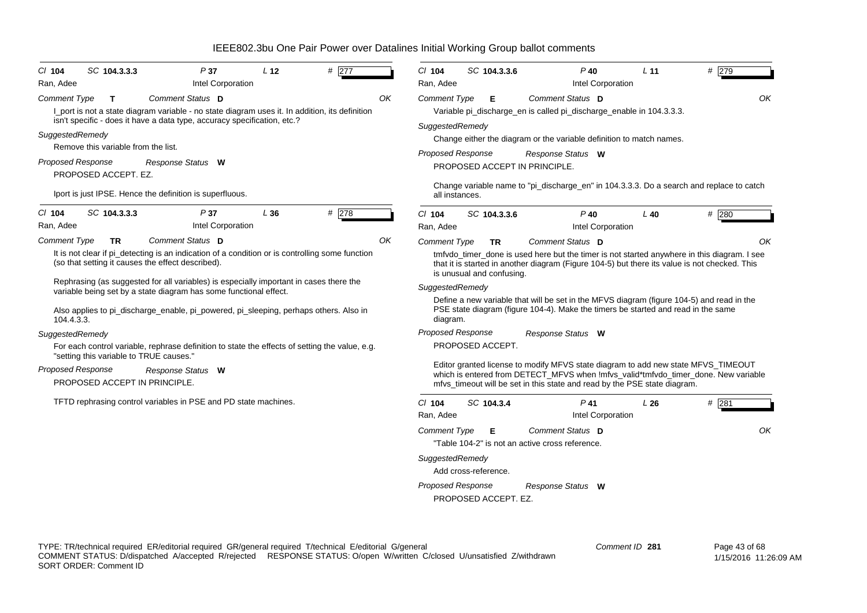| $Cl$ 104<br>Ran, Adee                                                     | SC 104.3.3.3                                                                          | P37<br>Intel Corporation                                                                                                                                                                                                                                                                                                                                                                                                                                                                                                                                | L <sub>12</sub> | # 277 |    | C/ 104<br>Ran, Adee                                                                         | SC 104.3.3.6                                                    | $P$ 40<br>Intel Corporation                                                                                                                                                                                                                                                                                                                                                                                                                                                                                                                                                                                                                                                     | L <sub>11</sub> | # 279         |
|---------------------------------------------------------------------------|---------------------------------------------------------------------------------------|---------------------------------------------------------------------------------------------------------------------------------------------------------------------------------------------------------------------------------------------------------------------------------------------------------------------------------------------------------------------------------------------------------------------------------------------------------------------------------------------------------------------------------------------------------|-----------------|-------|----|---------------------------------------------------------------------------------------------|-----------------------------------------------------------------|---------------------------------------------------------------------------------------------------------------------------------------------------------------------------------------------------------------------------------------------------------------------------------------------------------------------------------------------------------------------------------------------------------------------------------------------------------------------------------------------------------------------------------------------------------------------------------------------------------------------------------------------------------------------------------|-----------------|---------------|
| <b>Comment Type</b><br>SuggestedRemedy<br><b>Proposed Response</b>        | $\mathbf{T}$<br>Remove this variable from the list.<br>PROPOSED ACCEPT. EZ.           | Comment Status D<br>I_port is not a state diagram variable - no state diagram uses it. In addition, its definition<br>isn't specific - does it have a data type, accuracy specification, etc.?<br>Response Status W<br>Iport is just IPSE. Hence the definition is superfluous.                                                                                                                                                                                                                                                                         |                 |       | OK | Comment Type<br>SuggestedRemedy<br>Proposed Response<br>all instances.                      | Е                                                               | Comment Status D<br>Variable pi_discharge_en is called pi_discharge_enable in 104.3.3.3.<br>Change either the diagram or the variable definition to match names.<br>Response Status W<br>PROPOSED ACCEPT IN PRINCIPLE.<br>Change variable name to "pi_discharge_en" in 104.3.3.3. Do a search and replace to catch                                                                                                                                                                                                                                                                                                                                                              |                 | OK            |
| $Cl$ 104                                                                  | SC 104.3.3.3                                                                          | P37<br>Intel Corporation                                                                                                                                                                                                                                                                                                                                                                                                                                                                                                                                | L36             | # 278 |    | C/ 104                                                                                      | SC 104.3.3.6                                                    | $P$ 40                                                                                                                                                                                                                                                                                                                                                                                                                                                                                                                                                                                                                                                                          | $L$ 40          | #280          |
| Comment Type<br>104.4.3.3.<br>SuggestedRemedy<br><b>Proposed Response</b> | TR<br>"setting this variable to TRUE causes."<br><b>PROPOSED ACCEPT IN PRINCIPLE.</b> | Comment Status D<br>It is not clear if pi_detecting is an indication of a condition or is controlling some function<br>(so that setting it causes the effect described).<br>Rephrasing (as suggested for all variables) is especially important in cases there the<br>variable being set by a state diagram has some functional effect.<br>Also applies to pi_discharge_enable, pi_powered, pi_sleeping, perhaps others. Also in<br>For each control variable, rephrase definition to state the effects of setting the value, e.g.<br>Response Status W |                 |       | OK | <b>Comment Type</b><br>SuggestedRemedy<br>diagram.<br>Proposed Response                     | TR.<br>is unusual and confusing.<br>PROPOSED ACCEPT.            | Comment Status D<br>tmfvdo_timer_done is used here but the timer is not started anywhere in this diagram. I see<br>that it is started in another diagram (Figure 104-5) but there its value is not checked. This<br>Define a new variable that will be set in the MFVS diagram (figure 104-5) and read in the<br>PSE state diagram (figure 104-4). Make the timers be started and read in the same<br>Response Status W<br>Editor granted license to modify MFVS state diagram to add new state MFVS_TIMEOUT<br>which is entered from DETECT_MFVS when !mfvs_valid*tmfvdo_timer_done. New variable<br>mfvs_timeout will be set in this state and read by the PSE state diagram. |                 | ΟK            |
|                                                                           |                                                                                       | TFTD rephrasing control variables in PSE and PD state machines.                                                                                                                                                                                                                                                                                                                                                                                                                                                                                         |                 |       |    | $Cl$ 104<br>Ran, Adee<br><b>Comment Type</b><br>SuggestedRemedy<br><b>Proposed Response</b> | SC 104.3.4<br>Е<br>Add cross-reference.<br>PROPOSED ACCEPT. EZ. | $P$ 41<br>Intel Corporation<br>Comment Status D<br>"Table 104-2" is not an active cross reference.<br>Response Status W                                                                                                                                                                                                                                                                                                                                                                                                                                                                                                                                                         | L26             | $#$ 281<br>OK |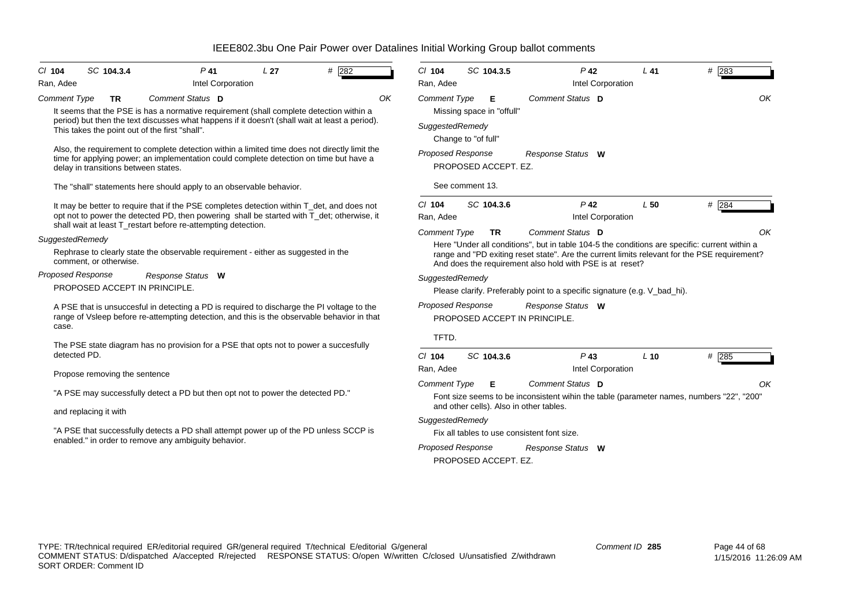| # 282<br>SC 104.3.4<br>$P$ 41<br>L <sub>27</sub><br>$CI$ 104<br>Intel Corporation<br>Ran, Adee                                                                                                                                                            | # 283<br>$Cl$ 104<br>SC 104.3.5<br>$P$ 42<br>$L$ 41<br>Intel Corporation<br>Ran, Adee                                                                                                                                                                     |
|-----------------------------------------------------------------------------------------------------------------------------------------------------------------------------------------------------------------------------------------------------------|-----------------------------------------------------------------------------------------------------------------------------------------------------------------------------------------------------------------------------------------------------------|
| Comment Status D<br>OK<br>Comment Type<br>TR<br>It seems that the PSE is has a normative requirement (shall complete detection within a                                                                                                                   | OK<br>Comment Type<br>Comment Status D<br>Е<br>Missing space in "offull"                                                                                                                                                                                  |
| period) but then the text discusses what happens if it doesn't (shall wait at least a period).<br>This takes the point out of the first "shall".                                                                                                          | SuggestedRemedy<br>Change to "of full"                                                                                                                                                                                                                    |
| Also, the requirement to complete detection within a limited time does not directly limit the<br>time for applying power; an implementation could complete detection on time but have a<br>delay in transitions between states.                           | <b>Proposed Response</b><br>Response Status W<br>PROPOSED ACCEPT. EZ.                                                                                                                                                                                     |
| The "shall" statements here should apply to an observable behavior.                                                                                                                                                                                       | See comment 13.                                                                                                                                                                                                                                           |
| It may be better to require that if the PSE completes detection within T_det, and does not<br>opt not to power the detected PD, then powering shall be started with T det; otherwise, it<br>shall wait at least T_restart before re-attempting detection. | $Cl$ 104<br>SC 104.3.6<br>$P$ 42<br>$L$ 50<br># 284<br>Intel Corporation<br>Ran. Adee                                                                                                                                                                     |
| SuggestedRemedy                                                                                                                                                                                                                                           | OK<br><b>Comment Type</b><br>Comment Status D<br>TR                                                                                                                                                                                                       |
| Rephrase to clearly state the observable requirement - either as suggested in the<br>comment, or otherwise.                                                                                                                                               | Here "Under all conditions", but in table 104-5 the conditions are specific: current within a<br>range and "PD exiting reset state". Are the current limits relevant for the PSE requirement?<br>And does the requirement also hold with PSE is at reset? |
| <b>Proposed Response</b><br>Response Status W                                                                                                                                                                                                             | SuggestedRemedy                                                                                                                                                                                                                                           |
| PROPOSED ACCEPT IN PRINCIPLE.                                                                                                                                                                                                                             | Please clarify. Preferably point to a specific signature (e.g. V_bad_hi).                                                                                                                                                                                 |
| A PSE that is unsuccesful in detecting a PD is required to discharge the PI voltage to the<br>range of Vsleep before re-attempting detection, and this is the observable behavior in that<br>case.                                                        | Proposed Response<br>Response Status W<br>PROPOSED ACCEPT IN PRINCIPLE.                                                                                                                                                                                   |
|                                                                                                                                                                                                                                                           | TFTD.                                                                                                                                                                                                                                                     |
| The PSE state diagram has no provision for a PSE that opts not to power a succesfully<br>detected PD.                                                                                                                                                     | SC 104.3.6<br>$P$ 43<br>$CI$ 104<br>$L$ 10<br>$#$ 285                                                                                                                                                                                                     |
| Propose removing the sentence                                                                                                                                                                                                                             | Intel Corporation<br>Ran, Adee                                                                                                                                                                                                                            |
| "A PSE may successfully detect a PD but then opt not to power the detected PD."                                                                                                                                                                           | Comment Type<br>Comment Status D<br>Е<br>OK                                                                                                                                                                                                               |
|                                                                                                                                                                                                                                                           | Font size seems to be inconsistent wihin the table (parameter names, numbers "22", "200"<br>and other cells). Also in other tables.                                                                                                                       |
| and replacing it with                                                                                                                                                                                                                                     | SuggestedRemedy                                                                                                                                                                                                                                           |
| "A PSE that successfully detects a PD shall attempt power up of the PD unless SCCP is                                                                                                                                                                     | Fix all tables to use consistent font size.                                                                                                                                                                                                               |
| enabled." in order to remove any ambiguity behavior.                                                                                                                                                                                                      | <b>Proposed Response</b><br>Response Status W<br>PROPOSED ACCEPT. EZ.                                                                                                                                                                                     |
|                                                                                                                                                                                                                                                           |                                                                                                                                                                                                                                                           |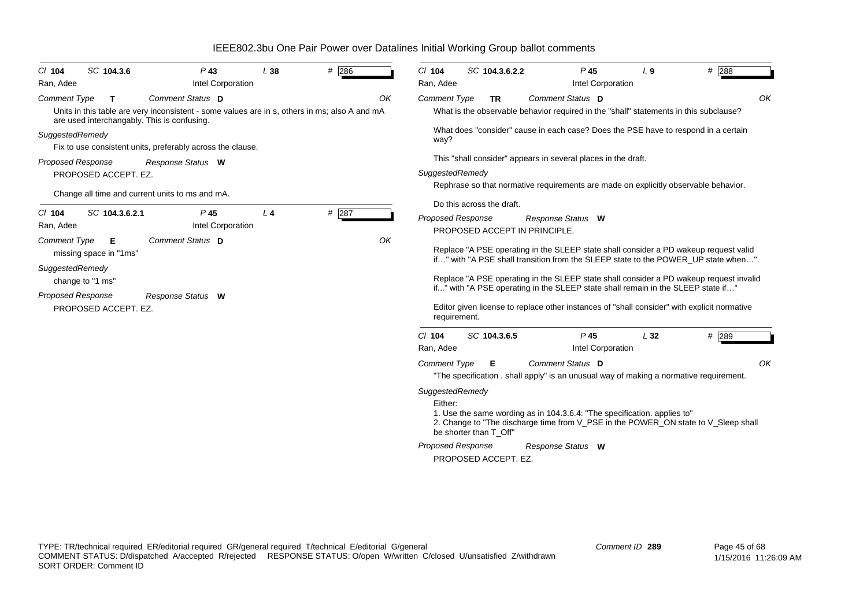| SC 104.3.6<br>$CI$ 104                                                                                                                        | $P$ 43                                                                                                            | L38            | $#$ 286 | $Cl$ 104<br>SC 104.3.6.2.2                                                                               | $P$ 45                                                                                                                                                                                                                                                                                                                                                                                                                                                  | $L_{9}$ | # 288 |
|-----------------------------------------------------------------------------------------------------------------------------------------------|-------------------------------------------------------------------------------------------------------------------|----------------|---------|----------------------------------------------------------------------------------------------------------|---------------------------------------------------------------------------------------------------------------------------------------------------------------------------------------------------------------------------------------------------------------------------------------------------------------------------------------------------------------------------------------------------------------------------------------------------------|---------|-------|
| Ran, Adee                                                                                                                                     | Intel Corporation                                                                                                 |                |         | Ran, Adee                                                                                                | Intel Corporation                                                                                                                                                                                                                                                                                                                                                                                                                                       |         |       |
| <b>Comment Type</b><br>T.<br>are used interchangably. This is confusing.                                                                      | Comment Status D<br>Units in this table are very inconsistent - some values are in s, others in ms; also A and mA |                | OK      | <b>Comment Type</b><br><b>TR</b>                                                                         | Comment Status D<br>What is the observable behavior required in the "shall" statements in this subclause?                                                                                                                                                                                                                                                                                                                                               |         | OK    |
| SuggestedRemedy                                                                                                                               | Fix to use consistent units, preferably across the clause.                                                        |                |         | way?                                                                                                     | What does "consider" cause in each case? Does the PSE have to respond in a certain                                                                                                                                                                                                                                                                                                                                                                      |         |       |
| <b>Proposed Response</b>                                                                                                                      | Response Status W                                                                                                 |                |         |                                                                                                          | This "shall consider" appears in several places in the draft.                                                                                                                                                                                                                                                                                                                                                                                           |         |       |
| PROPOSED ACCEPT. EZ.                                                                                                                          |                                                                                                                   |                |         | SuggestedRemedy                                                                                          |                                                                                                                                                                                                                                                                                                                                                                                                                                                         |         |       |
|                                                                                                                                               | Change all time and current units to ms and mA.                                                                   |                |         |                                                                                                          | Rephrase so that normative requirements are made on explicitly observable behavior.                                                                                                                                                                                                                                                                                                                                                                     |         |       |
|                                                                                                                                               |                                                                                                                   |                |         | Do this across the draft.                                                                                |                                                                                                                                                                                                                                                                                                                                                                                                                                                         |         |       |
| SC 104.3.6.2.1<br>$CI$ 104<br>Ran, Adee                                                                                                       | P <sub>45</sub><br>Intel Corporation                                                                              | L <sub>4</sub> | # 287   | Proposed Response<br>PROPOSED ACCEPT IN PRINCIPLE.                                                       | Response Status W                                                                                                                                                                                                                                                                                                                                                                                                                                       |         |       |
| <b>Comment Type</b><br>Е<br>missing space in "1ms"<br>SuggestedRemedy<br>change to "1 ms"<br><b>Proposed Response</b><br>PROPOSED ACCEPT. EZ. | Comment Status D<br>Response Status W                                                                             |                | OK      | requirement.                                                                                             | Replace "A PSE operating in the SLEEP state shall consider a PD wakeup request valid<br>if" with "A PSE shall transition from the SLEEP state to the POWER UP state when".<br>Replace "A PSE operating in the SLEEP state shall consider a PD wakeup request invalid<br>if" with "A PSE operating in the SLEEP state shall remain in the SLEEP state if"<br>Editor given license to replace other instances of "shall consider" with explicit normative |         |       |
|                                                                                                                                               |                                                                                                                   |                |         | $Cl$ 104<br>SC 104.3.6.5<br>Ran, Adee                                                                    | $P$ 45<br>Intel Corporation                                                                                                                                                                                                                                                                                                                                                                                                                             | L32     | # 289 |
|                                                                                                                                               |                                                                                                                   |                |         | <b>Comment Type</b><br>Е                                                                                 | Comment Status D<br>"The specification . shall apply" is an unusual way of making a normative requirement.                                                                                                                                                                                                                                                                                                                                              |         | OK    |
|                                                                                                                                               |                                                                                                                   |                |         | SuggestedRemedy<br>Either:<br>be shorter than T Off"<br><b>Proposed Response</b><br>PROPOSED ACCEPT. EZ. | 1. Use the same wording as in 104.3.6.4: "The specification. applies to"<br>2. Change to "The discharge time from V_PSE in the POWER_ON state to V_Sleep shall<br>Response Status W                                                                                                                                                                                                                                                                     |         |       |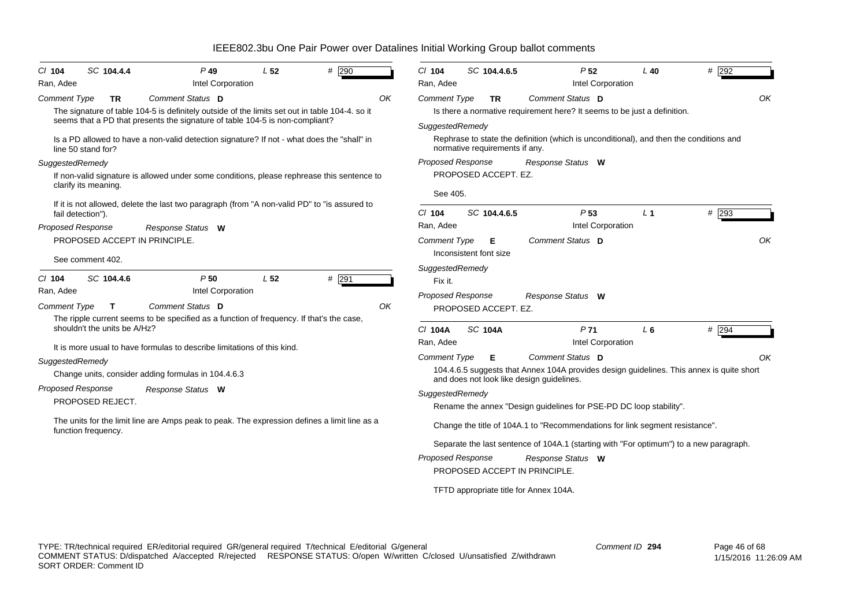| $CI$ 104                                     | SC 104.4.4                                        | $P$ 49                                                                                                                                                                                             | L <sub>52</sub> | # 290   |    | $Cl$ 104                                        | SC 104.4.6.5                           | P <sub>52</sub>                                                                                                                                           | $L$ 40         | $#$ 292 |  |
|----------------------------------------------|---------------------------------------------------|----------------------------------------------------------------------------------------------------------------------------------------------------------------------------------------------------|-----------------|---------|----|-------------------------------------------------|----------------------------------------|-----------------------------------------------------------------------------------------------------------------------------------------------------------|----------------|---------|--|
| Ran, Adee                                    |                                                   | Intel Corporation                                                                                                                                                                                  |                 |         |    | Ran, Adee                                       |                                        | Intel Corporation                                                                                                                                         |                |         |  |
| <b>Comment Type</b>                          | TR                                                | Comment Status D<br>The signature of table 104-5 is definitely outside of the limits set out in table 104-4. so it<br>seems that a PD that presents the signature of table 104-5 is non-compliant? |                 |         | OK | <b>Comment Type</b><br>SuggestedRemedy          | TR                                     | Comment Status D<br>Is there a normative requirement here? It seems to be just a definition.                                                              |                | OK      |  |
|                                              | line 50 stand for?                                | Is a PD allowed to have a non-valid detection signature? If not - what does the "shall" in                                                                                                         |                 |         |    |                                                 | normative requirements if any.         | Rephrase to state the definition (which is unconditional), and then the conditions and                                                                    |                |         |  |
| SuggestedRemedy                              | clarify its meaning.                              | If non-valid signature is allowed under some conditions, please rephrease this sentence to                                                                                                         |                 |         |    | Proposed Response<br>See 405.                   | PROPOSED ACCEPT. EZ.                   | Response Status W                                                                                                                                         |                |         |  |
| Proposed Response                            | fail detection").                                 | If it is not allowed, delete the last two paragraph (from "A non-valid PD" to "is assured to                                                                                                       |                 |         |    | $Cl$ 104<br>Ran, Adee                           | SC 104.4.6.5                           | P <sub>53</sub><br>Intel Corporation                                                                                                                      | L <sub>1</sub> | # 293   |  |
|                                              | PROPOSED ACCEPT IN PRINCIPLE.<br>See comment 402. | Response Status W                                                                                                                                                                                  |                 |         |    | <b>Comment Type</b>                             | Е<br>Inconsistent font size            | Comment Status D                                                                                                                                          |                | OK      |  |
| $CI$ 104<br>Ran, Adee<br><b>Comment Type</b> | SC 104.4.6<br>$\mathbf{T}$                        | P50<br>Intel Corporation<br>Comment Status D                                                                                                                                                       | L <sub>52</sub> | $#$ 291 | OK | SuggestedRemedy<br>Fix it.<br>Proposed Response | PROPOSED ACCEPT. EZ.                   | Response Status W                                                                                                                                         |                |         |  |
|                                              | shouldn't the units be A/Hz?                      | The ripple current seems to be specified as a function of frequency. If that's the case,                                                                                                           |                 |         |    | C/ 104A<br>Ran, Adee                            | <b>SC 104A</b>                         | P <sub>71</sub><br>Intel Corporation                                                                                                                      | $L_6$          | $#$ 294 |  |
|                                              |                                                   | It is more usual to have formulas to describe limitations of this kind.                                                                                                                            |                 |         |    |                                                 |                                        |                                                                                                                                                           |                |         |  |
| SuggestedRemedy                              |                                                   | Change units, consider adding formulas in 104.4.6.3                                                                                                                                                |                 |         |    | <b>Comment Type</b>                             | E.                                     | Comment Status D<br>104.4.6.5 suggests that Annex 104A provides design guidelines. This annex is quite short<br>and does not look like design guidelines. |                | OK      |  |
| Proposed Response                            | PROPOSED REJECT.                                  | Response Status W                                                                                                                                                                                  |                 |         |    | SuggestedRemedy                                 |                                        | Rename the annex "Design guidelines for PSE-PD DC loop stability".                                                                                        |                |         |  |
|                                              | function frequency.                               | The units for the limit line are Amps peak to peak. The expression defines a limit line as a                                                                                                       |                 |         |    |                                                 |                                        | Change the title of 104A.1 to "Recommendations for link segment resistance".                                                                              |                |         |  |
|                                              |                                                   |                                                                                                                                                                                                    |                 |         |    |                                                 |                                        | Separate the last sentence of 104A.1 (starting with "For optimum") to a new paragraph.                                                                    |                |         |  |
|                                              |                                                   |                                                                                                                                                                                                    |                 |         |    | Proposed Response                               | PROPOSED ACCEPT IN PRINCIPLE.          | Response Status W                                                                                                                                         |                |         |  |
|                                              |                                                   |                                                                                                                                                                                                    |                 |         |    |                                                 | TFTD appropriate title for Annex 104A. |                                                                                                                                                           |                |         |  |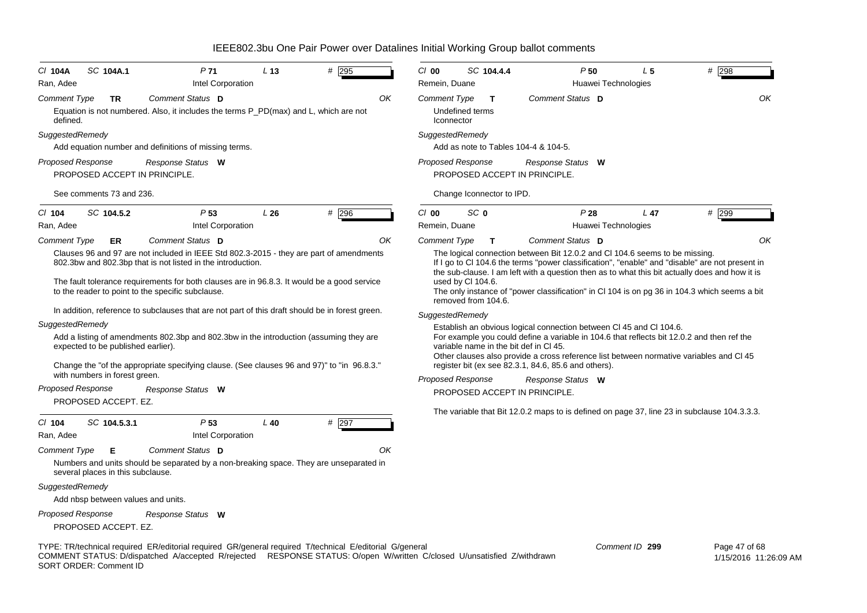| C/ 104A<br>Ran, Adee            | SC 104A.1                              | P <sub>71</sub><br>Intel Corporation                                                                                                                                                                                                                                                                                                                                                                         | L <sub>13</sub> | $#$ 295 | $Cl$ 00<br>Remein, Duane  | SC 104.4.4                                                                                            | P <sub>50</sub><br>Huawei Technologies                                                                                                                                                                                                                                                                                                                                                                                                                                                                                                                            | L <sub>5</sub> | $#$ 298       |
|---------------------------------|----------------------------------------|--------------------------------------------------------------------------------------------------------------------------------------------------------------------------------------------------------------------------------------------------------------------------------------------------------------------------------------------------------------------------------------------------------------|-----------------|---------|---------------------------|-------------------------------------------------------------------------------------------------------|-------------------------------------------------------------------------------------------------------------------------------------------------------------------------------------------------------------------------------------------------------------------------------------------------------------------------------------------------------------------------------------------------------------------------------------------------------------------------------------------------------------------------------------------------------------------|----------------|---------------|
| <b>Comment Type</b><br>defined. | TR                                     | Comment Status D<br>Equation is not numbered. Also, it includes the terms P_PD(max) and L, which are not                                                                                                                                                                                                                                                                                                     |                 | OK      | <b>Comment Type</b>       | Т<br>Undefined terms<br>Iconnector                                                                    | Comment Status D                                                                                                                                                                                                                                                                                                                                                                                                                                                                                                                                                  |                | OK            |
| SuggestedRemedy                 |                                        |                                                                                                                                                                                                                                                                                                                                                                                                              |                 |         |                           | SuggestedRemedy                                                                                       |                                                                                                                                                                                                                                                                                                                                                                                                                                                                                                                                                                   |                |               |
|                                 |                                        | Add equation number and definitions of missing terms.                                                                                                                                                                                                                                                                                                                                                        |                 |         |                           |                                                                                                       | Add as note to Tables 104-4 & 104-5.                                                                                                                                                                                                                                                                                                                                                                                                                                                                                                                              |                |               |
| <b>Proposed Response</b>        |                                        | Response Status W<br>PROPOSED ACCEPT IN PRINCIPLE.                                                                                                                                                                                                                                                                                                                                                           |                 |         |                           | <b>Proposed Response</b>                                                                              | Response Status W<br>PROPOSED ACCEPT IN PRINCIPLE.                                                                                                                                                                                                                                                                                                                                                                                                                                                                                                                |                |               |
|                                 | See comments 73 and 236.               |                                                                                                                                                                                                                                                                                                                                                                                                              |                 |         |                           | Change Iconnector to IPD.                                                                             |                                                                                                                                                                                                                                                                                                                                                                                                                                                                                                                                                                   |                |               |
| $Cl$ 104<br>Ran, Adee           | SC 104.5.2                             | P53<br>Intel Corporation                                                                                                                                                                                                                                                                                                                                                                                     | L26             | # 296   | $C/O$ 00<br>Remein, Duane | SC 0                                                                                                  | P28<br>Huawei Technologies                                                                                                                                                                                                                                                                                                                                                                                                                                                                                                                                        | $L$ 47         | # 299         |
| <b>Comment Type</b>             | ER                                     | Comment Status D                                                                                                                                                                                                                                                                                                                                                                                             |                 | ΟK      | <b>Comment Type</b>       | T.                                                                                                    | Comment Status D                                                                                                                                                                                                                                                                                                                                                                                                                                                                                                                                                  |                | OK            |
| SuggestedRemedy                 | expected to be published earlier).     | 802.3bw and 802.3bp that is not listed in the introduction.<br>The fault tolerance requirements for both clauses are in 96.8.3. It would be a good service<br>to the reader to point to the specific subclause.<br>In addition, reference to subclauses that are not part of this draft should be in forest green.<br>Add a listing of amendments 802.3bp and 802.3bw in the introduction (assuming they are |                 |         |                           | used by Cl 104.6.<br>removed from 104.6.<br>SuggestedRemedy<br>variable name in the bit def in CI 45. | If I go to CI 104.6 the terms "power classification", "enable" and "disable" are not present in<br>the sub-clause. I am left with a question then as to what this bit actually does and how it is<br>The only instance of "power classification" in CI 104 is on pg 36 in 104.3 which seems a bit<br>Establish an obvious logical connection between CI 45 and CI 104.6.<br>For example you could define a variable in 104.6 that reflects bit 12.0.2 and then ref the<br>Other clauses also provide a cross reference list between normative variables and Cl 45 |                |               |
|                                 | with numbers in forest green.          | Change the "of the appropriate specifying clause. (See clauses 96 and 97)" to "in 96.8.3."                                                                                                                                                                                                                                                                                                                   |                 |         |                           | <b>Proposed Response</b>                                                                              | register bit (ex see 82.3.1, 84.6, 85.6 and others).<br>Response Status W                                                                                                                                                                                                                                                                                                                                                                                                                                                                                         |                |               |
| <b>Proposed Response</b>        |                                        | Response Status W                                                                                                                                                                                                                                                                                                                                                                                            |                 |         |                           |                                                                                                       | PROPOSED ACCEPT IN PRINCIPLE.                                                                                                                                                                                                                                                                                                                                                                                                                                                                                                                                     |                |               |
| $Cl$ 104                        | PROPOSED ACCEPT. EZ.<br>SC 104.5.3.1   | P53                                                                                                                                                                                                                                                                                                                                                                                                          | $L$ 40          | $#$ 297 |                           |                                                                                                       | The variable that Bit 12.0.2 maps to is defined on page 37, line 23 in subclause 104.3.3.3.                                                                                                                                                                                                                                                                                                                                                                                                                                                                       |                |               |
| Ran, Adee                       |                                        | Intel Corporation                                                                                                                                                                                                                                                                                                                                                                                            |                 |         |                           |                                                                                                       |                                                                                                                                                                                                                                                                                                                                                                                                                                                                                                                                                                   |                |               |
| Comment Type                    | Е<br>several places in this subclause. | Comment Status D<br>Numbers and units should be separated by a non-breaking space. They are unseparated in                                                                                                                                                                                                                                                                                                   |                 | OK      |                           |                                                                                                       |                                                                                                                                                                                                                                                                                                                                                                                                                                                                                                                                                                   |                |               |
| SuggestedRemedy                 |                                        |                                                                                                                                                                                                                                                                                                                                                                                                              |                 |         |                           |                                                                                                       |                                                                                                                                                                                                                                                                                                                                                                                                                                                                                                                                                                   |                |               |
|                                 | Add nbsp between values and units.     |                                                                                                                                                                                                                                                                                                                                                                                                              |                 |         |                           |                                                                                                       |                                                                                                                                                                                                                                                                                                                                                                                                                                                                                                                                                                   |                |               |
| <b>Proposed Response</b>        | PROPOSED ACCEPT. EZ.                   | Response Status W                                                                                                                                                                                                                                                                                                                                                                                            |                 |         |                           |                                                                                                       |                                                                                                                                                                                                                                                                                                                                                                                                                                                                                                                                                                   |                |               |
|                                 |                                        | TYPE: TR/technical required ER/editorial required GR/general required T/technical E/editorial G/general                                                                                                                                                                                                                                                                                                      |                 |         |                           |                                                                                                       |                                                                                                                                                                                                                                                                                                                                                                                                                                                                                                                                                                   | Comment ID 299 | Page 47 of 68 |

COMMENT STATUS: D/dispatched A/accepted R/rejected RESPONSE STATUS: O/open W/written C/closed U/unsatisfied Z/withdrawn SORT ORDER: Comment ID

 Page 47 of 68 1/15/2016 11:26:09 AM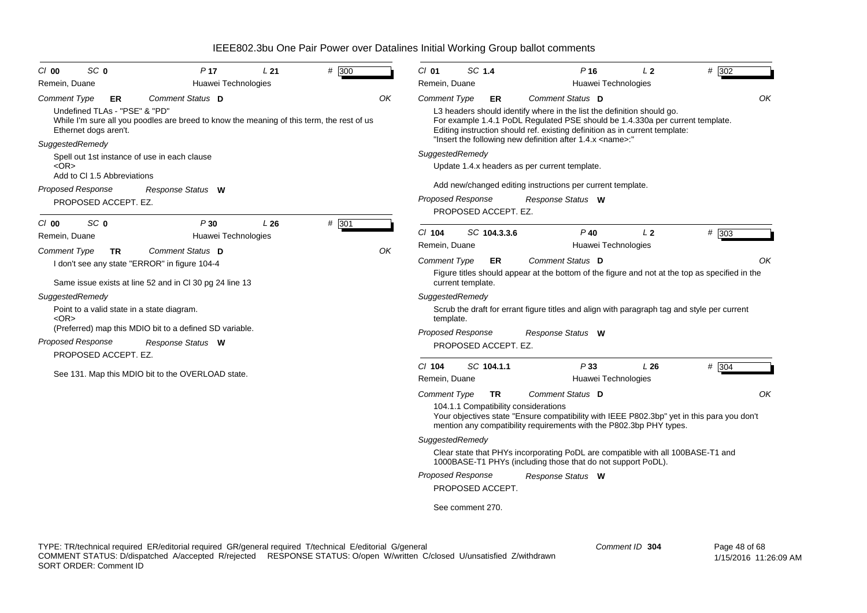| SC <sub>0</sub><br>$Cl$ 00                                                                                                      | P <sub>17</sub>                                                                                               | L21 | # 300 |    | $CI$ 01                                           | SC 1.4            |                      | $P$ 16                                                                                                                                                                                                                                                                                                                         | L <sub>2</sub>                        | # 302                                                                                                |
|---------------------------------------------------------------------------------------------------------------------------------|---------------------------------------------------------------------------------------------------------------|-----|-------|----|---------------------------------------------------|-------------------|----------------------|--------------------------------------------------------------------------------------------------------------------------------------------------------------------------------------------------------------------------------------------------------------------------------------------------------------------------------|---------------------------------------|------------------------------------------------------------------------------------------------------|
| Remein, Duane                                                                                                                   | Huawei Technologies                                                                                           |     |       |    | Remein, Duane                                     |                   |                      |                                                                                                                                                                                                                                                                                                                                | Huawei Technologies                   |                                                                                                      |
| Comment Type<br>ER<br>Undefined TLAs - "PSE" & "PD"<br>Ethernet dogs aren't.<br>SuggestedRemedy                                 | Comment Status D<br>While I'm sure all you poodles are breed to know the meaning of this term, the rest of us |     |       | OΚ | <b>Comment Type</b>                               |                   | ER                   | Comment Status D<br>L3 headers should identify where in the list the definition should go.<br>For example 1.4.1 PoDL Regulated PSE should be 1.4.330a per current template.<br>Editing instruction should ref. existing definition as in current template:<br>"Insert the following new definition after 1.4.x <name>:"</name> |                                       | OK                                                                                                   |
| Spell out 1st instance of use in each clause<br>$<\Omega$ R $>$<br>Add to CI 1.5 Abbreviations                                  |                                                                                                               |     |       |    | SuggestedRemedy                                   |                   |                      | Update 1.4.x headers as per current template.                                                                                                                                                                                                                                                                                  |                                       |                                                                                                      |
| <b>Proposed Response</b><br>PROPOSED ACCEPT. EZ.                                                                                | Response Status W                                                                                             |     |       |    | <b>Proposed Response</b>                          |                   | PROPOSED ACCEPT. EZ. | Add new/changed editing instructions per current template.<br>Response Status W                                                                                                                                                                                                                                                |                                       |                                                                                                      |
| SC <sub>0</sub><br>$Cl$ 00<br>Remein, Duane                                                                                     | P30<br>Huawei Technologies                                                                                    | L26 | # 301 |    | $Cl$ 104<br>Remein, Duane                         |                   | SC 104.3.3.6         | $P$ 40                                                                                                                                                                                                                                                                                                                         | L <sub>2</sub><br>Huawei Technologies | # 303                                                                                                |
| <b>Comment Type</b><br><b>TR</b><br>I don't see any state "ERROR" in figure 104-4                                               | Comment Status D<br>Same issue exists at line 52 and in CI 30 pg 24 line 13                                   |     |       | OK | <b>Comment Type</b>                               | current template. | ER                   | Comment Status D                                                                                                                                                                                                                                                                                                               |                                       | OK<br>Figure titles should appear at the bottom of the figure and not at the top as specified in the |
| SuggestedRemedy<br>Point to a valid state in a state diagram.<br>$<$ OR $>$<br><b>Proposed Response</b><br>PROPOSED ACCEPT. EZ. | (Preferred) map this MDIO bit to a defined SD variable.<br>Response Status W                                  |     |       |    | SuggestedRemedy<br>template.<br>Proposed Response |                   | PROPOSED ACCEPT. EZ. | Scrub the draft for errant figure titles and align with paragraph tag and style per current<br>Response Status W                                                                                                                                                                                                               |                                       |                                                                                                      |
|                                                                                                                                 | See 131. Map this MDIO bit to the OVERLOAD state.                                                             |     |       |    | $Cl$ 104<br>Remein, Duane                         |                   | SC 104.1.1           | P33                                                                                                                                                                                                                                                                                                                            | L26<br>Huawei Technologies            | # 304                                                                                                |
|                                                                                                                                 |                                                                                                               |     |       |    | <b>Comment Type</b>                               |                   | <b>TR</b>            | Comment Status D<br>104.1.1 Compatibility considerations<br>mention any compatibility requirements with the P802.3bp PHY types.                                                                                                                                                                                                |                                       | OK<br>Your objectives state "Ensure compatibility with IEEE P802.3bp" yet in this para you don't     |
|                                                                                                                                 |                                                                                                               |     |       |    | SuggestedRemedy                                   |                   |                      | Clear state that PHYs incorporating PoDL are compatible with all 100BASE-T1 and                                                                                                                                                                                                                                                |                                       |                                                                                                      |
|                                                                                                                                 |                                                                                                               |     |       |    |                                                   |                   |                      | 1000BASE-T1 PHYs (including those that do not support PoDL).                                                                                                                                                                                                                                                                   |                                       |                                                                                                      |
|                                                                                                                                 |                                                                                                               |     |       |    | <b>Proposed Response</b>                          |                   | PROPOSED ACCEPT.     | Response Status W                                                                                                                                                                                                                                                                                                              |                                       |                                                                                                      |
|                                                                                                                                 |                                                                                                               |     |       |    |                                                   | See comment 270.  |                      |                                                                                                                                                                                                                                                                                                                                |                                       |                                                                                                      |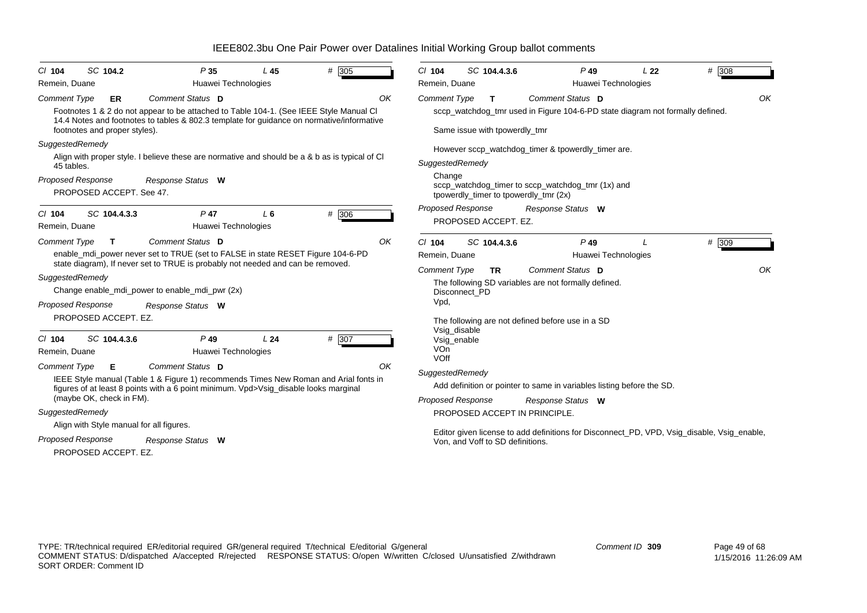| $Cl$ 104                 | SC 104.2                      | P35                                                                                                                                                                                 | L45            | # 305 | $CI$ 104                 |                                  | SC 104.4.3.6 |                                                  | $P$ 49                                               | L <sub>22</sub>                                                               | # 308                                                                                      |
|--------------------------|-------------------------------|-------------------------------------------------------------------------------------------------------------------------------------------------------------------------------------|----------------|-------|--------------------------|----------------------------------|--------------|--------------------------------------------------|------------------------------------------------------|-------------------------------------------------------------------------------|--------------------------------------------------------------------------------------------|
| Remein, Duane            |                               | Huawei Technologies                                                                                                                                                                 |                |       | Remein, Duane            |                                  |              |                                                  | Huawei Technologies                                  |                                                                               |                                                                                            |
| <b>Comment Type</b>      | ER.                           | Comment Status D                                                                                                                                                                    |                | OK    | <b>Comment Type</b>      |                                  | T.           | <b>Comment Status D</b>                          |                                                      |                                                                               | OK                                                                                         |
|                          | footnotes and proper styles). | Footnotes 1 & 2 do not appear to be attached to Table 104-1. (See IEEE Style Manual CI<br>14.4 Notes and footnotes to tables & 802.3 template for guidance on normative/informative |                |       |                          | Same issue with tpowerdly_tmr    |              |                                                  |                                                      | sccp_watchdog_tmr used in Figure 104-6-PD state diagram not formally defined. |                                                                                            |
| SuggestedRemedy          |                               |                                                                                                                                                                                     |                |       |                          |                                  |              |                                                  | However sccp_watchdog_timer & tpowerdly_timer are.   |                                                                               |                                                                                            |
| 45 tables.               |                               | Align with proper style. I believe these are normative and should be a & b as is typical of CI                                                                                      |                |       | SuggestedRemedy          |                                  |              |                                                  |                                                      |                                                                               |                                                                                            |
| Proposed Response        | PROPOSED ACCEPT. See 47.      | Response Status W                                                                                                                                                                   |                |       | Change                   |                                  |              | tpowerdly_timer to tpowerdly_tmr (2x)            | sccp_watchdog_timer to sccp_watchdog_tmr (1x) and    |                                                                               |                                                                                            |
| $Cl$ 104                 | SC 104.4.3.3                  | $P$ 47                                                                                                                                                                              | L <sub>6</sub> | # 306 | Proposed Response        |                                  |              | Response Status W                                |                                                      |                                                                               |                                                                                            |
| Remein, Duane            |                               | Huawei Technologies                                                                                                                                                                 |                |       |                          | PROPOSED ACCEPT. EZ.             |              |                                                  |                                                      |                                                                               |                                                                                            |
| <b>Comment Type</b>      | T.                            | Comment Status D                                                                                                                                                                    |                | OK    | $Cl$ 104                 |                                  | SC 104.4.3.6 |                                                  | $P$ 49                                               |                                                                               | # 309                                                                                      |
|                          |                               | enable_mdi_power never set to TRUE (set to FALSE in state RESET Figure 104-6-PD                                                                                                     |                |       | Remein, Duane            |                                  |              |                                                  | Huawei Technologies                                  |                                                                               |                                                                                            |
|                          |                               | state diagram), If never set to TRUE is probably not needed and can be removed.                                                                                                     |                |       | <b>Comment Type</b>      |                                  | <b>TR</b>    | Comment Status D                                 |                                                      |                                                                               | OK                                                                                         |
| SuggestedRemedy          |                               |                                                                                                                                                                                     |                |       |                          |                                  |              |                                                  | The following SD variables are not formally defined. |                                                                               |                                                                                            |
|                          |                               | Change enable_mdi_power to enable_mdi_pwr (2x)                                                                                                                                      |                |       |                          | Disconnect PD                    |              |                                                  |                                                      |                                                                               |                                                                                            |
| <b>Proposed Response</b> |                               | Response Status W                                                                                                                                                                   |                |       | Vpd,                     |                                  |              |                                                  |                                                      |                                                                               |                                                                                            |
|                          | PROPOSED ACCEPT. EZ.          |                                                                                                                                                                                     |                |       |                          |                                  |              | The following are not defined before use in a SD |                                                      |                                                                               |                                                                                            |
| $Cl$ 104                 | SC 104.4.3.6                  | $P$ 49                                                                                                                                                                              | L24            | # 307 |                          | Vsig_disable<br>Vsig_enable      |              |                                                  |                                                      |                                                                               |                                                                                            |
| Remein, Duane            |                               | Huawei Technologies                                                                                                                                                                 |                |       | VOn                      |                                  |              |                                                  |                                                      |                                                                               |                                                                                            |
| <b>Comment Type</b>      | Е                             | Comment Status D                                                                                                                                                                    |                | OK    | VOff                     |                                  |              |                                                  |                                                      |                                                                               |                                                                                            |
|                          |                               | IEEE Style manual (Table 1 & Figure 1) recommends Times New Roman and Arial fonts in                                                                                                |                |       | SuggestedRemedy          |                                  |              |                                                  |                                                      |                                                                               |                                                                                            |
|                          |                               | figures of at least 8 points with a 6 point minimum. Vpd>Vsig disable looks marginal                                                                                                |                |       |                          |                                  |              |                                                  |                                                      | Add definition or pointer to same in variables listing before the SD.         |                                                                                            |
|                          | (maybe OK, check in FM).      |                                                                                                                                                                                     |                |       | <b>Proposed Response</b> |                                  |              | Response Status W                                |                                                      |                                                                               |                                                                                            |
| SuggestedRemedy          |                               |                                                                                                                                                                                     |                |       |                          |                                  |              | PROPOSED ACCEPT IN PRINCIPLE.                    |                                                      |                                                                               |                                                                                            |
|                          |                               | Align with Style manual for all figures.                                                                                                                                            |                |       |                          |                                  |              |                                                  |                                                      |                                                                               | Editor given license to add definitions for Disconnect_PD, VPD, Vsig_disable, Vsig_enable, |
| Proposed Response        |                               | Response Status W                                                                                                                                                                   |                |       |                          | Von, and Voff to SD definitions. |              |                                                  |                                                      |                                                                               |                                                                                            |
|                          | PROPOSED ACCEPT. EZ.          |                                                                                                                                                                                     |                |       |                          |                                  |              |                                                  |                                                      |                                                                               |                                                                                            |
|                          |                               |                                                                                                                                                                                     |                |       |                          |                                  |              |                                                  |                                                      |                                                                               |                                                                                            |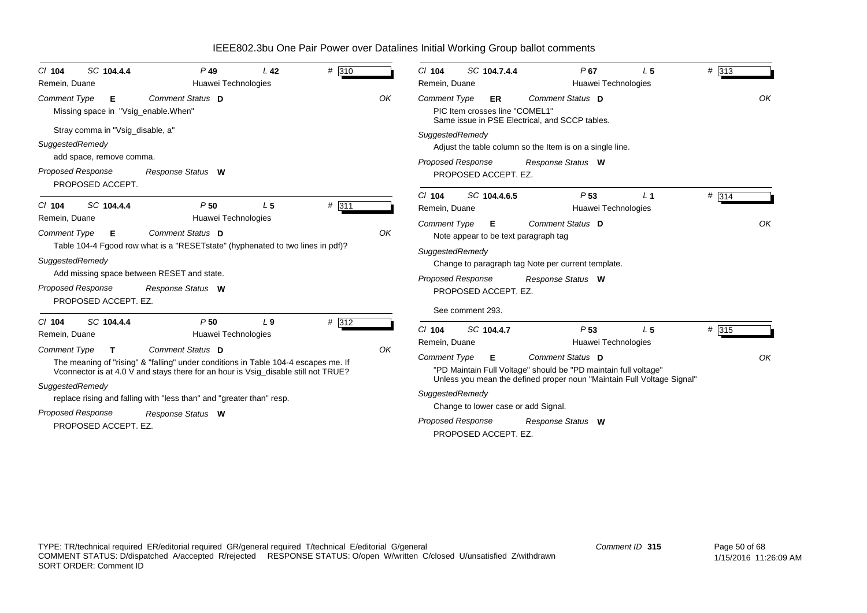| SC 104.4.4<br>$CI$ 104<br>Remein, Duane                                                                                                                                        | $P$ 49<br>Huawei Technologies                                                                                                                                                                                                                                                             | L <sub>42</sub> | # 310 |    | $Cl$ 104<br>Remein, Duane                                                                                                                              | SC 104.7.4.4 | $P$ 67<br>Huawei Technologies                                                                                                                                                      | L <sub>5</sub> | # 313 |    |
|--------------------------------------------------------------------------------------------------------------------------------------------------------------------------------|-------------------------------------------------------------------------------------------------------------------------------------------------------------------------------------------------------------------------------------------------------------------------------------------|-----------------|-------|----|--------------------------------------------------------------------------------------------------------------------------------------------------------|--------------|------------------------------------------------------------------------------------------------------------------------------------------------------------------------------------|----------------|-------|----|
| <b>Comment Type</b><br>Е<br>Missing space in "Vsig_enable.When"<br>Stray comma in "Vsig_disable, a"<br>SuggestedRemedy<br>add space, remove comma.<br><b>Proposed Response</b> | Comment Status D<br>Response Status W                                                                                                                                                                                                                                                     |                 |       | OK | <b>Comment Type</b><br>PIC Item crosses line "COMEL1"<br>SuggestedRemedy<br><b>Proposed Response</b><br>PROPOSED ACCEPT. EZ.                           | ER           | Comment Status D<br>Same issue in PSE Electrical, and SCCP tables.<br>Adjust the table column so the Item is on a single line.<br>Response Status W                                |                |       | OK |
| PROPOSED ACCEPT.<br>SC 104.4.4<br>$Cl$ 104                                                                                                                                     | P50                                                                                                                                                                                                                                                                                       | L <sub>5</sub>  | # 311 |    | $Cl$ 104<br>Remein, Duane                                                                                                                              | SC 104.4.6.5 | P <sub>53</sub><br>Huawei Technologies                                                                                                                                             | L <sub>1</sub> | # 314 |    |
| Remein, Duane<br><b>Comment Type</b><br>E<br>SuggestedRemedy<br><b>Proposed Response</b><br>PROPOSED ACCEPT. EZ.                                                               | Huawei Technologies<br>Comment Status D<br>Table 104-4 Fgood row what is a "RESETstate" (hyphenated to two lines in pdf)?<br>Add missing space between RESET and state.<br>Response Status W                                                                                              |                 |       | OK | <b>Comment Type</b><br>Note appear to be text paragraph tag<br>SuggestedRemedy<br><b>Proposed Response</b><br>PROPOSED ACCEPT. EZ.<br>See comment 293. | E            | Comment Status D<br>Change to paragraph tag Note per current template.<br>Response Status W                                                                                        |                |       | OK |
| SC 104.4.4<br>$Cl$ 104<br>Remein, Duane                                                                                                                                        | P50<br>Huawei Technologies                                                                                                                                                                                                                                                                | L <sub>9</sub>  | # 312 |    | $Cl$ 104<br>SC 104.4.7<br>Remein, Duane                                                                                                                |              | P <sub>53</sub><br>Huawei Technologies                                                                                                                                             | L <sub>5</sub> | # 315 |    |
| <b>Comment Type</b><br>T.<br>SuggestedRemedy<br>Proposed Response<br>PROPOSED ACCEPT. EZ.                                                                                      | Comment Status D<br>The meaning of "rising" & "falling" under conditions in Table 104-4 escapes me. If<br>Vconnector is at 4.0 V and stays there for an hour is Vsig_disable still not TRUE?<br>replace rising and falling with "less than" and "greater than" resp.<br>Response Status W |                 |       | OK | <b>Comment Type</b><br>SuggestedRemedy<br>Change to lower case or add Signal.<br><b>Proposed Response</b><br>PROPOSED ACCEPT. EZ.                      | Е.           | Comment Status D<br>"PD Maintain Full Voltage" should be "PD maintain full voltage"<br>Unless you mean the defined proper noun "Maintain Full Voltage Signal"<br>Response Status W |                |       | OK |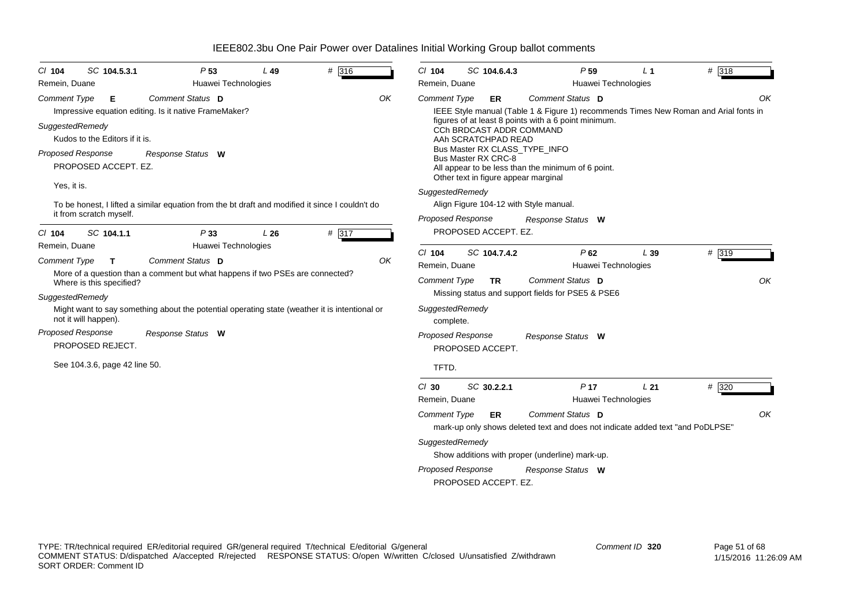| $Cl$ 104<br>Remein, Duane                                      | SC 104.5.3.1                                                                                                                    | P <sub>53</sub>                                                                                | L49<br>Huawei Technologies                                                                           | # 316                                                                                                    | $Cl$ 104<br>Remein, Duane                                                    | SC 104.6.4.3                                                                                                                                                 | P <sub>59</sub><br>Huawei Technologies                                                                                                                                                                                 | L <sub>1</sub> | # 318       |
|----------------------------------------------------------------|---------------------------------------------------------------------------------------------------------------------------------|------------------------------------------------------------------------------------------------|------------------------------------------------------------------------------------------------------|----------------------------------------------------------------------------------------------------------|------------------------------------------------------------------------------|--------------------------------------------------------------------------------------------------------------------------------------------------------------|------------------------------------------------------------------------------------------------------------------------------------------------------------------------------------------------------------------------|----------------|-------------|
| <b>Comment Type</b><br>SuggestedRemedy                         | Е<br>Kudos to the Editors if it is.<br>Proposed Response<br>PROPOSED ACCEPT. EZ.                                                | Comment Status D<br>Impressive equation editing. Is it native FrameMaker?<br>Response Status W |                                                                                                      |                                                                                                          | OK<br><b>Comment Type</b>                                                    | ER<br><b>CCh BRDCAST ADDR COMMAND</b><br>AAh SCRATCHPAD READ<br>Bus Master RX CLASS_TYPE_INFO<br>Bus Master RX CRC-8<br>Other text in figure appear marginal | Comment Status D<br>IEEE Style manual (Table 1 & Figure 1) recommends Times New Roman and Arial fonts in<br>figures of at least 8 points with a 6 point minimum.<br>All appear to be less than the minimum of 6 point. |                | OK          |
| Yes, it is.<br>CI 104                                          | it from scratch myself.<br>SC 104.1.1                                                                                           | P33                                                                                            | L26                                                                                                  | To be honest, I lifted a similar equation from the bt draft and modified it since I couldn't do<br># 317 |                                                                              | SuggestedRemedy<br>Align Figure 104-12 with Style manual.<br><b>Proposed Response</b><br>PROPOSED ACCEPT. EZ.                                                | Response Status W                                                                                                                                                                                                      |                |             |
| Remein, Duane<br><b>Comment Type</b><br><b>SuggestedRemedy</b> | T<br>Where is this specified?<br>not it will happen).<br>Proposed Response<br>PROPOSED REJECT.<br>See 104.3.6, page 42 line 50. | Comment Status D<br>Response Status W                                                          | Huawei Technologies<br>More of a question than a comment but what happens if two PSEs are connected? | Might want to say something about the potential operating state (weather it is intentional or            | $Cl$ 104<br>OK<br>Remein, Duane<br><b>Comment Type</b><br>complete.<br>TFTD. | SC 104.7.4.2<br><b>TR</b><br>SuggestedRemedy<br><b>Proposed Response</b><br>PROPOSED ACCEPT.                                                                 | P62<br>Huawei Technologies<br>Comment Status D<br>Missing status and support fields for PSE5 & PSE6<br>Response Status W                                                                                               | L39            | # 319<br>OK |
|                                                                |                                                                                                                                 |                                                                                                |                                                                                                      |                                                                                                          | $Cl$ 30<br>Remein, Duane<br><b>Comment Type</b>                              | SC 30.2.2.1<br>ER<br>SuggestedRemedy<br>Proposed Response<br>PROPOSED ACCEPT. EZ.                                                                            | P <sub>17</sub><br>Huawei Technologies<br>Comment Status D<br>mark-up only shows deleted text and does not indicate added text "and PoDLPSE"<br>Show additions with proper (underline) mark-up.<br>Response Status W   | L21            | # 320<br>OK |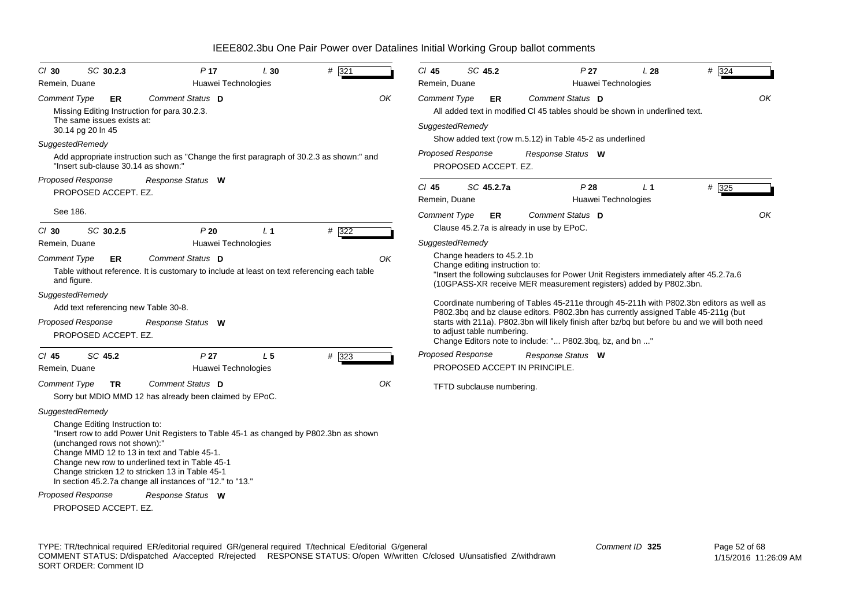| $Cl$ 30                            | SC 30.2.3                                                      | P <sub>17</sub>                                                                                                                                                                                                                                                                                         | L30            | # 321   |    | $Cl$ 45                                | SC 45.2                                                     | P <sub>27</sub>                                                                                                                                             | L28                                   | # 324                                                                                                                                                                                     |
|------------------------------------|----------------------------------------------------------------|---------------------------------------------------------------------------------------------------------------------------------------------------------------------------------------------------------------------------------------------------------------------------------------------------------|----------------|---------|----|----------------------------------------|-------------------------------------------------------------|-------------------------------------------------------------------------------------------------------------------------------------------------------------|---------------------------------------|-------------------------------------------------------------------------------------------------------------------------------------------------------------------------------------------|
| Remein, Duane                      |                                                                | Huawei Technologies                                                                                                                                                                                                                                                                                     |                |         |    | Remein, Duane                          |                                                             |                                                                                                                                                             | Huawei Technologies                   |                                                                                                                                                                                           |
| <b>Comment Type</b>                | ER<br>The same issues exists at:<br>30.14 pg 20 ln 45          | Comment Status D<br>Missing Editing Instruction for para 30.2.3.                                                                                                                                                                                                                                        |                |         | OK | <b>Comment Type</b><br>SuggestedRemedy | ER.                                                         | Comment Status D<br>All added text in modified CI 45 tables should be shown in underlined text.<br>Show added text (row m.5.12) in Table 45-2 as underlined |                                       | OK                                                                                                                                                                                        |
| SuggestedRemedy                    |                                                                |                                                                                                                                                                                                                                                                                                         |                |         |    |                                        |                                                             |                                                                                                                                                             |                                       |                                                                                                                                                                                           |
|                                    | "Insert sub-clause 30.14 as shown:"                            | Add appropriate instruction such as "Change the first paragraph of 30.2.3 as shown:" and                                                                                                                                                                                                                |                |         |    | <b>Proposed Response</b>               | PROPOSED ACCEPT. EZ.                                        | Response Status W                                                                                                                                           |                                       |                                                                                                                                                                                           |
| <b>Proposed Response</b>           | PROPOSED ACCEPT. EZ.                                           | Response Status W                                                                                                                                                                                                                                                                                       |                |         |    | $Cl$ 45<br>Remein, Duane               | SC 45.2.7a                                                  | P28                                                                                                                                                         | L <sub>1</sub><br>Huawei Technologies | # 325                                                                                                                                                                                     |
| See 186.                           |                                                                |                                                                                                                                                                                                                                                                                                         |                |         |    | Comment Type                           | ER.                                                         | Comment Status D                                                                                                                                            |                                       | OK                                                                                                                                                                                        |
| $CI$ 30                            | SC 30.2.5                                                      | P20                                                                                                                                                                                                                                                                                                     | L <sub>1</sub> | $#$ 322 |    |                                        |                                                             | Clause 45.2.7a is already in use by EPoC.                                                                                                                   |                                       |                                                                                                                                                                                           |
| Remein, Duane                      |                                                                | Huawei Technologies                                                                                                                                                                                                                                                                                     |                |         |    | SuggestedRemedy                        |                                                             |                                                                                                                                                             |                                       |                                                                                                                                                                                           |
| <b>Comment Type</b><br>and figure. | <b>ER</b>                                                      | Comment Status D<br>Table without reference. It is customary to include at least on text referencing each table                                                                                                                                                                                         |                |         | OK |                                        | Change headers to 45.2.1b<br>Change editing instruction to: | "Insert the following subclauses for Power Unit Registers immediately after 45.2.7a.6<br>(10GPASS-XR receive MER measurement registers) added by P802.3bn.  |                                       |                                                                                                                                                                                           |
| SuggestedRemedy                    |                                                                |                                                                                                                                                                                                                                                                                                         |                |         |    |                                        |                                                             |                                                                                                                                                             |                                       |                                                                                                                                                                                           |
| Proposed Response                  | Add text referencing new Table 30-8.<br>PROPOSED ACCEPT. EZ.   | Response Status W                                                                                                                                                                                                                                                                                       |                |         |    |                                        | to adjust table numbering.                                  | P802.3bq and bz clause editors. P802.3bn has currently assigned Table 45-211g (but<br>Change Editors note to include: " P802.3bq, bz, and bn "              |                                       | Coordinate numbering of Tables 45-211e through 45-211h with P802.3bn editors as well as<br>starts with 211a). P802.3bn will likely finish after bz/bq but before bu and we will both need |
| $CI$ 45                            | SC 45.2                                                        | P <sub>27</sub>                                                                                                                                                                                                                                                                                         | L <sub>5</sub> | $#$ 323 |    | <b>Proposed Response</b>               |                                                             | Response Status W                                                                                                                                           |                                       |                                                                                                                                                                                           |
| Remein, Duane                      |                                                                | Huawei Technologies                                                                                                                                                                                                                                                                                     |                |         |    |                                        |                                                             | PROPOSED ACCEPT IN PRINCIPLE.                                                                                                                               |                                       |                                                                                                                                                                                           |
| <b>Comment Type</b>                | TR.                                                            | Comment Status D<br>Sorry but MDIO MMD 12 has already been claimed by EPoC.                                                                                                                                                                                                                             |                |         | OK |                                        | TFTD subclause numbering.                                   |                                                                                                                                                             |                                       |                                                                                                                                                                                           |
| SuggestedRemedy                    | Change Editing Instruction to:<br>(unchanged rows not shown):" | "Insert row to add Power Unit Registers to Table 45-1 as changed by P802.3bn as shown<br>Change MMD 12 to 13 in text and Table 45-1.<br>Change new row to underlined text in Table 45-1<br>Change stricken 12 to stricken 13 in Table 45-1<br>In section 45.2.7a change all instances of "12." to "13." |                |         |    |                                        |                                                             |                                                                                                                                                             |                                       |                                                                                                                                                                                           |
| Proposed Response                  | PROPOSED ACCEPT. EZ.                                           | Response Status W                                                                                                                                                                                                                                                                                       |                |         |    |                                        |                                                             |                                                                                                                                                             |                                       |                                                                                                                                                                                           |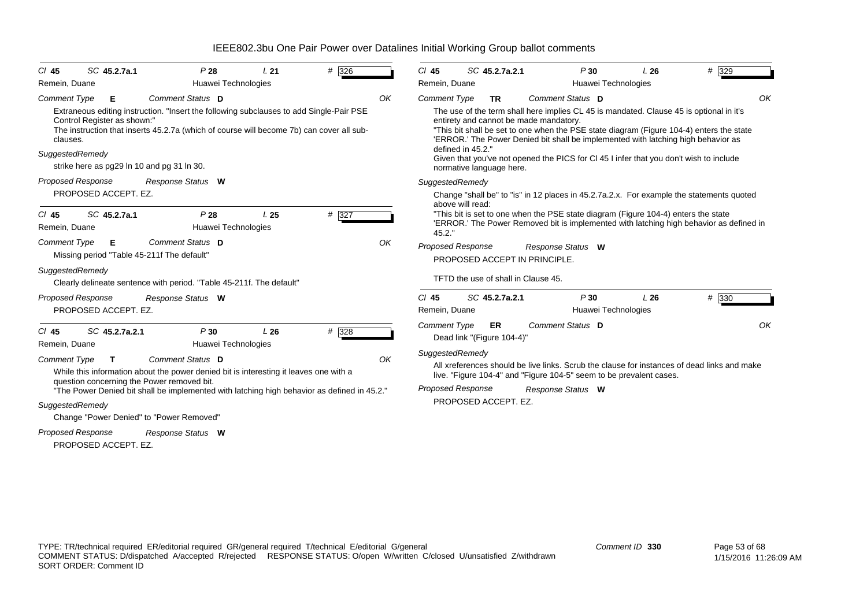| CI 45                           | SC 45.2.7a.1                         | P28                                                                                                                                                                                                                               | L21             | # 326              |    | $CI$ 45                  |                   | SC 45.2.7a.2.1                   | P30                                                                                                                                                                                                                                                                                                                                                                                                          | L26 | # 329   |    |
|---------------------------------|--------------------------------------|-----------------------------------------------------------------------------------------------------------------------------------------------------------------------------------------------------------------------------------|-----------------|--------------------|----|--------------------------|-------------------|----------------------------------|--------------------------------------------------------------------------------------------------------------------------------------------------------------------------------------------------------------------------------------------------------------------------------------------------------------------------------------------------------------------------------------------------------------|-----|---------|----|
| Remein, Duane                   |                                      | Huawei Technologies                                                                                                                                                                                                               |                 |                    |    | Remein, Duane            |                   |                                  | Huawei Technologies                                                                                                                                                                                                                                                                                                                                                                                          |     |         |    |
| <b>Comment Type</b>             | Е                                    | Comment Status D                                                                                                                                                                                                                  |                 |                    | OK | Comment Type             |                   | <b>TR</b>                        | Comment Status D                                                                                                                                                                                                                                                                                                                                                                                             |     |         | OK |
| clauses.<br>SuggestedRemedy     | Control Register as shown:"          | Extraneous editing instruction. "Insert the following subclauses to add Single-Pair PSE<br>The instruction that inserts 45.2.7a (which of course will become 7b) can cover all sub-<br>strike here as pg29 In 10 and pg 31 In 30. |                 |                    |    |                          | defined in 45.2." | normative language here.         | The use of the term shall here implies CL 45 is mandated. Clause 45 is optional in it's<br>entirety and cannot be made mandatory.<br>"This bit shall be set to one when the PSE state diagram (Figure 104-4) enters the state<br>'ERROR.' The Power Denied bit shall be implemented with latching high behavior as<br>Given that you've not opened the PICS for CI 45 I infer that you don't wish to include |     |         |    |
| <b>Proposed Response</b>        |                                      | Response Status W                                                                                                                                                                                                                 |                 |                    |    | SuggestedRemedy          |                   |                                  |                                                                                                                                                                                                                                                                                                                                                                                                              |     |         |    |
| $CI$ 45<br>Remein, Duane        | PROPOSED ACCEPT. EZ.<br>SC 45.2.7a.1 | P28<br>Huawei Technologies                                                                                                                                                                                                        | L <sub>25</sub> | $# \overline{327}$ |    | 45.2.                    | above will read:  |                                  | Change "shall be" to "is" in 12 places in 45.2.7a.2.x. For example the statements quoted<br>"This bit is set to one when the PSE state diagram (Figure 104-4) enters the state<br>'ERROR.' The Power Removed bit is implemented with latching high behavior as defined in                                                                                                                                    |     |         |    |
| Comment Type<br>SuggestedRemedy | Е                                    | Comment Status D<br>Missing period "Table 45-211f The default"<br>Clearly delineate sentence with period. "Table 45-211f. The default"                                                                                            |                 |                    | OK | <b>Proposed Response</b> |                   |                                  | Response Status W<br>PROPOSED ACCEPT IN PRINCIPLE.<br>TFTD the use of shall in Clause 45.                                                                                                                                                                                                                                                                                                                    |     |         |    |
| <b>Proposed Response</b>        |                                      |                                                                                                                                                                                                                                   |                 |                    |    | $Cl$ 45                  |                   | SC 45.2.7a.2.1                   | P30                                                                                                                                                                                                                                                                                                                                                                                                          | L26 |         |    |
|                                 | PROPOSED ACCEPT. EZ.                 | Response Status W                                                                                                                                                                                                                 |                 |                    |    | Remein, Duane            |                   |                                  | Huawei Technologies                                                                                                                                                                                                                                                                                                                                                                                          |     | $#$ 330 |    |
| $CI$ 45<br>Remein, Duane        | SC 45.2.7a.2.1                       | P30<br>Huawei Technologies                                                                                                                                                                                                        | L26             | # 328              |    | <b>Comment Type</b>      |                   | ER<br>Dead link "(Figure 104-4)" | Comment Status D                                                                                                                                                                                                                                                                                                                                                                                             |     |         | OK |
| <b>Comment Type</b>             | T.                                   | Comment Status D<br>While this information about the power denied bit is interesting it leaves one with a                                                                                                                         |                 |                    | OK | SuggestedRemedy          |                   |                                  | All xreferences should be live links. Scrub the clause for instances of dead links and make<br>live. "Figure 104-4" and "Figure 104-5" seem to be prevalent cases.                                                                                                                                                                                                                                           |     |         |    |
|                                 |                                      | question concerning the Power removed bit.<br>"The Power Denied bit shall be implemented with latching high behavior as defined in 45.2."                                                                                         |                 |                    |    | <b>Proposed Response</b> |                   |                                  | Response Status W                                                                                                                                                                                                                                                                                                                                                                                            |     |         |    |
| SuggestedRemedy                 |                                      |                                                                                                                                                                                                                                   |                 |                    |    |                          |                   | PROPOSED ACCEPT. EZ.             |                                                                                                                                                                                                                                                                                                                                                                                                              |     |         |    |
|                                 |                                      | Change "Power Denied" to "Power Removed"                                                                                                                                                                                          |                 |                    |    |                          |                   |                                  |                                                                                                                                                                                                                                                                                                                                                                                                              |     |         |    |
| <b>Proposed Response</b>        |                                      | Response Status W                                                                                                                                                                                                                 |                 |                    |    |                          |                   |                                  |                                                                                                                                                                                                                                                                                                                                                                                                              |     |         |    |
|                                 | PROPOSED ACCEPT. EZ.                 |                                                                                                                                                                                                                                   |                 |                    |    |                          |                   |                                  |                                                                                                                                                                                                                                                                                                                                                                                                              |     |         |    |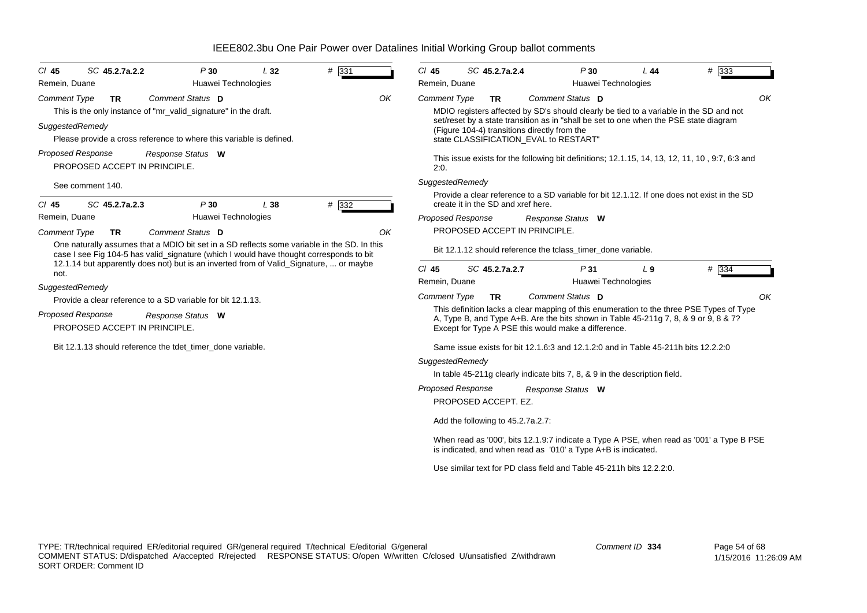| SC 45.2.7a.2.2<br>$CI$ 45<br>Remein, Duane                                                                                                                                                                                                                                                                                                                                 | P30<br>Huawei Technologies                     | L32 | # 331 |    | $Cl$ 45<br>Remein, Duane                                | SC 45.2.7a.2.4                                                                                                                                        |                   | P30<br>Huawei Technologies | L44                                                                                | # 333                                                                                                                                                                                                                                                                                   |
|----------------------------------------------------------------------------------------------------------------------------------------------------------------------------------------------------------------------------------------------------------------------------------------------------------------------------------------------------------------------------|------------------------------------------------|-----|-------|----|---------------------------------------------------------|-------------------------------------------------------------------------------------------------------------------------------------------------------|-------------------|----------------------------|------------------------------------------------------------------------------------|-----------------------------------------------------------------------------------------------------------------------------------------------------------------------------------------------------------------------------------------------------------------------------------------|
| <b>Comment Type</b><br><b>TR</b><br>This is the only instance of "mr_valid_signature" in the draft.<br>SuggestedRemedy<br>Please provide a cross reference to where this variable is defined.<br><b>Proposed Response</b><br>PROPOSED ACCEPT IN PRINCIPLE.<br>See comment 140.                                                                                             | <b>Comment Status D</b><br>Response Status W   |     |       | OK | <b>Comment Type</b><br>2:0.<br>SuggestedRemedy          | <b>TR</b><br>(Figure 104-4) transitions directly from the<br>state CLASSIFICATION_EVAL to RESTART"                                                    | Comment Status D  |                            |                                                                                    | OK<br>MDIO registers affected by SD's should clearly be tied to a variable in the SD and not<br>set/reset by a state transition as in "shall be set to one when the PSE state diagram<br>This issue exists for the following bit definitions; 12.1.15, 14, 13, 12, 11, 10, 9.7, 6:3 and |
| $Cl$ 45<br>SC 45.2.7a.2.3<br>Remein, Duane<br><b>Comment Type</b><br><b>TR</b><br>One naturally assumes that a MDIO bit set in a SD reflects some variable in the SD. In this<br>case I see Fig 104-5 has valid_signature (which I would have thought corresponds to bit<br>12.1.14 but apparently does not) but is an inverted from of Valid_Signature,  or maybe<br>not. | P30<br>Huawei Technologies<br>Comment Status D | L38 | # 332 | OK | <b>Proposed Response</b><br>$CI$ 45                     | create it in the SD and xref here.<br>PROPOSED ACCEPT IN PRINCIPLE.<br>Bit 12.1.12 should reference the tclass_timer_done variable.<br>SC 45.2.7a.2.7 | Response Status W | P31                        | $L_{9}$                                                                            | Provide a clear reference to a SD variable for bit 12.1.12. If one does not exist in the SD<br># 334                                                                                                                                                                                    |
| SuggestedRemedy<br>Provide a clear reference to a SD variable for bit 12.1.13.<br><b>Proposed Response</b><br>PROPOSED ACCEPT IN PRINCIPLE.<br>Bit 12.1.13 should reference the tdet_timer_done variable.                                                                                                                                                                  | Response Status W                              |     |       |    | Remein, Duane<br><b>Comment Type</b><br>SuggestedRemedy | <b>TR</b><br>Except for Type A PSE this would make a difference.                                                                                      | Comment Status D  | Huawei Technologies        | Same issue exists for bit 12.1.6:3 and 12.1.2:0 and in Table 45-211h bits 12.2.2:0 | OK<br>This definition lacks a clear mapping of this enumeration to the three PSE Types of Type<br>A, Type B, and Type A+B. Are the bits shown in Table 45-211g 7, 8, & 9 or 9, 8 & 7?                                                                                                   |
|                                                                                                                                                                                                                                                                                                                                                                            |                                                |     |       |    | <b>Proposed Response</b>                                | PROPOSED ACCEPT. EZ.<br>Add the following to 45.2.7a.2.7:<br>is indicated, and when read as '010' a Type A+B is indicated.                            | Response Status W |                            | In table 45-211g clearly indicate bits 7, 8, & 9 in the description field.         | When read as '000', bits 12.1.9:7 indicate a Type A PSE, when read as '001' a Type B PSE                                                                                                                                                                                                |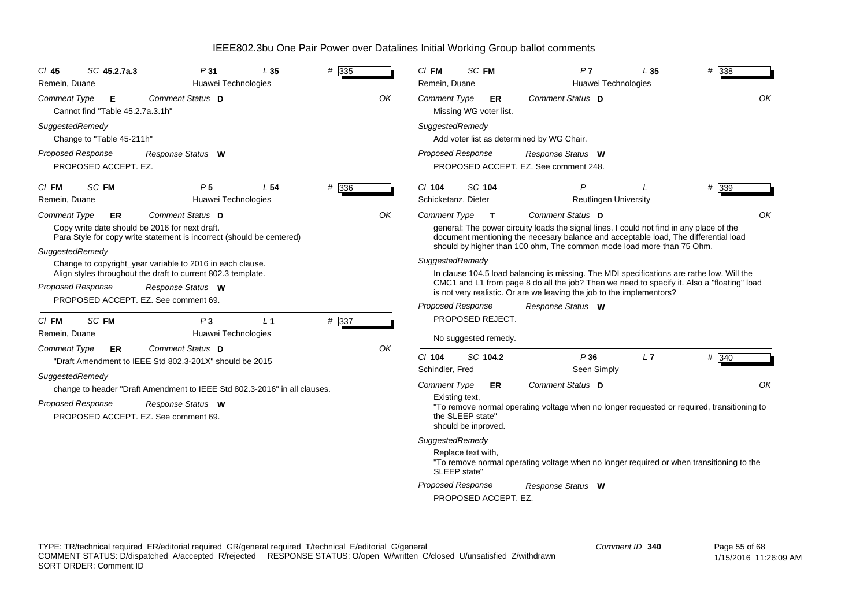| SC 45.2.7a.3<br>P31<br>CI 45<br>L35<br>Remein, Duane<br>Huawei Technologies                                               | # 335 |    | $CI$ FM<br>Remein, Duane              | SC FM                                   |                              |                                                                       | P <sub>7</sub><br>Huawei Technologies        | L 35          | # 338                                                                                                                                                                           |
|---------------------------------------------------------------------------------------------------------------------------|-------|----|---------------------------------------|-----------------------------------------|------------------------------|-----------------------------------------------------------------------|----------------------------------------------|---------------|---------------------------------------------------------------------------------------------------------------------------------------------------------------------------------|
| Comment Status D<br><b>Comment Type</b><br>Е<br>Cannot find "Table 45.2.7a.3.1h"                                          |       | OK | <b>Comment Type</b>                   |                                         | ER<br>Missing WG voter list. | Comment Status D                                                      |                                              |               | OK                                                                                                                                                                              |
| SuggestedRemedy<br>Change to "Table 45-211h"                                                                              |       |    | SuggestedRemedy                       |                                         |                              | Add voter list as determined by WG Chair.                             |                                              |               |                                                                                                                                                                                 |
| <b>Proposed Response</b><br>Response Status W<br>PROPOSED ACCEPT. EZ.                                                     |       |    | Proposed Response                     |                                         |                              | Response Status W<br>PROPOSED ACCEPT. EZ. See comment 248.            |                                              |               |                                                                                                                                                                                 |
| SC <sub>FM</sub><br>P <sub>5</sub><br>L <sub>54</sub><br>$CI$ FM<br>Remein, Duane<br>Huawei Technologies                  | # 336 |    | $Cl$ 104<br>Schicketanz, Dieter       | SC 104                                  |                              |                                                                       | $\mathsf{P}$<br><b>Reutlingen University</b> | $\mathcal{L}$ | # 339                                                                                                                                                                           |
| Comment Status D<br><b>Comment Type</b><br>ER                                                                             |       | ΟK | <b>Comment Type</b>                   |                                         | $\mathbf{T}$                 | Comment Status D                                                      |                                              |               | OK                                                                                                                                                                              |
| Copy write date should be 2016 for next draft.<br>Para Style for copy write statement is incorrect (should be centered)   |       |    |                                       |                                         |                              | should by higher than 100 ohm. The common mode load more than 75 Ohm. |                                              |               | general: The power circuity loads the signal lines. I could not find in any place of the<br>document mentioning the necesary balance and acceptable load, The differential load |
| SuggestedRemedy                                                                                                           |       |    | SuggestedRemedy                       |                                         |                              |                                                                       |                                              |               |                                                                                                                                                                                 |
| Change to copyright_year variable to 2016 in each clause.<br>Align styles throughout the draft to current 802.3 template. |       |    |                                       |                                         |                              |                                                                       |                                              |               | In clause 104.5 load balancing is missing. The MDI specifications are rathe low. Will the                                                                                       |
| <b>Proposed Response</b><br>Response Status W                                                                             |       |    |                                       |                                         |                              | is not very realistic. Or are we leaving the job to the implementors? |                                              |               | CMC1 and L1 from page 8 do all the job? Then we need to specify it. Also a "floating" load                                                                                      |
| PROPOSED ACCEPT. EZ. See comment 69.                                                                                      |       |    | <b>Proposed Response</b>              |                                         |                              | Response Status W                                                     |                                              |               |                                                                                                                                                                                 |
| SC FM<br>P <sub>3</sub><br>L <sub>1</sub><br>$CI$ FM                                                                      | # 337 |    |                                       |                                         | PROPOSED REJECT.             |                                                                       |                                              |               |                                                                                                                                                                                 |
| Remein, Duane<br>Huawei Technologies                                                                                      |       |    |                                       |                                         | No suggested remedy.         |                                                                       |                                              |               |                                                                                                                                                                                 |
| Comment Status D<br><b>Comment Type</b><br>ER                                                                             |       | OK |                                       |                                         |                              |                                                                       |                                              |               |                                                                                                                                                                                 |
| "Draft Amendment to IEEE Std 802.3-201X" should be 2015                                                                   |       |    | $CI$ 104<br>Schindler, Fred           |                                         | SC 104.2                     |                                                                       | P36<br>Seen Simply                           | L7            | # 340                                                                                                                                                                           |
| SuggestedRemedy                                                                                                           |       |    |                                       |                                         |                              |                                                                       |                                              |               |                                                                                                                                                                                 |
| change to header "Draft Amendment to IEEE Std 802.3-2016" in all clauses.                                                 |       |    | <b>Comment Type</b><br>Existing text, |                                         | ER                           | Comment Status D                                                      |                                              |               | OK                                                                                                                                                                              |
| <b>Proposed Response</b><br>Response Status W<br>PROPOSED ACCEPT. EZ. See comment 69.                                     |       |    |                                       | the SLEEP state'<br>should be inproved. |                              |                                                                       |                                              |               | "To remove normal operating voltage when no longer requested or required, transitioning to                                                                                      |
|                                                                                                                           |       |    | SuggestedRemedy                       |                                         |                              |                                                                       |                                              |               |                                                                                                                                                                                 |
|                                                                                                                           |       |    |                                       | Replace text with,<br>SLEEP state"      |                              |                                                                       |                                              |               | "To remove normal operating voltage when no longer required or when transitioning to the                                                                                        |
|                                                                                                                           |       |    | <b>Proposed Response</b>              |                                         |                              | Response Status W                                                     |                                              |               |                                                                                                                                                                                 |
|                                                                                                                           |       |    |                                       |                                         | PROPOSED ACCEPT. EZ.         |                                                                       |                                              |               |                                                                                                                                                                                 |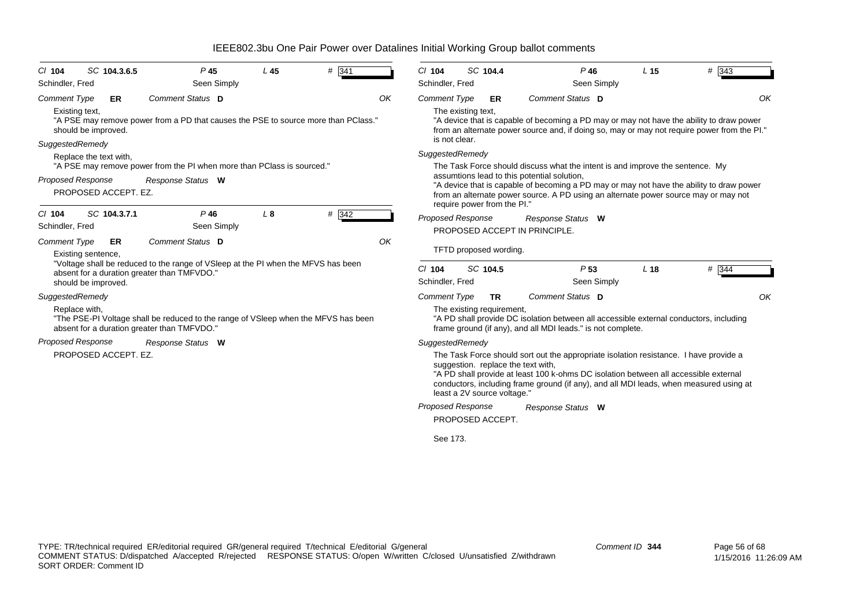| $CI$ 104            | SC 104.3.6.5                                     | P <sub>45</sub>                                                                                                                   | $L$ 45         | # 341 |    | $CI$ 104                    | SC 104.4 |                             | $P$ 46                                                                                                                                                                                                                                                                                                        | L <sub>15</sub> | $#$ 343 |
|---------------------|--------------------------------------------------|-----------------------------------------------------------------------------------------------------------------------------------|----------------|-------|----|-----------------------------|----------|-----------------------------|---------------------------------------------------------------------------------------------------------------------------------------------------------------------------------------------------------------------------------------------------------------------------------------------------------------|-----------------|---------|
| Schindler, Fred     |                                                  | Seen Simply                                                                                                                       |                |       |    | Schindler, Fred             |          |                             | Seen Simply                                                                                                                                                                                                                                                                                                   |                 |         |
| <b>Comment Type</b> | ER                                               | Comment Status D                                                                                                                  |                |       | OK | <b>Comment Type</b>         |          | ER                          | Comment Status D                                                                                                                                                                                                                                                                                              |                 | OK      |
|                     | Existing text,<br>should be improved.            | "A PSE may remove power from a PD that causes the PSE to source more than PClass."                                                |                |       |    | The existing text,          |          |                             | "A device that is capable of becoming a PD may or may not have the ability to draw power<br>from an alternate power source and, if doing so, may or may not require power from the PI."                                                                                                                       |                 |         |
|                     | SuggestedRemedy                                  |                                                                                                                                   |                |       |    | is not clear.               |          |                             |                                                                                                                                                                                                                                                                                                               |                 |         |
|                     | Replace the text with,                           |                                                                                                                                   |                |       |    | SuggestedRemedy             |          |                             |                                                                                                                                                                                                                                                                                                               |                 |         |
|                     |                                                  | "A PSE may remove power from the PI when more than PCIass is sourced."                                                            |                |       |    |                             |          |                             | The Task Force should discuss what the intent is and improve the sentence. My                                                                                                                                                                                                                                 |                 |         |
|                     | <b>Proposed Response</b><br>PROPOSED ACCEPT. EZ. | Response Status W                                                                                                                 |                |       |    | require power from the PI." |          |                             | assumtions lead to this potential solution,<br>"A device that is capable of becoming a PD may or may not have the ability to draw power<br>from an alternate power source. A PD using an alternate power source may or may not                                                                                |                 |         |
| $CI$ 104            | SC 104.3.7.1                                     | $P$ 46                                                                                                                            | L <sub>8</sub> | # 342 |    | <b>Proposed Response</b>    |          |                             | Response Status W                                                                                                                                                                                                                                                                                             |                 |         |
| Schindler, Fred     |                                                  | Seen Simply                                                                                                                       |                |       |    |                             |          |                             | PROPOSED ACCEPT IN PRINCIPLE.                                                                                                                                                                                                                                                                                 |                 |         |
| Comment Type        | ER                                               | <b>Comment Status D</b>                                                                                                           |                |       | OK |                             |          |                             |                                                                                                                                                                                                                                                                                                               |                 |         |
|                     | Existing sentence,                               |                                                                                                                                   |                |       |    |                             |          | TFTD proposed wording.      |                                                                                                                                                                                                                                                                                                               |                 |         |
|                     |                                                  | "Voltage shall be reduced to the range of VSIeep at the PI when the MFVS has been                                                 |                |       |    | $CI$ 104                    | SC 104.5 |                             | P <sub>53</sub>                                                                                                                                                                                                                                                                                               | L <sub>18</sub> | # 344   |
|                     | should be improved.                              | absent for a duration greater than TMFVDO."                                                                                       |                |       |    | Schindler, Fred             |          |                             | Seen Simply                                                                                                                                                                                                                                                                                                   |                 |         |
|                     | SuggestedRemedy                                  |                                                                                                                                   |                |       |    | Comment Type                |          | TR                          | Comment Status D                                                                                                                                                                                                                                                                                              |                 | OK      |
|                     | Replace with,                                    | "The PSE-PI Voltage shall be reduced to the range of VSIeep when the MFVS has been<br>absent for a duration greater than TMFVDO." |                |       |    |                             |          | The existing requirement,   | "A PD shall provide DC isolation between all accessible external conductors, including<br>frame ground (if any), and all MDI leads." is not complete.                                                                                                                                                         |                 |         |
|                     | <b>Proposed Response</b>                         | Response Status W                                                                                                                 |                |       |    | SuggestedRemedy             |          |                             |                                                                                                                                                                                                                                                                                                               |                 |         |
|                     | PROPOSED ACCEPT. EZ.                             |                                                                                                                                   |                |       |    |                             |          | least a 2V source voltage." | The Task Force should sort out the appropriate isolation resistance. I have provide a<br>suggestion. replace the text with,<br>"A PD shall provide at least 100 k-ohms DC isolation between all accessible external<br>conductors, including frame ground (if any), and all MDI leads, when measured using at |                 |         |

*Proposed Response Response Status* **W**

PROPOSED ACCEPT.

See 173.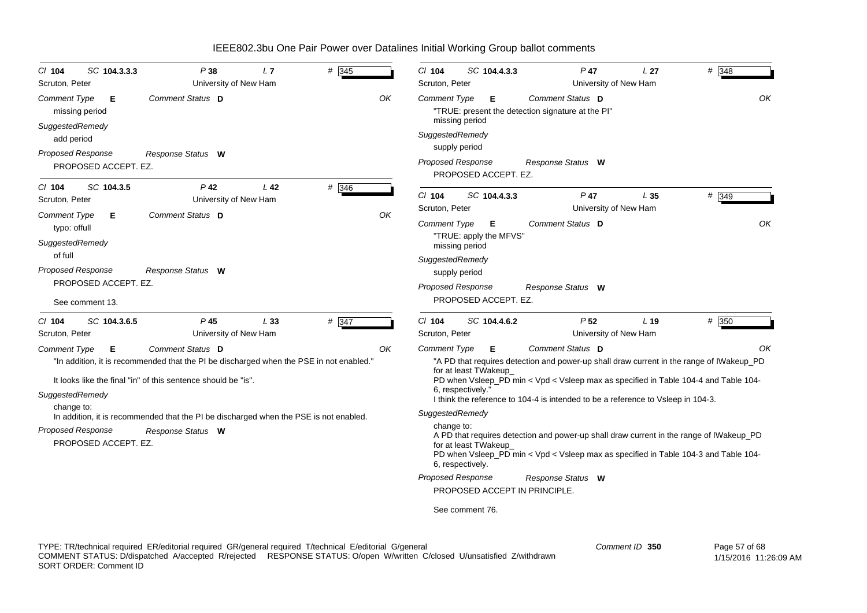| $CI$ 104<br>Scruton, Peter                                                       | SC 104.3.3.3                            | P38<br>University of New Ham                                                                                                                                                                                                                                                               | L7              | # 345 |    | C/ 104<br>Scruton, Peter                             | SC 104.4.3.3                                                                               | $P$ 47<br>University of New Ham                                                                                                                                                                                                                                                                                                                                                                                                                                           | L <sub>27</sub> | # 348       |
|----------------------------------------------------------------------------------|-----------------------------------------|--------------------------------------------------------------------------------------------------------------------------------------------------------------------------------------------------------------------------------------------------------------------------------------------|-----------------|-------|----|------------------------------------------------------|--------------------------------------------------------------------------------------------|---------------------------------------------------------------------------------------------------------------------------------------------------------------------------------------------------------------------------------------------------------------------------------------------------------------------------------------------------------------------------------------------------------------------------------------------------------------------------|-----------------|-------------|
| <b>Comment Type</b><br>missing period<br>SuggestedRemedy<br>add period           | Е                                       | Comment Status D                                                                                                                                                                                                                                                                           |                 |       | OK | <b>Comment Type</b><br>SuggestedRemedy               | Е<br>missing period                                                                        | Comment Status D<br>"TRUE: present the detection signature at the PI"                                                                                                                                                                                                                                                                                                                                                                                                     |                 | OK          |
| <b>Proposed Response</b>                                                         | PROPOSED ACCEPT. EZ.                    | Response Status W                                                                                                                                                                                                                                                                          |                 |       |    | <b>Proposed Response</b>                             | supply period<br>PROPOSED ACCEPT. EZ.                                                      | Response Status W                                                                                                                                                                                                                                                                                                                                                                                                                                                         |                 |             |
| $CI$ 104<br>Scruton, Peter<br><b>Comment Type</b><br>typo: offull                | SC 104.3.5<br>E.                        | $P$ 42<br>University of New Ham<br>Comment Status D                                                                                                                                                                                                                                        | L <sub>42</sub> | # 346 | OK | $Cl$ 104<br>Scruton, Peter<br><b>Comment Type</b>    | SC 104.4.3.3<br>Е                                                                          | $P$ 47<br>University of New Ham<br>Comment Status D                                                                                                                                                                                                                                                                                                                                                                                                                       | L <sub>35</sub> | # 349<br>OK |
| SuggestedRemedy<br>of full<br><b>Proposed Response</b>                           | PROPOSED ACCEPT. EZ.<br>See comment 13. | Response Status W                                                                                                                                                                                                                                                                          |                 |       |    | SuggestedRemedy<br><b>Proposed Response</b>          | "TRUE: apply the MFVS'<br>missing period<br>supply period<br>PROPOSED ACCEPT. EZ.          | Response Status W                                                                                                                                                                                                                                                                                                                                                                                                                                                         |                 |             |
| $CI$ 104<br>Scruton, Peter                                                       | SC 104.3.6.5                            | $P$ 45<br>University of New Ham                                                                                                                                                                                                                                                            | L33             | # 347 |    | $Cl$ 104<br>Scruton, Peter                           | SC 104.4.6.2                                                                               | P <sub>52</sub><br>University of New Ham                                                                                                                                                                                                                                                                                                                                                                                                                                  | L <sub>19</sub> | # 350       |
| <b>Comment Type</b><br>SuggestedRemedy<br>change to:<br><b>Proposed Response</b> | Е<br>PROPOSED ACCEPT. EZ.               | Comment Status D<br>"In addition, it is recommended that the PI be discharged when the PSE in not enabled."<br>It looks like the final "in" of this sentence should be "is".<br>In addition, it is recommended that the PI be discharged when the PSE is not enabled.<br>Response Status W |                 |       | ΟK | <b>Comment Type</b><br>SuggestedRemedy<br>change to: | Е<br>for at least TWakeup<br>6, respectively."<br>for at least TWakeup<br>6, respectively. | Comment Status D<br>"A PD that requires detection and power-up shall draw current in the range of IWakeup_PD<br>PD when Vsleep_PD min < Vpd < Vsleep max as specified in Table 104-4 and Table 104-<br>I think the reference to 104-4 is intended to be a reference to Vsleep in 104-3.<br>A PD that requires detection and power-up shall draw current in the range of IWakeup_PD<br>PD when Vsleep_PD min < Vpd < Vsleep max as specified in Table 104-3 and Table 104- |                 | ΟK          |
|                                                                                  |                                         |                                                                                                                                                                                                                                                                                            |                 |       |    | Proposed Response                                    | PROPOSED ACCEPT IN PRINCIPLE.                                                              | Response Status W                                                                                                                                                                                                                                                                                                                                                                                                                                                         |                 |             |
|                                                                                  |                                         |                                                                                                                                                                                                                                                                                            |                 |       |    |                                                      | See comment 76.                                                                            |                                                                                                                                                                                                                                                                                                                                                                                                                                                                           |                 |             |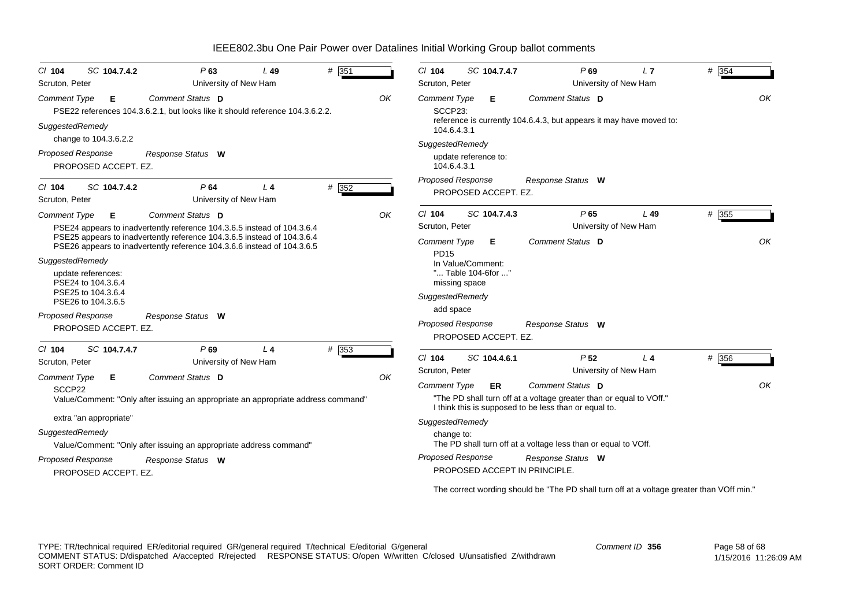| $Cl$ 104                                    | SC 104.7.4.2                                                                                                 | P63                                                                                                                                                                                                                                                | L49            | # $351$ |    | $Cl$ 104                                                                                                  |                                                          | SC 104.7.4.7              | P69                                                                                                                                                                                                                | L7    | # 354 |
|---------------------------------------------|--------------------------------------------------------------------------------------------------------------|----------------------------------------------------------------------------------------------------------------------------------------------------------------------------------------------------------------------------------------------------|----------------|---------|----|-----------------------------------------------------------------------------------------------------------|----------------------------------------------------------|---------------------------|--------------------------------------------------------------------------------------------------------------------------------------------------------------------------------------------------------------------|-------|-------|
| Scruton, Peter                              |                                                                                                              | University of New Ham                                                                                                                                                                                                                              |                |         |    | Scruton, Peter                                                                                            |                                                          |                           | University of New Ham                                                                                                                                                                                              |       |       |
| <b>Comment Type</b><br>SuggestedRemedy      | E.                                                                                                           | Comment Status D<br>PSE22 references 104.3.6.2.1, but looks like it should reference 104.3.6.2.2.                                                                                                                                                  |                |         | OK | <b>Comment Type</b><br>SCCP23:<br>104.6.4.3.1                                                             |                                                          | Е.                        | Comment Status D<br>reference is currently 104.6.4.3, but appears it may have moved to:                                                                                                                            |       | OK    |
|                                             | change to 104.3.6.2.2                                                                                        |                                                                                                                                                                                                                                                    |                |         |    | SuggestedRemedy                                                                                           |                                                          |                           |                                                                                                                                                                                                                    |       |       |
| <b>Proposed Response</b>                    | PROPOSED ACCEPT. EZ.                                                                                         | Response Status W                                                                                                                                                                                                                                  |                |         |    | 104.6.4.3.1                                                                                               | update reference to:                                     |                           |                                                                                                                                                                                                                    |       |       |
| $CI$ 104<br>Scruton, Peter                  | SC 104.7.4.2                                                                                                 | P64<br>University of New Ham                                                                                                                                                                                                                       | L <sub>4</sub> | # 352   |    | Proposed Response                                                                                         |                                                          | PROPOSED ACCEPT. EZ.      | Response Status W                                                                                                                                                                                                  |       |       |
| Comment Type                                | Е                                                                                                            | Comment Status D                                                                                                                                                                                                                                   |                |         | OK | $Cl$ 104                                                                                                  |                                                          | SC 104.7.4.3              | P65                                                                                                                                                                                                                | L49   | # 355 |
| SuggestedRemedy<br><b>Proposed Response</b> | update references:<br>PSE24 to 104.3.6.4<br>PSE25 to 104.3.6.4<br>PSE26 to 104.3.6.5<br>PROPOSED ACCEPT. EZ. | PSE24 appears to inadvertently reference 104.3.6.5 instead of 104.3.6.4<br>PSE25 appears to inadvertently reference 104.3.6.5 instead of 104.3.6.4<br>PSE26 appears to inadvertently reference 104.3.6.6 instead of 104.3.6.5<br>Response Status W |                |         |    | Scruton, Peter<br><b>Comment Type</b><br><b>PD15</b><br>SuggestedRemedy<br>add space<br>Proposed Response | In Value/Comment:<br>" Table 104-6for "<br>missing space | Е<br>PROPOSED ACCEPT. EZ. | University of New Ham<br>Comment Status D<br>Response Status W                                                                                                                                                     |       | OK    |
| $Cl$ 104<br>Scruton, Peter                  | SC 104.7.4.7                                                                                                 | P69<br>University of New Ham                                                                                                                                                                                                                       | L <sub>4</sub> | # 353   |    | $Cl$ 104                                                                                                  |                                                          | SC 104.4.6.1              | P <sub>52</sub>                                                                                                                                                                                                    | $L_4$ | # 356 |
| <b>Comment Type</b>                         | Е                                                                                                            | Comment Status D                                                                                                                                                                                                                                   |                |         | OK | Scruton, Peter                                                                                            |                                                          |                           | University of New Ham                                                                                                                                                                                              |       |       |
| SCCP22<br>SuggestedRemedy                   | extra "an appropriate"                                                                                       | Value/Comment: "Only after issuing an appropriate an appropriate address command"<br>Value/Comment: "Only after issuing an appropriate address command"                                                                                            |                |         |    | <b>Comment Type</b><br>SuggestedRemedy<br>change to:                                                      |                                                          | ER                        | Comment Status D<br>"The PD shall turn off at a voltage greater than or equal to VOff."<br>I think this is supposed to be less than or equal to.<br>The PD shall turn off at a voltage less than or equal to VOff. |       | OK    |
| <b>Proposed Response</b>                    |                                                                                                              | Response Status W                                                                                                                                                                                                                                  |                |         |    | <b>Proposed Response</b>                                                                                  |                                                          |                           | Response Status W<br>PROPOSED ACCEPT IN PRINCIPLE.                                                                                                                                                                 |       |       |
|                                             | PROPOSED ACCEPT. EZ.                                                                                         |                                                                                                                                                                                                                                                    |                |         |    |                                                                                                           |                                                          |                           | The correct wording should be "The PD shall turn off at a voltage greater than VOff min."                                                                                                                          |       |       |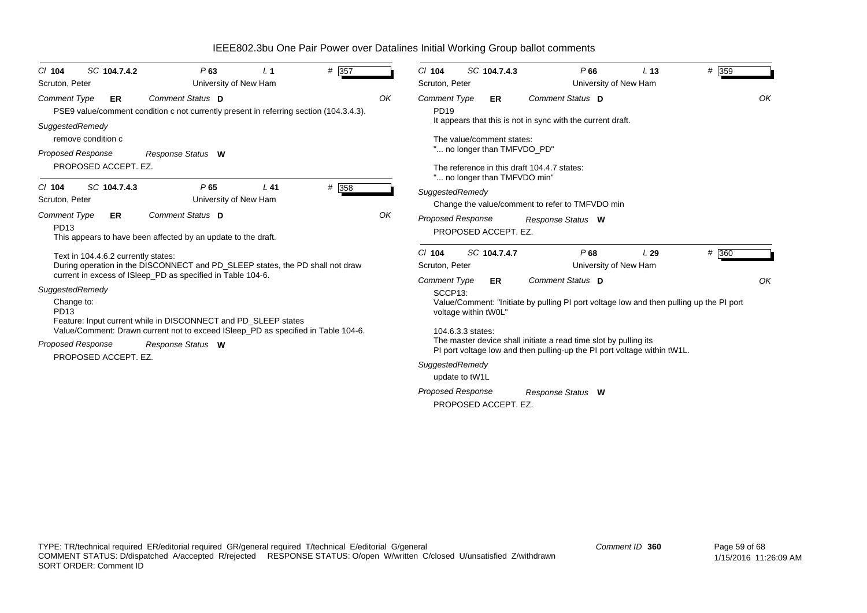| SC 104.7.4.2<br>$CI$ 104<br>Scruton, Peter                                                                                                   | P63<br>University of New Ham                                                                                                                                                                                                                                                                        | L <sub>1</sub> | # 357 |    | $Cl$ 104<br>Scruton, Peter                                                                                             | SC 104.7.4.3                                                                                   | P66<br>University of New Ham                                                                                                                                      | L <sub>13</sub> | # 359       |
|----------------------------------------------------------------------------------------------------------------------------------------------|-----------------------------------------------------------------------------------------------------------------------------------------------------------------------------------------------------------------------------------------------------------------------------------------------------|----------------|-------|----|------------------------------------------------------------------------------------------------------------------------|------------------------------------------------------------------------------------------------|-------------------------------------------------------------------------------------------------------------------------------------------------------------------|-----------------|-------------|
| Comment Type<br>ER.<br>SuggestedRemedy<br>remove condition c<br><b>Proposed Response</b><br>PROPOSED ACCEPT. EZ.<br>SC 104.7.4.3<br>$CI$ 104 | Comment Status D<br>PSE9 value/comment condition c not currently present in referring section (104.3.4.3).<br>Response Status W<br>P65                                                                                                                                                              | $L$ 41         | # 358 | OK | Comment Type<br><b>PD19</b>                                                                                            | ER<br>The value/comment states:<br>" no longer than TMFVDO PD"<br>" no longer than TMFVDO min" | Comment Status D<br>It appears that this is not in sync with the current draft.<br>The reference in this draft 104.4.7 states:                                    |                 | OK          |
| Scruton, Peter                                                                                                                               | University of New Ham                                                                                                                                                                                                                                                                               |                |       |    | SuggestedRemedy                                                                                                        |                                                                                                | Change the value/comment to refer to TMFVDO min                                                                                                                   |                 |             |
| Comment Type<br>ER<br>PD13                                                                                                                   | Comment Status D<br>This appears to have been affected by an update to the draft.                                                                                                                                                                                                                   |                |       | OK | <b>Proposed Response</b>                                                                                               | PROPOSED ACCEPT. EZ.                                                                           | Response Status W                                                                                                                                                 |                 |             |
| Text in 104.4.6.2 currently states:<br>SuggestedRemedy<br>Change to:<br>PD13                                                                 | During operation in the DISCONNECT and PD SLEEP states, the PD shall not draw<br>current in excess of ISleep_PD as specified in Table 104-6.<br>Feature: Input current while in DISCONNECT and PD SLEEP states<br>Value/Comment: Drawn current not to exceed ISleep_PD as specified in Table 104-6. |                |       |    | $Cl$ 104<br>Scruton, Peter<br><b>Comment Type</b><br>SCCP <sub>13</sub> :<br>voltage within tW0L"<br>104.6.3.3 states: | SC 104.7.4.7<br>ER.                                                                            | P68<br>University of New Ham<br>Comment Status D<br>Value/Comment: "Initiate by pulling PI port voltage low and then pulling up the PI port                       | L29             | # 360<br>OK |
| <b>Proposed Response</b><br>PROPOSED ACCEPT. EZ.                                                                                             | Response Status W                                                                                                                                                                                                                                                                                   |                |       |    | SuggestedRemedy<br>update to tW1L<br><b>Proposed Response</b>                                                          | PROPOSED ACCEPT. EZ.                                                                           | The master device shall initiate a read time slot by pulling its<br>PI port voltage low and then pulling-up the PI port voltage within tW1L.<br>Response Status W |                 |             |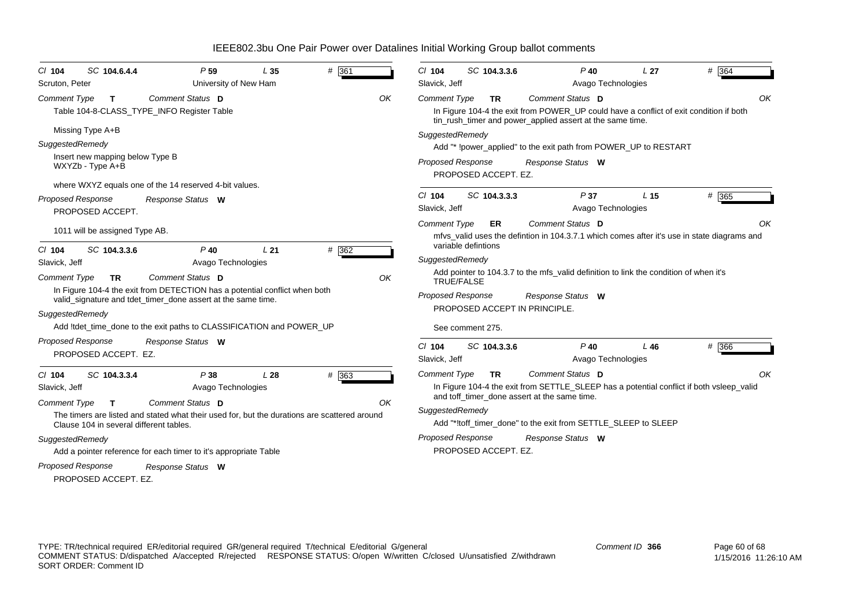| $CI$ 104            | SC 104.6.4.4                                        | P <sub>59</sub>                                                                                                                            | L35 | # 361 |    | $Cl$ 104                  | SC 104.3.3.6         | $P$ 40                                                                                                                                              | L <sub>27</sub> | # 364 |
|---------------------|-----------------------------------------------------|--------------------------------------------------------------------------------------------------------------------------------------------|-----|-------|----|---------------------------|----------------------|-----------------------------------------------------------------------------------------------------------------------------------------------------|-----------------|-------|
| Scruton, Peter      |                                                     | University of New Ham                                                                                                                      |     |       |    | Slavick, Jeff             |                      | Avago Technologies                                                                                                                                  |                 |       |
| <b>Comment Type</b> | $\mathsf{T}$                                        | Comment Status D                                                                                                                           |     |       | OK | <b>Comment Type</b>       | <b>TR</b>            | Comment Status D                                                                                                                                    |                 | OK    |
|                     |                                                     | Table 104-8-CLASS_TYPE_INFO Register Table                                                                                                 |     |       |    |                           |                      | In Figure 104-4 the exit from POWER UP could have a conflict of exit condition if both<br>tin_rush_timer and power_applied assert at the same time. |                 |       |
|                     | Missing Type A+B                                    |                                                                                                                                            |     |       |    | SuggestedRemedy           |                      |                                                                                                                                                     |                 |       |
| SuggestedRemedy     |                                                     |                                                                                                                                            |     |       |    |                           |                      | Add "* !power applied" to the exit path from POWER UP to RESTART                                                                                    |                 |       |
|                     | Insert new mapping below Type B<br>WXYZb - Type A+B |                                                                                                                                            |     |       |    | <b>Proposed Response</b>  | PROPOSED ACCEPT. EZ. | Response Status W                                                                                                                                   |                 |       |
|                     |                                                     | where WXYZ equals one of the 14 reserved 4-bit values.                                                                                     |     |       |    |                           |                      |                                                                                                                                                     |                 |       |
| Proposed Response   | PROPOSED ACCEPT.                                    | Response Status W                                                                                                                          |     |       |    | $Cl$ 104<br>Slavick, Jeff | SC 104.3.3.3         | P37<br>Avago Technologies                                                                                                                           | L <sub>15</sub> | # 365 |
|                     | 1011 will be assigned Type AB.                      |                                                                                                                                            |     |       |    | <b>Comment Type</b>       | ER                   | Comment Status D<br>mfys valid uses the defintion in 104.3.7.1 which comes after it's use in state diagrams and                                     |                 | OK    |
| $Cl$ 104            | SC 104.3.3.6                                        | $P$ 40                                                                                                                                     | L21 | # 362 |    |                           | variable defintions  |                                                                                                                                                     |                 |       |
| Slavick, Jeff       |                                                     | Avago Technologies                                                                                                                         |     |       |    | SuggestedRemedy           |                      |                                                                                                                                                     |                 |       |
| <b>Comment Type</b> | <b>TR</b>                                           | Comment Status D                                                                                                                           |     |       | OK |                           | TRUE/FALSE           | Add pointer to 104.3.7 to the mfs_valid definition to link the condition of when it's                                                               |                 |       |
|                     |                                                     | In Figure 104-4 the exit from DETECTION has a potential conflict when both<br>valid_signature and tdet_timer_done assert at the same time. |     |       |    | <b>Proposed Response</b>  |                      | Response Status W                                                                                                                                   |                 |       |
| SuggestedRemedy     |                                                     |                                                                                                                                            |     |       |    |                           |                      | PROPOSED ACCEPT IN PRINCIPLE.                                                                                                                       |                 |       |
|                     |                                                     | Add !tdet time done to the exit paths to CLASSIFICATION and POWER UP                                                                       |     |       |    |                           | See comment 275.     |                                                                                                                                                     |                 |       |
| Proposed Response   | PROPOSED ACCEPT. EZ.                                | Response Status W                                                                                                                          |     |       |    | $Cl$ 104<br>Slavick, Jeff | SC 104.3.3.6         | $P$ 40<br>Avago Technologies                                                                                                                        | $L$ 46          | # 366 |
| $Cl$ 104            | SC 104.3.3.4                                        | P38                                                                                                                                        | L28 | # 363 |    | <b>Comment Type</b>       | <b>TR</b>            | Comment Status D                                                                                                                                    |                 | OK    |
| Slavick, Jeff       |                                                     | Avago Technologies                                                                                                                         |     |       |    |                           |                      | In Figure 104-4 the exit from SETTLE_SLEEP has a potential conflict if both vsleep_valid<br>and toff timer done assert at the same time.            |                 |       |
| <b>Comment Type</b> | T.                                                  | Comment Status D<br>The timers are listed and stated what their used for, but the durations are scattered around                           |     |       | OK | SuggestedRemedy           |                      |                                                                                                                                                     |                 |       |
|                     | Clause 104 in several different tables.             |                                                                                                                                            |     |       |    |                           |                      | Add "*!toff_timer_done" to the exit from SETTLE_SLEEP to SLEEP                                                                                      |                 |       |
| SuggestedRemedy     |                                                     |                                                                                                                                            |     |       |    | Proposed Response         |                      | Response Status W                                                                                                                                   |                 |       |
|                     |                                                     | Add a pointer reference for each timer to it's appropriate Table                                                                           |     |       |    |                           | PROPOSED ACCEPT. EZ. |                                                                                                                                                     |                 |       |
| Proposed Response   | PROPOSED ACCEPT. EZ.                                | Response Status W                                                                                                                          |     |       |    |                           |                      |                                                                                                                                                     |                 |       |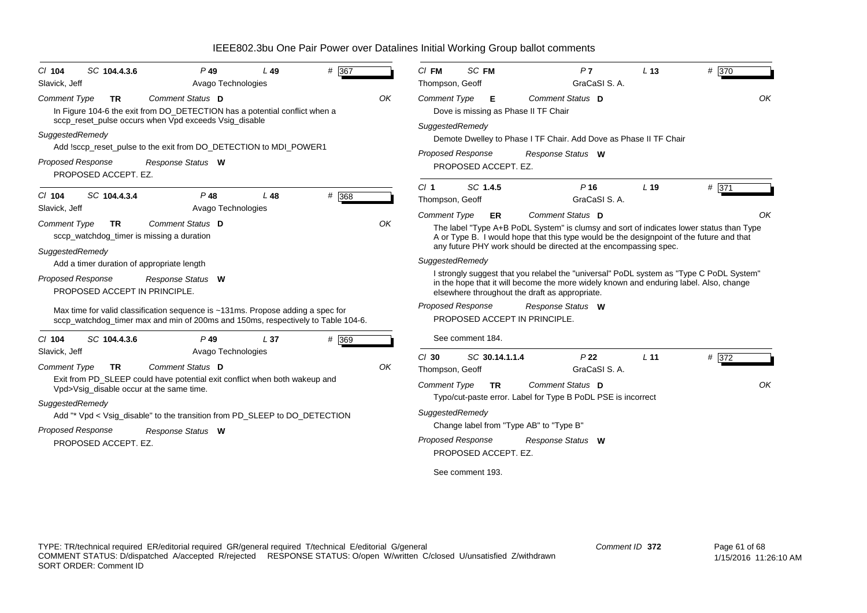| SC 104.4.3.6<br>$Cl$ 104                                                                                                                            | $P$ 49                                                                                                                                                                                                                                                    | L49             | # 367 |    | $CI$ FM                                                       | SC FM                                                                                        | P <sub>7</sub><br>GraCaSI S. A.                                                                                                                                                                                                                                             | L <sub>13</sub> | # 370       |
|-----------------------------------------------------------------------------------------------------------------------------------------------------|-----------------------------------------------------------------------------------------------------------------------------------------------------------------------------------------------------------------------------------------------------------|-----------------|-------|----|---------------------------------------------------------------|----------------------------------------------------------------------------------------------|-----------------------------------------------------------------------------------------------------------------------------------------------------------------------------------------------------------------------------------------------------------------------------|-----------------|-------------|
| Slavick, Jeff<br><b>Comment Type</b><br><b>TR</b><br>SuggestedRemedy                                                                                | Avago Technologies<br><b>Comment Status</b> D<br>In Figure 104-6 the exit from DO_DETECTION has a potential conflict when a<br>sccp_reset_pulse occurs when Vpd exceeds Vsig_disable<br>Add !sccp_reset_pulse to the exit from DO_DETECTION to MDI_POWER1 |                 |       | OK | Thompson, Geoff<br><b>Comment Type</b><br>SuggestedRemedy     | Е<br><b>Proposed Response</b>                                                                | Comment Status D<br>Dove is missing as Phase II TF Chair<br>Demote Dwelley to Phase I TF Chair. Add Dove as Phase II TF Chair<br>Response Status W                                                                                                                          |                 | OK          |
| Proposed Response<br>PROPOSED ACCEPT. EZ.                                                                                                           | Response Status W                                                                                                                                                                                                                                         |                 |       |    |                                                               | PROPOSED ACCEPT. EZ.                                                                         |                                                                                                                                                                                                                                                                             |                 |             |
| SC 104.4.3.4<br>$Cl$ 104<br>Slavick, Jeff                                                                                                           | $P$ 48<br>Avago Technologies                                                                                                                                                                                                                              | L48             | # 368 |    | Cl <sub>1</sub><br>Thompson, Geoff                            | SC 1.4.5                                                                                     | $P$ 16<br>GraCaSI S. A.                                                                                                                                                                                                                                                     | L <sub>19</sub> | # 371       |
| <b>Comment Type</b><br><b>TR</b><br>sccp_watchdog_timer is missing a duration<br>SuggestedRemedy                                                    | Comment Status D                                                                                                                                                                                                                                          |                 |       | OK | <b>Comment Type</b>                                           | ER                                                                                           | Comment Status D<br>The label "Type A+B PoDL System" is clumsy and sort of indicates lower status than Type<br>A or Type B. I would hope that this type would be the designpoint of the future and that<br>any future PHY work should be directed at the encompassing spec. |                 | OK          |
| Add a timer duration of appropriate length<br><b>Proposed Response</b><br>PROPOSED ACCEPT IN PRINCIPLE.                                             | Response Status W                                                                                                                                                                                                                                         |                 |       |    | SuggestedRemedy                                               |                                                                                              | I strongly suggest that you relabel the "universal" PoDL system as "Type C PoDL System"<br>in the hope that it will become the more widely known and enduring label. Also, change<br>elsewhere throughout the draft as appropriate.                                         |                 |             |
|                                                                                                                                                     | Max time for valid classification sequence is ~131ms. Propose adding a spec for<br>sccp watchdog timer max and min of 200ms and 150ms, respectively to Table 104-6.                                                                                       |                 |       |    |                                                               | <b>Proposed Response</b>                                                                     | Response Status W<br>PROPOSED ACCEPT IN PRINCIPLE.                                                                                                                                                                                                                          |                 |             |
| $Cl$ 104<br>SC 104.4.3.6<br>Slavick, Jeff                                                                                                           | $P$ 49<br>Avago Technologies                                                                                                                                                                                                                              | L <sub>37</sub> | # 369 |    |                                                               | See comment 184.                                                                             |                                                                                                                                                                                                                                                                             |                 |             |
| <b>Comment Type</b><br><b>TR</b><br>Vpd>Vsig_disable occur at the same time.<br>SuggestedRemedy<br><b>Proposed Response</b><br>PROPOSED ACCEPT. EZ. | Comment Status D<br>Exit from PD SLEEP could have potential exit conflict when both wakeup and<br>Add "* Vpd < Vsig_disable" to the transition from PD_SLEEP to DO_DETECTION<br>Response Status W                                                         |                 |       | OK | $Cl$ 30<br>Thompson, Geoff<br>Comment Type<br>SuggestedRemedy | SC 30.14.1.1.4<br><b>TR</b><br>Proposed Response<br>PROPOSED ACCEPT. EZ.<br>See comment 193. | P <sub>22</sub><br>GraCaSI S.A.<br>Comment Status D<br>Typo/cut-paste error. Label for Type B PoDL PSE is incorrect<br>Change label from "Type AB" to "Type B"<br>Response Status W                                                                                         | L <sub>11</sub> | # 372<br>OK |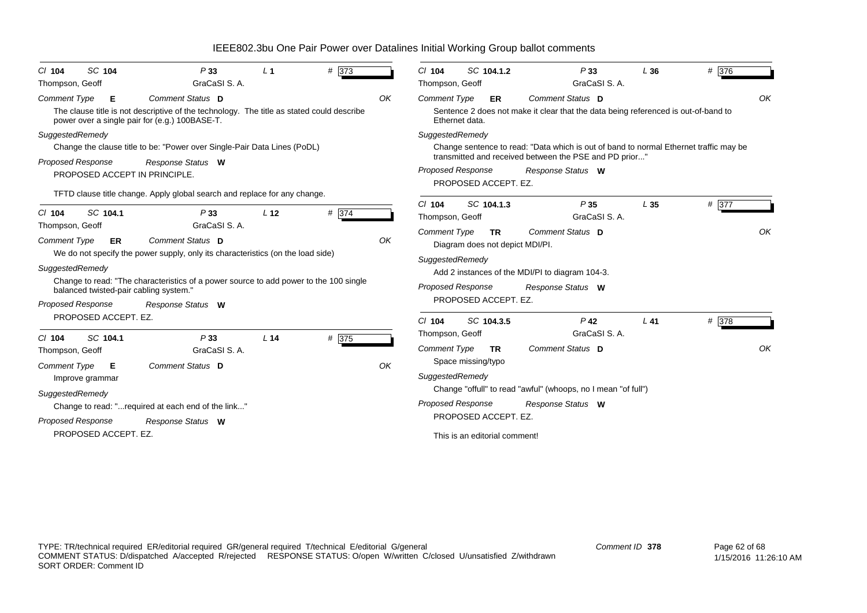| SC 104<br>$CI$ 104<br>Thompson, Geoff                                                                              | P33<br>GraCaSI S.A.                                                                                                                                                                                               | L <sub>1</sub>  | # 373 |    | $Cl$ 104<br>Thompson, Geoff                                        | SC 104.1.2                                                           | P33<br>GraCaSI S.A.                                                                                                                                                  | L36    | # 376 |    |
|--------------------------------------------------------------------------------------------------------------------|-------------------------------------------------------------------------------------------------------------------------------------------------------------------------------------------------------------------|-----------------|-------|----|--------------------------------------------------------------------|----------------------------------------------------------------------|----------------------------------------------------------------------------------------------------------------------------------------------------------------------|--------|-------|----|
| <b>Comment Type</b><br>Е<br>power over a single pair for (e.g.) 100BASE-T.                                         | Comment Status D<br>The clause title is not descriptive of the technology. The title as stated could describe                                                                                                     |                 |       | OK | Comment Type<br>Ethernet data.                                     | ER                                                                   | Comment Status D<br>Sentence 2 does not make it clear that the data being referenced is out-of-band to                                                               |        |       | OK |
| SuggestedRemedy<br>Proposed Response<br>PROPOSED ACCEPT IN PRINCIPLE.                                              | Change the clause title to be: "Power over Single-Pair Data Lines (PoDL)<br>Response Status W<br>TFTD clause title change. Apply global search and replace for any change.                                        |                 |       |    | SuggestedRemedy<br><b>Proposed Response</b>                        | PROPOSED ACCEPT. EZ.                                                 | Change sentence to read: "Data which is out of band to normal Ethernet traffic may be<br>transmitted and received between the PSE and PD prior"<br>Response Status W |        |       |    |
| SC 104.1<br>$Cl$ 104<br>Thompson, Geoff                                                                            | P33<br>GraCaSI S.A.                                                                                                                                                                                               | L <sub>12</sub> | # 374 |    | $Cl$ 104<br>Thompson, Geoff                                        | SC 104.1.3                                                           | P35<br>GraCaSI S.A.                                                                                                                                                  | L35    | # 377 |    |
| <b>Comment Type</b><br><b>ER</b><br>SuggestedRemedy<br>balanced twisted-pair cabling system."<br>Proposed Response | Comment Status D<br>We do not specify the power supply, only its characteristics (on the load side)<br>Change to read: "The characteristics of a power source to add power to the 100 single<br>Response Status W |                 |       | OK | <b>Comment Type</b><br>SuggestedRemedy<br><b>Proposed Response</b> | <b>TR</b><br>Diagram does not depict MDI/PI.<br>PROPOSED ACCEPT. EZ. | <b>Comment Status D</b><br>Add 2 instances of the MDI/PI to diagram 104-3.<br>Response Status W                                                                      |        |       | OK |
| PROPOSED ACCEPT. EZ.                                                                                               |                                                                                                                                                                                                                   |                 |       |    | $Cl$ 104                                                           | SC 104.3.5                                                           | $P$ 42<br>GraCaSI S.A.                                                                                                                                               | $L$ 41 | # 378 |    |
| SC 104.1<br>$Cl$ 104<br>Thompson, Geoff<br><b>Comment Type</b><br>Е<br>Improve grammar                             | P33<br>GraCaSI S.A.<br>Comment Status D                                                                                                                                                                           | L <sub>14</sub> | # 375 | OK | Thompson, Geoff<br><b>Comment Type</b><br>SuggestedRemedy          | <b>TR</b><br>Space missing/typo                                      | Comment Status D                                                                                                                                                     |        |       | OK |
| SuggestedRemedy<br>Change to read: "required at each end of the link"<br>Proposed Response                         | Response Status W                                                                                                                                                                                                 |                 |       |    | <b>Proposed Response</b>                                           | PROPOSED ACCEPT. EZ.                                                 | Change "offull" to read "awful" (whoops, no I mean "of full")<br>Response Status W                                                                                   |        |       |    |
| PROPOSED ACCEPT. EZ.                                                                                               |                                                                                                                                                                                                                   |                 |       |    |                                                                    | This is an editorial comment!                                        |                                                                                                                                                                      |        |       |    |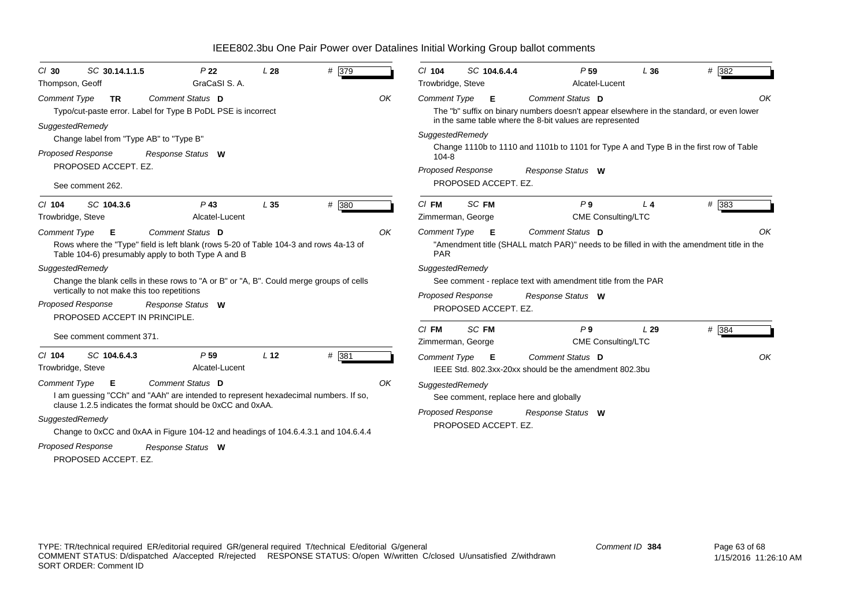| SC 30.14.1.1.5<br>$CI$ 30<br>Thompson, Geoff                                                                                                     | P <sub>22</sub><br>GraCaSI S.A.                                                                                                                                                                                                                                                  | L28             | # 379 | # 382<br>$Cl$ 104<br>SC 104.6.4.4<br>P <sub>59</sub><br>L36<br>Trowbridge, Steve<br>Alcatel-Lucent                                                                                                                                                                                                                     |
|--------------------------------------------------------------------------------------------------------------------------------------------------|----------------------------------------------------------------------------------------------------------------------------------------------------------------------------------------------------------------------------------------------------------------------------------|-----------------|-------|------------------------------------------------------------------------------------------------------------------------------------------------------------------------------------------------------------------------------------------------------------------------------------------------------------------------|
| Comment Type<br><b>TR</b>                                                                                                                        | Comment Status D<br>Typo/cut-paste error. Label for Type B PoDL PSE is incorrect                                                                                                                                                                                                 |                 | OK    | Comment Status D<br>OK<br><b>Comment Type</b><br>- E<br>The "b" suffix on binary numbers doesn't appear elsewhere in the standard, or even lower<br>in the same table where the 8-bit values are represented                                                                                                           |
| SuggestedRemedy<br>Change label from "Type AB" to "Type B"<br><b>Proposed Response</b><br>PROPOSED ACCEPT. EZ.<br>See comment 262.               | Response Status W                                                                                                                                                                                                                                                                |                 |       | SuggestedRemedy<br>Change 1110b to 1110 and 1101b to 1101 for Type A and Type B in the first row of Table<br>$104 - 8$<br><b>Proposed Response</b><br>Response Status W<br>PROPOSED ACCEPT. EZ.                                                                                                                        |
| SC 104.3.6<br>$Cl$ 104<br>Trowbridge, Steve                                                                                                      | $P$ 43<br>Alcatel-Lucent                                                                                                                                                                                                                                                         | L <sub>35</sub> | # 380 | SC FM<br>$C/$ FM<br>P <sub>9</sub><br>$# \overline{383}$<br>L <sub>4</sub><br><b>CME Consulting/LTC</b><br>Zimmerman, George                                                                                                                                                                                           |
| <b>Comment Type</b><br>Е<br>SuggestedRemedy<br>vertically to not make this too repetitions<br>Proposed Response<br>PROPOSED ACCEPT IN PRINCIPLE. | Comment Status D<br>Rows where the "Type" field is left blank (rows 5-20 of Table 104-3 and rows 4a-13 of<br>Table 104-6) presumably apply to both Type A and B<br>Change the blank cells in these rows to "A or B" or "A, B". Could merge groups of cells<br>Response Status W  |                 | OK    | Comment Status D<br>Comment Type <b>E</b><br>OK<br>"Amendment title (SHALL match PAR)" needs to be filled in with the amendment title in the<br><b>PAR</b><br>SuggestedRemedy<br>See comment - replace text with amendment title from the PAR<br><b>Proposed Response</b><br>Response Status W<br>PROPOSED ACCEPT. EZ. |
| See comment comment 371.                                                                                                                         |                                                                                                                                                                                                                                                                                  |                 |       | SC FM<br>P9<br>$CI$ FM<br>L29<br># 384<br><b>CME Consulting/LTC</b><br>Zimmerman, George                                                                                                                                                                                                                               |
| $Cl$ 104<br>SC 104.6.4.3<br>Trowbridge, Steve                                                                                                    | P <sub>59</sub><br>Alcatel-Lucent                                                                                                                                                                                                                                                | L <sub>12</sub> | # 381 | Comment Status D<br><b>Comment Type</b><br>OK<br>- E<br>IEEE Std. 802.3xx-20xx should be the amendment 802.3bu                                                                                                                                                                                                         |
| Comment Type<br>Е<br>SuggestedRemedy<br>Proposed Response<br>PROPOSED ACCEPT. EZ.                                                                | Comment Status D<br>I am quessing "CCh" and "AAh" are intended to represent hexadecimal numbers. If so,<br>clause 1.2.5 indicates the format should be 0xCC and 0xAA.<br>Change to 0xCC and 0xAA in Figure 104-12 and headings of 104.6.4.3.1 and 104.6.4.4<br>Response Status W |                 | OK    | SuggestedRemedy<br>See comment, replace here and globally<br><b>Proposed Response</b><br>Response Status W<br>PROPOSED ACCEPT. EZ.                                                                                                                                                                                     |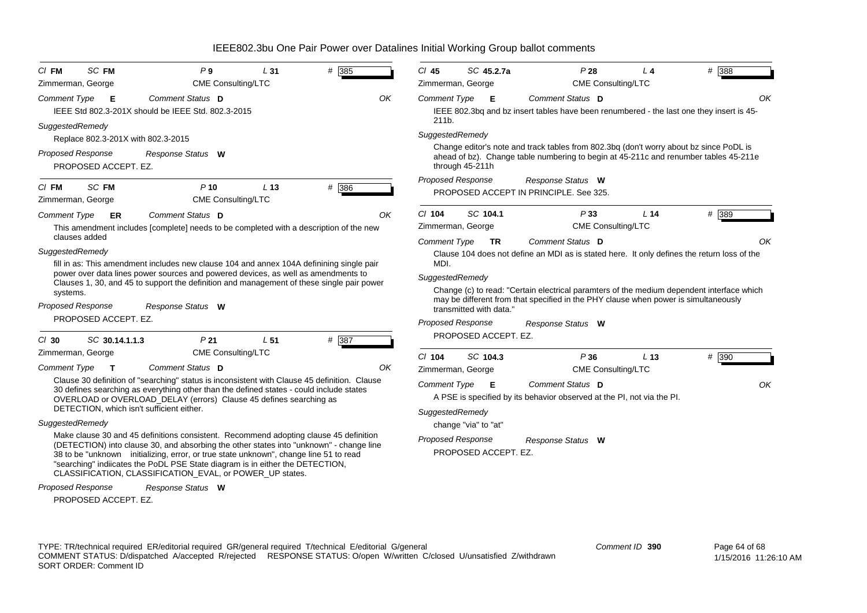| <b>SC FM</b><br>$CI$ FM<br>Zimmerman, George          | P9<br>CME Consulting/LTC                                                                                                                                                                                                                                                                                                                                                                                               | L <sub>31</sub> | # 385 |     | $Cl$ 45                                        | SC 45.2.7a<br>Zimmerman, George                  | P28                                                                                                                                                                                                                                                                                                 | $L$ 4<br><b>CME Consulting/LTC</b> | # 388         |
|-------------------------------------------------------|------------------------------------------------------------------------------------------------------------------------------------------------------------------------------------------------------------------------------------------------------------------------------------------------------------------------------------------------------------------------------------------------------------------------|-----------------|-------|-----|------------------------------------------------|--------------------------------------------------|-----------------------------------------------------------------------------------------------------------------------------------------------------------------------------------------------------------------------------------------------------------------------------------------------------|------------------------------------|---------------|
| Comment Type<br>- E                                   | Comment Status D                                                                                                                                                                                                                                                                                                                                                                                                       |                 |       | OK  | Comment Type                                   | Е                                                | Comment Status D                                                                                                                                                                                                                                                                                    |                                    | OK            |
|                                                       | IEEE Std 802.3-201X should be IEEE Std. 802.3-2015                                                                                                                                                                                                                                                                                                                                                                     |                 |       |     | 211b.                                          |                                                  | IEEE 802.3bg and bz insert tables have been renumbered - the last one they insert is 45-                                                                                                                                                                                                            |                                    |               |
| SuggestedRemedy<br>Replace 802.3-201X with 802.3-2015 |                                                                                                                                                                                                                                                                                                                                                                                                                        |                 |       |     | SuggestedRemedy                                |                                                  |                                                                                                                                                                                                                                                                                                     |                                    |               |
| Proposed Response<br>PROPOSED ACCEPT. EZ.             | Response Status W                                                                                                                                                                                                                                                                                                                                                                                                      |                 |       |     |                                                | through 45-211h                                  | Change editor's note and track tables from 802.3bg (don't worry about bz since PoDL is<br>ahead of bz). Change table numbering to begin at 45-211c and renumber tables 45-211e                                                                                                                      |                                    |               |
| <b>SC FM</b><br>$CI$ FM<br>Zimmerman, George          | $P$ 10<br><b>CME Consulting/LTC</b>                                                                                                                                                                                                                                                                                                                                                                                    | L <sub>13</sub> | # 386 |     |                                                | <b>Proposed Response</b>                         | Response Status W<br>PROPOSED ACCEPT IN PRINCIPLE, See 325.                                                                                                                                                                                                                                         |                                    |               |
| Comment Type<br>ER                                    | Comment Status D                                                                                                                                                                                                                                                                                                                                                                                                       |                 |       | OK  | $Cl$ 104                                       | SC 104.1                                         | P33                                                                                                                                                                                                                                                                                                 | L <sub>14</sub>                    | # 389         |
| clauses added                                         | This amendment includes [complete] needs to be completed with a description of the new                                                                                                                                                                                                                                                                                                                                 |                 |       |     |                                                | Zimmerman, George                                |                                                                                                                                                                                                                                                                                                     | CME Consulting/LTC                 |               |
| SuggestedRemedy<br>systems.                           | fill in as: This amendment includes new clause 104 and annex 104A definining single pair<br>power over data lines power sources and powered devices, as well as amendments to<br>Clauses 1, 30, and 45 to support the definition and management of these single pair power                                                                                                                                             |                 |       |     | <b>Comment Type</b><br>MDI.<br>SuggestedRemedy | <b>TR</b>                                        | Comment Status D<br>Clause 104 does not define an MDI as is stated here. It only defines the return loss of the<br>Change (c) to read: "Certain electrical paramters of the medium dependent interface which<br>may be different from that specified in the PHY clause when power is simultaneously |                                    | OK            |
| <b>Proposed Response</b><br>PROPOSED ACCEPT. EZ.      | Response Status W                                                                                                                                                                                                                                                                                                                                                                                                      |                 |       |     |                                                | transmitted with data."                          |                                                                                                                                                                                                                                                                                                     |                                    |               |
| SC 30.14.1.1.3<br>$Cl$ 30                             | P <sub>21</sub>                                                                                                                                                                                                                                                                                                                                                                                                        | L <sub>51</sub> | # 387 |     |                                                | <b>Proposed Response</b><br>PROPOSED ACCEPT. EZ. | Response Status W                                                                                                                                                                                                                                                                                   |                                    |               |
| Zimmerman, George                                     | <b>CME Consulting/LTC</b>                                                                                                                                                                                                                                                                                                                                                                                              |                 |       |     | $Cl$ 104                                       | SC 104.3                                         | P36                                                                                                                                                                                                                                                                                                 | L <sub>13</sub>                    | # 390         |
| <b>Comment Type</b><br>$\mathbf{T}$                   | Comment Status D                                                                                                                                                                                                                                                                                                                                                                                                       |                 |       | OK. |                                                | Zimmerman, George                                |                                                                                                                                                                                                                                                                                                     | CME Consulting/LTC                 |               |
|                                                       | Clause 30 definition of "searching" status is inconsistent with Clause 45 definition. Clause<br>30 defines searching as everything other than the defined states - could include states<br>OVERLOAD or OVERLOAD_DELAY (errors) Clause 45 defines searching as                                                                                                                                                          |                 |       |     | <b>Comment Type</b>                            | Е                                                | Comment Status D<br>A PSE is specified by its behavior observed at the PI, not via the PI.                                                                                                                                                                                                          |                                    | OK            |
| DETECTION, which isn't sufficient either.             |                                                                                                                                                                                                                                                                                                                                                                                                                        |                 |       |     | SuggestedRemedy                                |                                                  |                                                                                                                                                                                                                                                                                                     |                                    |               |
| SuggestedRemedy                                       |                                                                                                                                                                                                                                                                                                                                                                                                                        |                 |       |     |                                                | change "via" to "at"                             |                                                                                                                                                                                                                                                                                                     |                                    |               |
|                                                       | Make clause 30 and 45 definitions consistent. Recommend adopting clause 45 definition<br>(DETECTION) into clause 30, and absorbing the other states into "unknown" - change line<br>38 to be "unknown initializing, error, or true state unknown", change line 51 to read<br>"searching" indiicates the PoDL PSE State diagram is in either the DETECTION,<br>CLASSIFICATION, CLASSIFICATION_EVAL, or POWER_UP states. |                 |       |     |                                                | <b>Proposed Response</b><br>PROPOSED ACCEPT. EZ. | Response Status W                                                                                                                                                                                                                                                                                   |                                    |               |
| <b>Proposed Response</b><br>PROPOSED ACCEPT. EZ.      | Response Status W                                                                                                                                                                                                                                                                                                                                                                                                      |                 |       |     |                                                |                                                  |                                                                                                                                                                                                                                                                                                     |                                    |               |
|                                                       | TYPE: TR/technical required ER/editorial required GR/general required T/technical E/editorial G/general                                                                                                                                                                                                                                                                                                                |                 |       |     |                                                |                                                  |                                                                                                                                                                                                                                                                                                     | Comment ID 390                     | Page 64 of 68 |

COMMENT STATUS: D/dispatched A/accepted R/rejected RESPONSE STATUS: O/open W/written C/closed U/unsatisfied Z/withdrawn SORT ORDER: Comment ID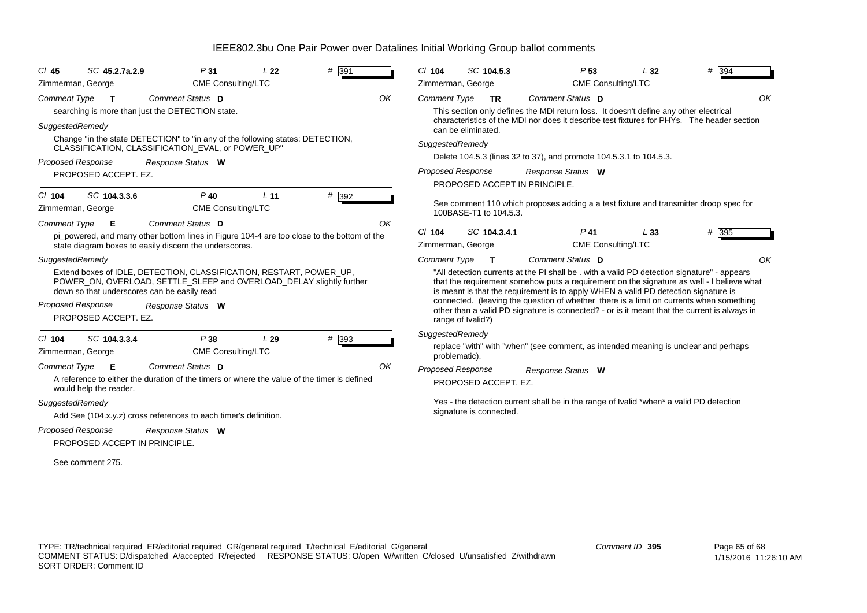| $CI$ 45                                          | SC 45.2.7a.2.9                                                                                                                                                                             | P31                       | L <sub>22</sub> | $#$ 391                                                                                     | $Cl$ 104                       |                    | SC 104.5.3              | P <sub>53</sub>                                                                                                                                                                                                                                                                 | L32 | $# \overline{394}$ |
|--------------------------------------------------|--------------------------------------------------------------------------------------------------------------------------------------------------------------------------------------------|---------------------------|-----------------|---------------------------------------------------------------------------------------------|--------------------------------|--------------------|-------------------------|---------------------------------------------------------------------------------------------------------------------------------------------------------------------------------------------------------------------------------------------------------------------------------|-----|--------------------|
| Zimmerman, George                                |                                                                                                                                                                                            | <b>CME Consulting/LTC</b> |                 |                                                                                             | Zimmerman, George              |                    |                         | <b>CME Consulting/LTC</b>                                                                                                                                                                                                                                                       |     |                    |
| Comment Type                                     | $\mathbf{T}$                                                                                                                                                                               | Comment Status D          |                 |                                                                                             | OK<br><b>Comment Type</b>      |                    | <b>TR</b>               | Comment Status D                                                                                                                                                                                                                                                                |     | OK                 |
|                                                  | searching is more than just the DETECTION state.                                                                                                                                           |                           |                 |                                                                                             |                                |                    |                         | This section only defines the MDI return loss. It doesn't define any other electrical                                                                                                                                                                                           |     |                    |
| SuggestedRemedy                                  |                                                                                                                                                                                            |                           |                 |                                                                                             |                                | can be eliminated. |                         | characteristics of the MDI nor does it describe test fixtures for PHYs. The header section                                                                                                                                                                                      |     |                    |
|                                                  | Change "in the state DETECTION" to "in any of the following states: DETECTION,<br>CLASSIFICATION, CLASSIFICATION_EVAL, or POWER_UP"                                                        |                           |                 |                                                                                             | SuggestedRemedy                |                    |                         |                                                                                                                                                                                                                                                                                 |     |                    |
| <b>Proposed Response</b>                         |                                                                                                                                                                                            |                           |                 |                                                                                             |                                |                    |                         | Delete 104.5.3 (lines 32 to 37), and promote 104.5.3.1 to 104.5.3.                                                                                                                                                                                                              |     |                    |
| PROPOSED ACCEPT. EZ.                             |                                                                                                                                                                                            | Response Status W         |                 |                                                                                             | Proposed Response              |                    |                         | Response Status W                                                                                                                                                                                                                                                               |     |                    |
|                                                  |                                                                                                                                                                                            |                           |                 |                                                                                             |                                |                    |                         | PROPOSED ACCEPT IN PRINCIPLE.                                                                                                                                                                                                                                                   |     |                    |
| $Cl$ 104                                         | SC 104.3.3.6                                                                                                                                                                               | $P$ 40                    | L <sub>11</sub> | $#$ 392                                                                                     |                                |                    |                         | See comment 110 which proposes adding a a test fixture and transmitter droop spec for                                                                                                                                                                                           |     |                    |
| Zimmerman, George                                |                                                                                                                                                                                            | <b>CME Consulting/LTC</b> |                 |                                                                                             |                                |                    | 100BASE-T1 to 104.5.3.  |                                                                                                                                                                                                                                                                                 |     |                    |
| Comment Type                                     | - E                                                                                                                                                                                        | Comment Status D          |                 |                                                                                             | OK                             |                    |                         | $P$ 41                                                                                                                                                                                                                                                                          |     |                    |
|                                                  | state diagram boxes to easily discern the underscores.                                                                                                                                     |                           |                 | pi powered, and many other bottom lines in Figure 104-4 are too close to the bottom of the  | $Cl$ 104<br>Zimmerman, George  |                    | SC 104.3.4.1            | <b>CME Consulting/LTC</b>                                                                                                                                                                                                                                                       | L33 | # 395              |
| SuggestedRemedy                                  |                                                                                                                                                                                            |                           |                 |                                                                                             | <b>Comment Type</b>            |                    | $\mathbf{T}$            | Comment Status D                                                                                                                                                                                                                                                                |     | OK                 |
|                                                  | Extend boxes of IDLE, DETECTION, CLASSIFICATION, RESTART, POWER_UP,<br>POWER ON, OVERLOAD, SETTLE SLEEP and OVERLOAD DELAY slightly further<br>down so that underscores can be easily read |                           |                 |                                                                                             |                                |                    |                         | "All detection currents at the PI shall be . with a valid PD detection signature" - appears<br>that the requirement somehow puts a requirement on the signature as well - I believe what<br>is meant is that the requirement is to apply WHEN a valid PD detection signature is |     |                    |
| <b>Proposed Response</b><br>PROPOSED ACCEPT. EZ. |                                                                                                                                                                                            | Response Status W         |                 |                                                                                             |                                | range of Ivalid?)  |                         | connected. (leaving the question of whether there is a limit on currents when something<br>other than a valid PD signature is connected? - or is it meant that the current is always in                                                                                         |     |                    |
| $Cl$ 104                                         | SC 104.3.3.4                                                                                                                                                                               | P38                       | L29             | # 393                                                                                       | SuggestedRemedy                |                    |                         |                                                                                                                                                                                                                                                                                 |     |                    |
| Zimmerman, George                                |                                                                                                                                                                                            | <b>CME Consulting/LTC</b> |                 |                                                                                             |                                | problematic).      |                         | replace "with" with "when" (see comment, as intended meaning is unclear and perhaps                                                                                                                                                                                             |     |                    |
| <b>Comment Type</b><br>would help the reader.    | Е                                                                                                                                                                                          | Comment Status D          |                 | A reference to either the duration of the timers or where the value of the timer is defined | OK<br><b>Proposed Response</b> |                    | PROPOSED ACCEPT. EZ.    | Response Status W                                                                                                                                                                                                                                                               |     |                    |
| SuggestedRemedy                                  |                                                                                                                                                                                            |                           |                 |                                                                                             |                                |                    |                         | Yes - the detection current shall be in the range of Ivalid *when* a valid PD detection                                                                                                                                                                                         |     |                    |
|                                                  | Add See (104.x.y.z) cross references to each timer's definition.                                                                                                                           |                           |                 |                                                                                             |                                |                    | signature is connected. |                                                                                                                                                                                                                                                                                 |     |                    |
| <b>Proposed Response</b>                         |                                                                                                                                                                                            | Response Status W         |                 |                                                                                             |                                |                    |                         |                                                                                                                                                                                                                                                                                 |     |                    |
|                                                  | PROPOSED ACCEPT IN PRINCIPLE.                                                                                                                                                              |                           |                 |                                                                                             |                                |                    |                         |                                                                                                                                                                                                                                                                                 |     |                    |
| See comment 275.                                 |                                                                                                                                                                                            |                           |                 |                                                                                             |                                |                    |                         |                                                                                                                                                                                                                                                                                 |     |                    |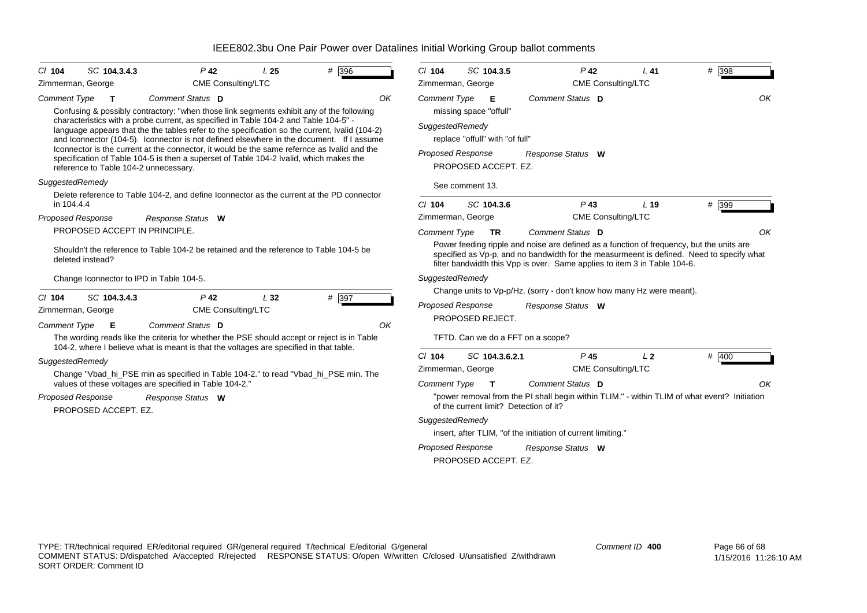| # 396<br>SC 104.3.4.3<br>$P$ 42<br>$Cl$ 104<br>L <sub>25</sub><br>CME Consulting/LTC<br>Zimmerman, George                                                                                                                                                                                                                                                                                                                                                                                                                                                                                                                                                                                            | # 398<br>SC 104.3.5<br>$P$ 42<br>$Cl$ 104<br>L41<br>CME Consulting/LTC<br>Zimmerman, George                                                                                                                                                                                                                                                                                                                                                                                             |
|------------------------------------------------------------------------------------------------------------------------------------------------------------------------------------------------------------------------------------------------------------------------------------------------------------------------------------------------------------------------------------------------------------------------------------------------------------------------------------------------------------------------------------------------------------------------------------------------------------------------------------------------------------------------------------------------------|-----------------------------------------------------------------------------------------------------------------------------------------------------------------------------------------------------------------------------------------------------------------------------------------------------------------------------------------------------------------------------------------------------------------------------------------------------------------------------------------|
| Comment Status D<br><b>Comment Type</b><br>OK<br>$\mathbf{T}$<br>Confusing & possibly contractory: "when those link segments exhibit any of the following<br>characteristics with a probe current, as specified in Table 104-2 and Table 104-5" -<br>language appears that the the tables refer to the specification so the current, Ivalid (104-2)<br>and Iconnector (104-5). Iconnector is not defined elsewhere in the document. If I assume<br>Iconnector is the current at the connector, it would be the same refernce as Ivalid and the<br>specification of Table 104-5 is then a superset of Table 104-2 Ivalid, which makes the<br>reference to Table 104-2 unnecessary.<br>SuggestedRemedy | OK<br>Comment Type<br>Comment Status D<br>Е<br>missing space "offull"<br>SuggestedRemedy<br>replace "offull" with "of full"<br><b>Proposed Response</b><br>Response Status W<br>PROPOSED ACCEPT. EZ.<br>See comment 13.                                                                                                                                                                                                                                                                 |
| Delete reference to Table 104-2, and define Iconnector as the current at the PD connector<br>in 104.4.4<br><b>Proposed Response</b><br>Response Status W                                                                                                                                                                                                                                                                                                                                                                                                                                                                                                                                             | $P$ 43<br># 399<br>$Cl$ 104<br>SC 104.3.6<br>L <sub>19</sub><br>Zimmerman, George<br><b>CME Consulting/LTC</b>                                                                                                                                                                                                                                                                                                                                                                          |
| PROPOSED ACCEPT IN PRINCIPLE.<br>Shouldn't the reference to Table 104-2 be retained and the reference to Table 104-5 be<br>deleted instead?                                                                                                                                                                                                                                                                                                                                                                                                                                                                                                                                                          | OK<br><b>Comment Type</b><br>Comment Status D<br><b>TR</b><br>Power feeding ripple and noise are defined as a function of frequency, but the units are<br>specified as Vp-p, and no bandwidth for the measurmeent is defined. Need to specify what<br>filter bandwidth this Vpp is over. Same applies to item 3 in Table 104-6.                                                                                                                                                         |
| Change Iconnector to IPD in Table 104-5.<br>$P$ 42<br>L32<br># 397<br>$Cl$ 104<br>SC 104.3.4.3<br><b>CME Consulting/LTC</b><br>Zimmerman, George<br>Comment Status D<br>OK<br><b>Comment Type</b><br>Е<br>The wording reads like the criteria for whether the PSE should accept or reject is in Table                                                                                                                                                                                                                                                                                                                                                                                                | SuggestedRemedy<br>Change units to Vp-p/Hz. (sorry - don't know how many Hz were meant).<br><b>Proposed Response</b><br>Response Status W<br>PROPOSED REJECT.<br>TFTD. Can we do a FFT on a scope?                                                                                                                                                                                                                                                                                      |
| 104-2, where I believe what is meant is that the voltages are specified in that table.<br>SuggestedRemedy<br>Change "Vbad_hi_PSE min as specified in Table 104-2." to read "Vbad_hi_PSE min. The<br>values of these voltages are specified in Table 104-2."<br><b>Proposed Response</b><br>Response Status W<br>PROPOSED ACCEPT. EZ.                                                                                                                                                                                                                                                                                                                                                                 | $Cl$ 104<br>SC 104.3.6.2.1<br>$P$ 45<br>L <sub>2</sub><br>$# \overline{400}$<br>CME Consulting/LTC<br>Zimmerman, George<br><b>Comment Type</b><br>Comment Status D<br>OK<br>$\mathbf{T}$<br>"power removal from the PI shall begin within TLIM." - within TLIM of what event? Initiation<br>of the current limit? Detection of it?<br>SuggestedRemedy<br>insert, after TLIM, "of the initiation of current limiting."<br>Proposed Response<br>Response Status W<br>PROPOSED ACCEPT. EZ. |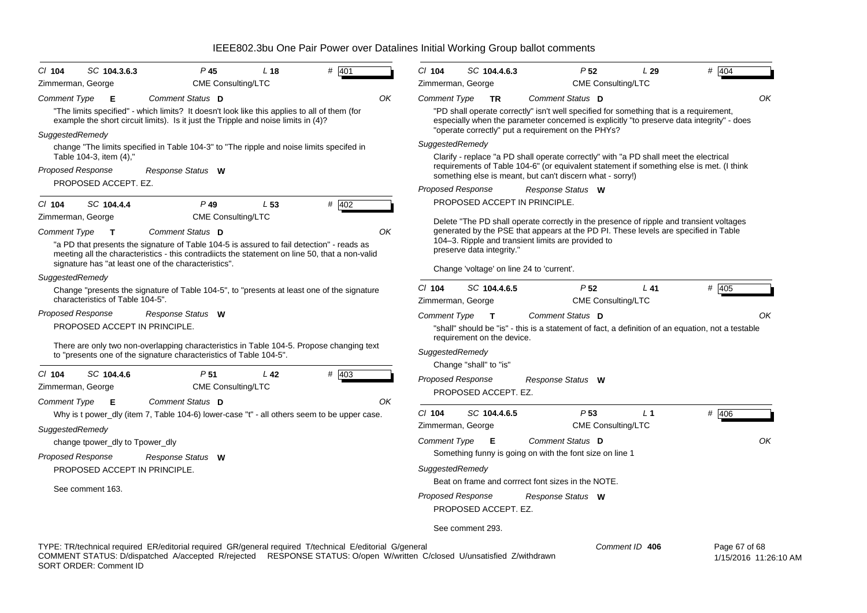| $CI$ 104                               | SC 104.3.6.3                                                                                                                                                                                                                                                        | P <sub>45</sub>                              | L <sub>18</sub> | # 401   |    | $Cl$ 104                                                         |     | SC 104.4.6.3                               |                                                                                                 | P <sub>52</sub>                              | L29                                                                                                                                                                            | # 404                                                                                             |                       |
|----------------------------------------|---------------------------------------------------------------------------------------------------------------------------------------------------------------------------------------------------------------------------------------------------------------------|----------------------------------------------|-----------------|---------|----|------------------------------------------------------------------|-----|--------------------------------------------|-------------------------------------------------------------------------------------------------|----------------------------------------------|--------------------------------------------------------------------------------------------------------------------------------------------------------------------------------|---------------------------------------------------------------------------------------------------|-----------------------|
| Zimmerman, George                      |                                                                                                                                                                                                                                                                     | <b>CME Consulting/LTC</b>                    |                 |         |    | Zimmerman, George                                                |     |                                            |                                                                                                 | <b>CME Consulting/LTC</b>                    |                                                                                                                                                                                |                                                                                                   |                       |
| <b>Comment Type</b><br>SuggestedRemedy | Е<br>"The limits specified" - which limits? It doesn't look like this applies to all of them (for<br>example the short circuit limits). Is it just the Tripple and noise limits in (4)?                                                                             | Comment Status D                             |                 |         | ΟK | Comment Type                                                     |     | <b>TR</b>                                  | Comment Status D<br>"operate correctly" put a requirement on the PHYs?                          |                                              | "PD shall operate correctly" isn't well specified for something that is a requirement,                                                                                         | especially when the parameter concerned is explicitly "to preserve data integrity" - does         | OK                    |
|                                        | change "The limits specified in Table 104-3" to "The ripple and noise limits specifed in<br>Table 104-3, item (4),"                                                                                                                                                 |                                              |                 |         |    | SuggestedRemedy                                                  |     |                                            |                                                                                                 |                                              | Clarify - replace "a PD shall operate correctly" with "a PD shall meet the electrical                                                                                          |                                                                                                   |                       |
| Proposed Response                      | PROPOSED ACCEPT. EZ.                                                                                                                                                                                                                                                | Response Status W                            |                 |         |    |                                                                  |     |                                            | something else is meant, but can't discern what - sorry!)                                       |                                              |                                                                                                                                                                                | requirements of Table 104-6" (or equivalent statement if something else is met. (I think          |                       |
|                                        |                                                                                                                                                                                                                                                                     |                                              |                 |         |    | <b>Proposed Response</b>                                         |     |                                            | Response Status W                                                                               |                                              |                                                                                                                                                                                |                                                                                                   |                       |
| $Cl$ 104<br>Zimmerman, George          | SC 104.4.4                                                                                                                                                                                                                                                          | $P$ 49<br><b>CME Consulting/LTC</b>          | L <sub>53</sub> | $#$ 402 |    |                                                                  |     |                                            | PROPOSED ACCEPT IN PRINCIPLE.                                                                   |                                              |                                                                                                                                                                                |                                                                                                   |                       |
| Comment Type                           | $\mathbf{T}$<br>"a PD that presents the signature of Table 104-5 is assured to fail detection" - reads as<br>meeting all the characteristics - this contradiicts the statement on line 50, that a non-valid<br>signature has "at least one of the characteristics". | Comment Status D                             |                 |         | OK |                                                                  |     | preserve data integrity."                  | 104–3. Ripple and transient limits are provided to<br>Change 'voltage' on line 24 to 'current'. |                                              | Delete "The PD shall operate correctly in the presence of ripple and transient voltages<br>generated by the PSE that appears at the PD PI. These levels are specified in Table |                                                                                                   |                       |
| SuggestedRemedy                        |                                                                                                                                                                                                                                                                     |                                              |                 |         |    |                                                                  |     |                                            |                                                                                                 |                                              |                                                                                                                                                                                |                                                                                                   |                       |
|                                        | Change "presents the signature of Table 104-5", to "presents at least one of the signature<br>characteristics of Table 104-5".                                                                                                                                      |                                              |                 |         |    | $Cl$ 104<br>Zimmerman, George                                    |     | SC 104.4.6.5                               |                                                                                                 | P <sub>52</sub><br>CME Consulting/LTC        | $L$ 41                                                                                                                                                                         | # 405                                                                                             |                       |
| <b>Proposed Response</b>               | PROPOSED ACCEPT IN PRINCIPLE.<br>There are only two non-overlapping characteristics in Table 104-5. Propose changing text<br>to "presents one of the signature characteristics of Table 104-5".                                                                     | Response Status W                            |                 |         |    | <b>Comment Type</b><br>SuggestedRemedy<br>Change "shall" to "is" |     | $\mathbf{T}$<br>requirement on the device. | Comment Status D                                                                                |                                              |                                                                                                                                                                                | "shall" should be "is" - this is a statement of fact, a definition of an equation, not a testable | OK                    |
| $Cl$ 104<br>Zimmerman, George          | SC 104.4.6                                                                                                                                                                                                                                                          | P <sub>51</sub><br><b>CME Consulting/LTC</b> | L <sub>42</sub> | $#$ 403 |    | <b>Proposed Response</b>                                         |     | PROPOSED ACCEPT. EZ.                       | Response Status W                                                                               |                                              |                                                                                                                                                                                |                                                                                                   |                       |
| Comment Type                           | Е<br>Why is t power_dly (item 7, Table 104-6) lower-case "t" - all others seem to be upper case.                                                                                                                                                                    | Comment Status D                             |                 |         | OK | $Cl$ 104<br>Zimmerman, George                                    |     | SC 104.4.6.5                               |                                                                                                 | P <sub>53</sub><br><b>CME Consulting/LTC</b> | L <sub>1</sub>                                                                                                                                                                 | $#$ 406                                                                                           |                       |
| SuggestedRemedy                        | change tpower_dly to Tpower_dly                                                                                                                                                                                                                                     |                                              |                 |         |    | <b>Comment Type</b>                                              | - E |                                            | Comment Status D                                                                                |                                              |                                                                                                                                                                                |                                                                                                   | OK                    |
| Proposed Response                      |                                                                                                                                                                                                                                                                     | Response Status W                            |                 |         |    |                                                                  |     |                                            | Something funny is going on with the font size on line 1                                        |                                              |                                                                                                                                                                                |                                                                                                   |                       |
|                                        | PROPOSED ACCEPT IN PRINCIPLE.                                                                                                                                                                                                                                       |                                              |                 |         |    | SuggestedRemedy                                                  |     |                                            |                                                                                                 |                                              |                                                                                                                                                                                |                                                                                                   |                       |
|                                        | See comment 163.                                                                                                                                                                                                                                                    |                                              |                 |         |    | <b>Proposed Response</b>                                         |     | PROPOSED ACCEPT. EZ.                       | Beat on frame and corrrect font sizes in the NOTE.<br>Response Status W                         |                                              |                                                                                                                                                                                |                                                                                                   |                       |
|                                        |                                                                                                                                                                                                                                                                     |                                              |                 |         |    | See comment 293.                                                 |     |                                            |                                                                                                 |                                              |                                                                                                                                                                                |                                                                                                   |                       |
|                                        | TYPE: TR/technical required ER/editorial required GR/general required T/technical E/editorial G/general<br>COMMENT STATUS: D/dispatched A/accepted R/rejected RESPONSE STATUS: O/open W/written C/closed U/unsatisfied Z/withdrawn<br>SORT ORDER: Comment ID        |                                              |                 |         |    |                                                                  |     |                                            |                                                                                                 |                                              | Comment ID 406                                                                                                                                                                 | Page 67 of 68                                                                                     | 1/15/2016 11:26:10 AM |